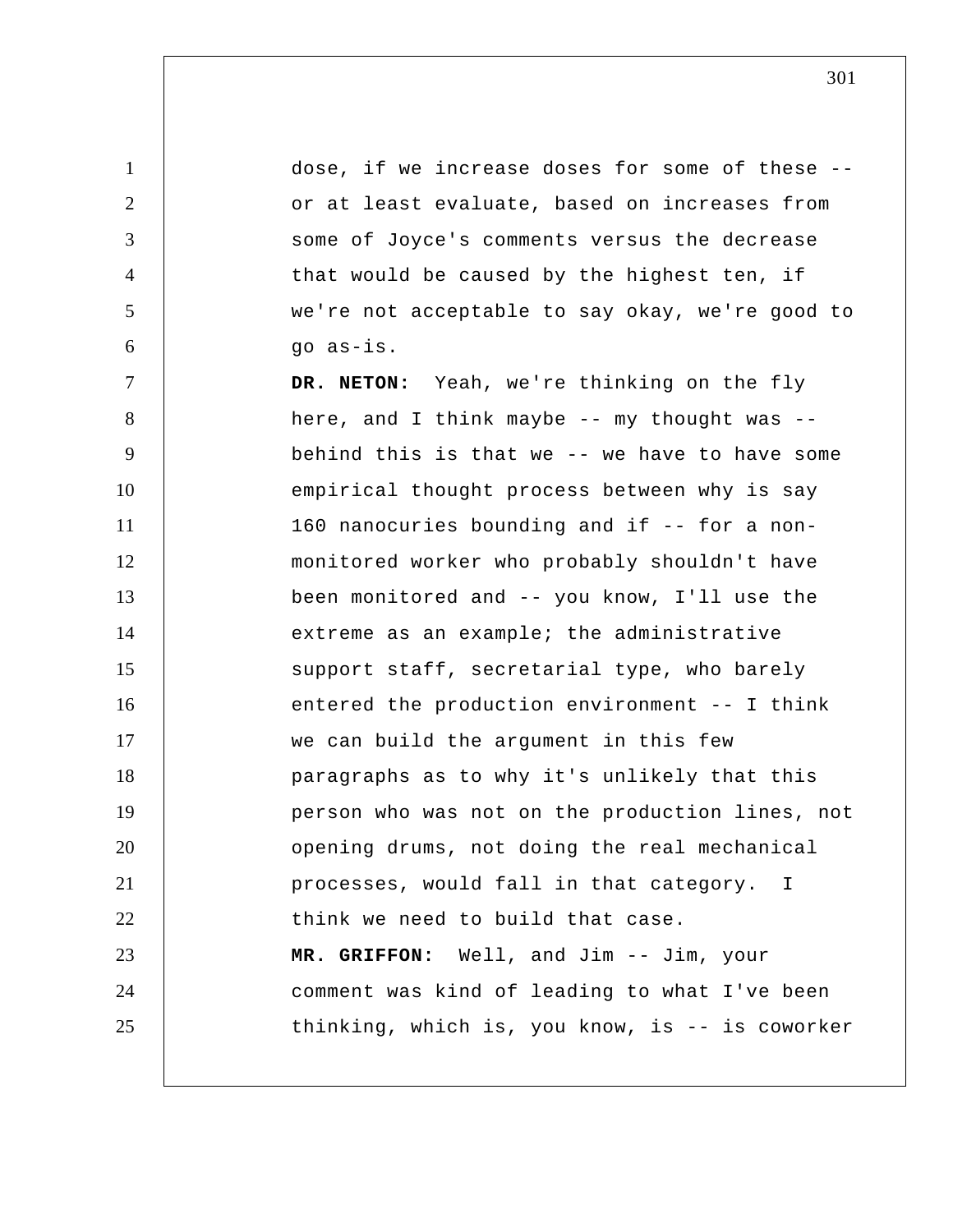1 2 3 4 5 6 7 8 9 10 11 12 13 14 15 16 17 18 19 20 21 22 23 24 25 dose, if we increase doses for some of these - or at least evaluate, based on increases from some of Joyce's comments versus the decrease that would be caused by the highest ten, if we're not acceptable to say okay, we're good to go as-is. **DR. NETON:** Yeah, we're thinking on the fly here, and I think maybe -- my thought was - behind this is that we -- we have to have some empirical thought process between why is say 160 nanocuries bounding and if -- for a nonmonitored worker who probably shouldn't have been monitored and -- you know, I'll use the extreme as an example; the administrative support staff, secretarial type, who barely entered the production environment -- I think we can build the argument in this few paragraphs as to why it's unlikely that this person who was not on the production lines, not opening drums, not doing the real mechanical processes, would fall in that category. I think we need to build that case.  **MR. GRIFFON:** Well, and Jim -- Jim, your comment was kind of leading to what I've been thinking, which is, you know, is -- is coworker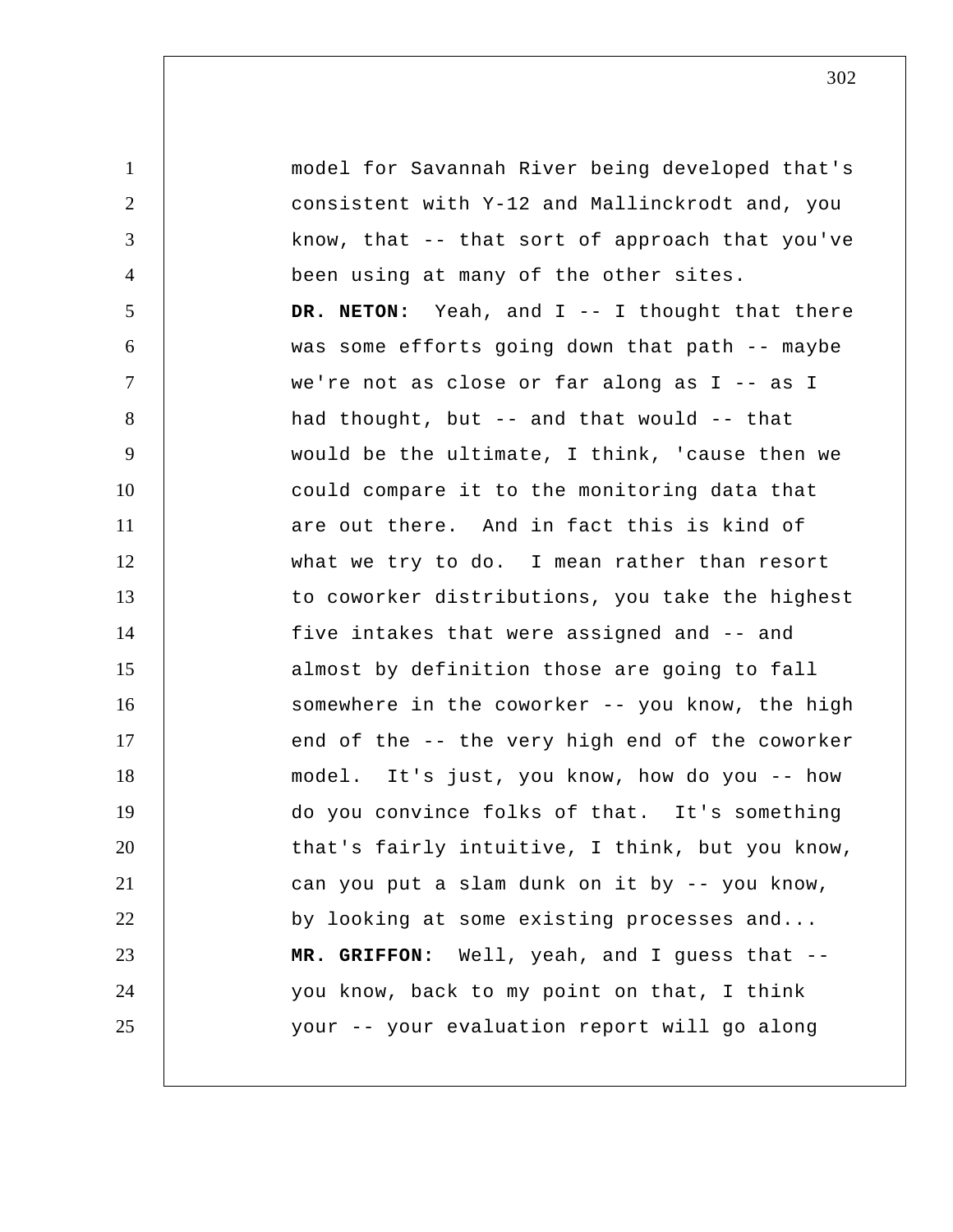1 2 3 4 5 6 7 8 9 10 11 12 13 14 15 16 17 18 19 20 21 22 23 24 25 model for Savannah River being developed that's consistent with Y-12 and Mallinckrodt and, you know, that -- that sort of approach that you've been using at many of the other sites. **DR. NETON:** Yeah, and I -- I thought that there was some efforts going down that path -- maybe we're not as close or far along as I -- as I had thought, but -- and that would -- that would be the ultimate, I think, 'cause then we could compare it to the monitoring data that are out there. And in fact this is kind of what we try to do. I mean rather than resort to coworker distributions, you take the highest five intakes that were assigned and -- and almost by definition those are going to fall somewhere in the coworker -- you know, the high end of the -- the very high end of the coworker model. It's just, you know, how do you -- how do you convince folks of that. It's something that's fairly intuitive, I think, but you know, can you put a slam dunk on it by -- you know, by looking at some existing processes and...  **MR. GRIFFON:** Well, yeah, and I guess that - you know, back to my point on that, I think your -- your evaluation report will go along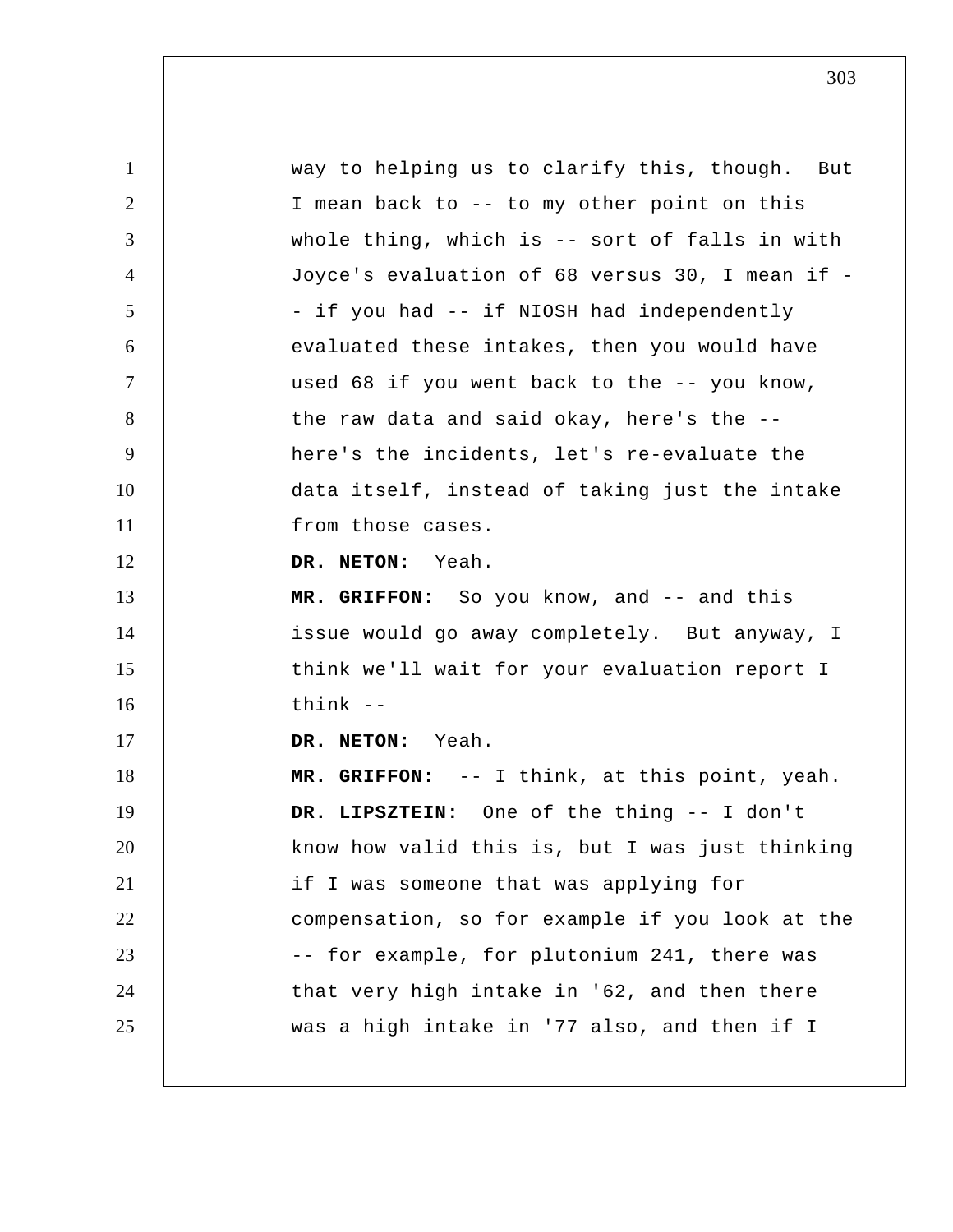1 2 3 4 5 6 7 8 9 10 11 12 13 14 15 16 17 18 19 20 21 22 23 24 25 way to helping us to clarify this, though. But I mean back to -- to my other point on this whole thing, which is -- sort of falls in with Joyce's evaluation of 68 versus 30, I mean if - if you had -- if NIOSH had independently evaluated these intakes, then you would have used 68 if you went back to the -- you know, the raw data and said okay, here's the - here's the incidents, let's re-evaluate the data itself, instead of taking just the intake from those cases. **DR. NETON:** Yeah.  **MR. GRIFFON:** So you know, and -- and this issue would go away completely. But anyway, I think we'll wait for your evaluation report I  $think$   $-$ **DR. NETON:** Yeah.  **MR. GRIFFON:** -- I think, at this point, yeah.  **DR. LIPSZTEIN:** One of the thing -- I don't know how valid this is, but I was just thinking if I was someone that was applying for compensation, so for example if you look at the -- for example, for plutonium 241, there was that very high intake in '62, and then there was a high intake in '77 also, and then if I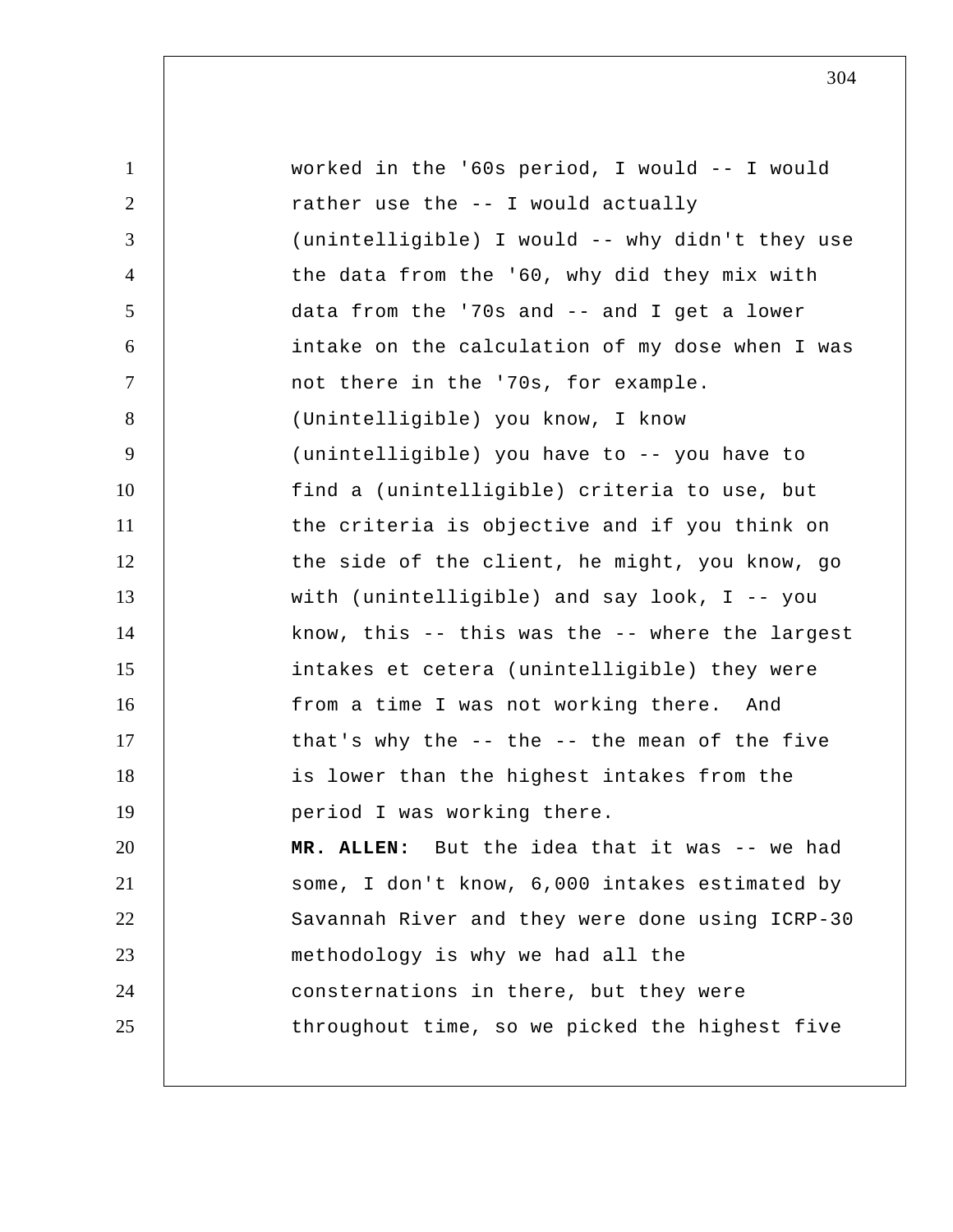1 2 3 4 5 6 7 8 9 10 11 12 13 14 15 16 17 18 19 20 21 22 23 24 25 worked in the '60s period, I would -- I would rather use the -- I would actually (unintelligible) I would -- why didn't they use the data from the '60, why did they mix with data from the '70s and -- and I get a lower intake on the calculation of my dose when I was not there in the '70s, for example. (Unintelligible) you know, I know (unintelligible) you have to -- you have to find a (unintelligible) criteria to use, but the criteria is objective and if you think on the side of the client, he might, you know, go with (unintelligible) and say look, I -- you know, this -- this was the -- where the largest intakes et cetera (unintelligible) they were from a time I was not working there. And that's why the  $--$  the  $--$  the mean of the five is lower than the highest intakes from the period I was working there. **MR. ALLEN:** But the idea that it was -- we had some, I don't know, 6,000 intakes estimated by Savannah River and they were done using ICRP-30 methodology is why we had all the consternations in there, but they were throughout time, so we picked the highest five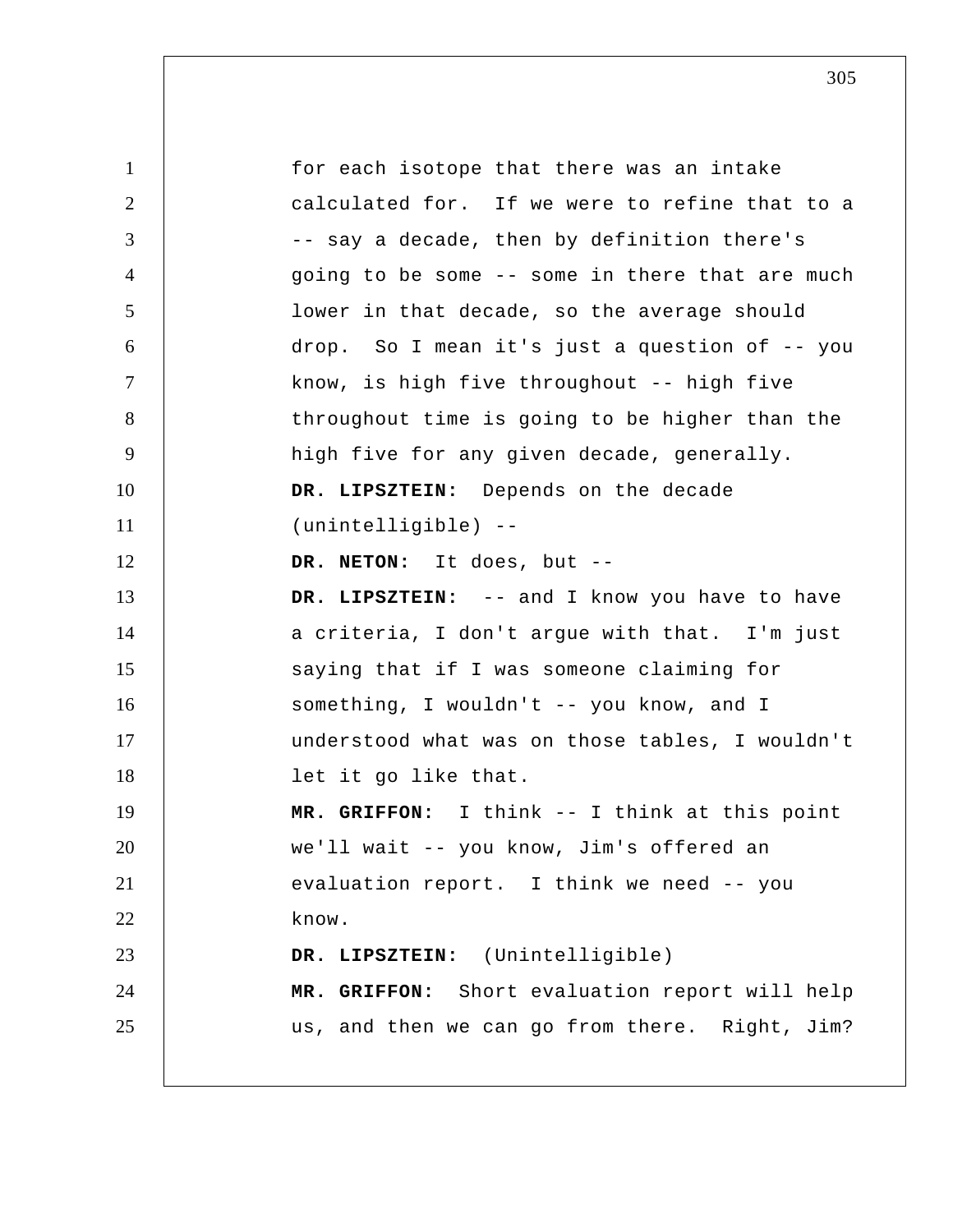1 2 3 4 5 6 7 8 9 10 11 12 13 14 15 16 17 18 19 20 21 22 23 24 25 for each isotope that there was an intake calculated for. If we were to refine that to a -- say a decade, then by definition there's going to be some -- some in there that are much lower in that decade, so the average should drop. So I mean it's just a question of -- you know, is high five throughout -- high five throughout time is going to be higher than the high five for any given decade, generally.  **DR. LIPSZTEIN:** Depends on the decade (unintelligible) --**DR. NETON:** It does, but -- **DR. LIPSZTEIN:** -- and I know you have to have a criteria, I don't argue with that. I'm just saying that if I was someone claiming for something, I wouldn't -- you know, and I understood what was on those tables, I wouldn't let it go like that.  **MR. GRIFFON:** I think -- I think at this point we'll wait -- you know, Jim's offered an evaluation report. I think we need -- you know.  **DR. LIPSZTEIN:** (Unintelligible)  **MR. GRIFFON:** Short evaluation report will help us, and then we can go from there. Right, Jim?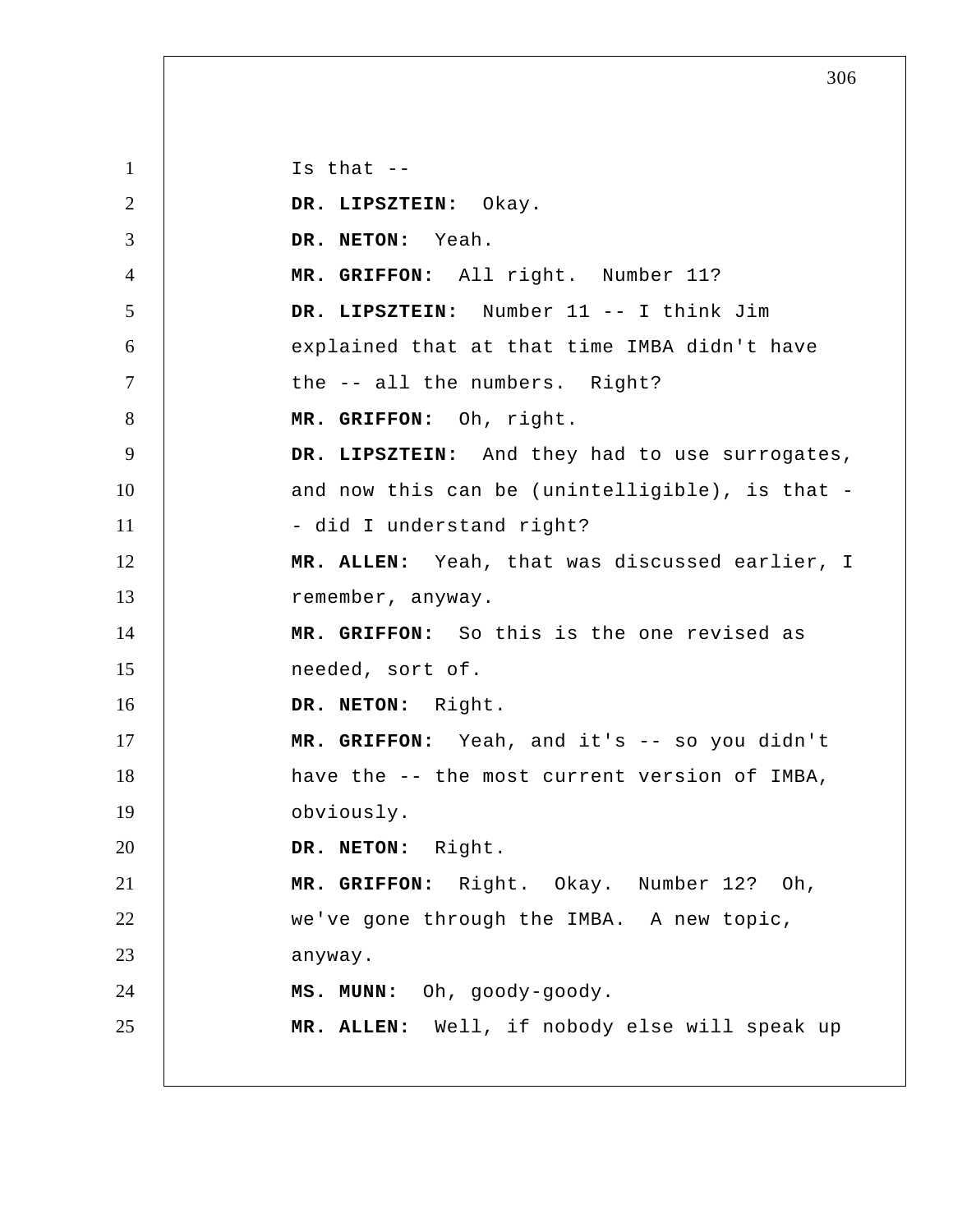1 2 3 4 5 6 7 8 9 10 11 12 13 14 15 16 17 18 19 20 21 22 23 24 25 Is that  $-$  **DR. LIPSZTEIN:** Okay. **DR. NETON:** Yeah.  **MR. GRIFFON:** All right. Number 11?  **DR. LIPSZTEIN:** Number 11 -- I think Jim explained that at that time IMBA didn't have the -- all the numbers. Right?  **MR. GRIFFON:** Oh, right.  **DR. LIPSZTEIN:** And they had to use surrogates, and now this can be (unintelligible), is that - did I understand right? **MR. ALLEN:** Yeah, that was discussed earlier, I remember, anyway.  **MR. GRIFFON:** So this is the one revised as needed, sort of. **DR. NETON:** Right.  **MR. GRIFFON:** Yeah, and it's -- so you didn't have the -- the most current version of IMBA, obviously. **DR. NETON:** Right.  **MR. GRIFFON:** Right. Okay. Number 12? Oh, we've gone through the IMBA. A new topic, anyway.  **MS. MUNN:** Oh, goody-goody. **MR. ALLEN:** Well, if nobody else will speak up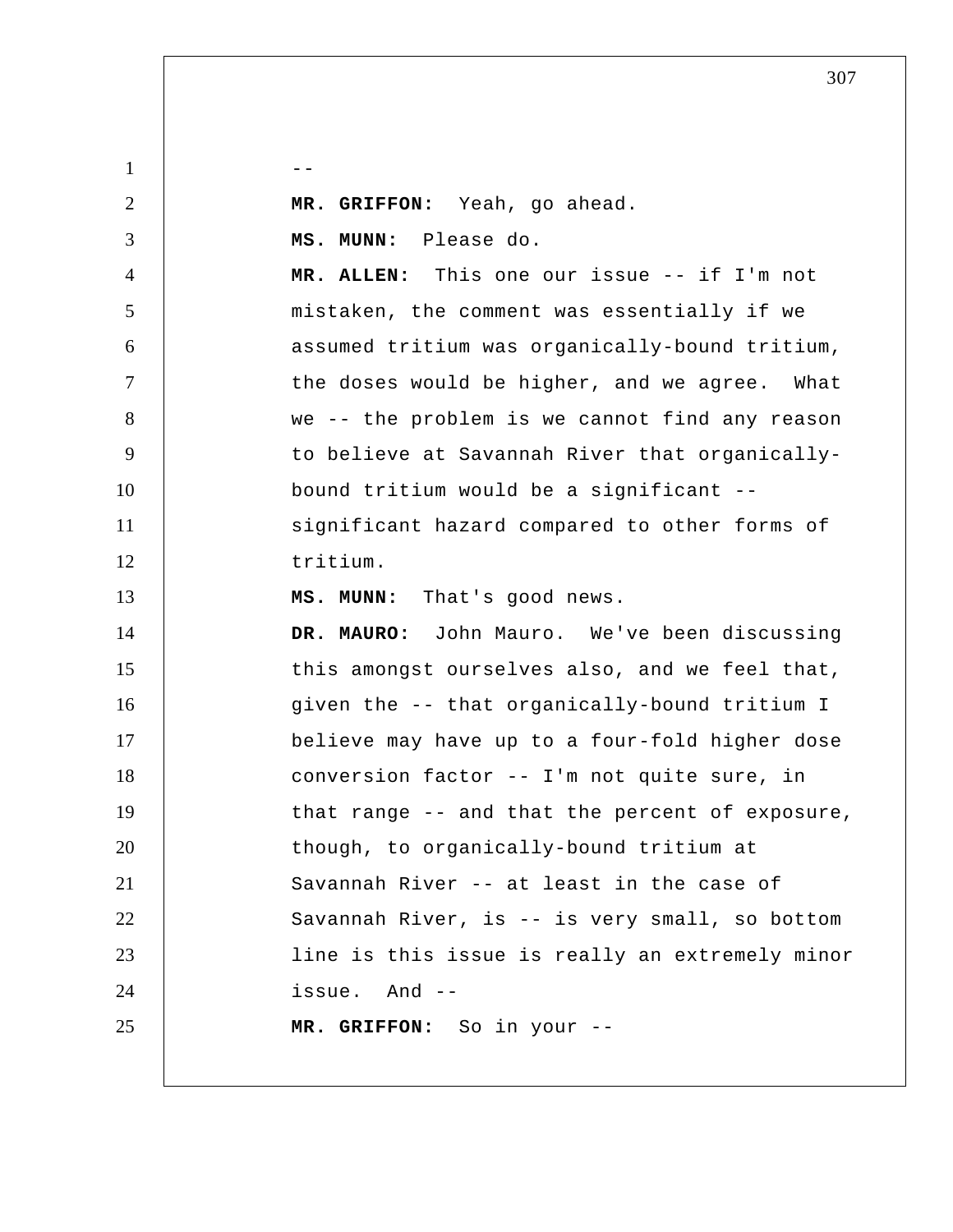| $\mathbf{1}$   |                                                 |
|----------------|-------------------------------------------------|
| 2              | MR. GRIFFON: Yeah, go ahead.                    |
| 3              | MS. MUNN: Please do.                            |
| $\overline{4}$ | MR. ALLEN: This one our issue -- if I'm not     |
| 5              | mistaken, the comment was essentially if we     |
| 6              | assumed tritium was organically-bound tritium,  |
| $\overline{7}$ | the doses would be higher, and we agree. What   |
| 8              | we -- the problem is we cannot find any reason  |
| 9              | to believe at Savannah River that organically-  |
| 10             | bound tritium would be a significant --         |
| 11             | significant hazard compared to other forms of   |
| 12             | tritium.                                        |
| 13             | That's good news.<br>MS. MUNN:                  |
| 14             | DR. MAURO: John Mauro. We've been discussing    |
| 15             | this amongst ourselves also, and we feel that,  |
| 16             | given the -- that organically-bound tritium I   |
| 17             | believe may have up to a four-fold higher dose  |
| 18             | conversion factor -- I'm not quite sure, in     |
| 19             | that range -- and that the percent of exposure, |
| 20             | though, to organically-bound tritium at         |
| 21             | Savannah River -- at least in the case of       |
| 22             | Savannah River, is -- is very small, so bottom  |
| 23             | line is this issue is really an extremely minor |
| 24             | issue. And --                                   |
| 25             | MR. GRIFFON: So in your --                      |
|                |                                                 |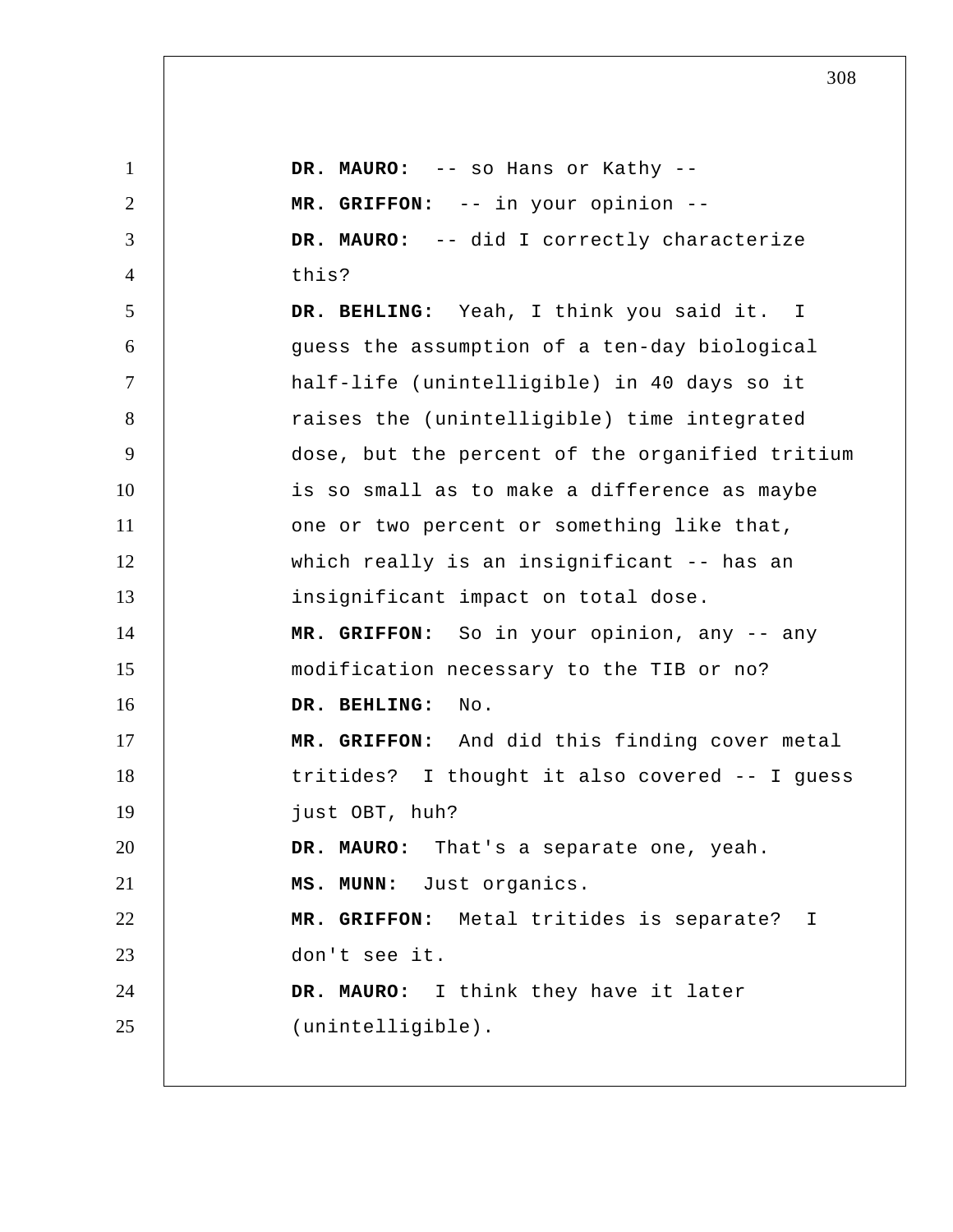| $\mathbf{1}$   | DR. MAURO: -- so Hans or Kathy --               |
|----------------|-------------------------------------------------|
| $\overline{2}$ | MR. GRIFFON: -- in your opinion --              |
| 3              | DR. MAURO: -- did I correctly characterize      |
| $\overline{4}$ | this?                                           |
| 5              | DR. BEHLING: Yeah, I think you said it. I       |
| 6              | guess the assumption of a ten-day biological    |
| $\tau$         | half-life (unintelligible) in 40 days so it     |
| 8              | raises the (unintelligible) time integrated     |
| 9              | dose, but the percent of the organified tritium |
| 10             | is so small as to make a difference as maybe    |
| 11             | one or two percent or something like that,      |
| 12             | which really is an insignificant -- has an      |
| 13             | insignificant impact on total dose.             |
| 14             | MR. GRIFFON: So in your opinion, any -- any     |
| 15             | modification necessary to the TIB or no?        |
| 16             | DR. BEHLING:<br>No.                             |
| 17             | MR. GRIFFON: And did this finding cover metal   |
| 18             | tritides? I thought it also covered -- I guess  |
| 19             | just OBT, huh?                                  |
| 20             | DR. MAURO: That's a separate one, yeah.         |
| 21             | MS. MUNN: Just organics.                        |
| 22             | MR. GRIFFON: Metal tritides is separate? I      |
| 23             | don't see it.                                   |
| 24             | DR. MAURO: I think they have it later           |
| 25             | (unintelligible).                               |
|                |                                                 |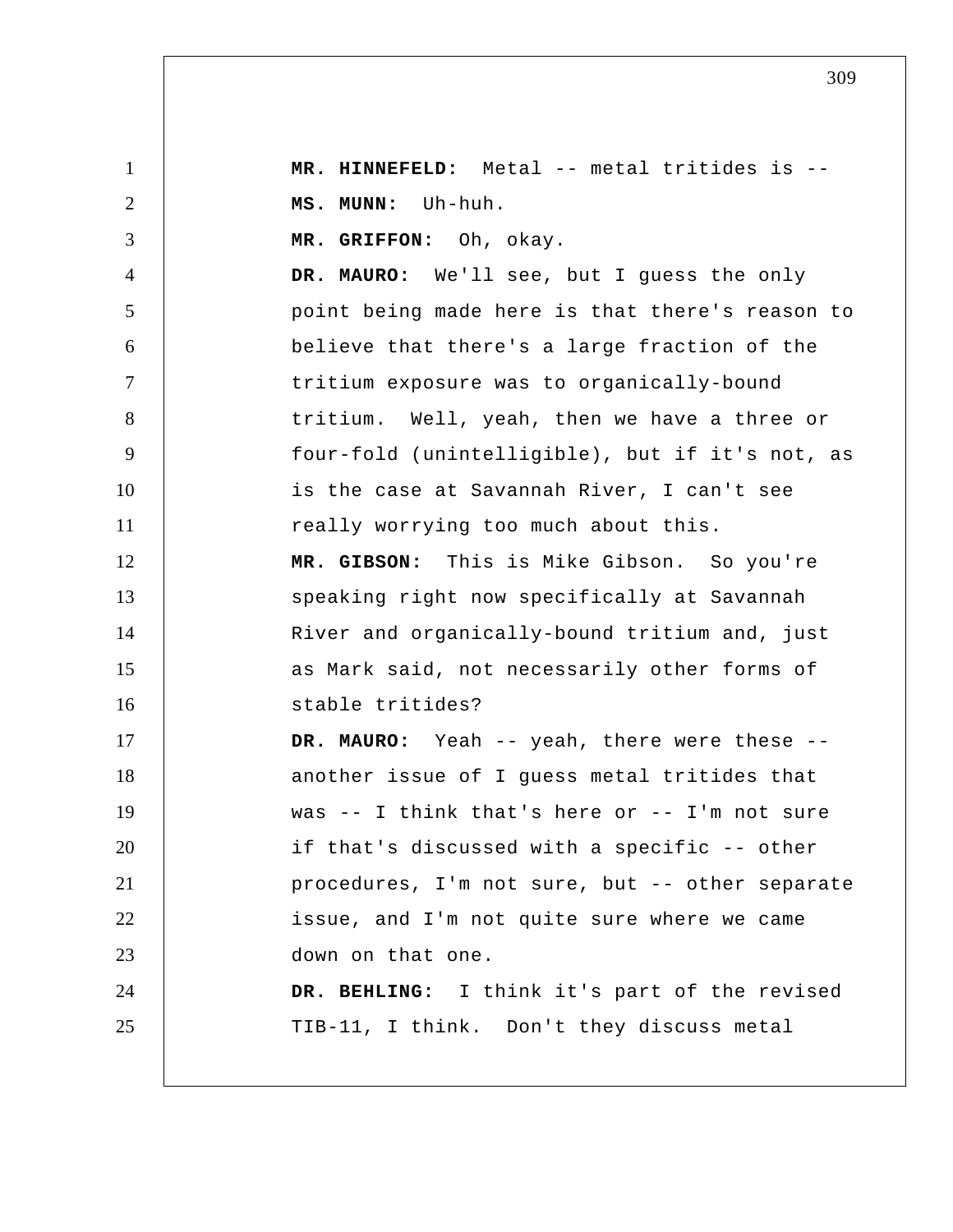1 2 3 4 5 6 7 8 9 10 11 12 13 14 15 16 17 18 19 20 21 22 23 24 25  **MR. HINNEFELD:** Metal -- metal tritides is --  **MS. MUNN:** Uh-huh.  **MR. GRIFFON:** Oh, okay. **DR. MAURO:** We'll see, but I guess the only point being made here is that there's reason to believe that there's a large fraction of the tritium exposure was to organically-bound tritium. Well, yeah, then we have a three or four-fold (unintelligible), but if it's not, as is the case at Savannah River, I can't see really worrying too much about this.  **MR. GIBSON:** This is Mike Gibson. So you're speaking right now specifically at Savannah River and organically-bound tritium and, just as Mark said, not necessarily other forms of stable tritides? **DR. MAURO:** Yeah -- yeah, there were these - another issue of I guess metal tritides that was -- I think that's here or -- I'm not sure if that's discussed with a specific -- other procedures, I'm not sure, but -- other separate issue, and I'm not quite sure where we came down on that one.  **DR. BEHLING:** I think it's part of the revised TIB-11, I think. Don't they discuss metal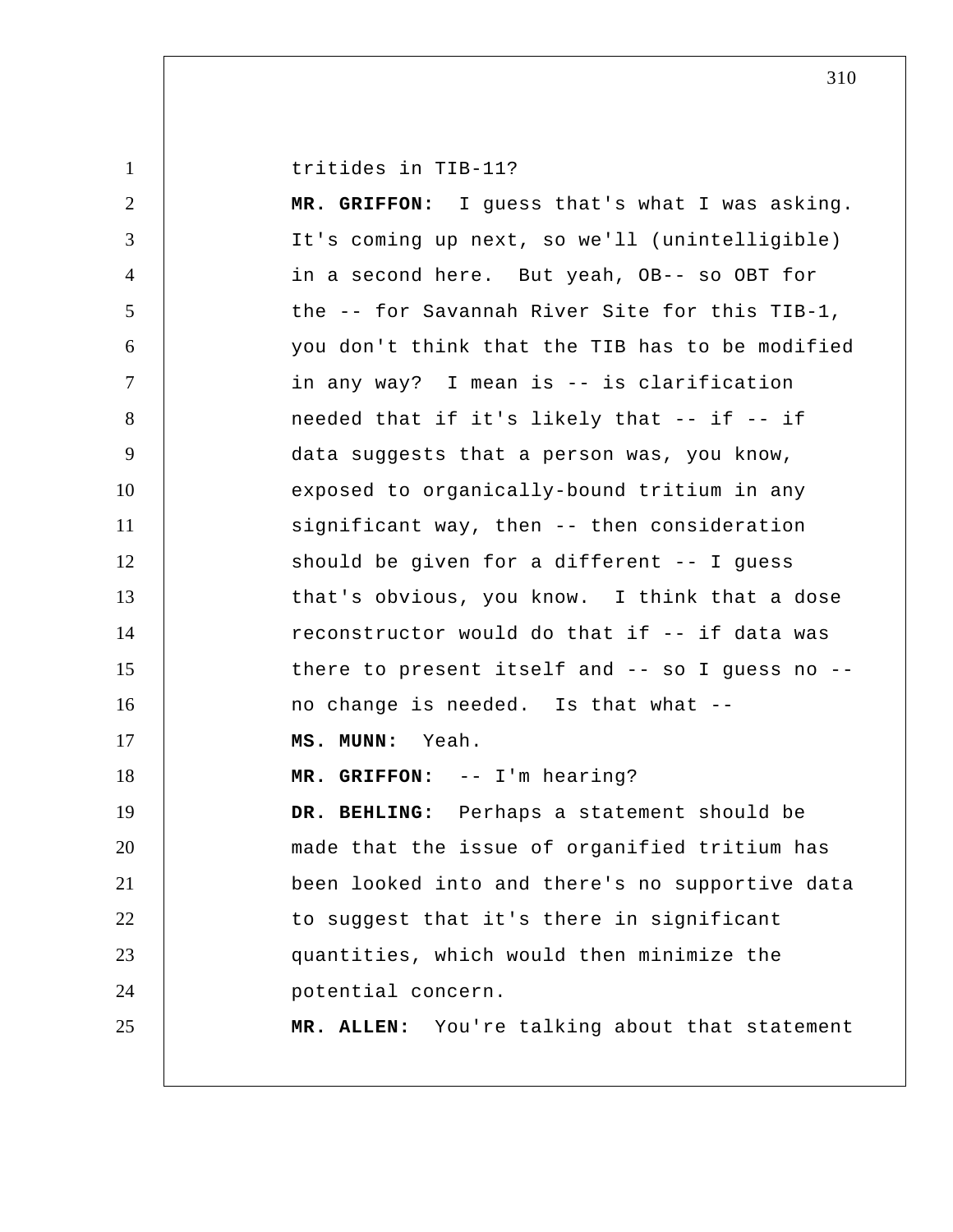tritides in TIB-11?

1

2 3 4 5 6 7 8 9 10 11 12 13 14 15 16 17 18 19 20 21 22 23 24 25  **MR. GRIFFON:** I guess that's what I was asking. It's coming up next, so we'll (unintelligible) in a second here. But yeah, OB-- so OBT for the -- for Savannah River Site for this TIB-1, you don't think that the TIB has to be modified in any way? I mean is -- is clarification needed that if it's likely that -- if -- if data suggests that a person was, you know, exposed to organically-bound tritium in any significant way, then -- then consideration should be given for a different -- I guess that's obvious, you know. I think that a dose reconstructor would do that if -- if data was there to present itself and -- so I guess no - no change is needed. Is that what -- **MS. MUNN:** Yeah.  **MR. GRIFFON:** -- I'm hearing?  **DR. BEHLING:** Perhaps a statement should be made that the issue of organified tritium has been looked into and there's no supportive data to suggest that it's there in significant quantities, which would then minimize the potential concern. **MR. ALLEN:** You're talking about that statement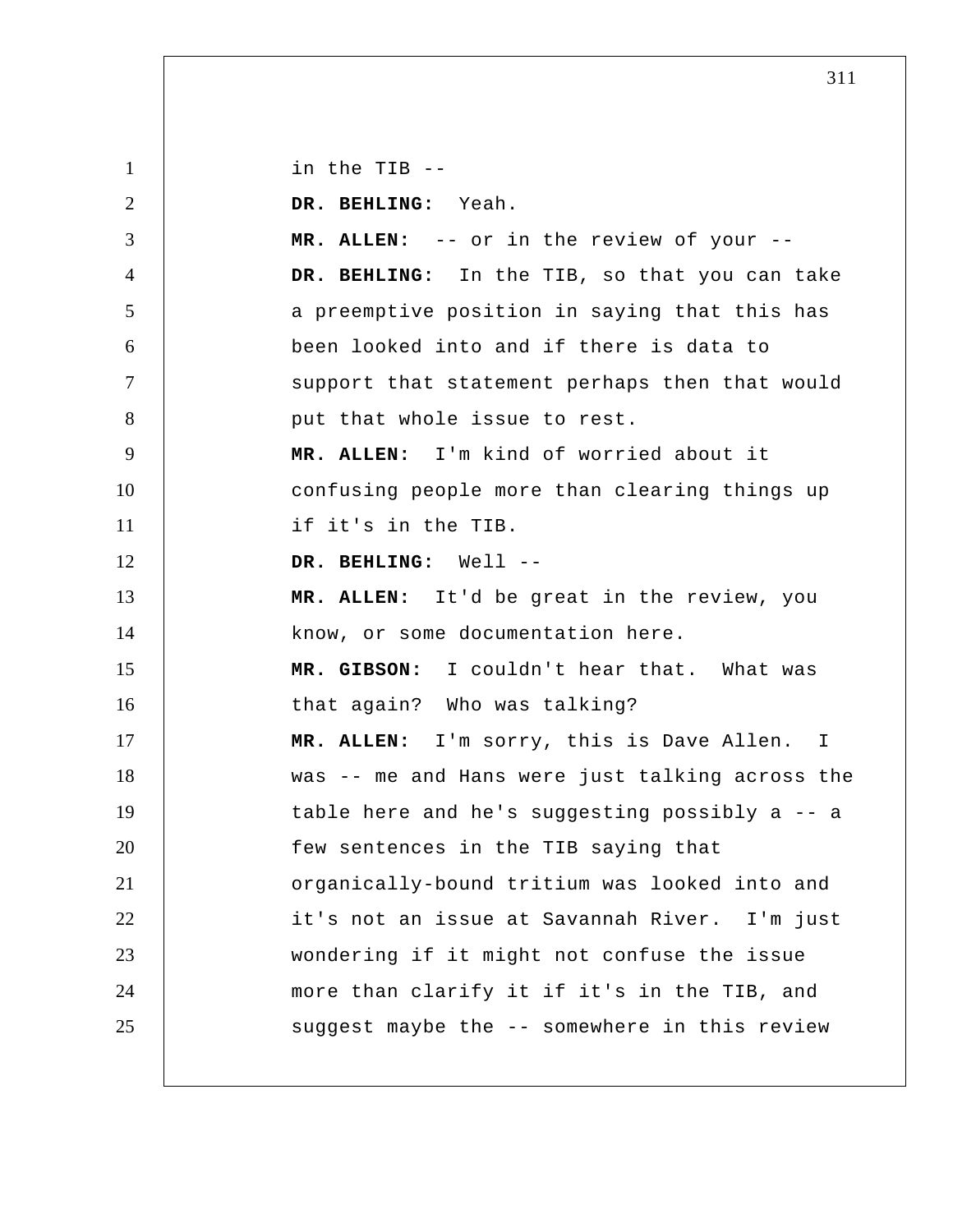1 2 3 4 5 6 7 8 9 10 11 12 13 14 15 16 17 18 19 20 21 22 23 24 25 in the TIB -- **DR. BEHLING:** Yeah. **MR. ALLEN:** -- or in the review of your --  **DR. BEHLING:** In the TIB, so that you can take a preemptive position in saying that this has been looked into and if there is data to support that statement perhaps then that would put that whole issue to rest. **MR. ALLEN:** I'm kind of worried about it confusing people more than clearing things up if it's in the TIB.  **DR. BEHLING:** Well --**MR. ALLEN:** It'd be great in the review, you know, or some documentation here.  **MR. GIBSON:** I couldn't hear that. What was that again? Who was talking? **MR. ALLEN:** I'm sorry, this is Dave Allen. I was -- me and Hans were just talking across the table here and he's suggesting possibly a -- a few sentences in the TIB saying that organically-bound tritium was looked into and it's not an issue at Savannah River. I'm just wondering if it might not confuse the issue more than clarify it if it's in the TIB, and suggest maybe the -- somewhere in this review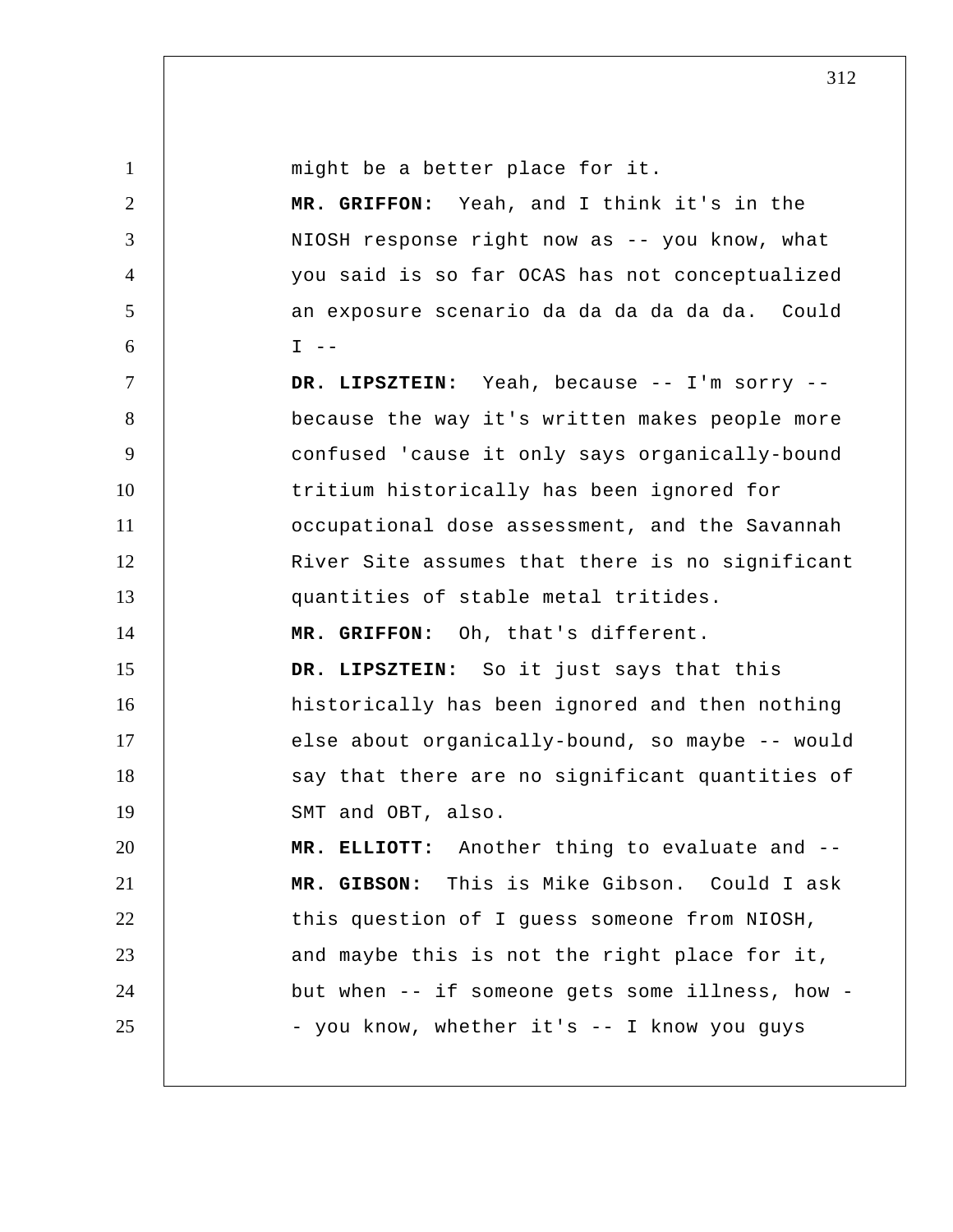1 2 3 4 5 6 7 8 9 10 11 12 13 14 15 16 17 18 19 20 21 22 23 24 25 might be a better place for it.  **MR. GRIFFON:** Yeah, and I think it's in the NIOSH response right now as -- you know, what you said is so far OCAS has not conceptualized an exposure scenario da da da da da da. Could  $I - -$  **DR. LIPSZTEIN:** Yeah, because -- I'm sorry - because the way it's written makes people more confused 'cause it only says organically-bound tritium historically has been ignored for occupational dose assessment, and the Savannah River Site assumes that there is no significant quantities of stable metal tritides.  **MR. GRIFFON:** Oh, that's different.  **DR. LIPSZTEIN:** So it just says that this historically has been ignored and then nothing else about organically-bound, so maybe -- would say that there are no significant quantities of SMT and OBT, also.  **MR. ELLIOTT:** Another thing to evaluate and --  **MR. GIBSON:** This is Mike Gibson. Could I ask this question of I guess someone from NIOSH, and maybe this is not the right place for it, but when -- if someone gets some illness, how - you know, whether it's -- I know you guys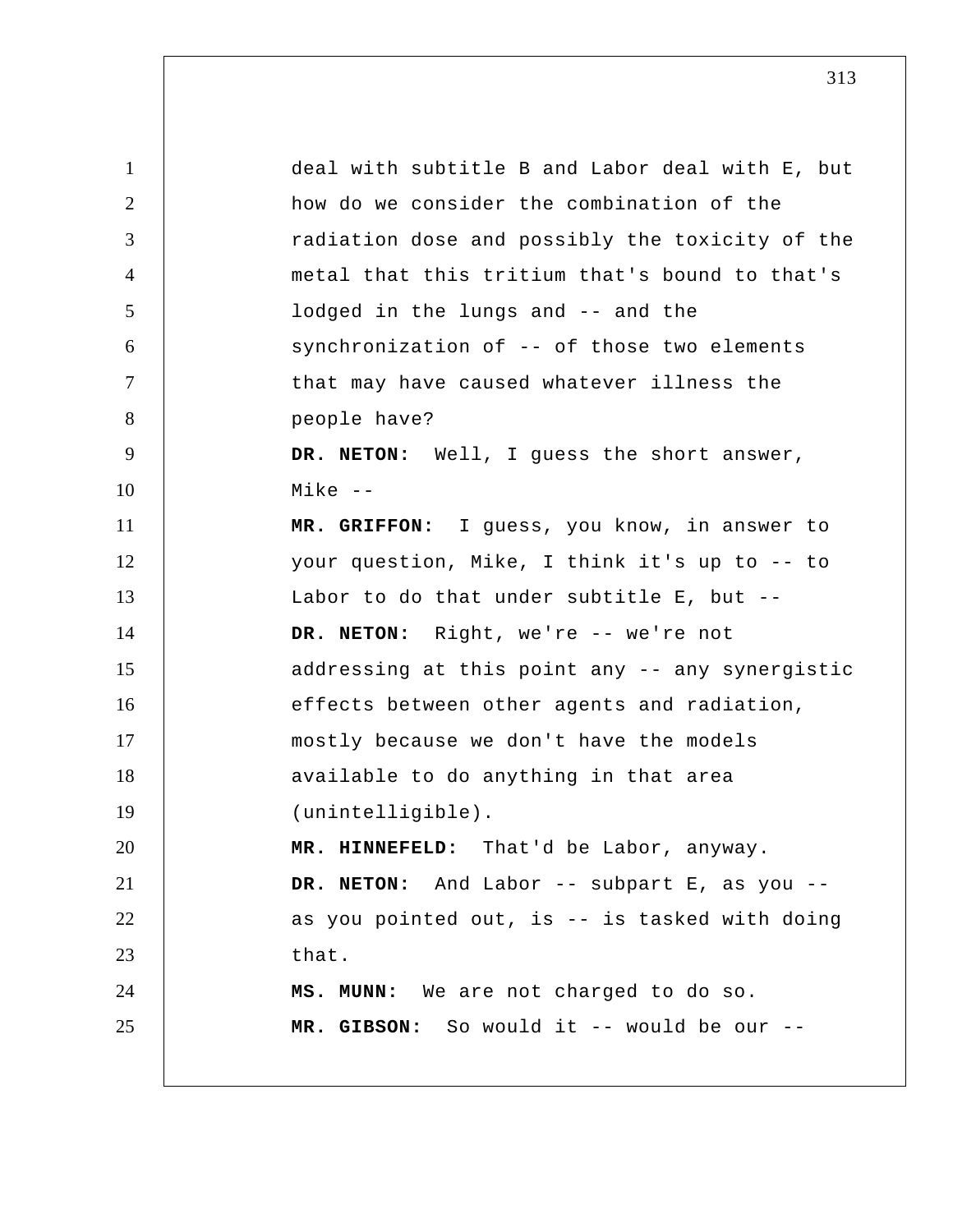1 2 3 4 5 6 7 8 9 10 11 12 13 14 15 16 17 18 19 20 21 22 23 24 25 deal with subtitle B and Labor deal with E, but how do we consider the combination of the radiation dose and possibly the toxicity of the metal that this tritium that's bound to that's lodged in the lungs and -- and the synchronization of -- of those two elements that may have caused whatever illness the people have? **DR. NETON:** Well, I guess the short answer, Mike -- **MR. GRIFFON:** I guess, you know, in answer to your question, Mike, I think it's up to -- to Labor to do that under subtitle E, but -- DR. NETON: Right, we're -- we're not addressing at this point any -- any synergistic effects between other agents and radiation, mostly because we don't have the models available to do anything in that area (unintelligible).  **MR. HINNEFELD:** That'd be Labor, anyway. **DR. NETON:** And Labor -- subpart E, as you - as you pointed out, is -- is tasked with doing that.  **MS. MUNN:** We are not charged to do so.  **MR. GIBSON:** So would it -- would be our --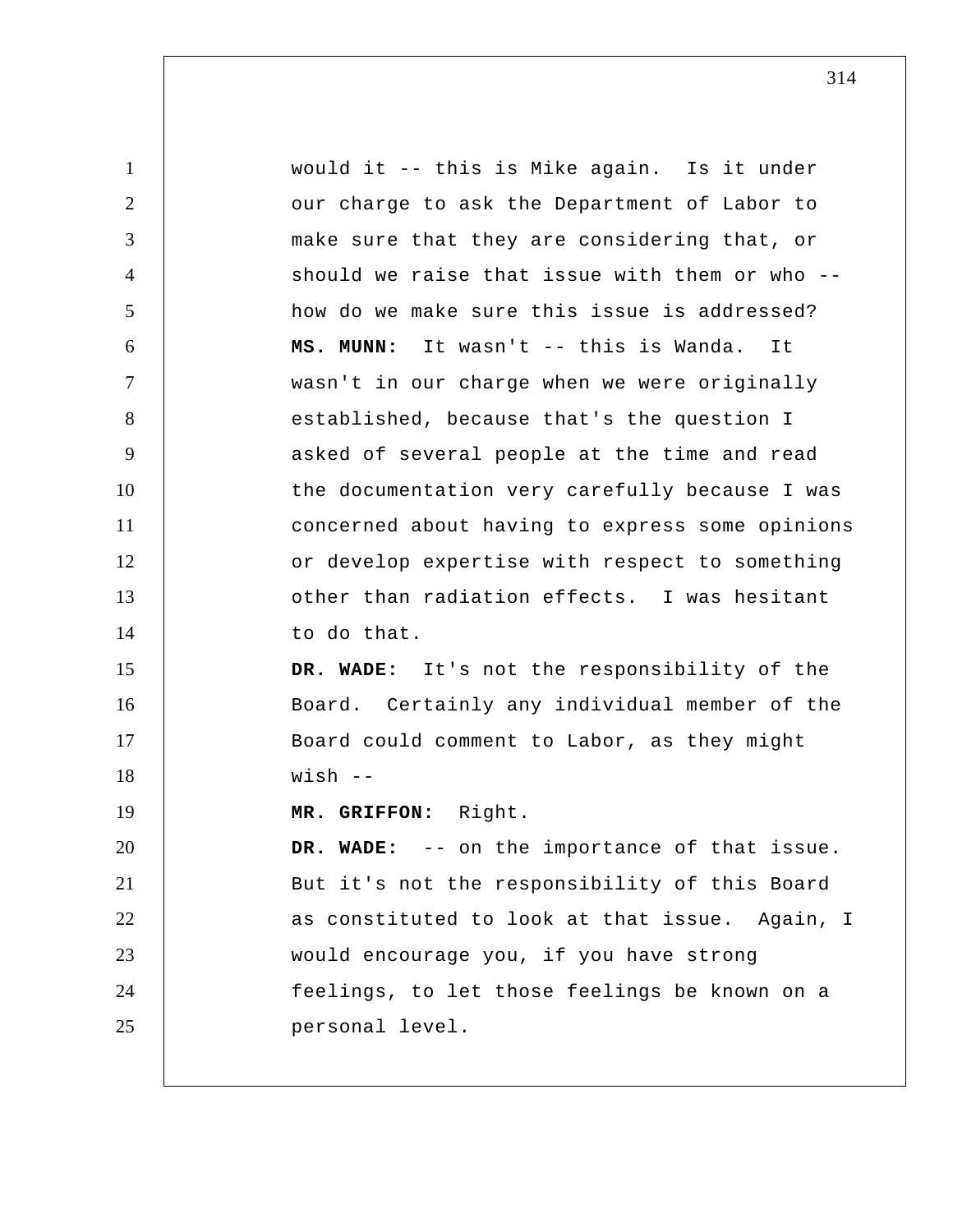1 2 3 4 5 6 7 8 9 10 11 12 13 14 15 16 17 18 19 20 21 22 23 24 25 would it -- this is Mike again. Is it under our charge to ask the Department of Labor to make sure that they are considering that, or should we raise that issue with them or who - how do we make sure this issue is addressed?  **MS. MUNN:** It wasn't -- this is Wanda. It wasn't in our charge when we were originally established, because that's the question I asked of several people at the time and read the documentation very carefully because I was concerned about having to express some opinions or develop expertise with respect to something other than radiation effects. I was hesitant to do that.  **DR. WADE:** It's not the responsibility of the Board. Certainly any individual member of the Board could comment to Labor, as they might wish -- **MR. GRIFFON:** Right.  **DR. WADE:** -- on the importance of that issue. But it's not the responsibility of this Board as constituted to look at that issue. Again, I would encourage you, if you have strong feelings, to let those feelings be known on a personal level.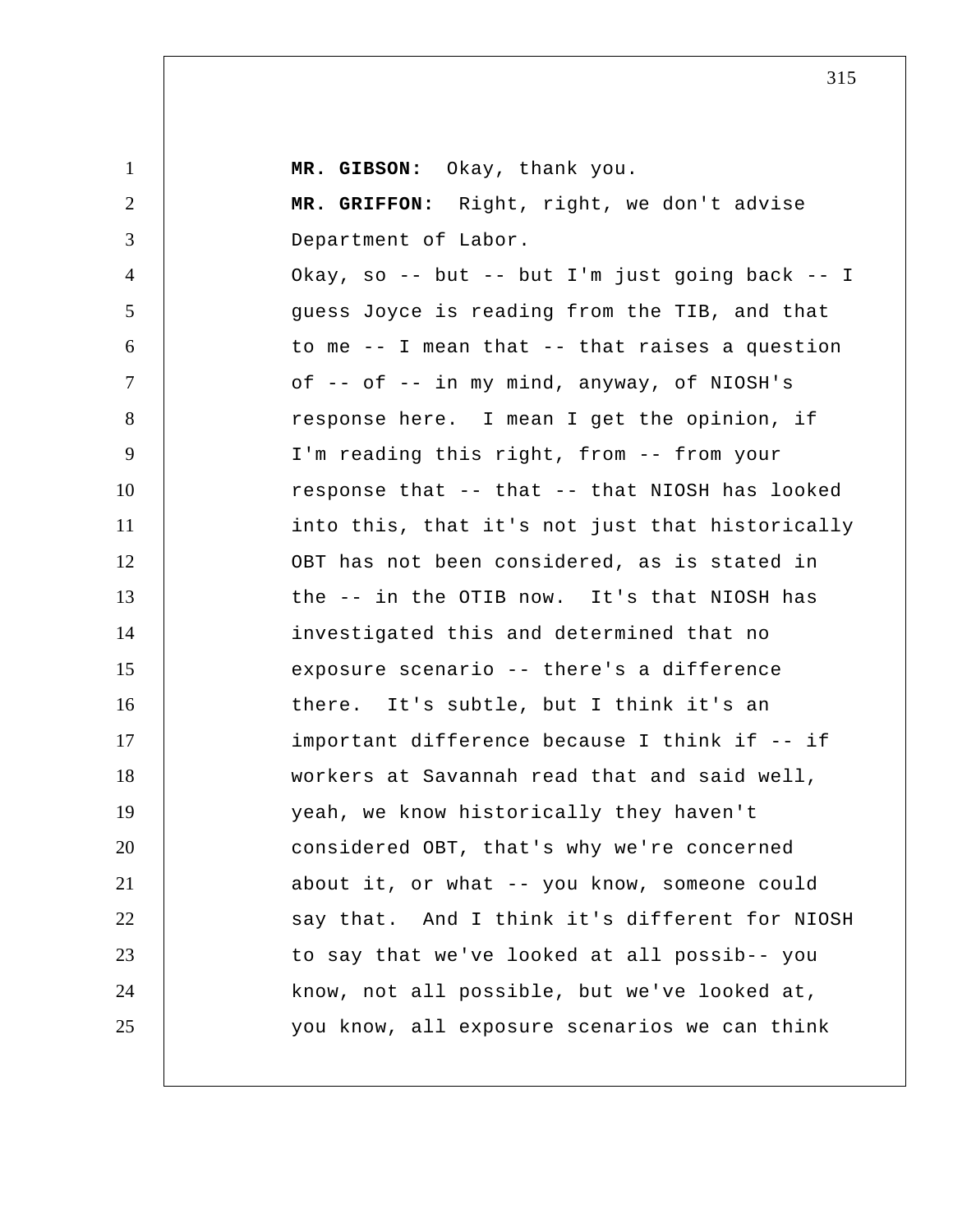| $\mathbf{1}$   | MR. GIBSON: Okay, thank you.                         |
|----------------|------------------------------------------------------|
| $\overline{2}$ | MR. GRIFFON: Right, right, we don't advise           |
| 3              | Department of Labor.                                 |
| $\overline{4}$ | Okay, so -- but -- but I'm just going back -- I      |
| 5              | guess Joyce is reading from the TIB, and that        |
| 6              | to me $-$ - I mean that $-$ - that raises a question |
| $\tau$         | of -- of -- in my mind, anyway, of NIOSH's           |
| 8              | response here. I mean I get the opinion, if          |
| 9              | I'm reading this right, from -- from your            |
| 10             | response that -- that -- that NIOSH has looked       |
| 11             | into this, that it's not just that historically      |
| 12             | OBT has not been considered, as is stated in         |
| 13             | the -- in the OTIB now. It's that NIOSH has          |
| 14             | investigated this and determined that no             |
| 15             | exposure scenario -- there's a difference            |
| 16             | there. It's subtle, but I think it's an              |
| 17             | important difference because I think if -- if        |
| 18             | workers at Savannah read that and said well,         |
| 19             | yeah, we know historically they haven't              |
| 20             | considered OBT, that's why we're concerned           |
| 21             | about it, or what -- you know, someone could         |
| 22             | say that. And I think it's different for NIOSH       |
| 23             | to say that we've looked at all possib-- you         |
| 24             | know, not all possible, but we've looked at,         |
| 25             | you know, all exposure scenarios we can think        |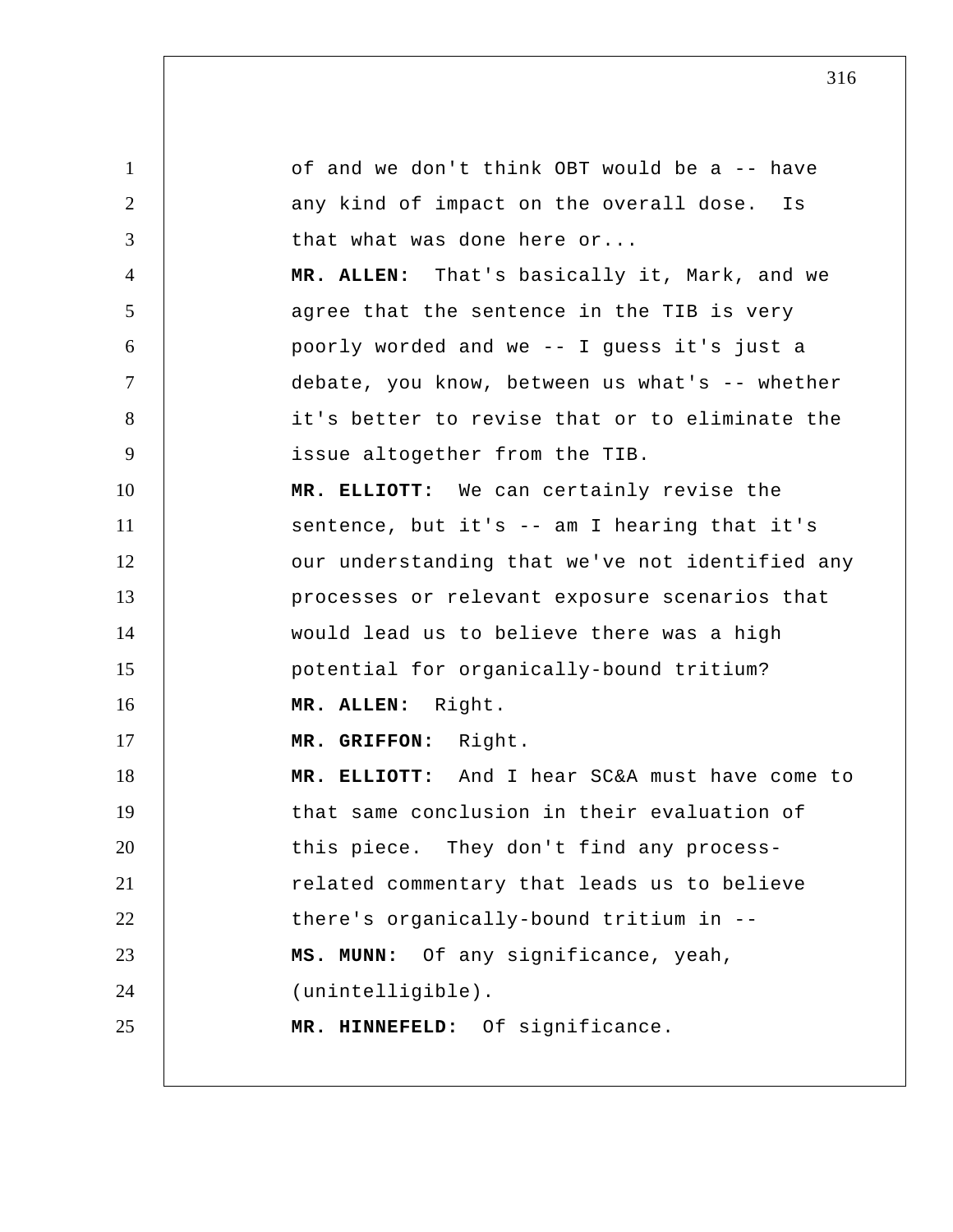1 2 3 4 5 6 7 8 9 10 11 12 13 14 15 16 17 18 19 20 21 22 23 24 25 of and we don't think OBT would be a -- have any kind of impact on the overall dose. Is that what was done here or... **MR. ALLEN:** That's basically it, Mark, and we agree that the sentence in the TIB is very poorly worded and we -- I guess it's just a debate, you know, between us what's -- whether it's better to revise that or to eliminate the issue altogether from the TIB.  **MR. ELLIOTT:** We can certainly revise the sentence, but it's -- am I hearing that it's our understanding that we've not identified any processes or relevant exposure scenarios that would lead us to believe there was a high potential for organically-bound tritium? **MR. ALLEN:** Right.  **MR. GRIFFON:** Right.  **MR. ELLIOTT:** And I hear SC&A must have come to that same conclusion in their evaluation of this piece. They don't find any processrelated commentary that leads us to believe there's organically-bound tritium in --  **MS. MUNN:** Of any significance, yeah, (unintelligible).  **MR. HINNEFELD:** Of significance.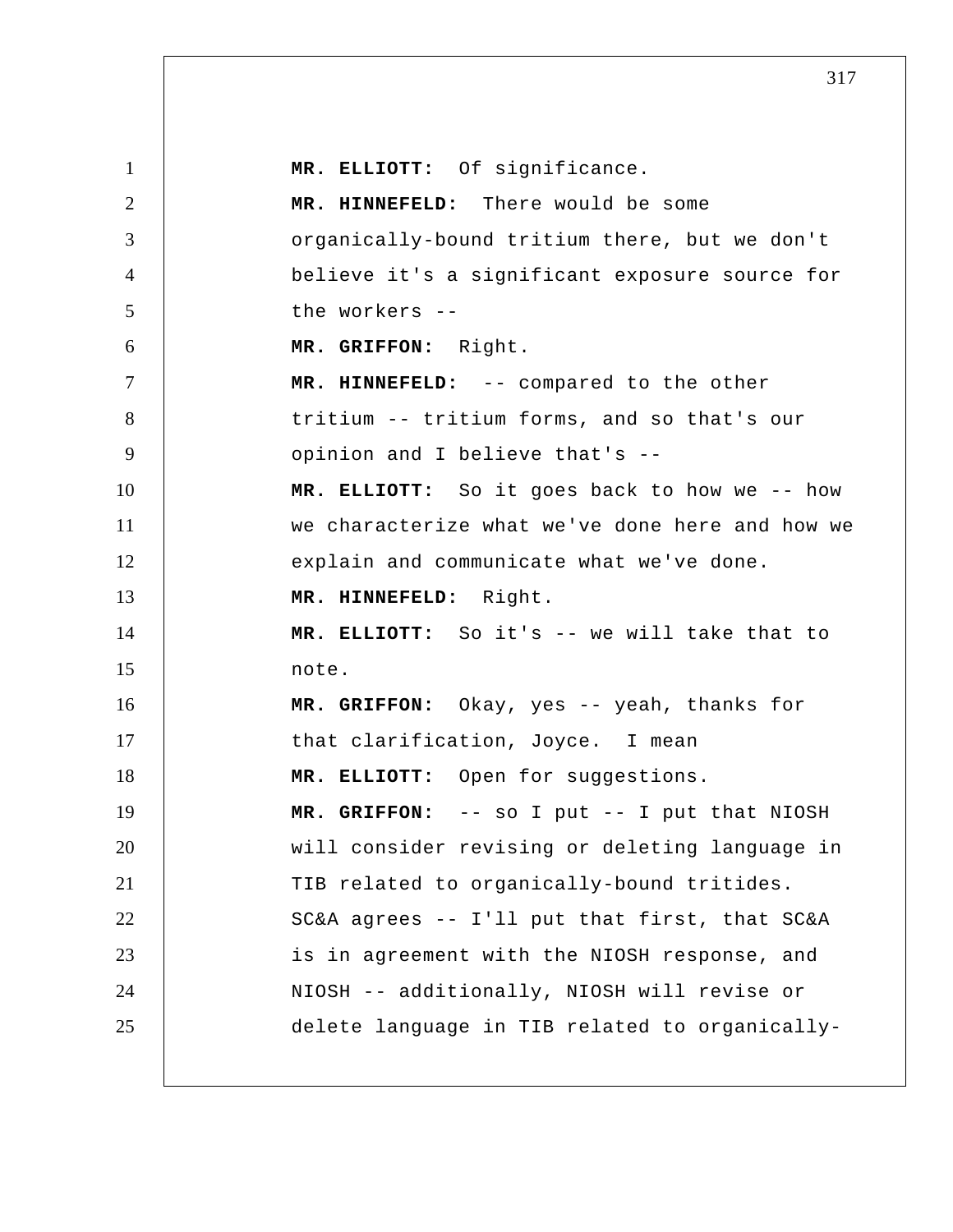| $\mathbf{1}$   | MR. ELLIOTT: Of significance.                   |
|----------------|-------------------------------------------------|
| $\overline{2}$ | MR. HINNEFELD: There would be some              |
| 3              | organically-bound tritium there, but we don't   |
| $\overline{4}$ | believe it's a significant exposure source for  |
| 5              | the workers --                                  |
| 6              | MR. GRIFFON: Right.                             |
| $\tau$         | MR. HINNEFELD: -- compared to the other         |
| 8              | tritium -- tritium forms, and so that's our     |
| 9              | opinion and I believe that's --                 |
| 10             | MR. ELLIOTT: So it goes back to how we -- how   |
| 11             | we characterize what we've done here and how we |
| 12             | explain and communicate what we've done.        |
| 13             | MR. HINNEFELD: Right.                           |
| 14             | MR. ELLIOTT: So it's -- we will take that to    |
| 15             | note.                                           |
| 16             | MR. GRIFFON: Okay, yes -- yeah, thanks for      |
| 17             | that clarification, Joyce. I mean               |
| 18             | MR. ELLIOTT: Open for suggestions.              |
| 19             | MR. GRIFFON: -- so I put -- I put that NIOSH    |
| 20             | will consider revising or deleting language in  |
| 21             | TIB related to organically-bound tritides.      |
| 22             | SC&A agrees -- I'll put that first, that SC&A   |
| 23             | is in agreement with the NIOSH response, and    |
| 24             | NIOSH -- additionally, NIOSH will revise or     |
| 25             | delete language in TIB related to organically-  |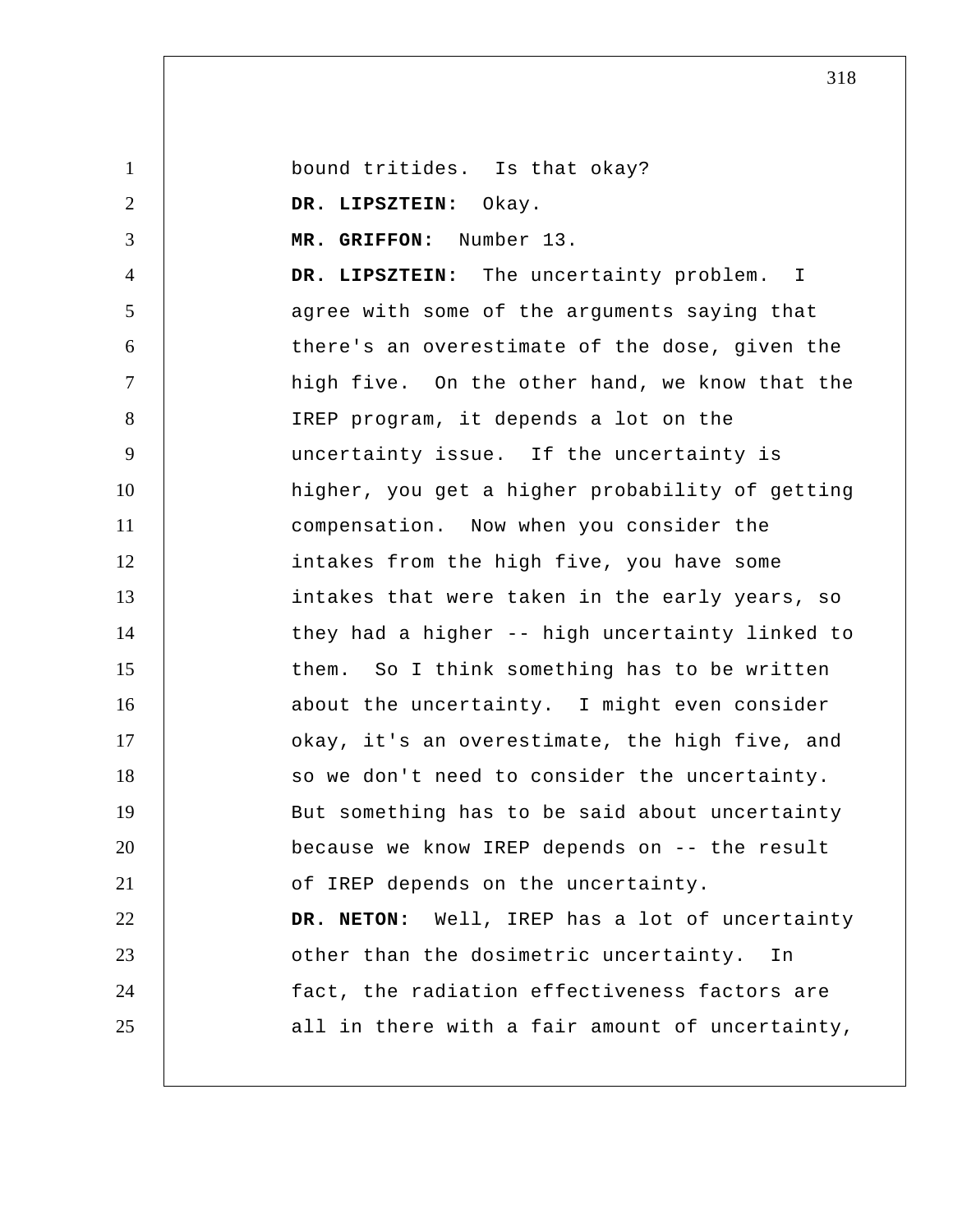1 2 3 4 5 6 7 8 9 10 11 12 13 14 15 16 17 18 19 20 21 22 23 24 25 bound tritides. Is that okay?  **DR. LIPSZTEIN:** Okay.  **MR. GRIFFON:** Number 13.  **DR. LIPSZTEIN:** The uncertainty problem. I agree with some of the arguments saying that there's an overestimate of the dose, given the high five. On the other hand, we know that the IREP program, it depends a lot on the uncertainty issue. If the uncertainty is higher, you get a higher probability of getting compensation. Now when you consider the intakes from the high five, you have some intakes that were taken in the early years, so they had a higher -- high uncertainty linked to them. So I think something has to be written about the uncertainty. I might even consider okay, it's an overestimate, the high five, and so we don't need to consider the uncertainty. But something has to be said about uncertainty because we know IREP depends on -- the result of IREP depends on the uncertainty. **DR. NETON:** Well, IREP has a lot of uncertainty other than the dosimetric uncertainty. In fact, the radiation effectiveness factors are all in there with a fair amount of uncertainty,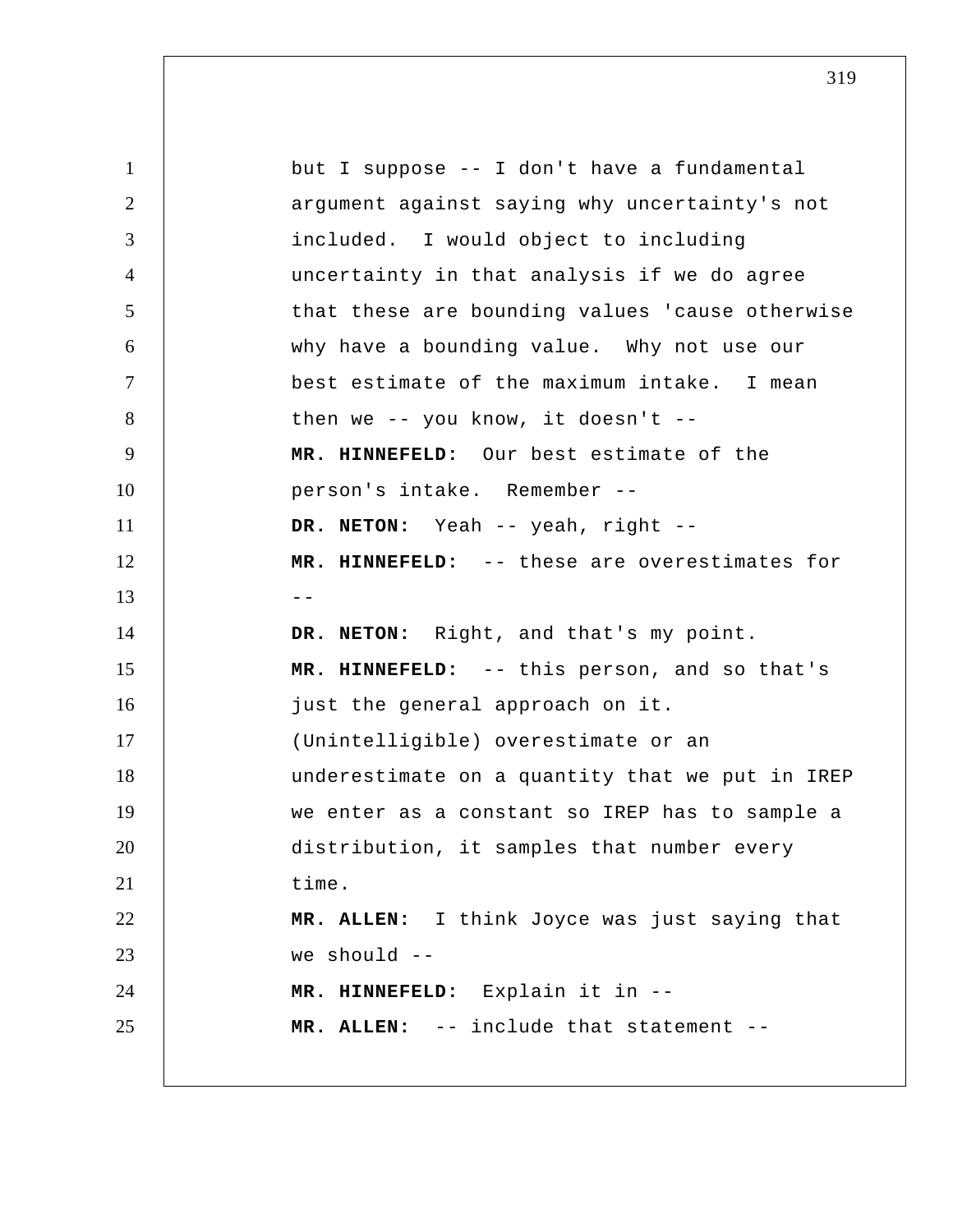| $\mathbf{1}$   | but I suppose -- I don't have a fundamental     |
|----------------|-------------------------------------------------|
| 2              | argument against saying why uncertainty's not   |
| 3              | included. I would object to including           |
| $\overline{4}$ | uncertainty in that analysis if we do agree     |
| 5              | that these are bounding values 'cause otherwise |
| 6              | why have a bounding value. Why not use our      |
| $\overline{7}$ | best estimate of the maximum intake. I mean     |
| 8              | then we $--$ you know, it doesn't $--$          |
| 9              | MR. HINNEFELD: Our best estimate of the         |
| 10             | person's intake. Remember --                    |
| 11             | DR. NETON: Yeah -- yeah, right --               |
| 12             | MR. HINNEFELD: -- these are overestimates for   |
| 13             | $- -$                                           |
| 14             | DR. NETON: Right, and that's my point.          |
| 15             | MR. HINNEFELD: -- this person, and so that's    |
| 16             | just the general approach on it.                |
| 17             | (Unintelligible) overestimate or an             |
| 18             | underestimate on a quantity that we put in IREP |
| 19             | we enter as a constant so IREP has to sample a  |
| 20             | distribution, it samples that number every      |
| 21             | time.                                           |
| 22             | MR. ALLEN: I think Joyce was just saying that   |
| 23             | we should $--$                                  |
| 24             | MR. HINNEFELD: Explain it in --                 |
| 25             | MR. ALLEN: -- include that statement --         |
|                |                                                 |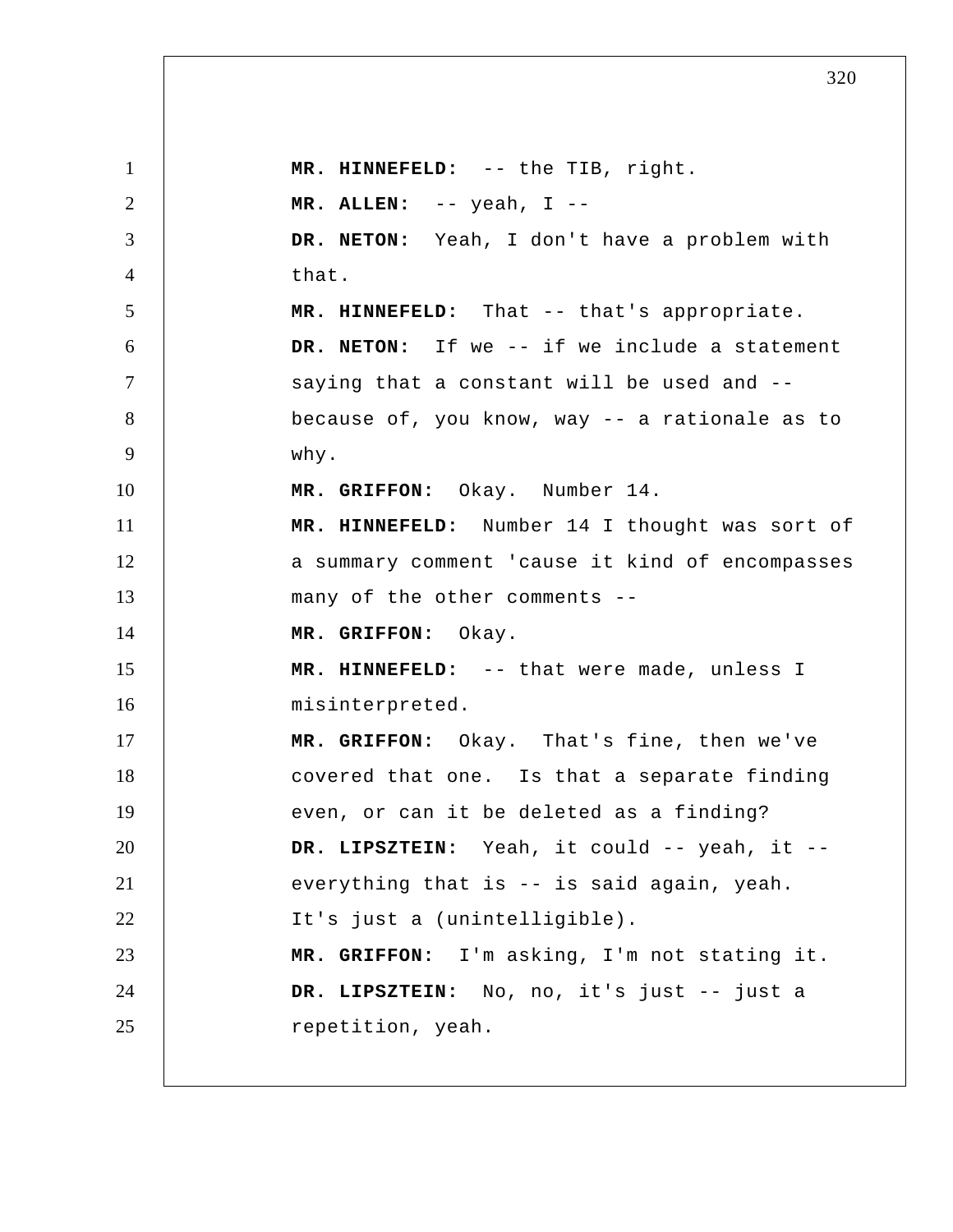1 2 3 4 5 6 7 8 9 10 11 12 13 14 15 16 17 18 19 20 21 22 23 24 25  **MR. HINNEFELD:** -- the TIB, right. **MR. ALLEN:** -- yeah, I -- **DR. NETON:** Yeah, I don't have a problem with that.  **MR. HINNEFELD:** That -- that's appropriate. **DR. NETON:** If we -- if we include a statement saying that a constant will be used and - because of, you know, way -- a rationale as to why.  **MR. GRIFFON:** Okay. Number 14.  **MR. HINNEFELD:** Number 14 I thought was sort of a summary comment 'cause it kind of encompasses many of the other comments --  **MR. GRIFFON:** Okay.  **MR. HINNEFELD:** -- that were made, unless I misinterpreted.  **MR. GRIFFON:** Okay. That's fine, then we've covered that one. Is that a separate finding even, or can it be deleted as a finding?  **DR. LIPSZTEIN:** Yeah, it could -- yeah, it - everything that is -- is said again, yeah. It's just a (unintelligible).  **MR. GRIFFON:** I'm asking, I'm not stating it.  **DR. LIPSZTEIN:** No, no, it's just -- just a repetition, yeah.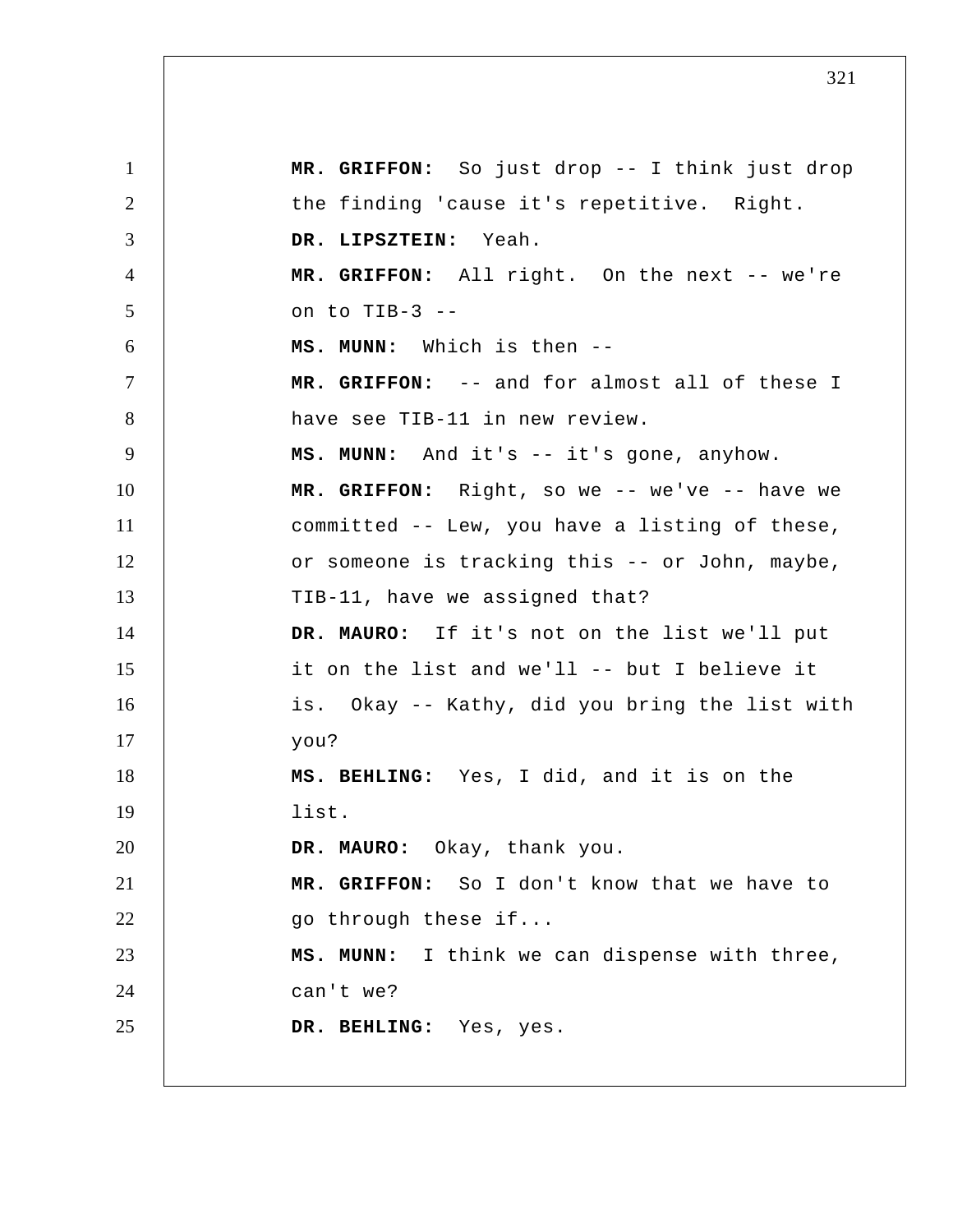1 2 3 4 5 6 7 8 9 10 11 12 13 14 15 16 17 18 19 20 21 22 23 24 25  **MR. GRIFFON:** So just drop -- I think just drop the finding 'cause it's repetitive. Right.  **DR. LIPSZTEIN:** Yeah.  **MR. GRIFFON:** All right. On the next -- we're on to TIB-3 -- **MS. MUNN:** Which is then -- **MR. GRIFFON:** -- and for almost all of these I have see TIB-11 in new review.  **MS. MUNN:** And it's -- it's gone, anyhow.  **MR. GRIFFON:** Right, so we -- we've -- have we committed -- Lew, you have a listing of these, or someone is tracking this -- or John, maybe, TIB-11, have we assigned that? **DR. MAURO:** If it's not on the list we'll put it on the list and we'll -- but I believe it is. Okay -- Kathy, did you bring the list with you?  **MS. BEHLING:** Yes, I did, and it is on the list. **DR. MAURO:** Okay, thank you.  **MR. GRIFFON:** So I don't know that we have to go through these if...  **MS. MUNN:** I think we can dispense with three, can't we?  **DR. BEHLING:** Yes, yes.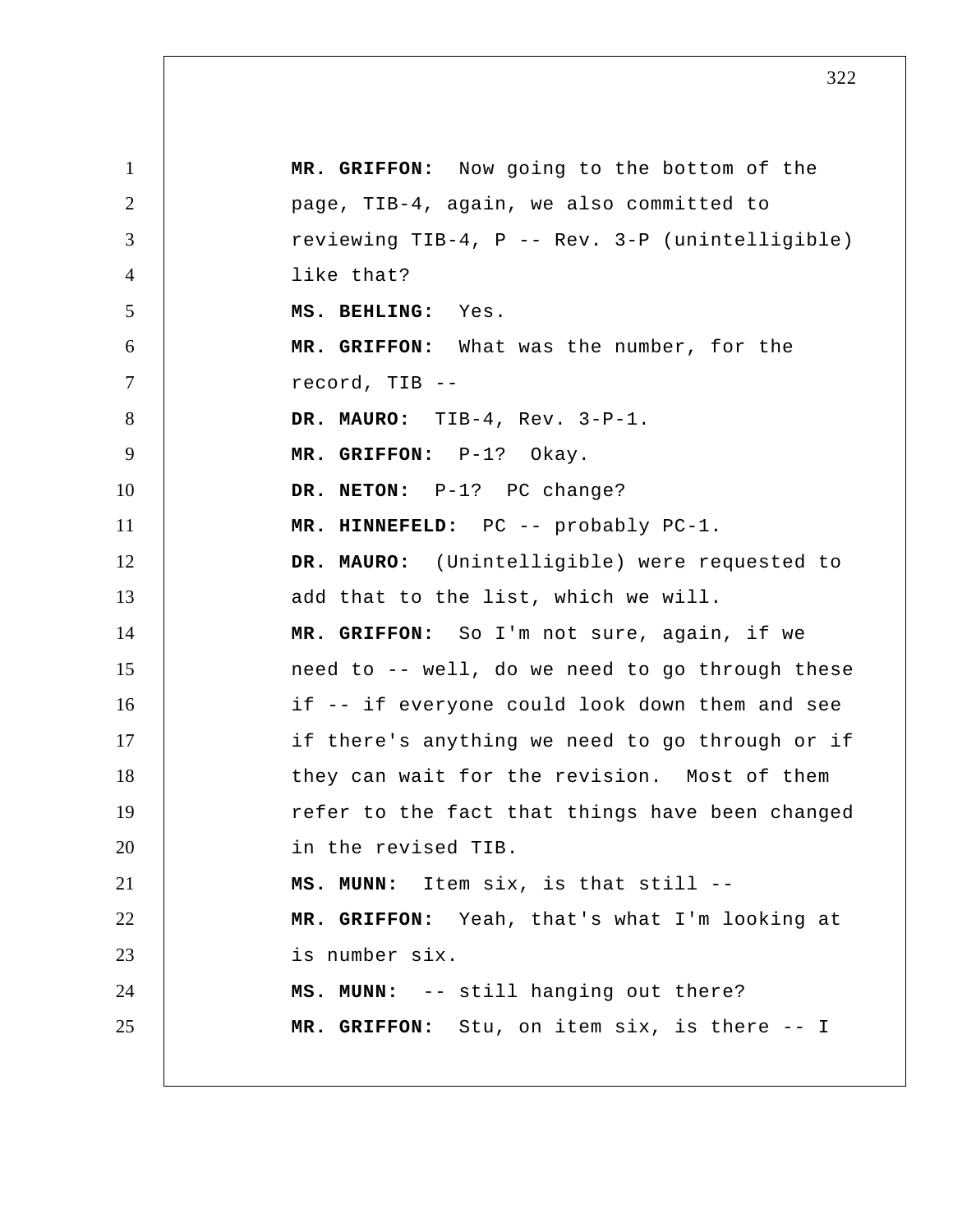| $\mathbf{1}$   | MR. GRIFFON: Now going to the bottom of the     |
|----------------|-------------------------------------------------|
| 2              | page, TIB-4, again, we also committed to        |
| 3              | reviewing TIB-4, P -- Rev. 3-P (unintelligible) |
| $\overline{4}$ | like that?                                      |
| 5              | MS. BEHLING: Yes.                               |
| 6              | MR. GRIFFON: What was the number, for the       |
| $\tau$         | record, TIB --                                  |
| 8              | DR. MAURO: TIB-4, Rev. 3-P-1.                   |
| 9              | MR. GRIFFON: P-1? Okay.                         |
| 10             | DR. NETON: P-1? PC change?                      |
| 11             | MR. HINNEFELD: PC -- probably PC-1.             |
| 12             | DR. MAURO: (Unintelligible) were requested to   |
| 13             | add that to the list, which we will.            |
| 14             | MR. GRIFFON: So I'm not sure, again, if we      |
| 15             | need to -- well, do we need to go through these |
| 16             | if -- if everyone could look down them and see  |
| 17             | if there's anything we need to go through or if |
| 18             | they can wait for the revision. Most of them    |
| 19             | refer to the fact that things have been changed |
| 20             | in the revised TIB.                             |
| 21             | MS. MUNN: Item six, is that still --            |
| 22             | MR. GRIFFON: Yeah, that's what I'm looking at   |
| 23             | is number six.                                  |
| 24             | MS. MUNN: -- still hanging out there?           |
| 25             | MR. GRIFFON: Stu, on item six, is there -- I    |
|                |                                                 |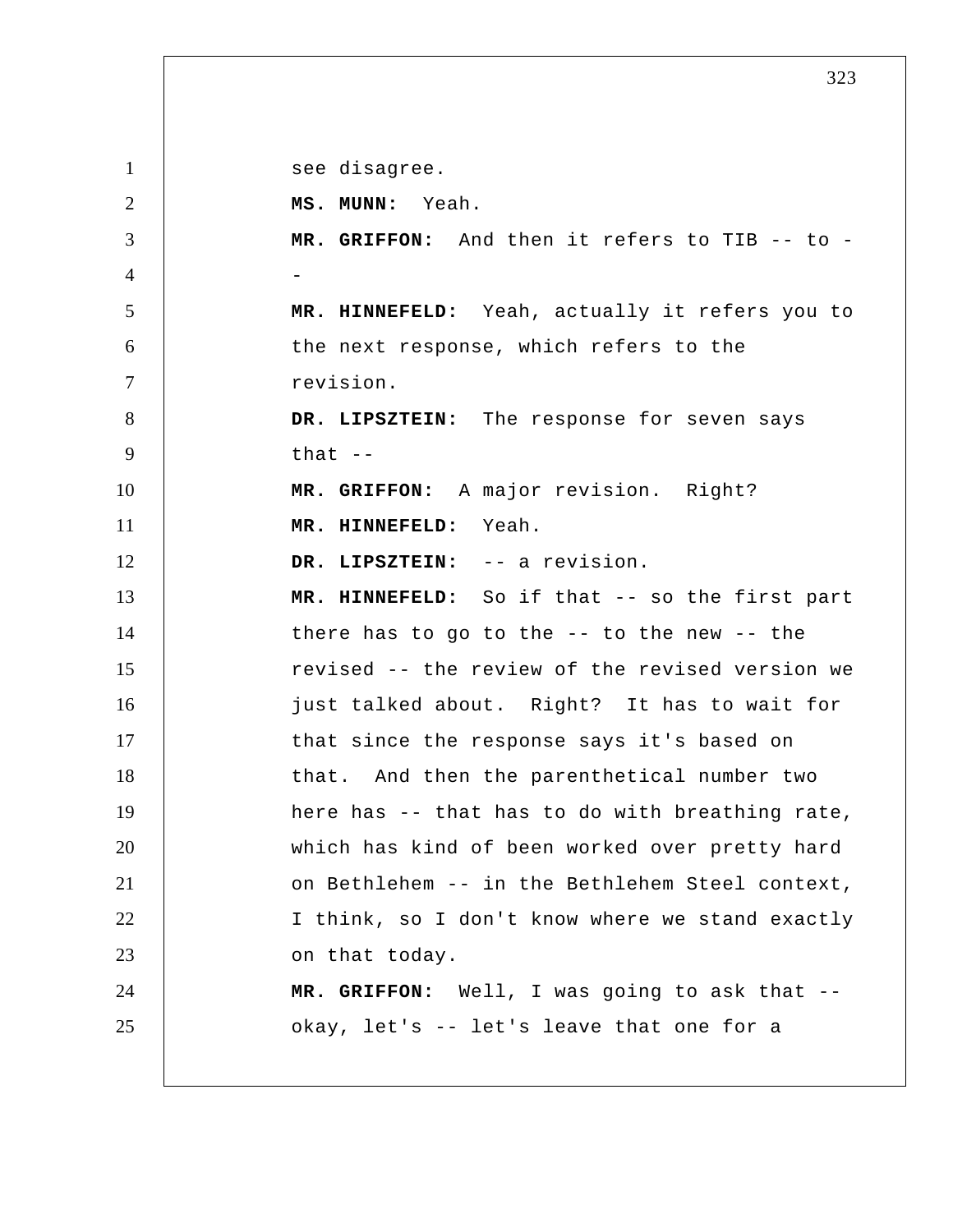1 2 3 4 5 6 7 8 9 10 11 12 13 14 15 16 17 18 19 20 21 22 23 24 25 see disagree.  **MS. MUNN:** Yeah.  **MR. GRIFFON:** And then it refers to TIB -- to - **MR. HINNEFELD:** Yeah, actually it refers you to the next response, which refers to the revision.  **DR. LIPSZTEIN:** The response for seven says that --  **MR. GRIFFON:** A major revision. Right?  **MR. HINNEFELD:** Yeah.  **DR. LIPSZTEIN:** -- a revision.  **MR. HINNEFELD:** So if that -- so the first part there has to go to the -- to the new -- the revised -- the review of the revised version we just talked about. Right? It has to wait for that since the response says it's based on that. And then the parenthetical number two here has -- that has to do with breathing rate, which has kind of been worked over pretty hard on Bethlehem -- in the Bethlehem Steel context, I think, so I don't know where we stand exactly on that today.  **MR. GRIFFON:** Well, I was going to ask that - okay, let's -- let's leave that one for a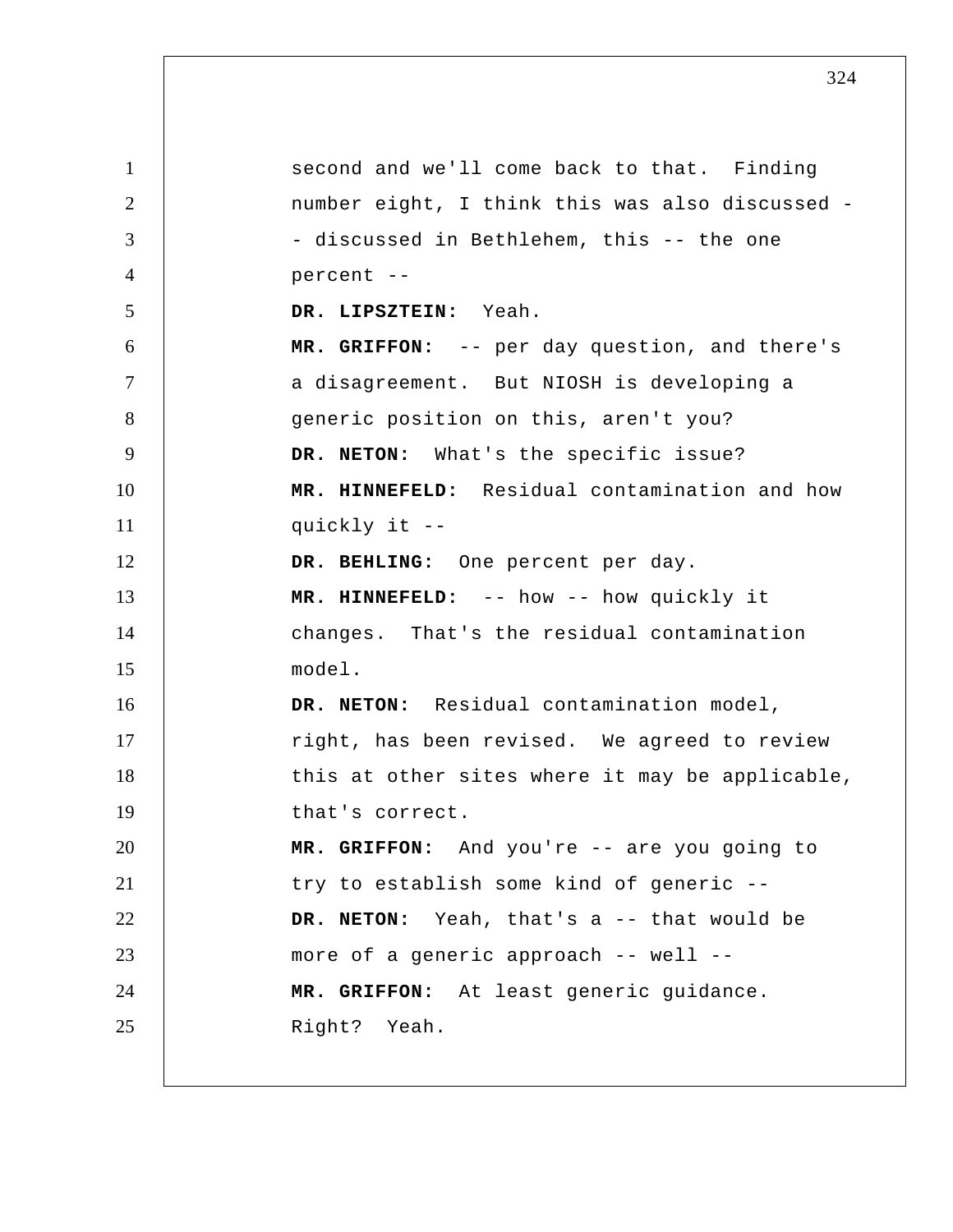1 2 3 4 5 6 7 8 9 10 11 12 13 14 15 16 17 18 19 20 21 22 23 24 25 second and we'll come back to that. Finding number eight, I think this was also discussed - discussed in Bethlehem, this -- the one percent --  **DR. LIPSZTEIN:** Yeah.  **MR. GRIFFON:** -- per day question, and there's a disagreement. But NIOSH is developing a generic position on this, aren't you? **DR. NETON:** What's the specific issue?  **MR. HINNEFELD:** Residual contamination and how quickly it --  **DR. BEHLING:** One percent per day.  **MR. HINNEFELD:** -- how -- how quickly it changes. That's the residual contamination model. DR. NETON: Residual contamination model, right, has been revised. We agreed to review this at other sites where it may be applicable, that's correct.  **MR. GRIFFON:** And you're -- are you going to try to establish some kind of generic -- **DR. NETON:** Yeah, that's a -- that would be more of a generic approach -- well --  **MR. GRIFFON:** At least generic guidance. Right? Yeah.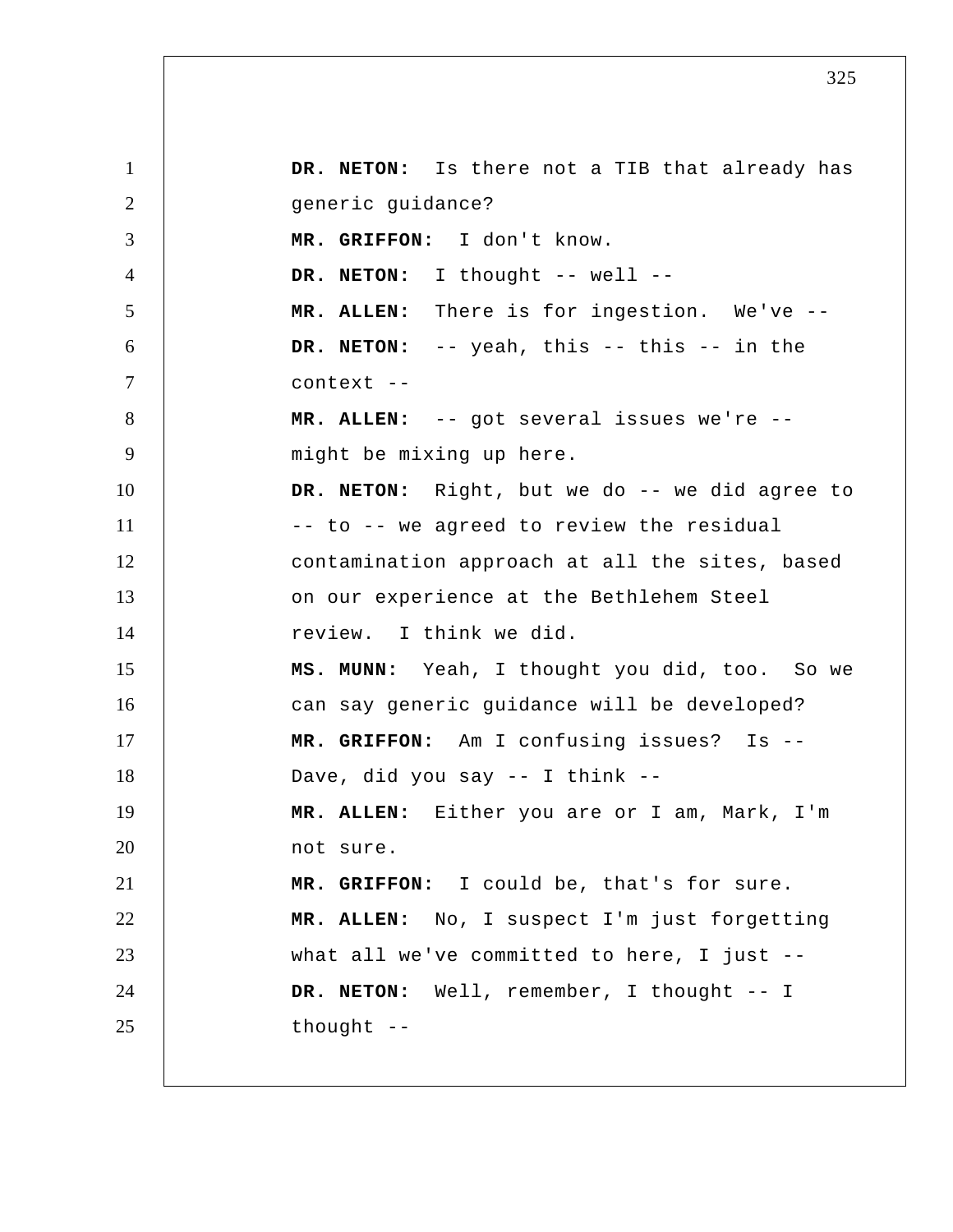1 2 3 4 5 6 7 8 9 10 11 12 13 14 15 16 17 18 19 20 21 22 23 24 25 **DR. NETON:** Is there not a TIB that already has generic guidance?  **MR. GRIFFON:** I don't know. DR. NETON: I thought -- well --**MR. ALLEN:** There is for ingestion. We've --**DR. NETON:** -- yeah, this -- this -- in the context --**MR. ALLEN:** -- got several issues we're - might be mixing up here. DR. NETON: Right, but we do -- we did agree to -- to -- we agreed to review the residual contamination approach at all the sites, based on our experience at the Bethlehem Steel review. I think we did.  **MS. MUNN:** Yeah, I thought you did, too. So we can say generic guidance will be developed?  **MR. GRIFFON:** Am I confusing issues? Is --Dave, did you say -- I think -- **MR. ALLEN:** Either you are or I am, Mark, I'm not sure.  **MR. GRIFFON:** I could be, that's for sure. **MR. ALLEN:** No, I suspect I'm just forgetting what all we've committed to here, I just --**DR. NETON:** Well, remember, I thought -- I thought --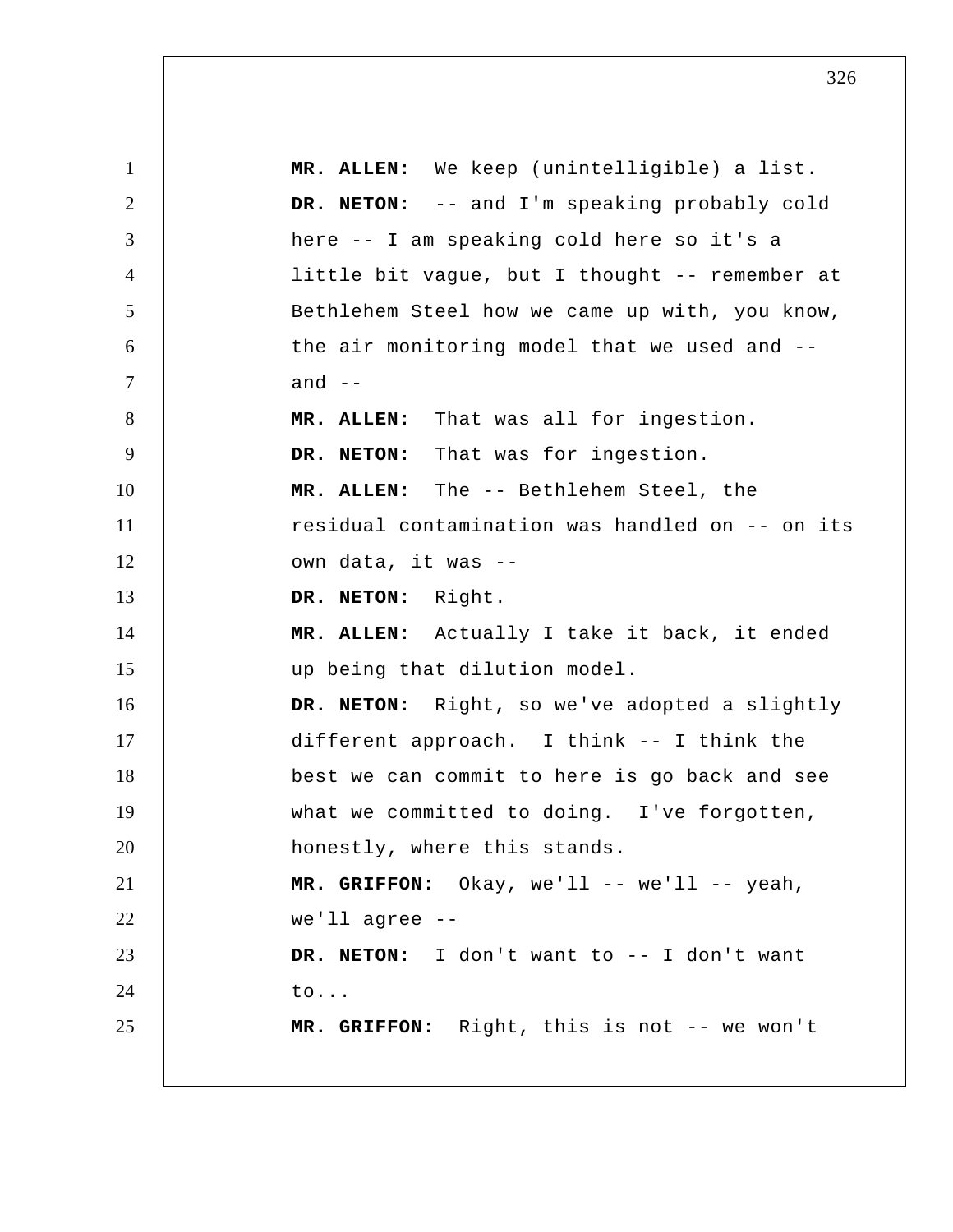1 2 3 4 5 6 7 8 9 10 11 12 13 14 15 16 17 18 19 20 21 22 23 24 25 **MR. ALLEN:** We keep (unintelligible) a list. **DR. NETON:** -- and I'm speaking probably cold here -- I am speaking cold here so it's a little bit vague, but I thought -- remember at Bethlehem Steel how we came up with, you know, the air monitoring model that we used and - and  $--$ **MR. ALLEN:** That was all for ingestion. **DR. NETON:** That was for ingestion. **MR. ALLEN:** The -- Bethlehem Steel, the residual contamination was handled on -- on its own data, it was --**DR. NETON:** Right. **MR. ALLEN:** Actually I take it back, it ended up being that dilution model. **DR. NETON:** Right, so we've adopted a slightly different approach. I think -- I think the best we can commit to here is go back and see what we committed to doing. I've forgotten, honestly, where this stands.  **MR. GRIFFON:** Okay, we'll -- we'll -- yeah, we'll agree --**DR. NETON:** I don't want to -- I don't want to...  **MR. GRIFFON:** Right, this is not -- we won't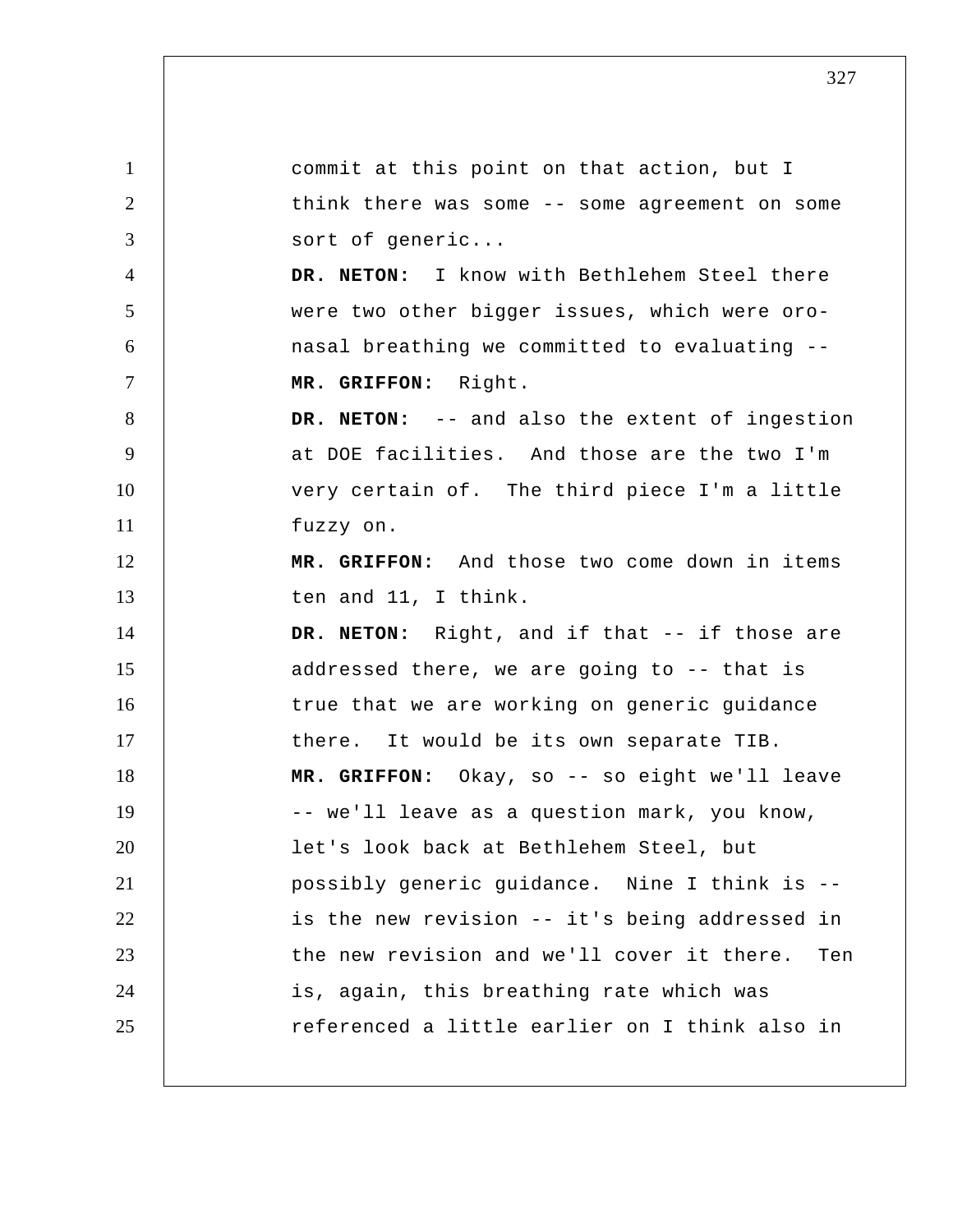1 2 3 4 5 6 7 8 9 10 11 12 13 14 15 16 17 18 19 20 21 22 23 24 25 commit at this point on that action, but I think there was some -- some agreement on some sort of generic... **DR. NETON:** I know with Bethlehem Steel there were two other bigger issues, which were oronasal breathing we committed to evaluating --  **MR. GRIFFON:** Right. **DR. NETON:** -- and also the extent of ingestion at DOE facilities. And those are the two I'm very certain of. The third piece I'm a little fuzzy on.  **MR. GRIFFON:** And those two come down in items ten and 11, I think. **DR. NETON:** Right, and if that -- if those are addressed there, we are going to -- that is true that we are working on generic guidance there. It would be its own separate TIB.  **MR. GRIFFON:** Okay, so -- so eight we'll leave -- we'll leave as a question mark, you know, let's look back at Bethlehem Steel, but possibly generic guidance. Nine I think is - is the new revision -- it's being addressed in the new revision and we'll cover it there. Ten is, again, this breathing rate which was referenced a little earlier on I think also in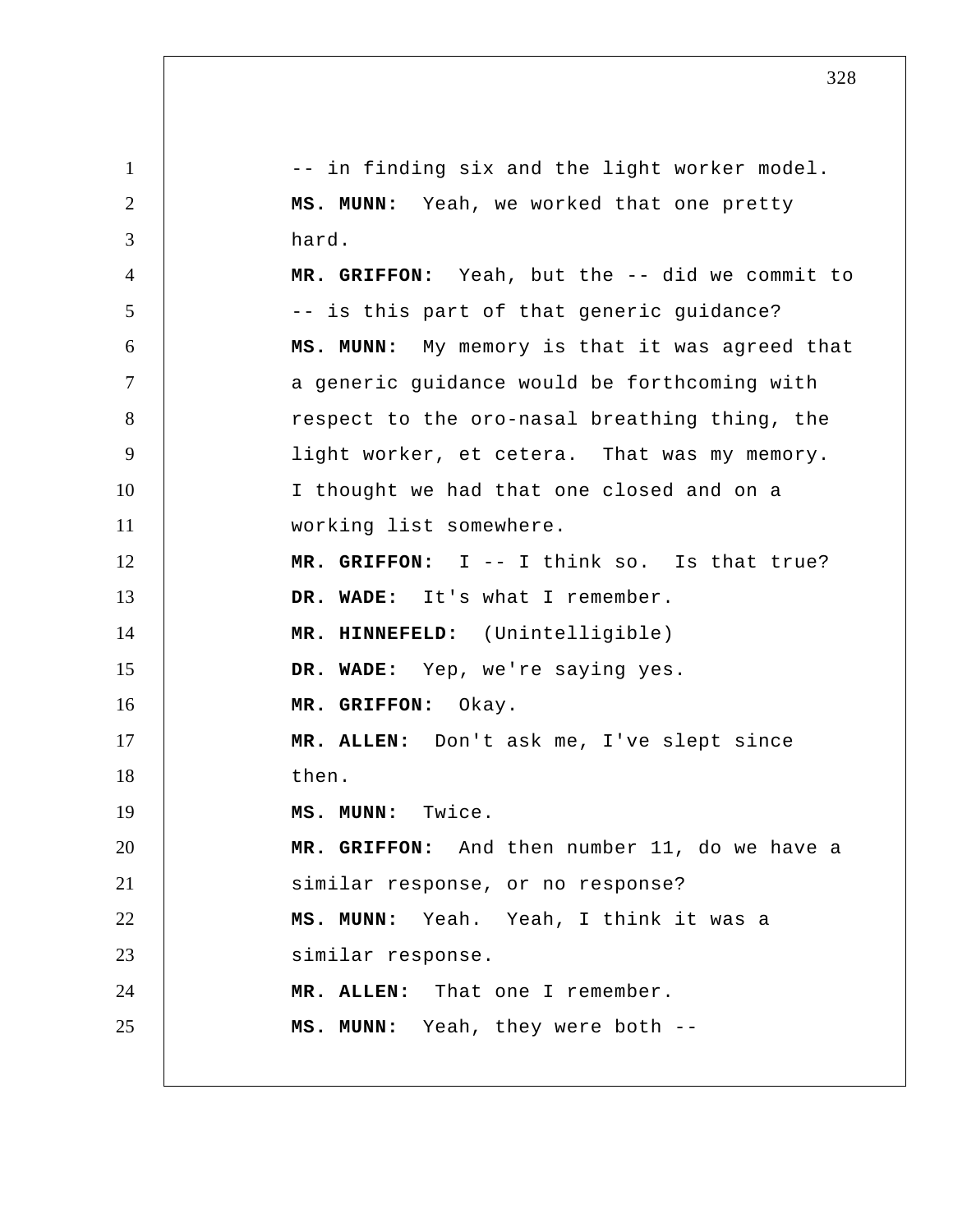1 2 3 4 5 6 7 8 9 10 11 12 13 14 15 16 17 18 19 20 21 22 23 24 25 -- in finding six and the light worker model.  **MS. MUNN:** Yeah, we worked that one pretty hard.  **MR. GRIFFON:** Yeah, but the -- did we commit to -- is this part of that generic guidance?  **MS. MUNN:** My memory is that it was agreed that a generic guidance would be forthcoming with respect to the oro-nasal breathing thing, the light worker, et cetera. That was my memory. I thought we had that one closed and on a working list somewhere.  **MR. GRIFFON:** I -- I think so. Is that true?  **DR. WADE:** It's what I remember.  **MR. HINNEFELD:** (Unintelligible)  **DR. WADE:** Yep, we're saying yes.  **MR. GRIFFON:** Okay. **MR. ALLEN:** Don't ask me, I've slept since then.  **MS. MUNN:** Twice.  **MR. GRIFFON:** And then number 11, do we have a similar response, or no response?  **MS. MUNN:** Yeah. Yeah, I think it was a similar response. **MR. ALLEN:** That one I remember.  **MS. MUNN:** Yeah, they were both --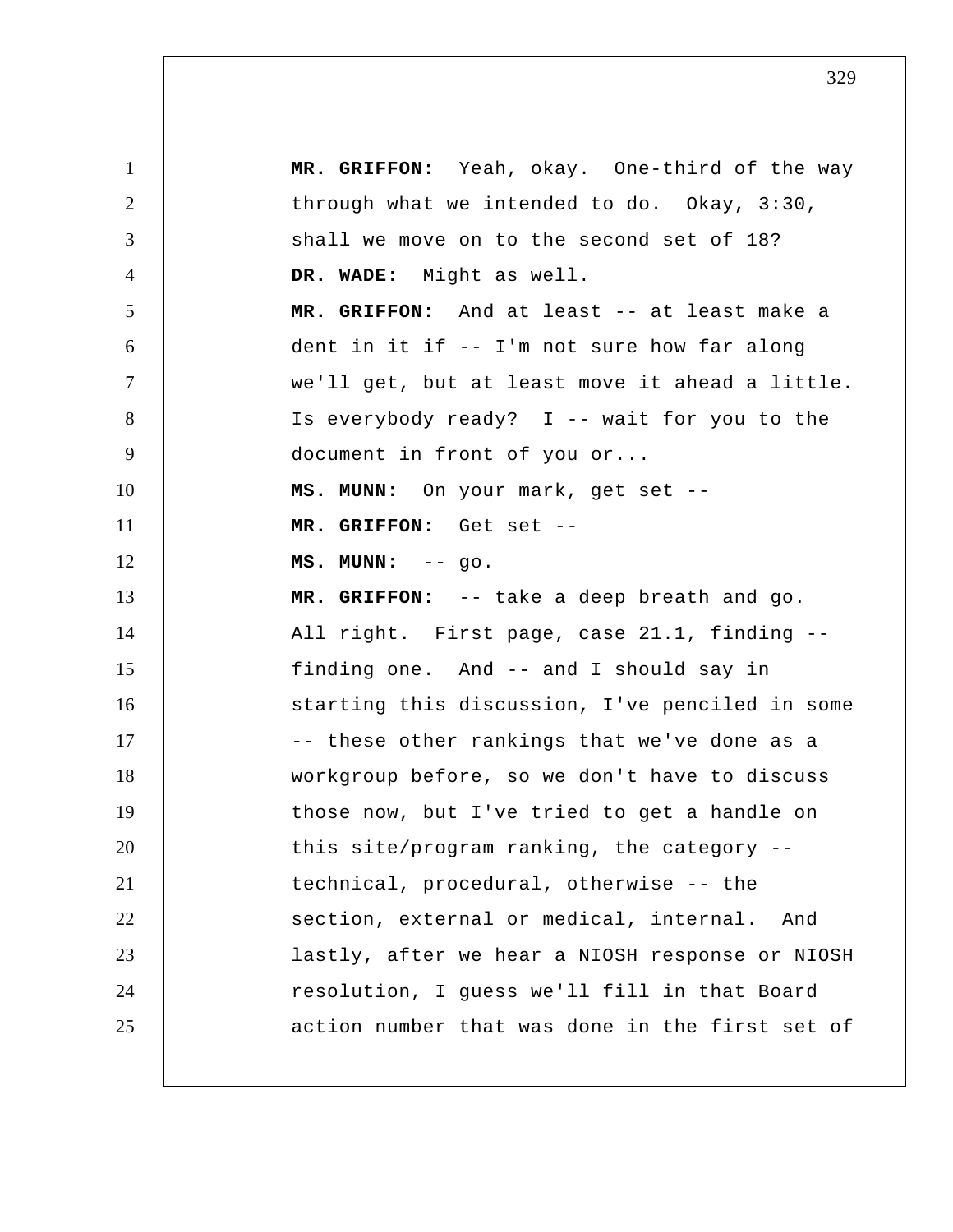1 2 3 4 5 6 7 8 9 10 11 12 13 14 15 16 17 18 19 20 21 22 23 24 25  **MR. GRIFFON:** Yeah, okay. One-third of the way through what we intended to do. Okay, 3:30, shall we move on to the second set of 18?  **DR. WADE:** Might as well.  **MR. GRIFFON:** And at least -- at least make a dent in it if -- I'm not sure how far along we'll get, but at least move it ahead a little. Is everybody ready? I -- wait for you to the document in front of you or...  **MS. MUNN:** On your mark, get set --  **MR. GRIFFON:** Get set -- **MS. MUNN:** -- go.  **MR. GRIFFON:** -- take a deep breath and go. All right. First page, case 21.1, finding - finding one. And -- and I should say in starting this discussion, I've penciled in some -- these other rankings that we've done as a workgroup before, so we don't have to discuss those now, but I've tried to get a handle on this site/program ranking, the category - technical, procedural, otherwise -- the section, external or medical, internal. And lastly, after we hear a NIOSH response or NIOSH resolution, I guess we'll fill in that Board action number that was done in the first set of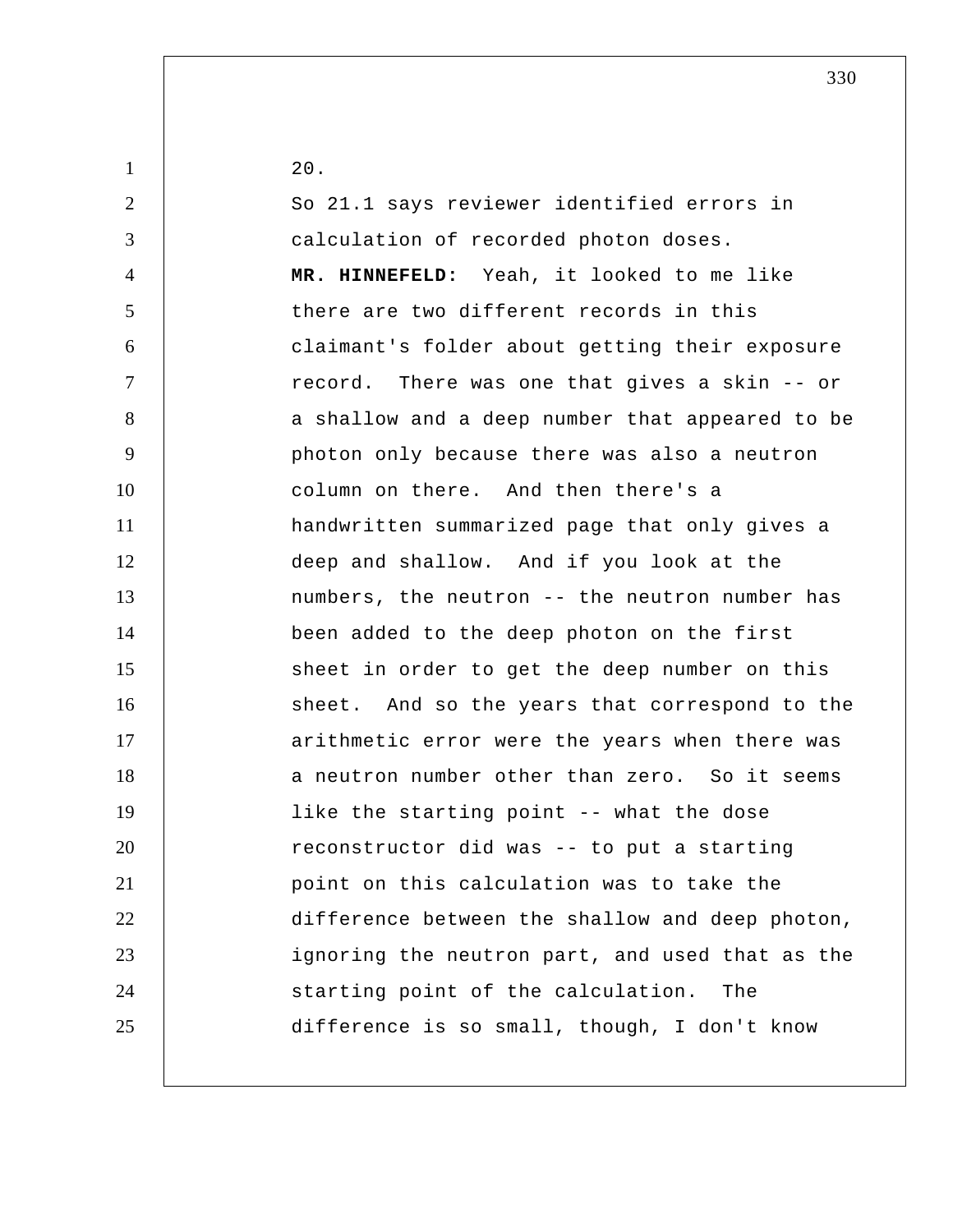| $\mathbf{1}$   | 20.                                             |
|----------------|-------------------------------------------------|
| $\overline{2}$ | So 21.1 says reviewer identified errors in      |
| 3              | calculation of recorded photon doses.           |
| 4              | MR. HINNEFELD: Yeah, it looked to me like       |
| 5              | there are two different records in this         |
| 6              | claimant's folder about getting their exposure  |
| $\overline{7}$ | record. There was one that gives a skin -- or   |
| 8              | a shallow and a deep number that appeared to be |
| 9              | photon only because there was also a neutron    |
| 10             | column on there. And then there's a             |
| 11             | handwritten summarized page that only gives a   |
| 12             | deep and shallow. And if you look at the        |
| 13             | numbers, the neutron -- the neutron number has  |
| 14             | been added to the deep photon on the first      |
| 15             | sheet in order to get the deep number on this   |
| 16             | sheet. And so the years that correspond to the  |
| 17             | arithmetic error were the years when there was  |
| 18             | a neutron number other than zero. So it seems   |
| 19             | like the starting point -- what the dose        |
| 20             | reconstructor did was -- to put a starting      |
| 21             | point on this calculation was to take the       |
| 22             | difference between the shallow and deep photon, |
| 23             | ignoring the neutron part, and used that as the |
| 24             | starting point of the calculation.<br>The       |
| 25             | difference is so small, though, I don't know    |
|                |                                                 |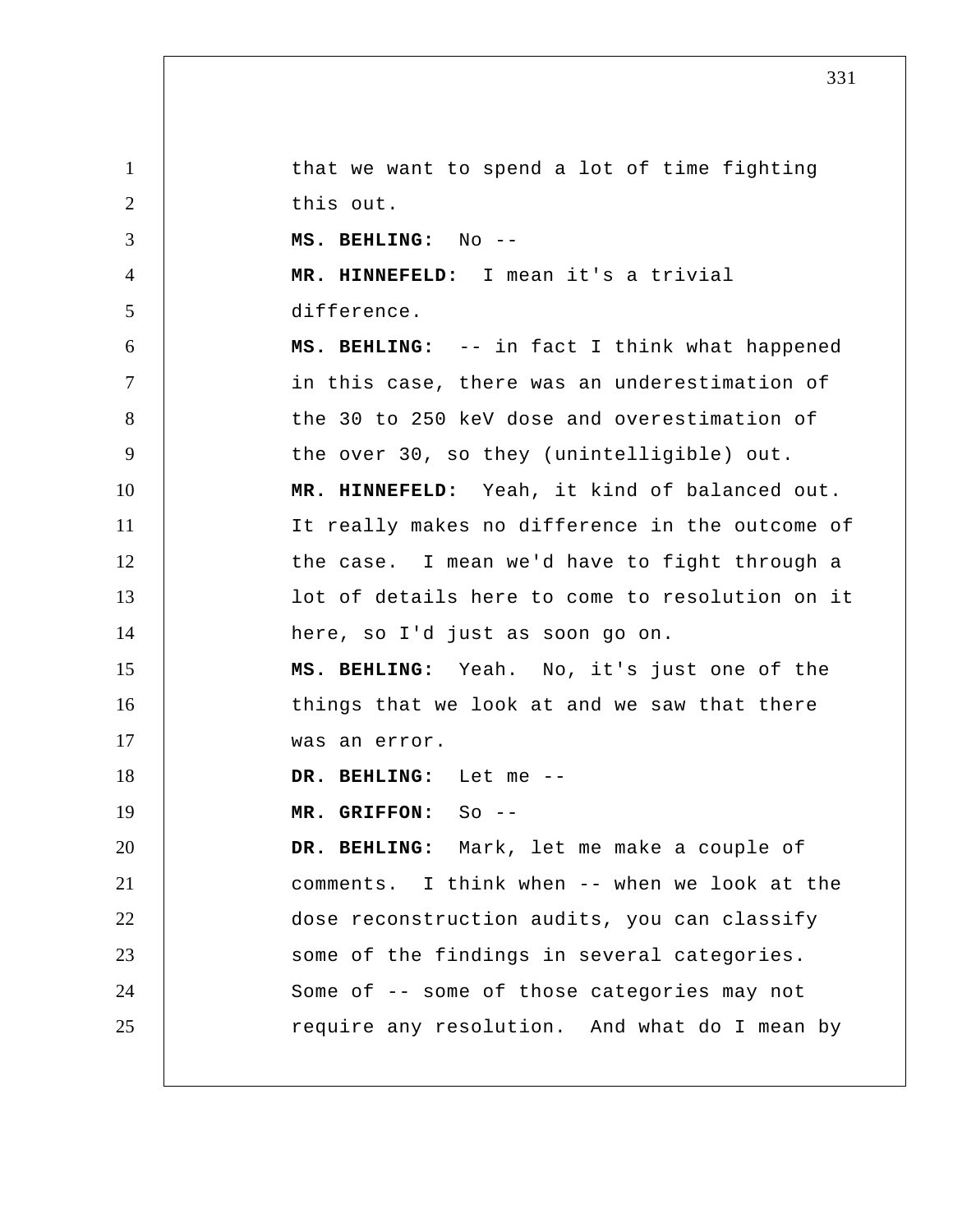1 2 3 4 5 6 7 8 9 10 11 12 13 14 15 16 17 18 19 20 21 22 23 24 25 that we want to spend a lot of time fighting this out.  **MS. BEHLING:** No -- **MR. HINNEFELD:** I mean it's a trivial difference.  **MS. BEHLING:** -- in fact I think what happened in this case, there was an underestimation of the 30 to 250 keV dose and overestimation of the over 30, so they (unintelligible) out.  **MR. HINNEFELD:** Yeah, it kind of balanced out. It really makes no difference in the outcome of the case. I mean we'd have to fight through a lot of details here to come to resolution on it here, so I'd just as soon go on.  **MS. BEHLING:** Yeah. No, it's just one of the things that we look at and we saw that there was an error.  **DR. BEHLING:** Let me -- **MR. GRIFFON:** So -- **DR. BEHLING:** Mark, let me make a couple of comments. I think when -- when we look at the dose reconstruction audits, you can classify some of the findings in several categories. Some of -- some of those categories may not require any resolution. And what do I mean by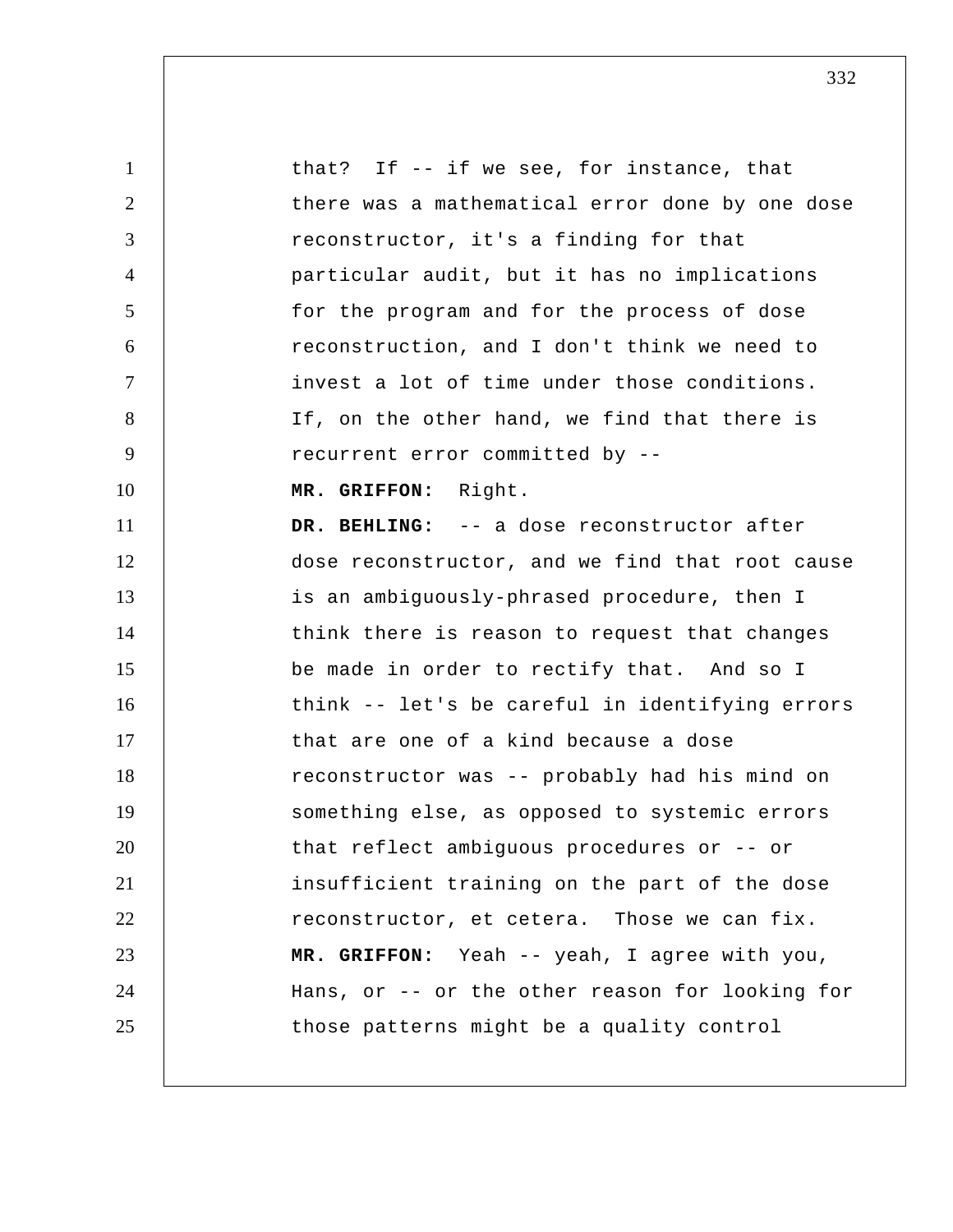1 2 3 4 5 6 7 8 9 10 11 12 13 14 15 16 17 18 19 20 21 22 23 24 25 that? If -- if we see, for instance, that there was a mathematical error done by one dose reconstructor, it's a finding for that particular audit, but it has no implications for the program and for the process of dose reconstruction, and I don't think we need to invest a lot of time under those conditions. If, on the other hand, we find that there is recurrent error committed by --  **MR. GRIFFON:** Right.  **DR. BEHLING:** -- a dose reconstructor after dose reconstructor, and we find that root cause is an ambiguously-phrased procedure, then I think there is reason to request that changes be made in order to rectify that. And so I think -- let's be careful in identifying errors that are one of a kind because a dose reconstructor was -- probably had his mind on something else, as opposed to systemic errors that reflect ambiguous procedures or -- or insufficient training on the part of the dose reconstructor, et cetera. Those we can fix.  **MR. GRIFFON:** Yeah -- yeah, I agree with you, Hans, or -- or the other reason for looking for those patterns might be a quality control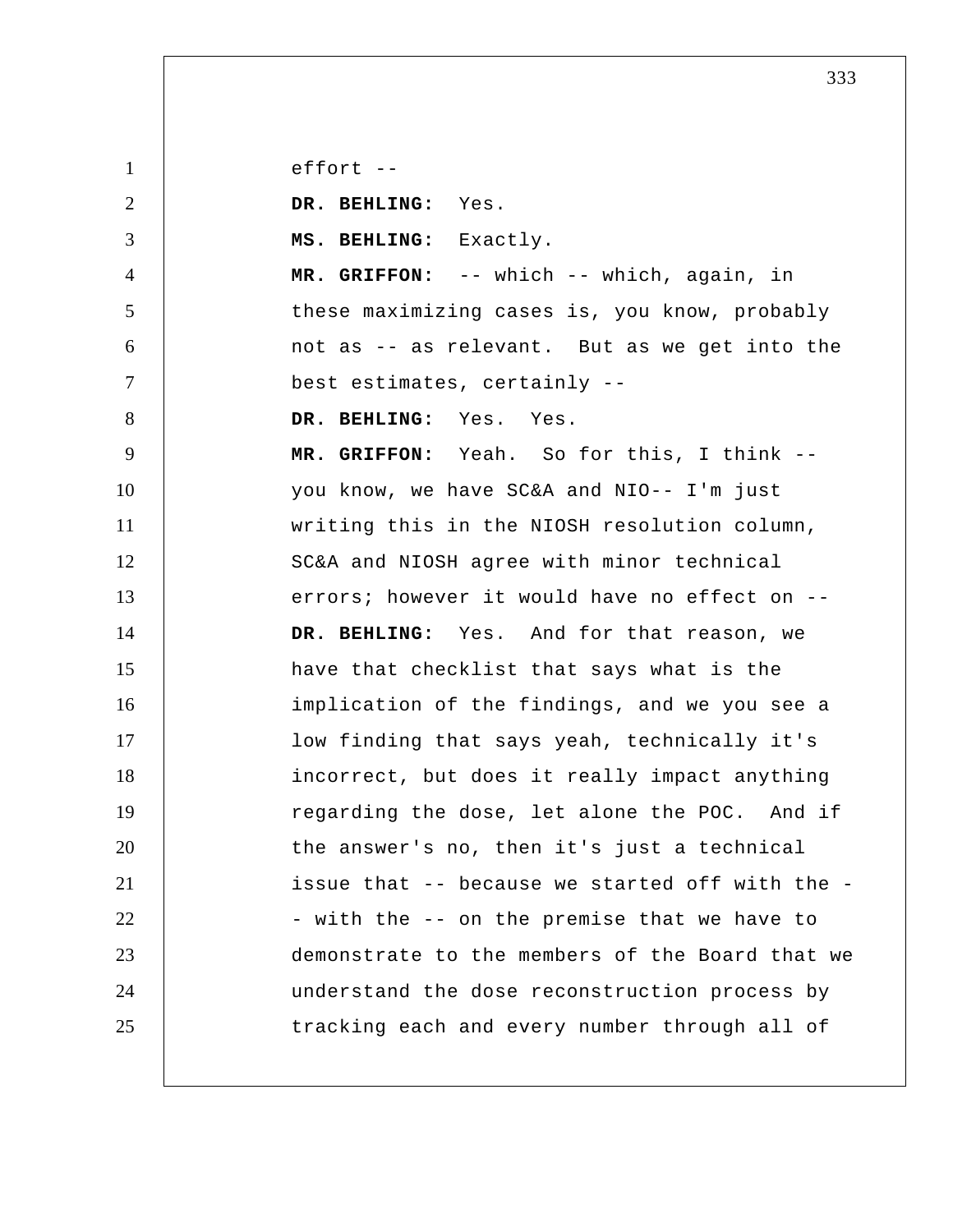1 2 3 4 5 6 7 8 9 10 11 12 13 14 15 16 17 18 19 20 21 22 23 24 25 effort --  **DR. BEHLING:** Yes.  **MS. BEHLING:** Exactly.  **MR. GRIFFON:** -- which -- which, again, in these maximizing cases is, you know, probably not as -- as relevant. But as we get into the best estimates, certainly --  **DR. BEHLING:** Yes. Yes.  **MR. GRIFFON:** Yeah. So for this, I think - you know, we have SC&A and NIO-- I'm just writing this in the NIOSH resolution column, SC&A and NIOSH agree with minor technical errors; however it would have no effect on --  **DR. BEHLING:** Yes. And for that reason, we have that checklist that says what is the implication of the findings, and we you see a low finding that says yeah, technically it's incorrect, but does it really impact anything regarding the dose, let alone the POC. And if the answer's no, then it's just a technical issue that -- because we started off with the - with the -- on the premise that we have to demonstrate to the members of the Board that we understand the dose reconstruction process by tracking each and every number through all of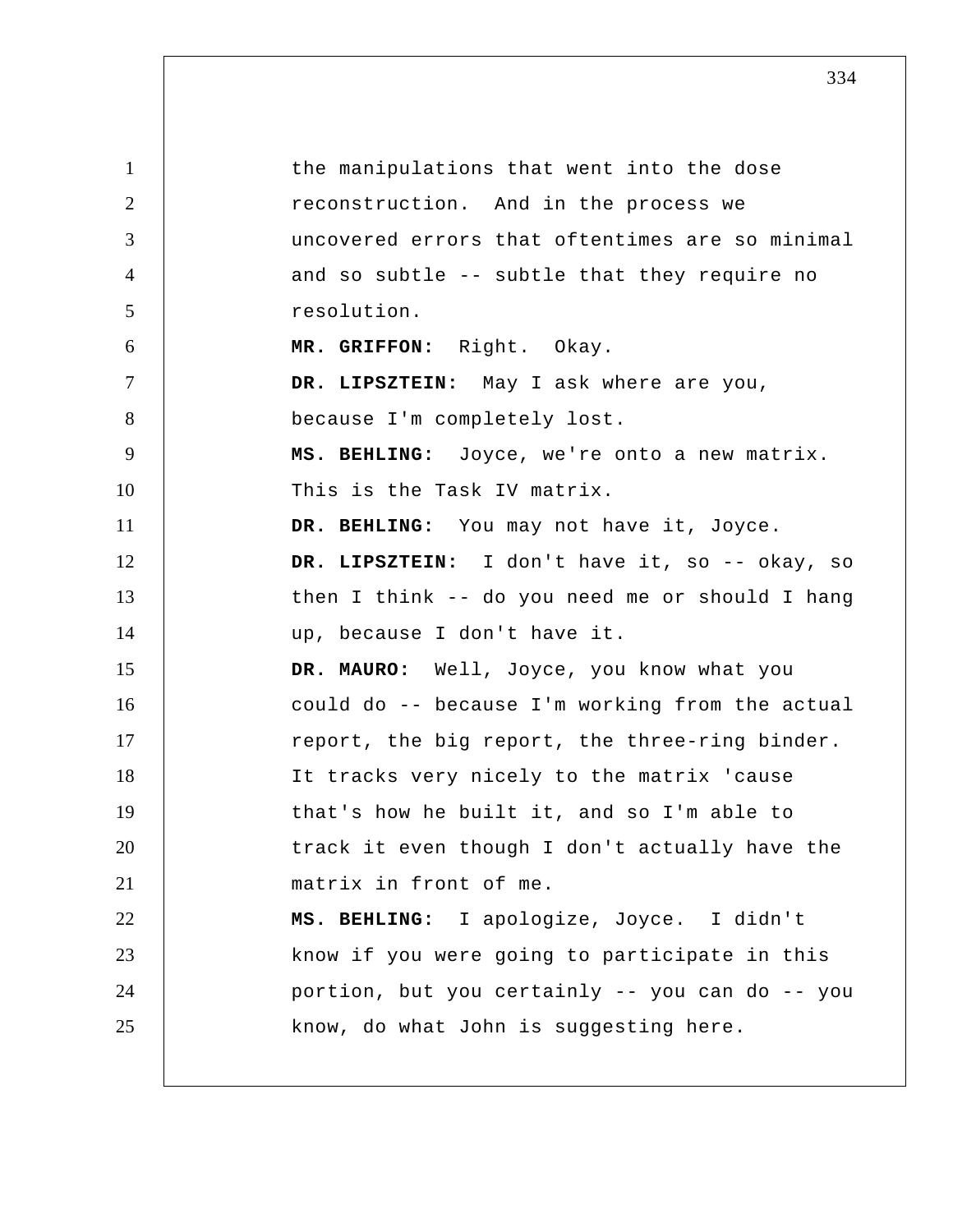1 2 3 4 5 6 7 8 9 10 11 12 13 14 15 16 17 18 19 20 21 22 23 24 25 the manipulations that went into the dose reconstruction. And in the process we uncovered errors that oftentimes are so minimal and so subtle -- subtle that they require no resolution.  **MR. GRIFFON:** Right. Okay.  **DR. LIPSZTEIN:** May I ask where are you, because I'm completely lost.  **MS. BEHLING:** Joyce, we're onto a new matrix. This is the Task IV matrix.  **DR. BEHLING:** You may not have it, Joyce.  **DR. LIPSZTEIN:** I don't have it, so -- okay, so then I think -- do you need me or should I hang up, because I don't have it. **DR. MAURO:** Well, Joyce, you know what you could do -- because I'm working from the actual report, the big report, the three-ring binder. It tracks very nicely to the matrix 'cause that's how he built it, and so I'm able to track it even though I don't actually have the matrix in front of me.  **MS. BEHLING:** I apologize, Joyce. I didn't know if you were going to participate in this portion, but you certainly -- you can do -- you know, do what John is suggesting here.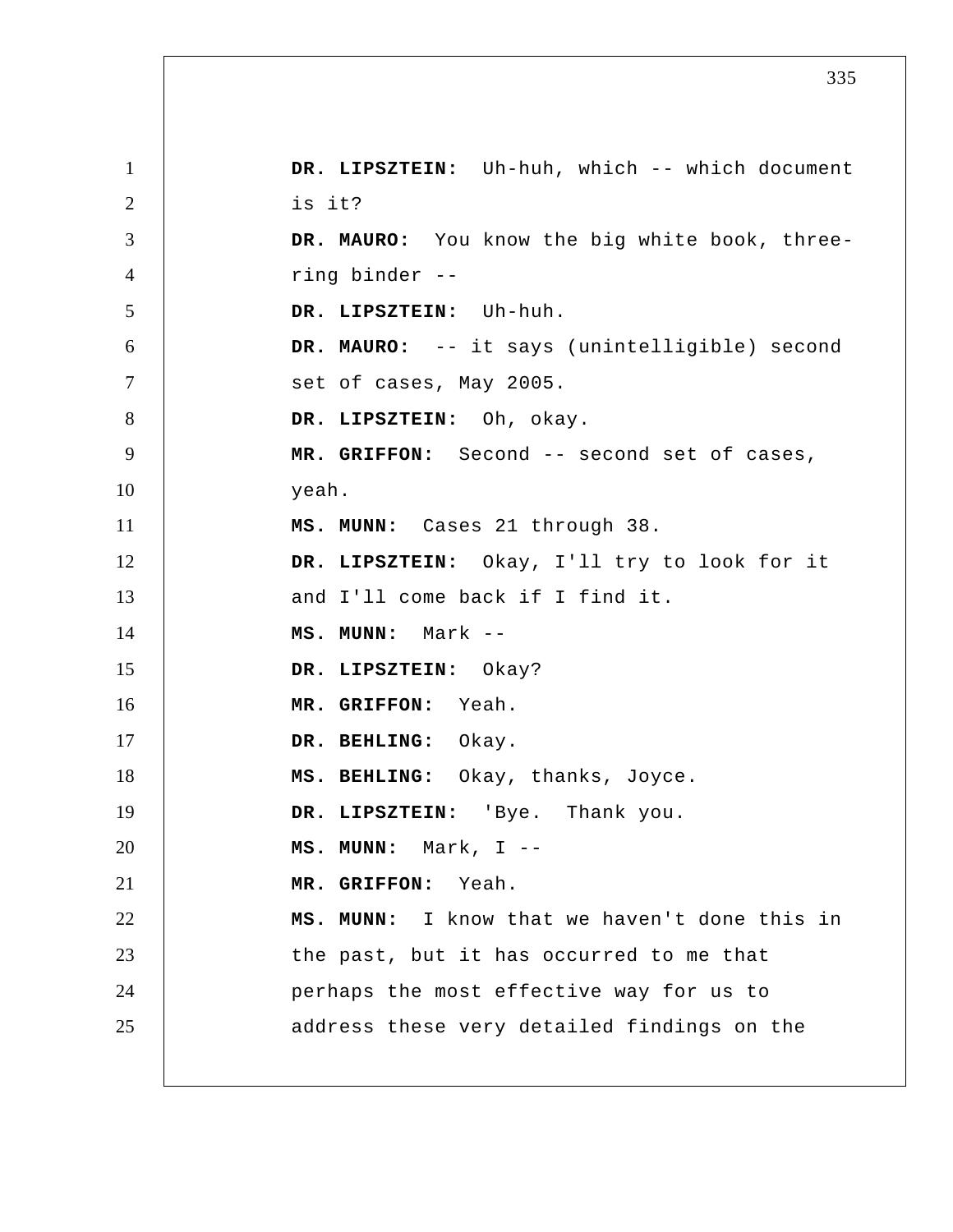1 2 3 4 5 6 7 8 9 10 11 12 13 14 15 16 17 18 19 20 21 22 23 24 25 DR. LIPSZTEIN: Uh-huh, which -- which document is it? **DR. MAURO:** You know the big white book, three ring binder -- **DR. LIPSZTEIN:** Uh-huh. **DR. MAURO:** -- it says (unintelligible) second set of cases, May 2005.  **DR. LIPSZTEIN:** Oh, okay.  **MR. GRIFFON:** Second -- second set of cases, yeah.  **MS. MUNN:** Cases 21 through 38.  **DR. LIPSZTEIN:** Okay, I'll try to look for it and I'll come back if I find it.  **MS. MUNN:** Mark -- **DR. LIPSZTEIN:** Okay?  **MR. GRIFFON:** Yeah.  **DR. BEHLING:** Okay.  **MS. BEHLING:** Okay, thanks, Joyce.  **DR. LIPSZTEIN:** 'Bye. Thank you.  **MS. MUNN:** Mark, I -- **MR. GRIFFON:** Yeah.  **MS. MUNN:** I know that we haven't done this in the past, but it has occurred to me that perhaps the most effective way for us to address these very detailed findings on the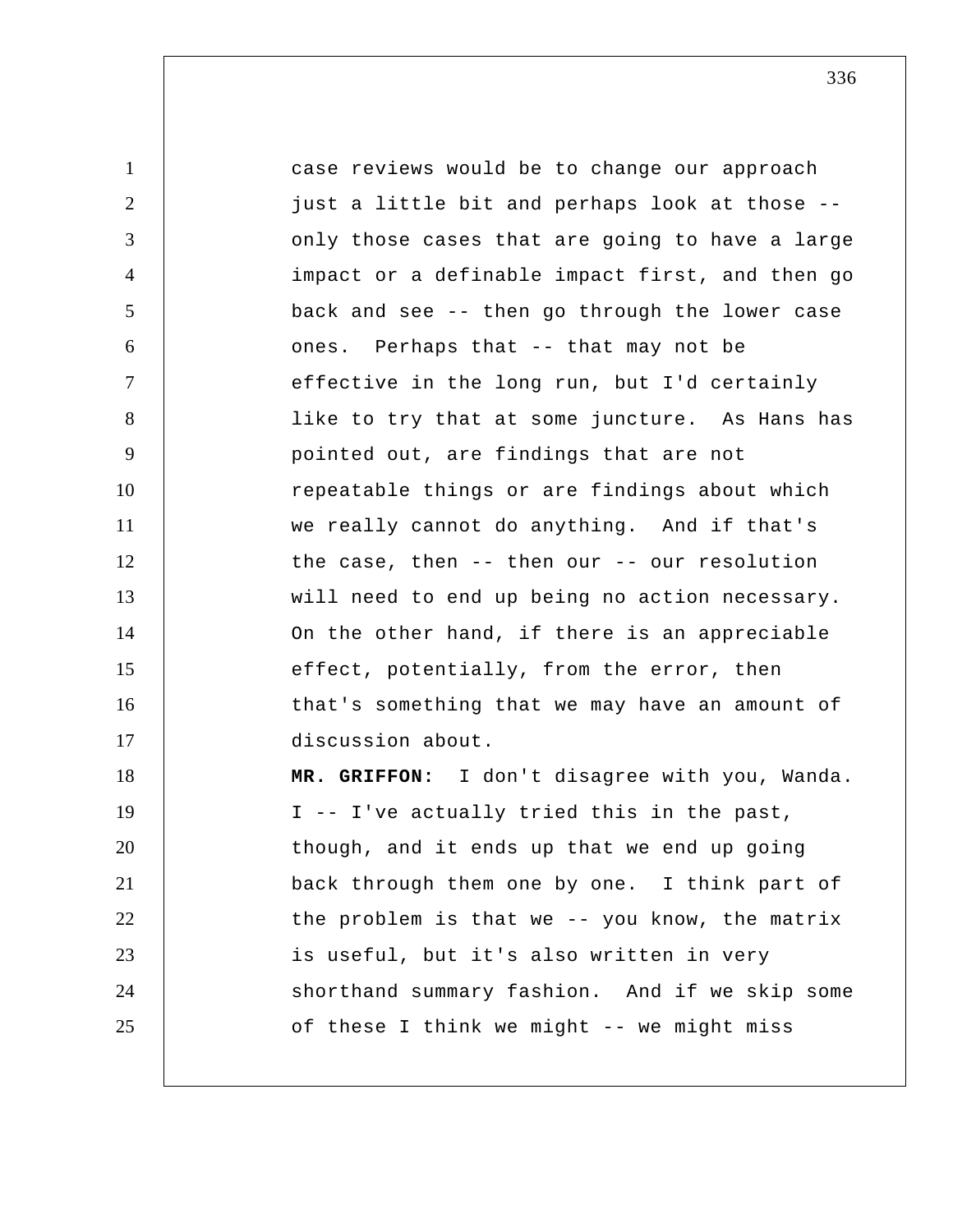1 2 3 4 5 6 7 8 9 10 11 12 13 14 15 16 17 18 19 20 21 22 23 24 25 case reviews would be to change our approach just a little bit and perhaps look at those - only those cases that are going to have a large impact or a definable impact first, and then go back and see -- then go through the lower case ones. Perhaps that -- that may not be effective in the long run, but I'd certainly like to try that at some juncture. As Hans has pointed out, are findings that are not repeatable things or are findings about which we really cannot do anything. And if that's the case, then -- then our -- our resolution will need to end up being no action necessary. On the other hand, if there is an appreciable effect, potentially, from the error, then that's something that we may have an amount of discussion about.  **MR. GRIFFON:** I don't disagree with you, Wanda. I -- I've actually tried this in the past, though, and it ends up that we end up going back through them one by one. I think part of the problem is that we -- you know, the matrix is useful, but it's also written in very shorthand summary fashion. And if we skip some of these I think we might -- we might miss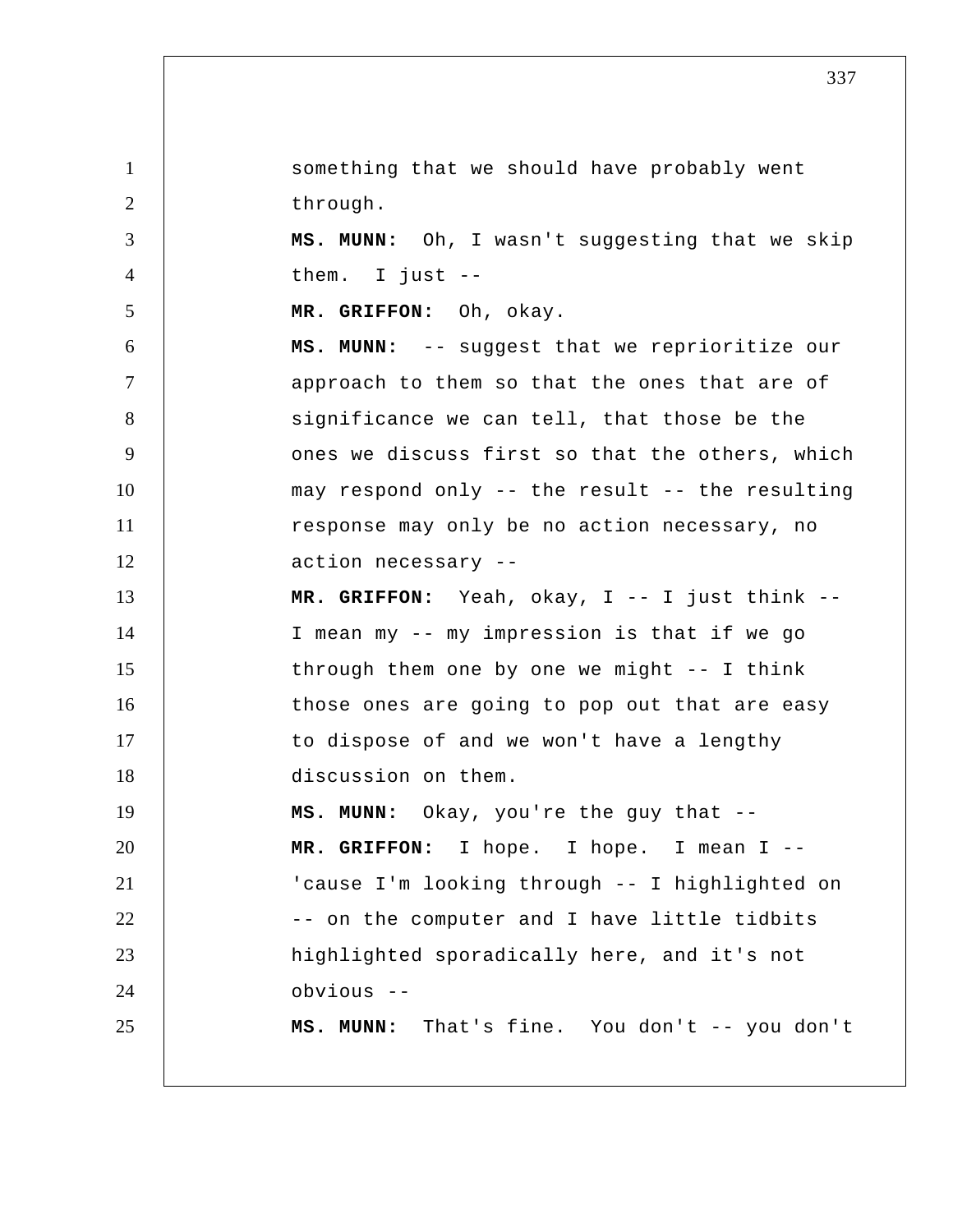1 2 3 4 5 6 7 8 9 10 11 12 13 14 15 16 17 18 19 20 21 22 23 24 25 something that we should have probably went through.  **MS. MUNN:** Oh, I wasn't suggesting that we skip them. I just --  **MR. GRIFFON:** Oh, okay.  **MS. MUNN:** -- suggest that we reprioritize our approach to them so that the ones that are of significance we can tell, that those be the ones we discuss first so that the others, which may respond only -- the result -- the resulting response may only be no action necessary, no action necessary -- **MR. GRIFFON:** Yeah, okay, I -- I just think -- I mean my -- my impression is that if we go through them one by one we might -- I think those ones are going to pop out that are easy to dispose of and we won't have a lengthy discussion on them.  **MS. MUNN:** Okay, you're the guy that --  **MR. GRIFFON:** I hope. I hope. I mean I --'cause I'm looking through -- I highlighted on -- on the computer and I have little tidbits highlighted sporadically here, and it's not obvious -- **MS. MUNN:** That's fine. You don't -- you don't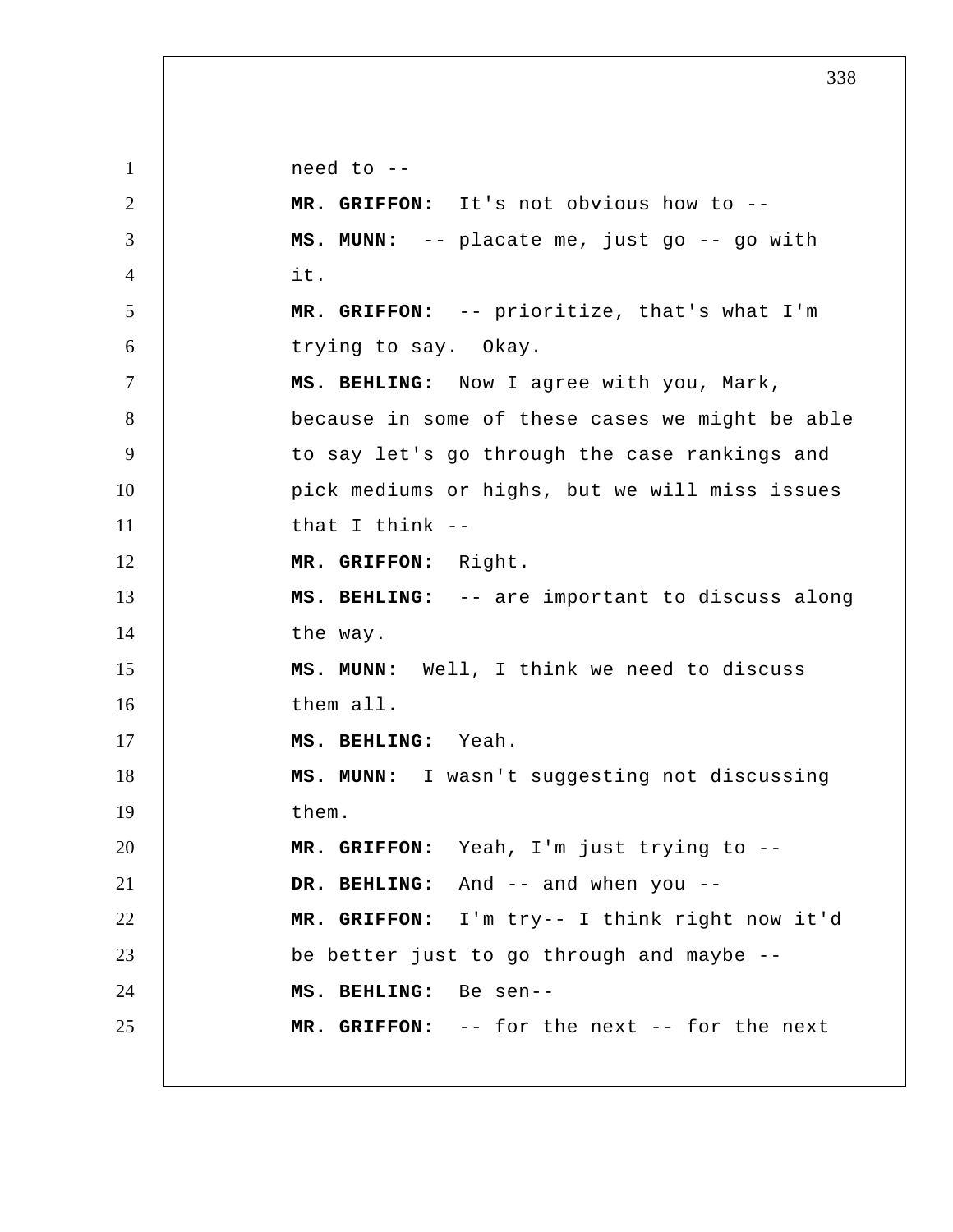1 2 3 4 5 6 7 8 9 10 11 12 13 14 15 16 17 18 19 20 21 22 23 24 25 need to -- **MR. GRIFFON:** It's not obvious how to --  **MS. MUNN:** -- placate me, just go -- go with it.  **MR. GRIFFON:** -- prioritize, that's what I'm trying to say. Okay.  **MS. BEHLING:** Now I agree with you, Mark, because in some of these cases we might be able to say let's go through the case rankings and pick mediums or highs, but we will miss issues that I think -- **MR. GRIFFON:** Right.  **MS. BEHLING:** -- are important to discuss along the way.  **MS. MUNN:** Well, I think we need to discuss them all.  **MS. BEHLING:** Yeah.  **MS. MUNN:** I wasn't suggesting not discussing them.  **MR. GRIFFON:** Yeah, I'm just trying to --  **DR. BEHLING:** And -- and when you --  **MR. GRIFFON:** I'm try-- I think right now it'd be better just to go through and maybe --  **MS. BEHLING:** Be sen-- **MR. GRIFFON:** -- for the next -- for the next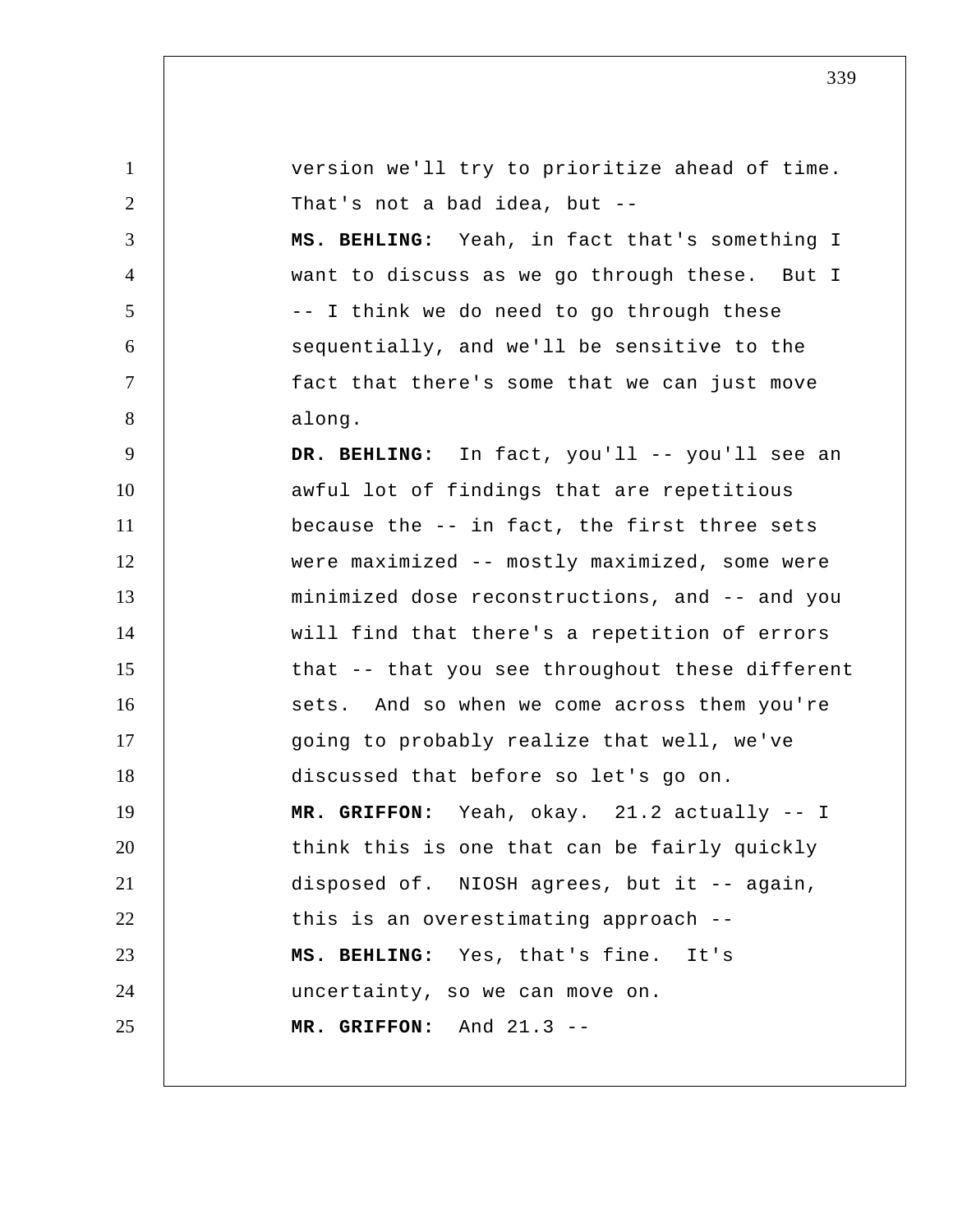| $\mathbf{1}$ | version we'll try to prioritize ahead of time.  |
|--------------|-------------------------------------------------|
| 2            | That's not a bad idea, but --                   |
| 3            | MS. BEHLING: Yeah, in fact that's something I   |
| 4            | want to discuss as we go through these. But I   |
| 5            | -- I think we do need to go through these       |
| 6            | sequentially, and we'll be sensitive to the     |
| $\tau$       | fact that there's some that we can just move    |
| 8            | along.                                          |
| 9            | DR. BEHLING: In fact, you'll -- you'll see an   |
| 10           | awful lot of findings that are repetitious      |
| 11           | because the -- in fact, the first three sets    |
| 12           | were maximized -- mostly maximized, some were   |
| 13           | minimized dose reconstructions, and -- and you  |
| 14           | will find that there's a repetition of errors   |
| 15           | that -- that you see throughout these different |
| 16           | sets. And so when we come across them you're    |
| 17           | going to probably realize that well, we've      |
| 18           | discussed that before so let's go on.           |
| 19           | MR. GRIFFON: Yeah, okay. $21.2$ actually $-1$   |
| 20           | think this is one that can be fairly quickly    |
| 21           | disposed of. NIOSH agrees, but it -- again,     |
| 22           | this is an overestimating approach --           |
| 23           | MS. BEHLING: Yes, that's fine. It's             |
| 24           | uncertainty, so we can move on.                 |
| 25           | MR. GRIFFON: And 21.3 --                        |
|              |                                                 |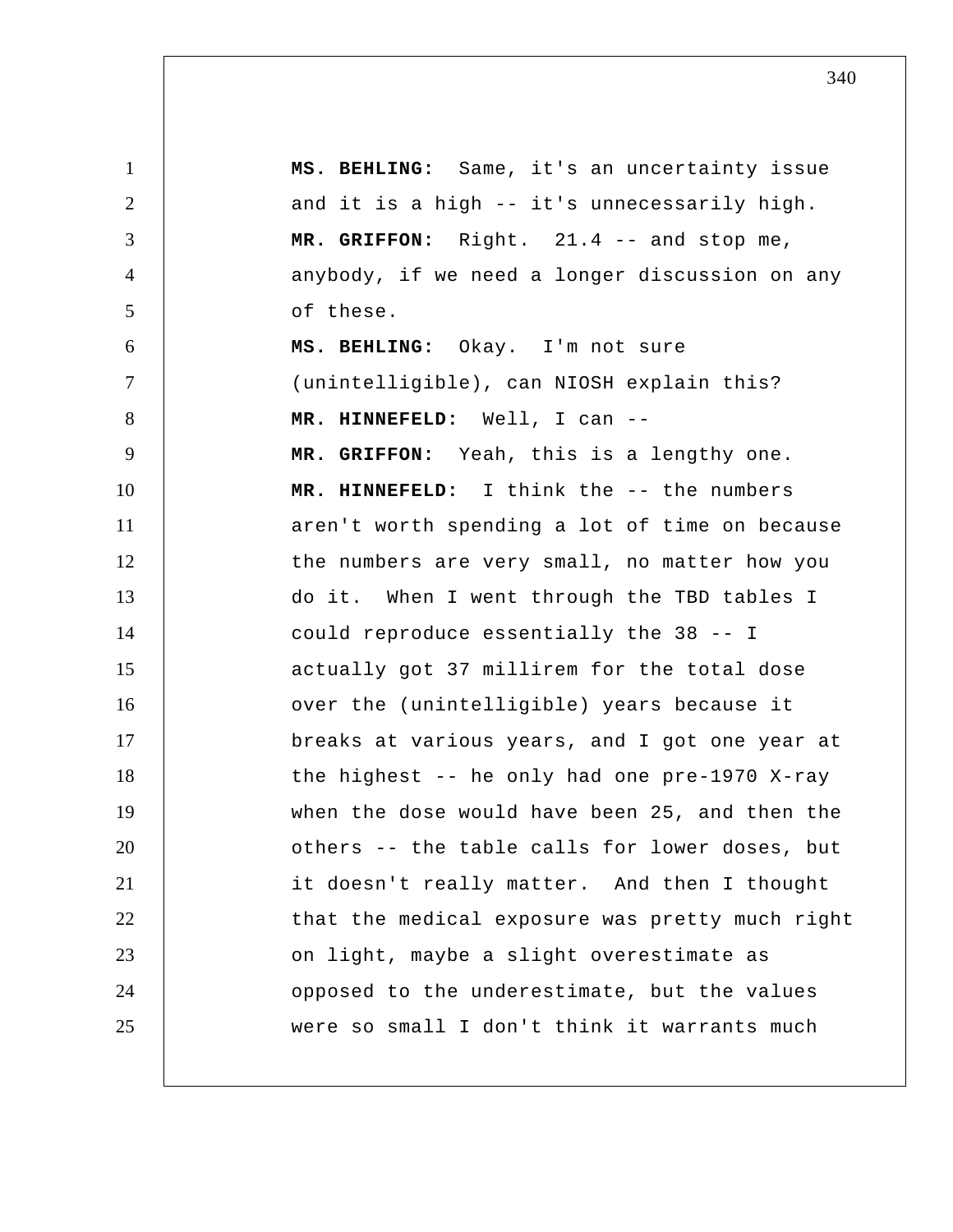| $\mathbf{1}$   | MS. BEHLING: Same, it's an uncertainty issue    |
|----------------|-------------------------------------------------|
| $\overline{2}$ | and it is a high -- it's unnecessarily high.    |
| 3              | MR. GRIFFON: Right. 21.4 -- and stop me,        |
| $\overline{4}$ | anybody, if we need a longer discussion on any  |
| 5              | of these.                                       |
| 6              | MS. BEHLING: Okay. I'm not sure                 |
| $\overline{7}$ | (unintelligible), can NIOSH explain this?       |
| 8              | MR. HINNEFELD: Well, I can --                   |
| 9              | MR. GRIFFON: Yeah, this is a lengthy one.       |
| 10             | MR. HINNEFELD: I think the -- the numbers       |
| 11             | aren't worth spending a lot of time on because  |
| 12             | the numbers are very small, no matter how you   |
| 13             | do it. When I went through the TBD tables I     |
| 14             | could reproduce essentially the 38 -- I         |
| 15             | actually got 37 millirem for the total dose     |
| 16             | over the (unintelligible) years because it      |
| 17             | breaks at various years, and I got one year at  |
| 18             | the highest $-$ he only had one pre-1970 X-ray  |
| 19             | when the dose would have been 25, and then the  |
| 20             | others -- the table calls for lower doses, but  |
| 21             | it doesn't really matter. And then I thought    |
| 22             | that the medical exposure was pretty much right |
| 23             | on light, maybe a slight overestimate as        |
| 24             | opposed to the underestimate, but the values    |
| 25             | were so small I don't think it warrants much    |
|                |                                                 |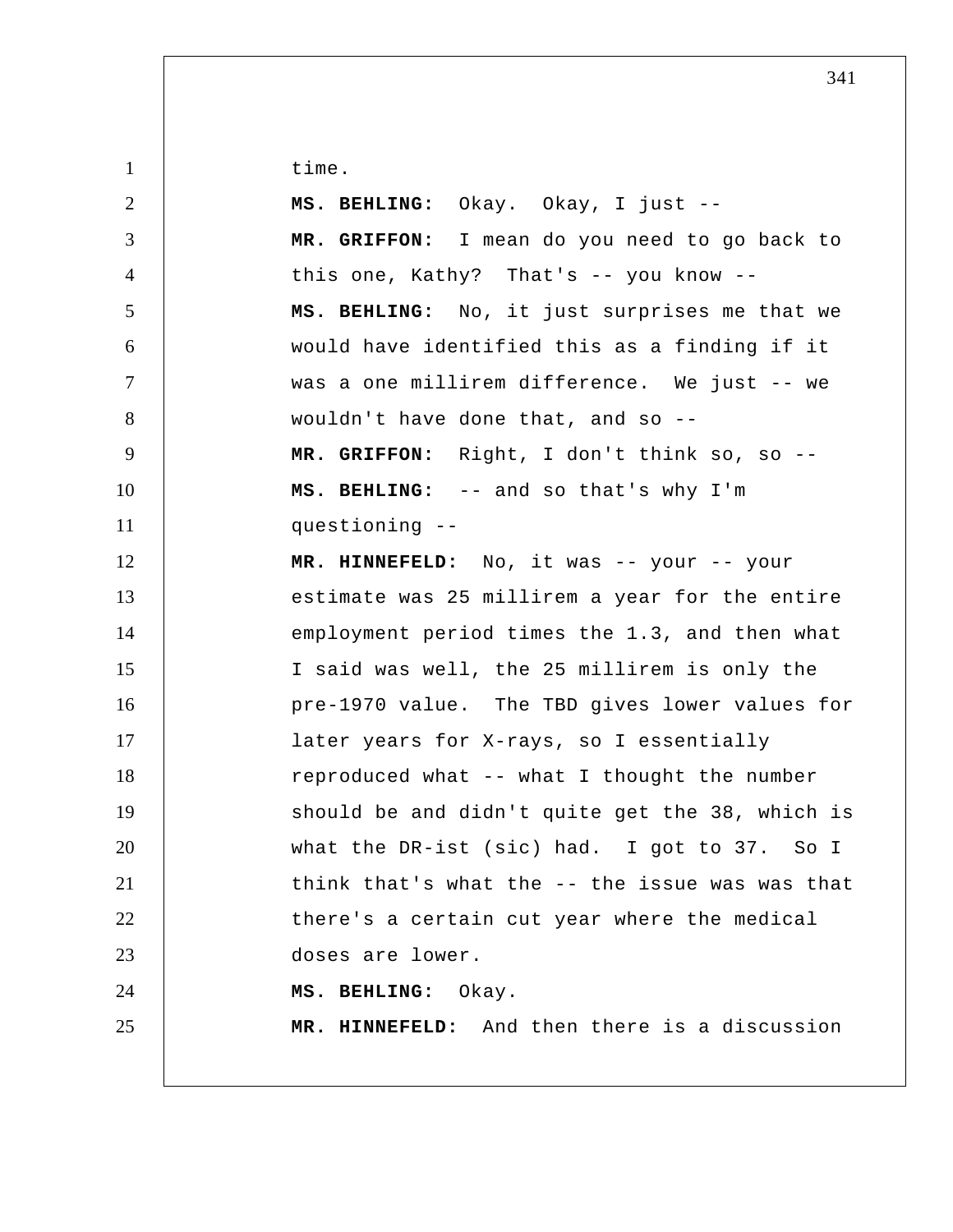time.

| $\overline{2}$ | MS. BEHLING: Okay. Okay, I just --              |
|----------------|-------------------------------------------------|
| 3              | MR. GRIFFON: I mean do you need to go back to   |
| $\overline{4}$ | this one, Kathy? That's -- you know --          |
| 5              | MS. BEHLING: No, it just surprises me that we   |
| 6              | would have identified this as a finding if it   |
| $\tau$         | was a one millirem difference. We just -- we    |
| 8              | wouldn't have done that, and so --              |
| 9              | MR. GRIFFON: Right, I don't think so, so --     |
| 10             | MS. BEHLING: -- and so that's why I'm           |
| 11             | questioning --                                  |
| 12             | MR. HINNEFELD: No, it was -- your -- your       |
| 13             | estimate was 25 millirem a year for the entire  |
| 14             | employment period times the 1.3, and then what  |
| 15             | I said was well, the 25 millirem is only the    |
| 16             | pre-1970 value. The TBD gives lower values for  |
| 17             | later years for X-rays, so I essentially        |
| 18             | reproduced what -- what I thought the number    |
| 19             | should be and didn't quite get the 38, which is |
| 20             | what the DR-ist (sic) had. I got to 37. So I    |
| 21             | think that's what the -- the issue was was that |
| 22             | there's a certain cut year where the medical    |
| 23             | doses are lower.                                |
| 24             | MS. BEHLING:<br>Okay.                           |
| 25             | MR. HINNEFELD: And then there is a discussion   |
|                |                                                 |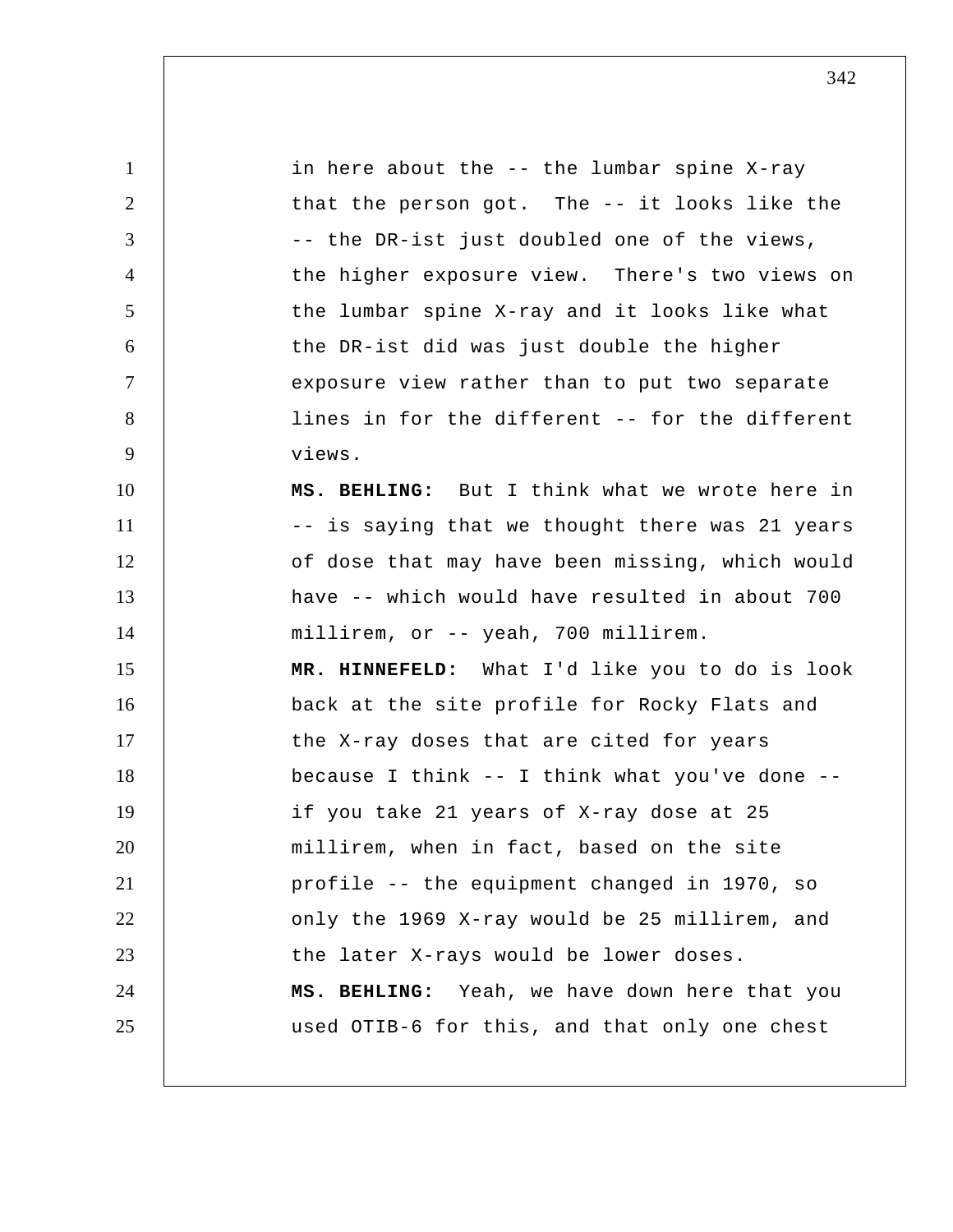1 2 3 4 5 6 7 8 9 10 11 12 13 14 15 16 17 18 19 20 21 22 23 24 25 in here about the -- the lumbar spine X-ray that the person got. The -- it looks like the -- the DR-ist just doubled one of the views, the higher exposure view. There's two views on the lumbar spine X-ray and it looks like what the DR-ist did was just double the higher exposure view rather than to put two separate lines in for the different -- for the different views.  **MS. BEHLING:** But I think what we wrote here in -- is saying that we thought there was 21 years of dose that may have been missing, which would have -- which would have resulted in about 700 millirem, or -- yeah, 700 millirem.  **MR. HINNEFELD:** What I'd like you to do is look back at the site profile for Rocky Flats and the X-ray doses that are cited for years because I think -- I think what you've done - if you take 21 years of X-ray dose at 25 millirem, when in fact, based on the site profile -- the equipment changed in 1970, so only the 1969 X-ray would be 25 millirem, and the later X-rays would be lower doses.  **MS. BEHLING:** Yeah, we have down here that you used OTIB-6 for this, and that only one chest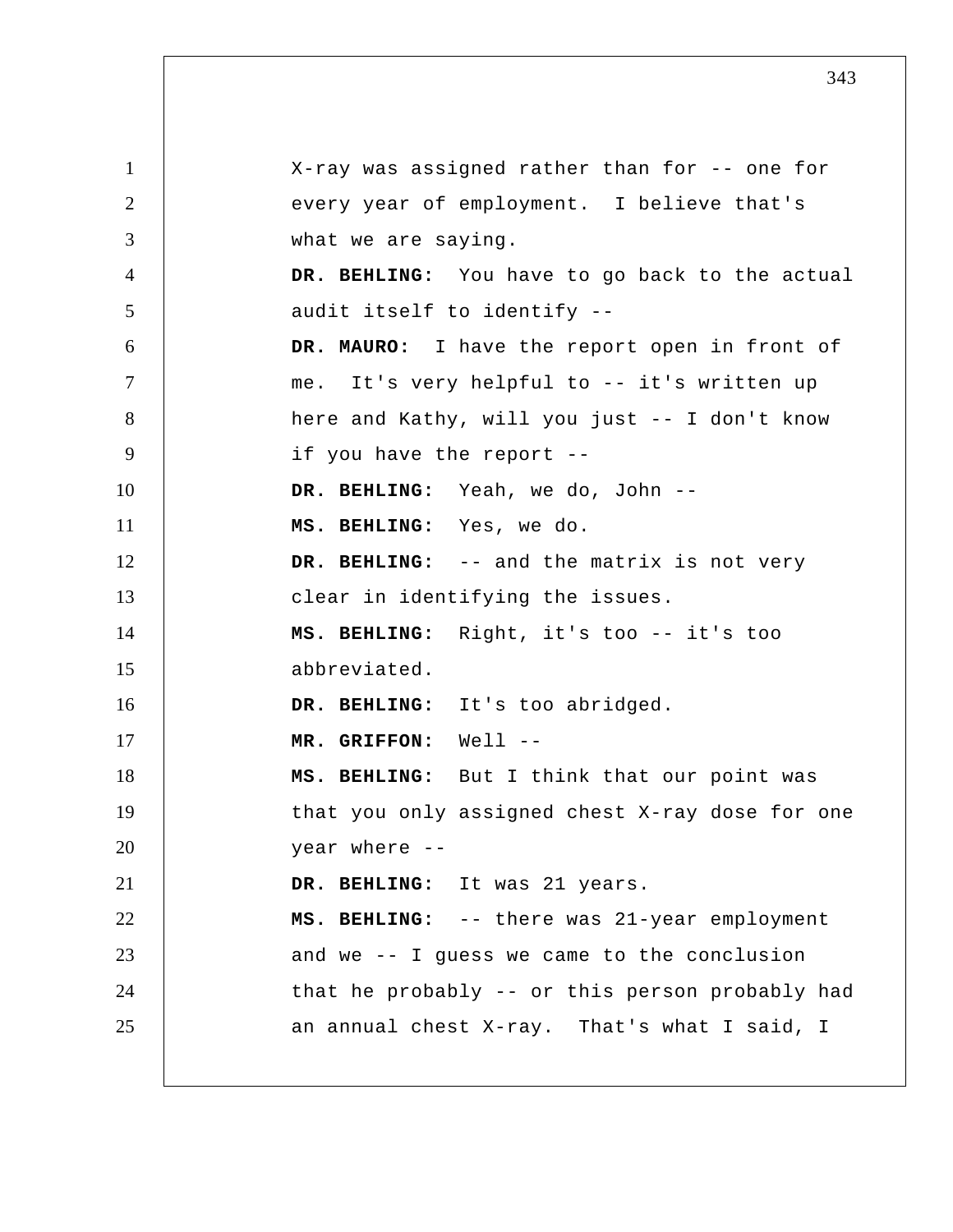1 2 3 4 5 6 7 8 9 10 11 12 13 14 15 16 17 18 19 20 21 22 23 24 25 X-ray was assigned rather than for -- one for every year of employment. I believe that's what we are saying.  **DR. BEHLING:** You have to go back to the actual audit itself to identify -- **DR. MAURO:** I have the report open in front of me. It's very helpful to -- it's written up here and Kathy, will you just -- I don't know if you have the report --  **DR. BEHLING:** Yeah, we do, John --  **MS. BEHLING:** Yes, we do.  **DR. BEHLING:** -- and the matrix is not very clear in identifying the issues.  **MS. BEHLING:** Right, it's too -- it's too abbreviated.  **DR. BEHLING:** It's too abridged.  **MR. GRIFFON:** Well -- **MS. BEHLING:** But I think that our point was that you only assigned chest X-ray dose for one year where --  **DR. BEHLING:** It was 21 years.  **MS. BEHLING:** -- there was 21-year employment and we -- I guess we came to the conclusion that he probably -- or this person probably had an annual chest X-ray. That's what I said, I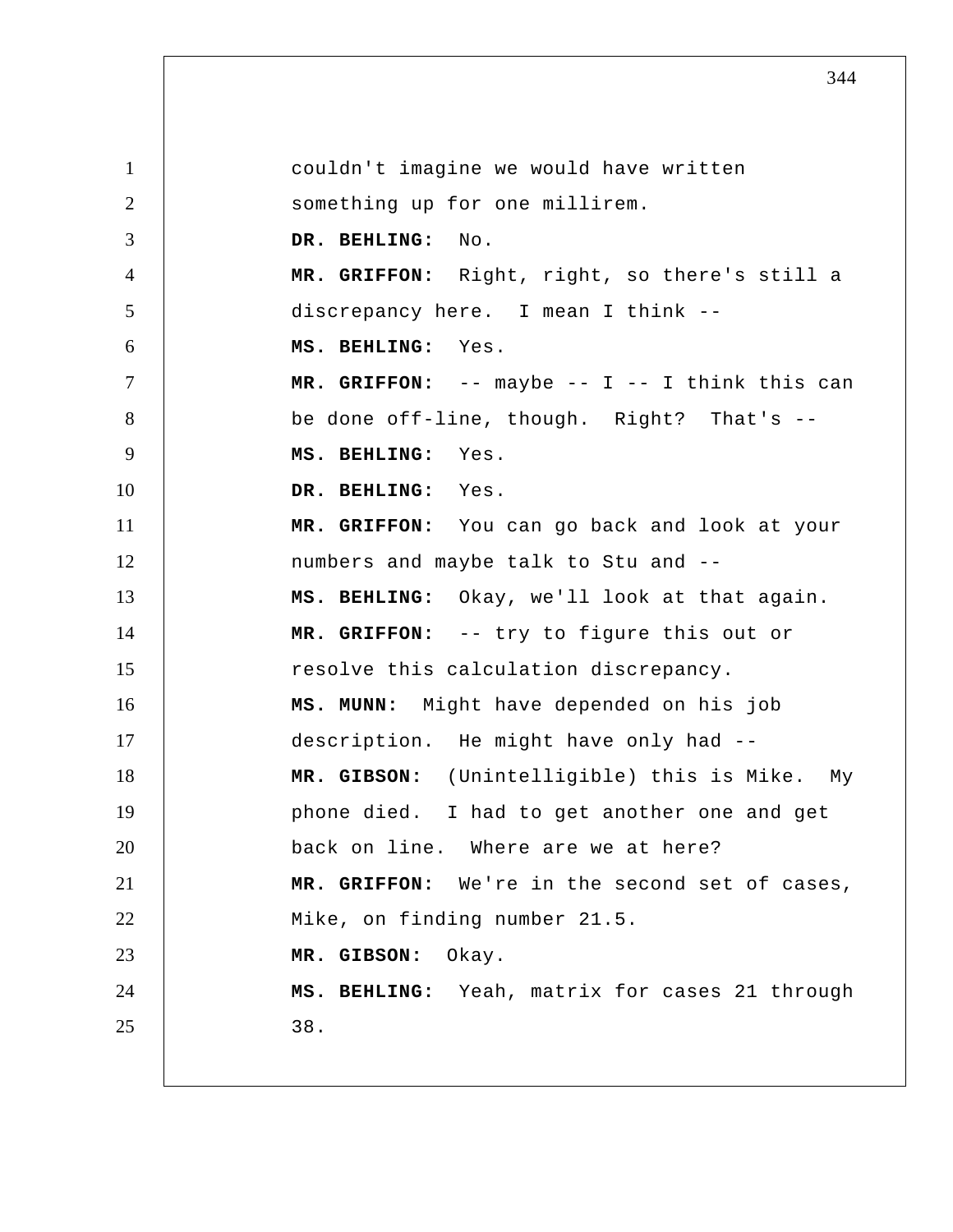1 2 3 4 5 6 7 8 9 10 11 12 13 14 15 16 17 18 19 20 21 22 23 24 25 couldn't imagine we would have written something up for one millirem.  **DR. BEHLING:** No.  **MR. GRIFFON:** Right, right, so there's still a discrepancy here. I mean I think --  **MS. BEHLING:** Yes.  **MR. GRIFFON:** -- maybe -- I -- I think this can be done off-line, though. Right? That's -- **MS. BEHLING:** Yes.  **DR. BEHLING:** Yes.  **MR. GRIFFON:** You can go back and look at your numbers and maybe talk to Stu and --  **MS. BEHLING:** Okay, we'll look at that again.  **MR. GRIFFON:** -- try to figure this out or resolve this calculation discrepancy.  **MS. MUNN:** Might have depended on his job description. He might have only had --  **MR. GIBSON:** (Unintelligible) this is Mike. My phone died. I had to get another one and get back on line. Where are we at here?  **MR. GRIFFON:** We're in the second set of cases, Mike, on finding number 21.5.  **MR. GIBSON:** Okay.  **MS. BEHLING:** Yeah, matrix for cases 21 through 38.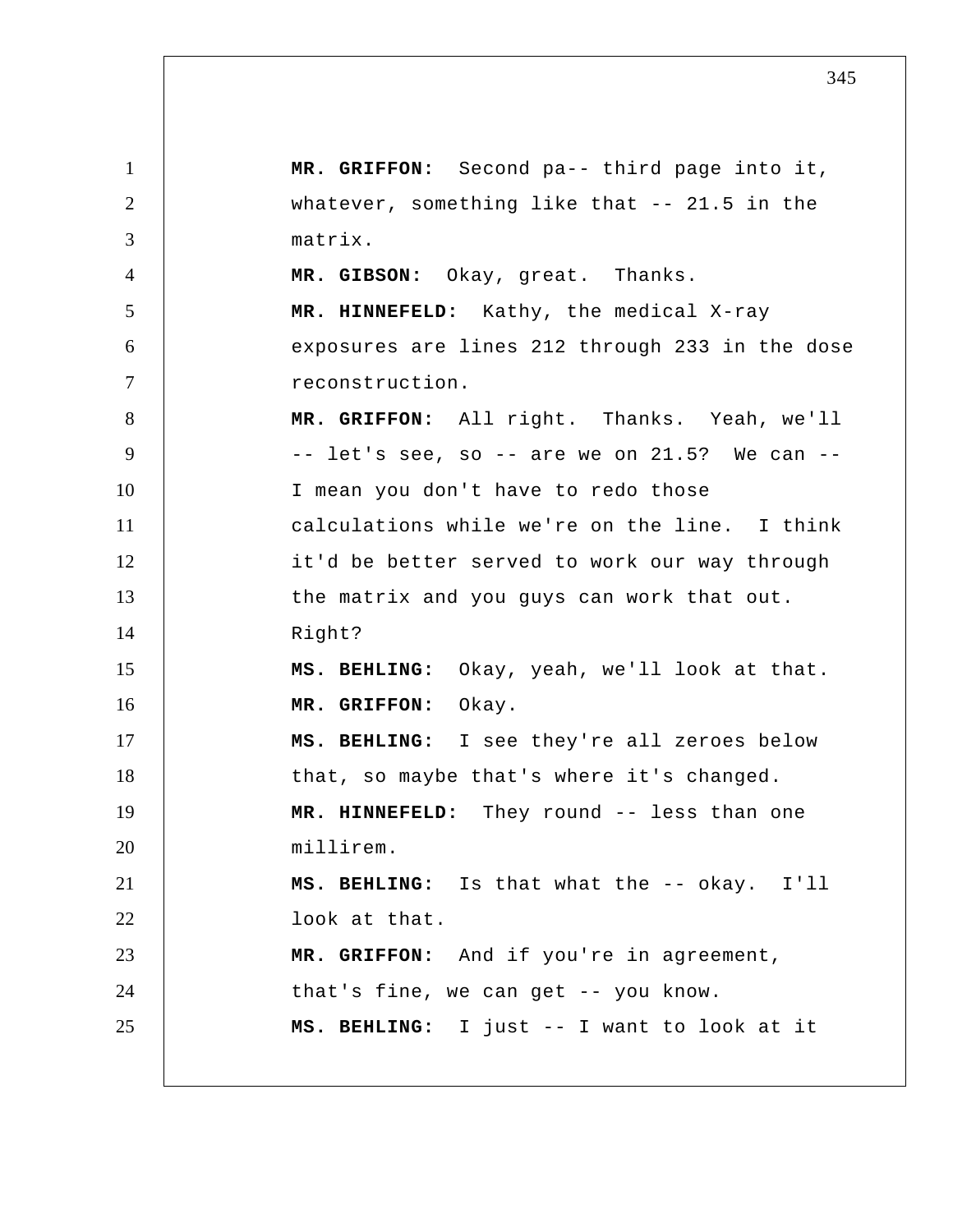1 2 3 4 5 6 7 8 9 10 11 12 13 14 15 16 17 18 19 20 21 22 23 24 25  **MR. GRIFFON:** Second pa-- third page into it, whatever, something like that -- 21.5 in the matrix.  **MR. GIBSON:** Okay, great. Thanks.  **MR. HINNEFELD:** Kathy, the medical X-ray exposures are lines 212 through 233 in the dose reconstruction.  **MR. GRIFFON:** All right. Thanks. Yeah, we'll  $--$  let's see, so  $--$  are we on 21.5? We can  $--$ I mean you don't have to redo those calculations while we're on the line. I think it'd be better served to work our way through the matrix and you guys can work that out. Right?  **MS. BEHLING:** Okay, yeah, we'll look at that.  **MR. GRIFFON:** Okay.  **MS. BEHLING:** I see they're all zeroes below that, so maybe that's where it's changed.  **MR. HINNEFELD:** They round -- less than one millirem.  **MS. BEHLING:** Is that what the -- okay. I'll look at that.  **MR. GRIFFON:** And if you're in agreement, that's fine, we can get -- you know.  **MS. BEHLING:** I just -- I want to look at it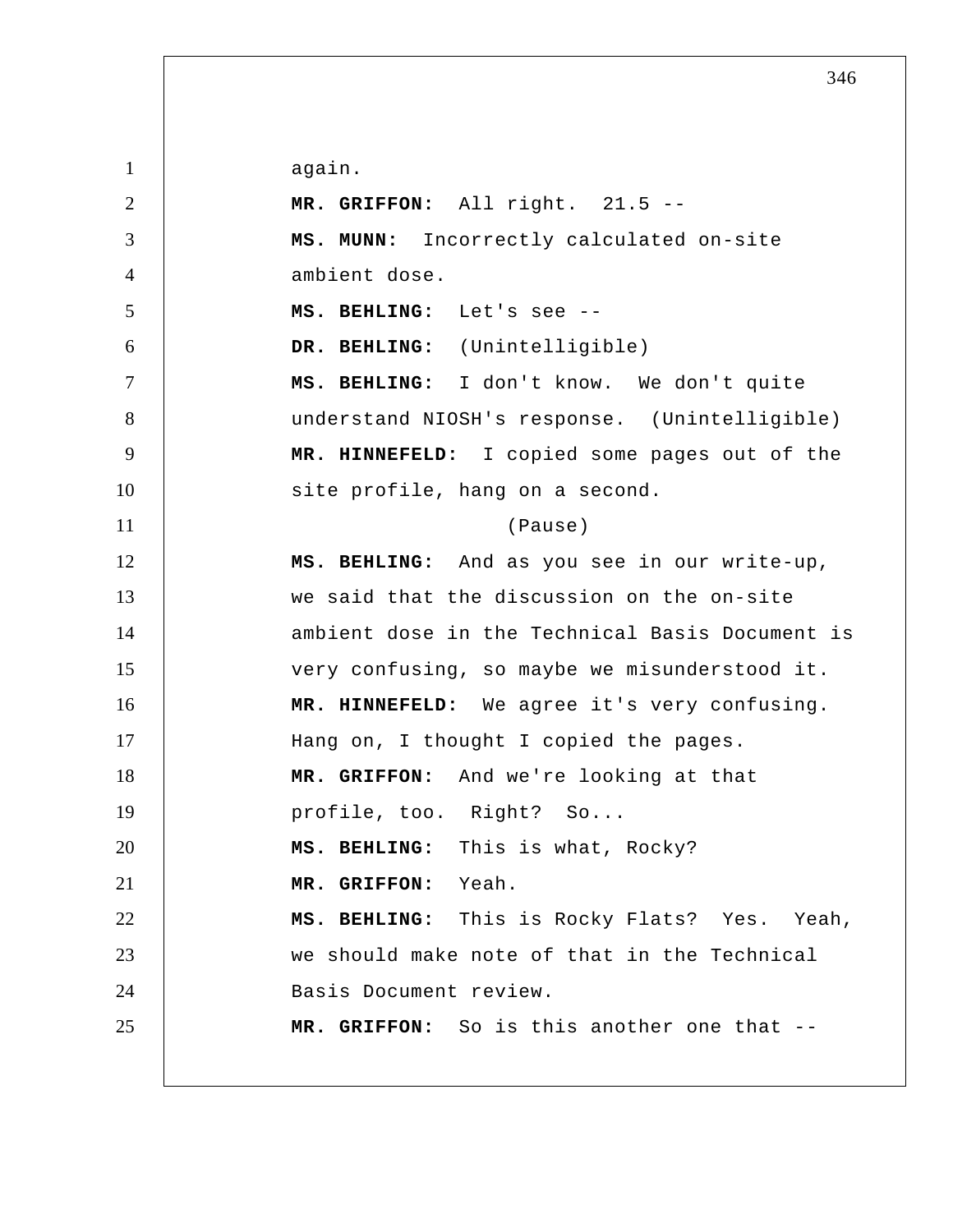again.

1

2 3 4 5 6 7 8 9 10 11 12 13 14 15 16 17 18 19 20 21 22 23 24 25  **MR. GRIFFON:** All right. 21.5 -- **MS. MUNN:** Incorrectly calculated on-site ambient dose.  **MS. BEHLING:** Let's see -- **DR. BEHLING:** (Unintelligible)  **MS. BEHLING:** I don't know. We don't quite understand NIOSH's response. (Unintelligible)  **MR. HINNEFELD:** I copied some pages out of the site profile, hang on a second. (Pause)  **MS. BEHLING:** And as you see in our write-up, we said that the discussion on the on-site ambient dose in the Technical Basis Document is very confusing, so maybe we misunderstood it.  **MR. HINNEFELD:** We agree it's very confusing. Hang on, I thought I copied the pages.  **MR. GRIFFON:** And we're looking at that profile, too. Right? So...  **MS. BEHLING:** This is what, Rocky?  **MR. GRIFFON:** Yeah.  **MS. BEHLING:** This is Rocky Flats? Yes. Yeah, we should make note of that in the Technical Basis Document review.  **MR. GRIFFON:** So is this another one that --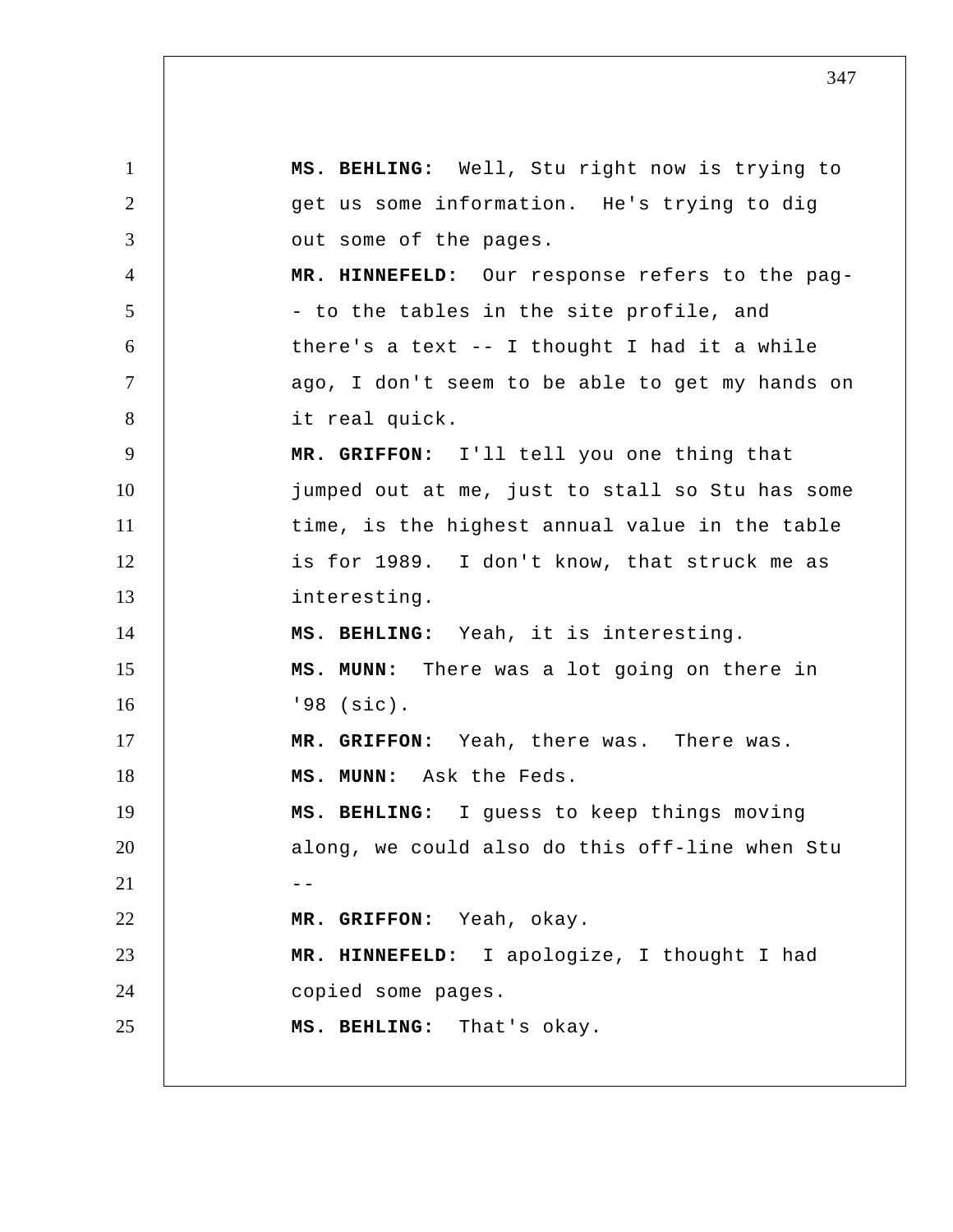1 2 3 4 5 6 7 8 9 10 11 12 13 14 15 16 17 18 19 20  $21$   $-$ 22 23 24 25  **MS. BEHLING:** Well, Stu right now is trying to get us some information. He's trying to dig out some of the pages.  **MR. HINNEFELD:** Our response refers to the pag - to the tables in the site profile, and there's a text -- I thought I had it a while ago, I don't seem to be able to get my hands on it real quick.  **MR. GRIFFON:** I'll tell you one thing that jumped out at me, just to stall so Stu has some time, is the highest annual value in the table is for 1989. I don't know, that struck me as interesting.  **MS. BEHLING:** Yeah, it is interesting.  **MS. MUNN:** There was a lot going on there in '98 (sic).  **MR. GRIFFON:** Yeah, there was. There was.  **MS. MUNN:** Ask the Feds.  **MS. BEHLING:** I guess to keep things moving along, we could also do this off-line when Stu  **MR. GRIFFON:** Yeah, okay.  **MR. HINNEFELD:** I apologize, I thought I had copied some pages.  **MS. BEHLING:** That's okay.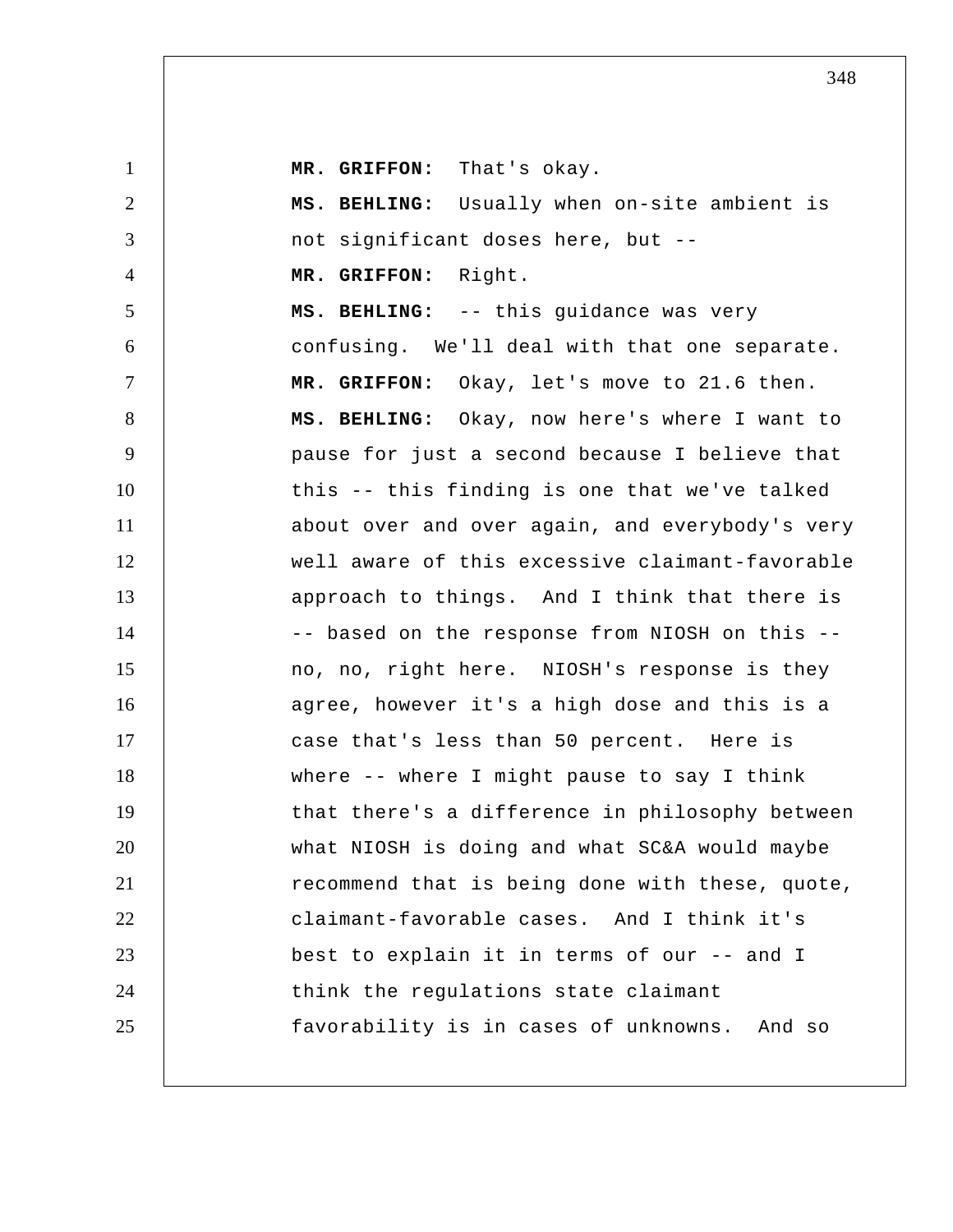**MR. GRIFFON:** That's okay.

| $\overline{2}$ | MS. BEHLING: Usually when on-site ambient is    |
|----------------|-------------------------------------------------|
| 3              | not significant doses here, but --              |
| $\overline{4}$ | MR. GRIFFON: Right.                             |
| 5              | MS. BEHLING: -- this guidance was very          |
| 6              | confusing. We'll deal with that one separate.   |
| $\tau$         | MR. GRIFFON: Okay, let's move to 21.6 then.     |
| 8              | MS. BEHLING: Okay, now here's where I want to   |
| 9              | pause for just a second because I believe that  |
| 10             | this -- this finding is one that we've talked   |
| 11             | about over and over again, and everybody's very |
| 12             | well aware of this excessive claimant-favorable |
| 13             | approach to things. And I think that there is   |
| 14             | -- based on the response from NIOSH on this --  |
| 15             | no, no, right here. NIOSH's response is they    |
| 16             | agree, however it's a high dose and this is a   |
| 17             | case that's less than 50 percent. Here is       |
| 18             | where -- where I might pause to say I think     |
| 19             | that there's a difference in philosophy between |
| 20             | what NIOSH is doing and what SC&A would maybe   |
| 21             | recommend that is being done with these, quote, |
| 22             | claimant-favorable cases. And I think it's      |
| 23             | best to explain it in terms of our -- and I     |
| 24             | think the regulations state claimant            |
| 25             | favorability is in cases of unknowns. And so    |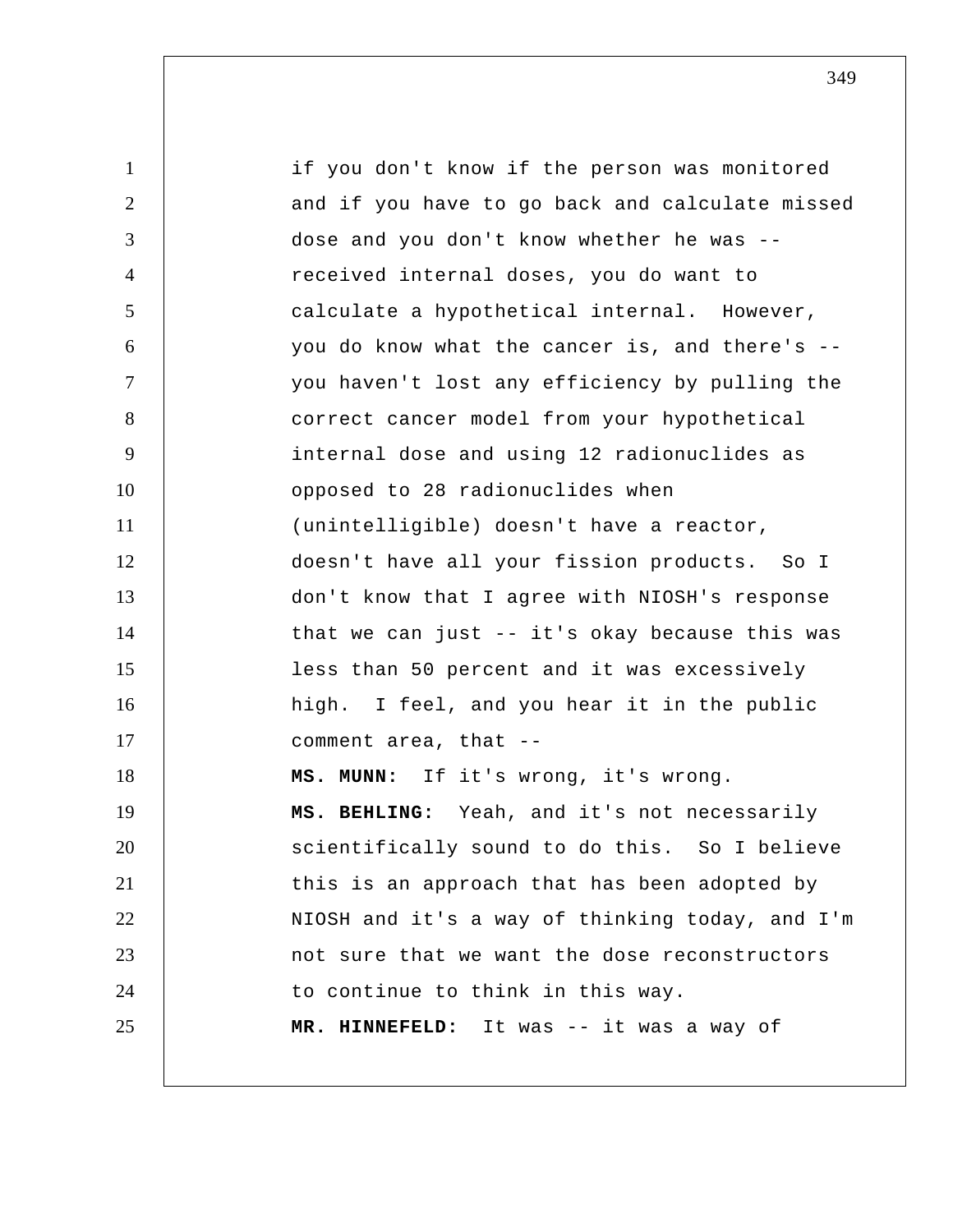| $\mathbf{1}$   | if you don't know if the person was monitored   |
|----------------|-------------------------------------------------|
| 2              | and if you have to go back and calculate missed |
| 3              | dose and you don't know whether he was --       |
| $\overline{4}$ | received internal doses, you do want to         |
| 5              | calculate a hypothetical internal. However,     |
| 6              | you do know what the cancer is, and there's --  |
| $\tau$         | you haven't lost any efficiency by pulling the  |
| 8              | correct cancer model from your hypothetical     |
| 9              | internal dose and using 12 radionuclides as     |
| 10             | opposed to 28 radionuclides when                |
| 11             | (unintelligible) doesn't have a reactor,        |
| 12             | doesn't have all your fission products. So I    |
| 13             | don't know that I agree with NIOSH's response   |
| 14             | that we can just -- it's okay because this was  |
| 15             | less than 50 percent and it was excessively     |
| 16             | high. I feel, and you hear it in the public     |
| 17             | comment area, that --                           |
| 18             | MS. MUNN: If it's wrong, it's wrong.            |
| 19             | MS. BEHLING: Yeah, and it's not necessarily     |
| 20             | scientifically sound to do this. So I believe   |
| 21             | this is an approach that has been adopted by    |
| 22             | NIOSH and it's a way of thinking today, and I'm |
| 23             | not sure that we want the dose reconstructors   |
| 24             | to continue to think in this way.               |
| 25             | MR. HINNEFELD: It was -- it was a way of        |
|                |                                                 |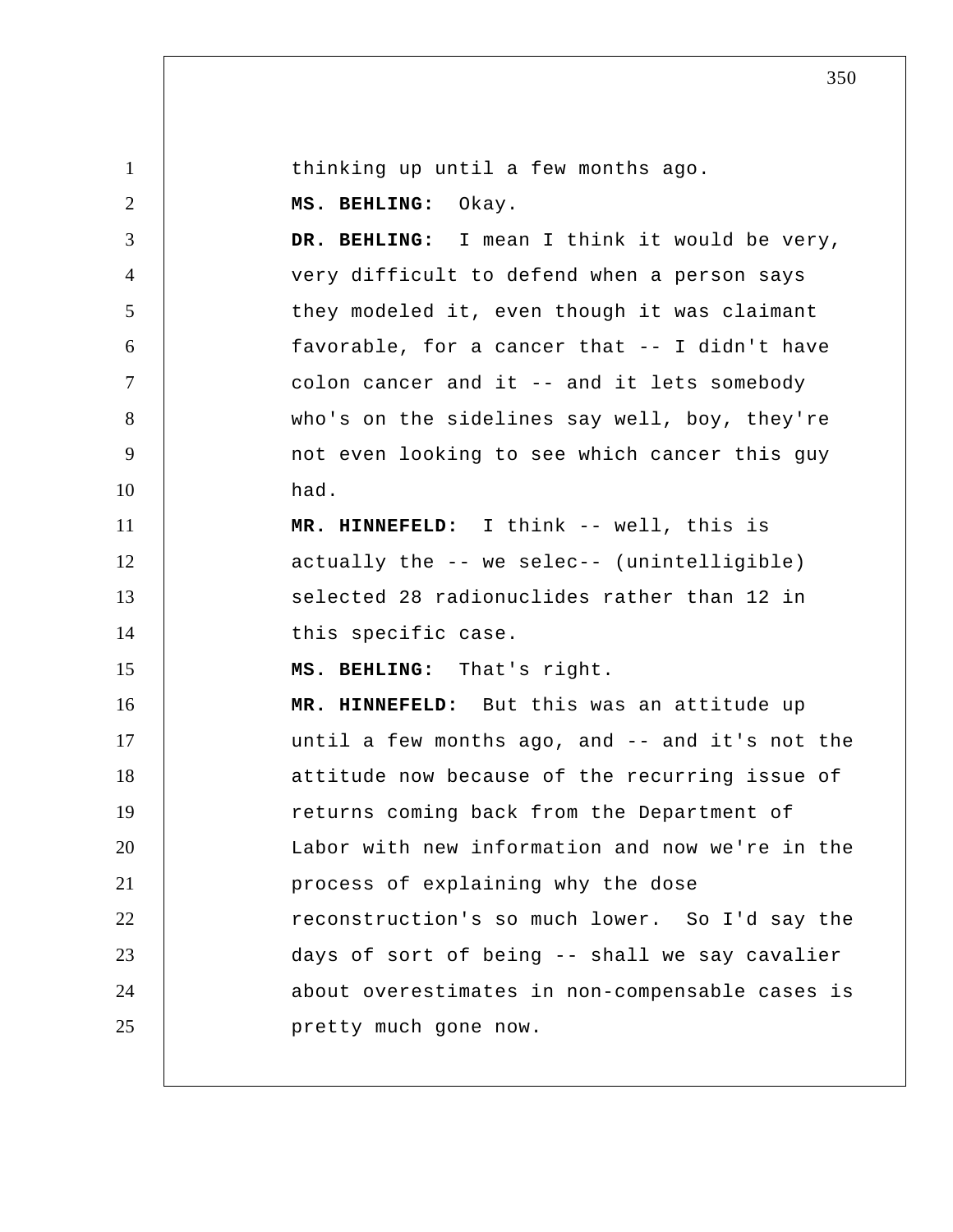| $\mathbf{1}$   | thinking up until a few months ago.             |
|----------------|-------------------------------------------------|
| $\overline{2}$ | MS. BEHLING: Okay.                              |
| 3              | DR. BEHLING: I mean I think it would be very,   |
| $\overline{4}$ | very difficult to defend when a person says     |
| 5              | they modeled it, even though it was claimant    |
| 6              | favorable, for a cancer that -- I didn't have   |
| $\tau$         | colon cancer and it -- and it lets somebody     |
| 8              | who's on the sidelines say well, boy, they're   |
| 9              | not even looking to see which cancer this guy   |
| 10             | had.                                            |
| 11             | MR. HINNEFELD: I think -- well, this is         |
| 12             | actually the -- we selec-- (unintelligible)     |
| 13             | selected 28 radionuclides rather than 12 in     |
| 14             | this specific case.                             |
| 15             | MS. BEHLING: That's right.                      |
| 16             | MR. HINNEFELD: But this was an attitude up      |
| 17             | until a few months ago, and -- and it's not the |
| 18             | attitude now because of the recurring issue of  |
| 19             | returns coming back from the Department of      |
| 20             | Labor with new information and now we're in the |
| 21             | process of explaining why the dose              |
| 22             | reconstruction's so much lower. So I'd say the  |
| 23             | days of sort of being -- shall we say cavalier  |
| 24             | about overestimates in non-compensable cases is |
| 25             | pretty much gone now.                           |
|                |                                                 |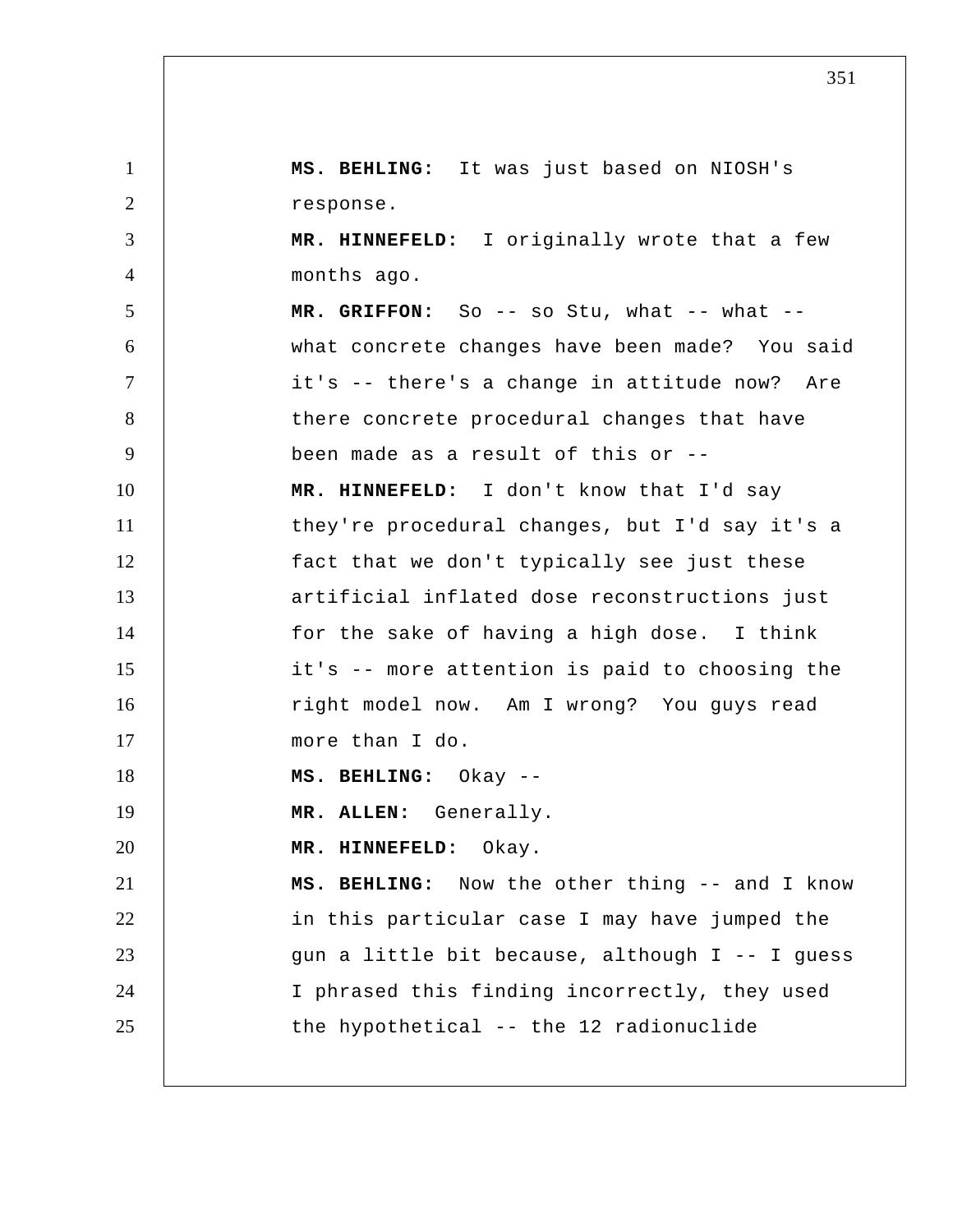1 2 3 4 5 6 7 8 9 10 11 12 13 14 15 16 17 18 19 20 21 22 23 24 25  **MS. BEHLING:** It was just based on NIOSH's response.  **MR. HINNEFELD:** I originally wrote that a few months ago. MR. GRIFFON: So -- so Stu, what -- what -what concrete changes have been made? You said it's -- there's a change in attitude now? Are there concrete procedural changes that have been made as a result of this or --  **MR. HINNEFELD:** I don't know that I'd say they're procedural changes, but I'd say it's a fact that we don't typically see just these artificial inflated dose reconstructions just for the sake of having a high dose. I think it's -- more attention is paid to choosing the right model now. Am I wrong? You guys read more than I do.  **MS. BEHLING:** Okay --**MR. ALLEN:** Generally.  **MR. HINNEFELD:** Okay.  **MS. BEHLING:** Now the other thing -- and I know in this particular case I may have jumped the gun a little bit because, although I -- I guess I phrased this finding incorrectly, they used the hypothetical -- the 12 radionuclide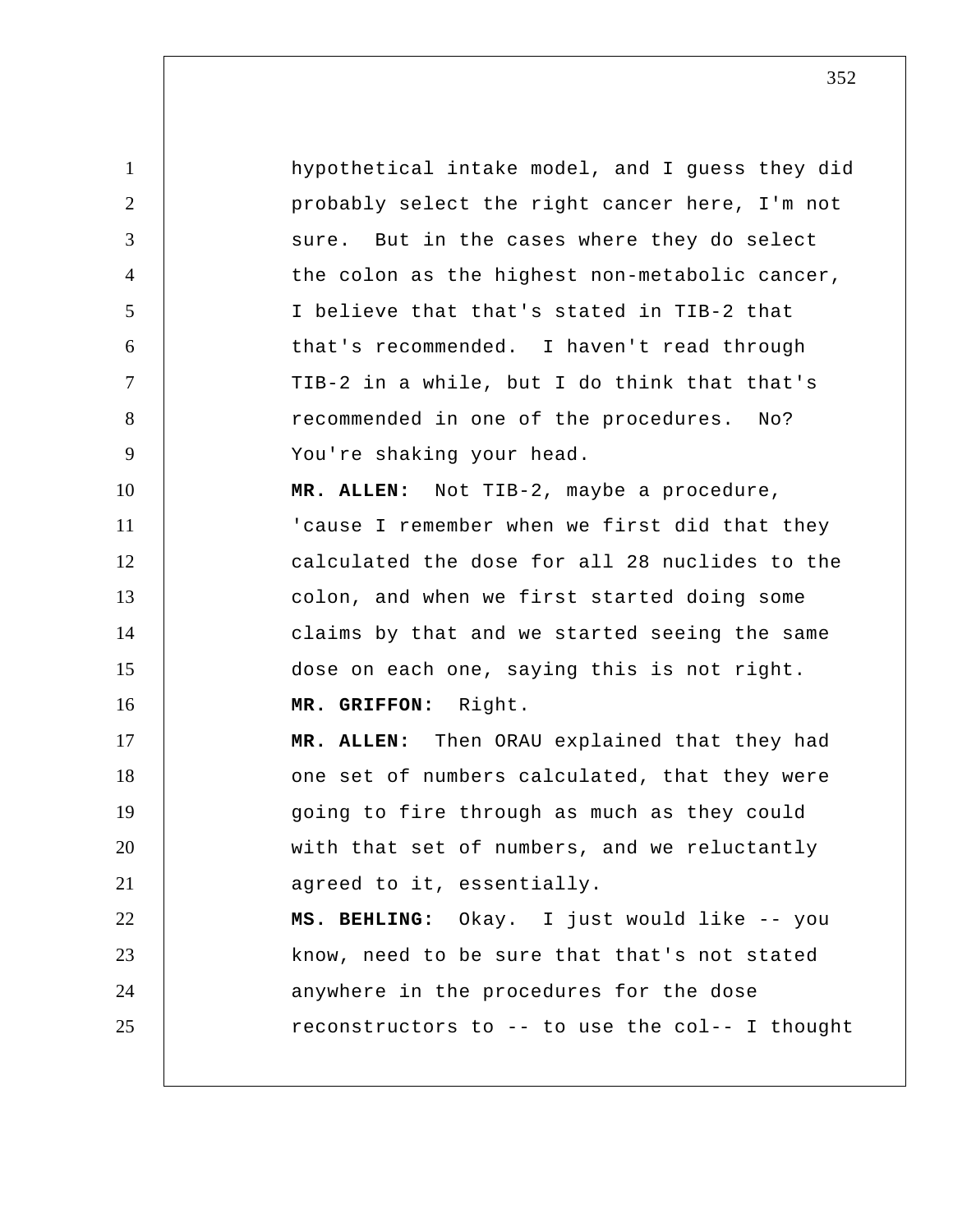1 2 3 4 5 6 7 8 9 10 11 12 13 14 15 16 17 18 19 20 21 22 23 24 25 hypothetical intake model, and I guess they did probably select the right cancer here, I'm not sure. But in the cases where they do select the colon as the highest non-metabolic cancer, I believe that that's stated in TIB-2 that that's recommended. I haven't read through TIB-2 in a while, but I do think that that's recommended in one of the procedures. No? You're shaking your head. **MR. ALLEN:** Not TIB-2, maybe a procedure, 'cause I remember when we first did that they calculated the dose for all 28 nuclides to the colon, and when we first started doing some claims by that and we started seeing the same dose on each one, saying this is not right.  **MR. GRIFFON:** Right. **MR. ALLEN:** Then ORAU explained that they had one set of numbers calculated, that they were going to fire through as much as they could with that set of numbers, and we reluctantly agreed to it, essentially.  **MS. BEHLING:** Okay. I just would like -- you know, need to be sure that that's not stated anywhere in the procedures for the dose reconstructors to -- to use the col-- I thought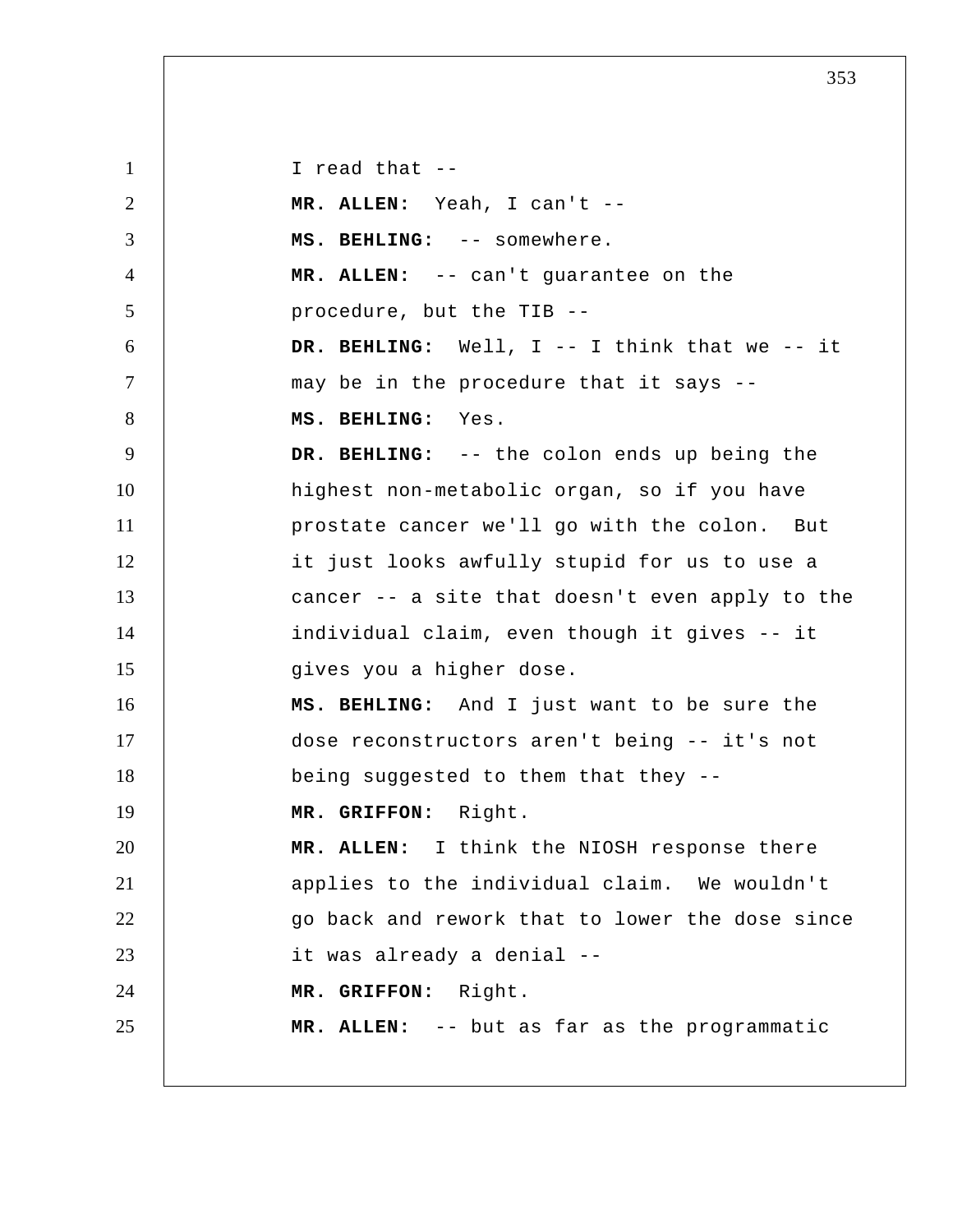1 2 3 4 5 6 7 8 9 10 11 12 13 14 15 16 17 18 19 20 21 22 23 24 25 I read that --**MR. ALLEN:** Yeah, I can't -- **MS. BEHLING:** -- somewhere. **MR. ALLEN:** -- can't guarantee on the procedure, but the TIB --  **DR. BEHLING:** Well, I -- I think that we -- it may be in the procedure that it says --  **MS. BEHLING:** Yes.  **DR. BEHLING:** -- the colon ends up being the highest non-metabolic organ, so if you have prostate cancer we'll go with the colon. But it just looks awfully stupid for us to use a cancer -- a site that doesn't even apply to the individual claim, even though it gives -- it gives you a higher dose.  **MS. BEHLING:** And I just want to be sure the dose reconstructors aren't being -- it's not being suggested to them that they --  **MR. GRIFFON:** Right. **MR. ALLEN:** I think the NIOSH response there applies to the individual claim. We wouldn't go back and rework that to lower the dose since it was already a denial --  **MR. GRIFFON:** Right. **MR. ALLEN:** -- but as far as the programmatic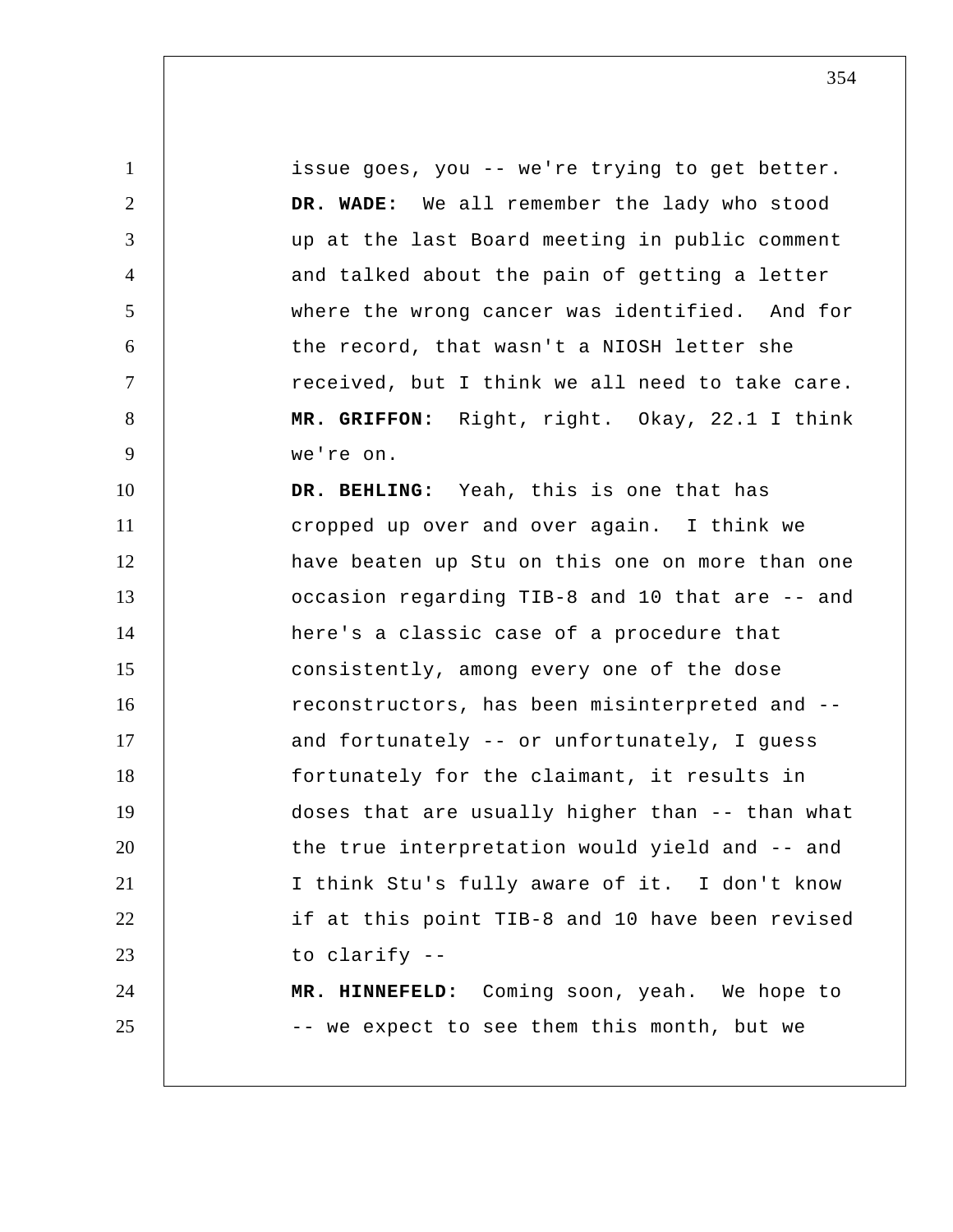1 2 3 4 5 6 7 8 9 10 11 12 13 14 15 16 17 18 19 20 21 22 23 24 25 issue goes, you -- we're trying to get better.  **DR. WADE:** We all remember the lady who stood up at the last Board meeting in public comment and talked about the pain of getting a letter where the wrong cancer was identified. And for the record, that wasn't a NIOSH letter she received, but I think we all need to take care.  **MR. GRIFFON:** Right, right. Okay, 22.1 I think we're on.  **DR. BEHLING:** Yeah, this is one that has cropped up over and over again. I think we have beaten up Stu on this one on more than one occasion regarding TIB-8 and 10 that are -- and here's a classic case of a procedure that consistently, among every one of the dose reconstructors, has been misinterpreted and - and fortunately -- or unfortunately, I guess fortunately for the claimant, it results in doses that are usually higher than -- than what the true interpretation would yield and -- and I think Stu's fully aware of it. I don't know if at this point TIB-8 and 10 have been revised to clarify --  **MR. HINNEFELD:** Coming soon, yeah. We hope to -- we expect to see them this month, but we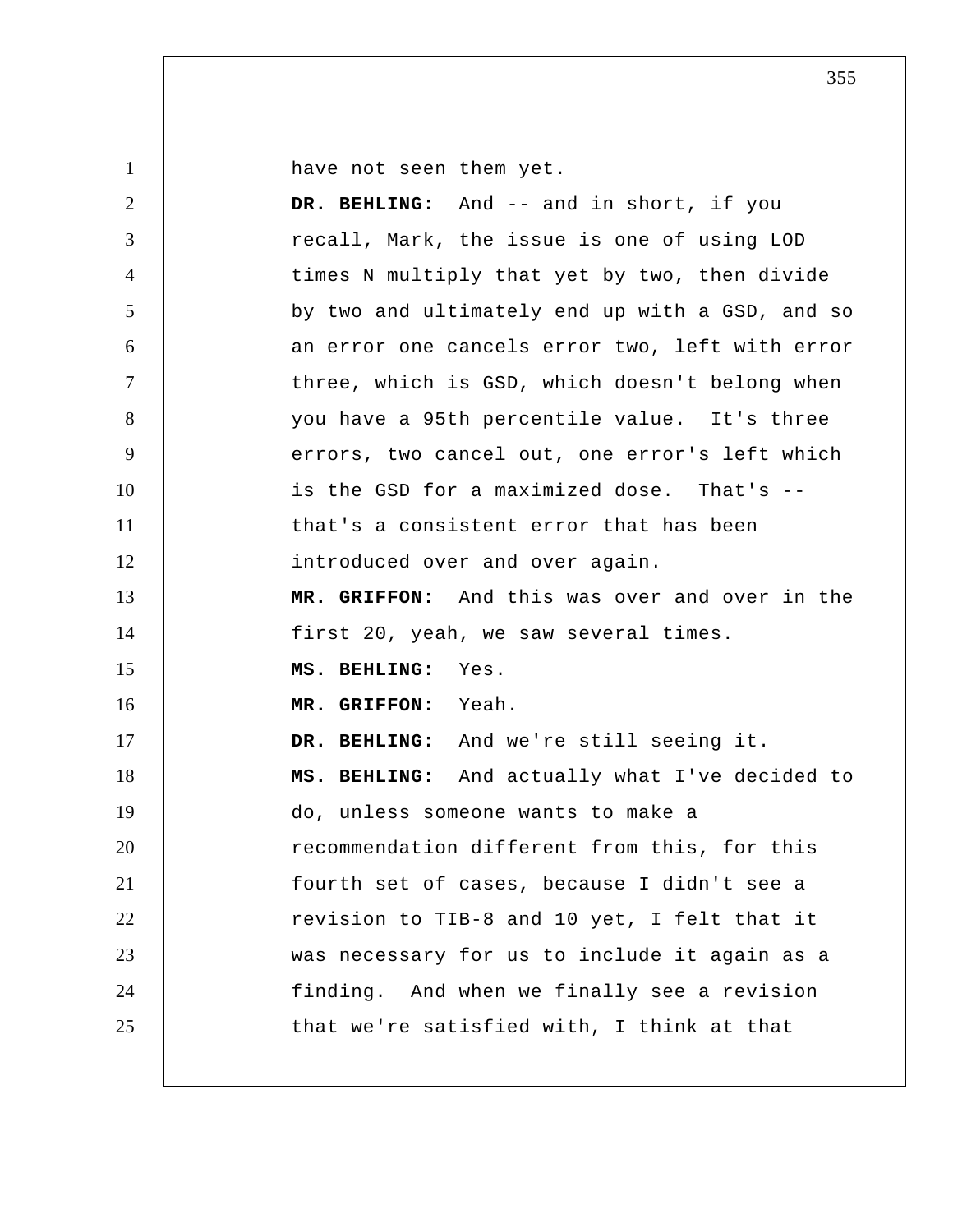1

have not seen them yet.

| 2              | DR. BEHLING: And -- and in short, if you        |
|----------------|-------------------------------------------------|
| 3              | recall, Mark, the issue is one of using LOD     |
| $\overline{4}$ | times N multiply that yet by two, then divide   |
| 5              | by two and ultimately end up with a GSD, and so |
| 6              | an error one cancels error two, left with error |
| $\tau$         | three, which is GSD, which doesn't belong when  |
| 8              | you have a 95th percentile value. It's three    |
| 9              | errors, two cancel out, one error's left which  |
| 10             | is the GSD for a maximized dose. That's --      |
| 11             | that's a consistent error that has been         |
| 12             | introduced over and over again.                 |
| 13             | MR. GRIFFON: And this was over and over in the  |
| 14             | first 20, yeah, we saw several times.           |
| 15             | MS. BEHLING: Yes.                               |
| 16             | MR. GRIFFON: Yeah.                              |
| 17             | DR. BEHLING: And we're still seeing it.         |
| 18             | MS. BEHLING: And actually what I've decided to  |
| 19             | do, unless someone wants to make a              |
| 20             | recommendation different from this, for this    |
| 21             | fourth set of cases, because I didn't see a     |
| 22             | revision to TIB-8 and 10 yet, I felt that it    |
| 23             | was necessary for us to include it again as a   |
| 24             | finding. And when we finally see a revision     |
| 25             | that we're satisfied with, I think at that      |
|                |                                                 |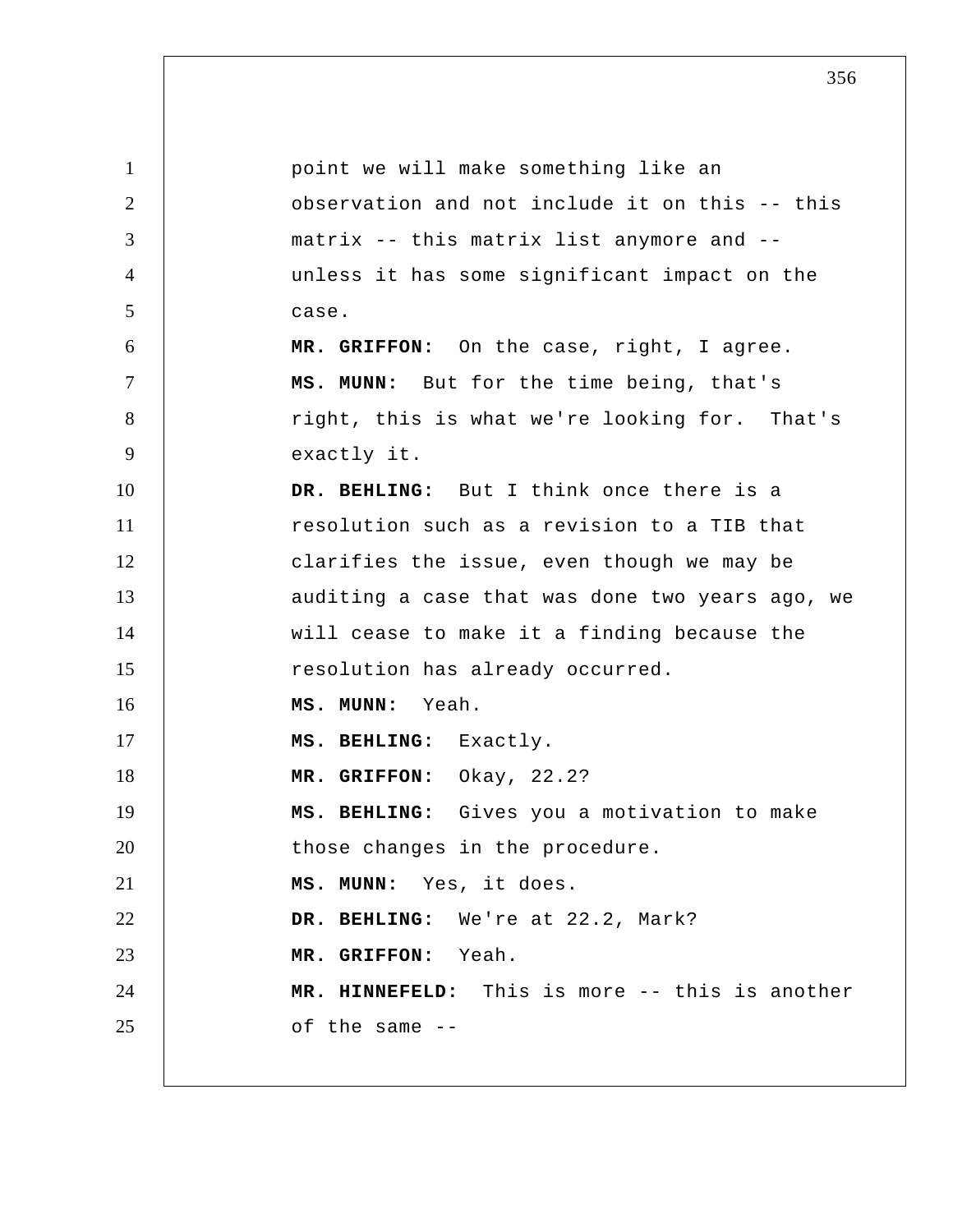| $\mathbf{1}$   | point we will make something like an            |
|----------------|-------------------------------------------------|
| $\overline{2}$ | observation and not include it on this -- this  |
| 3              | matrix -- this matrix list anymore and --       |
| $\overline{4}$ | unless it has some significant impact on the    |
| 5              | case.                                           |
| 6              | MR. GRIFFON: On the case, right, I agree.       |
| $\overline{7}$ | MS. MUNN: But for the time being, that's        |
| 8              | right, this is what we're looking for. That's   |
| 9              | exactly it.                                     |
| 10             | DR. BEHLING: But I think once there is a        |
| 11             | resolution such as a revision to a TIB that     |
| 12             | clarifies the issue, even though we may be      |
| 13             | auditing a case that was done two years ago, we |
| 14             | will cease to make it a finding because the     |
| 15             | resolution has already occurred.                |
| 16             | MS. MUNN: Yeah.                                 |
| 17             | MS. BEHLING: Exactly.                           |
| 18             | MR. GRIFFON: Okay, 22.2?                        |
| 19             | MS. BEHLING: Gives you a motivation to make     |
| 20             | those changes in the procedure.                 |
| 21             | MS. MUNN: Yes, it does.                         |
| 22             | DR. BEHLING: We're at 22.2, Mark?               |
| 23             | MR. GRIFFON: Yeah.                              |
| 24             | MR. HINNEFELD: This is more -- this is another  |
| 25             | of the same --                                  |
|                |                                                 |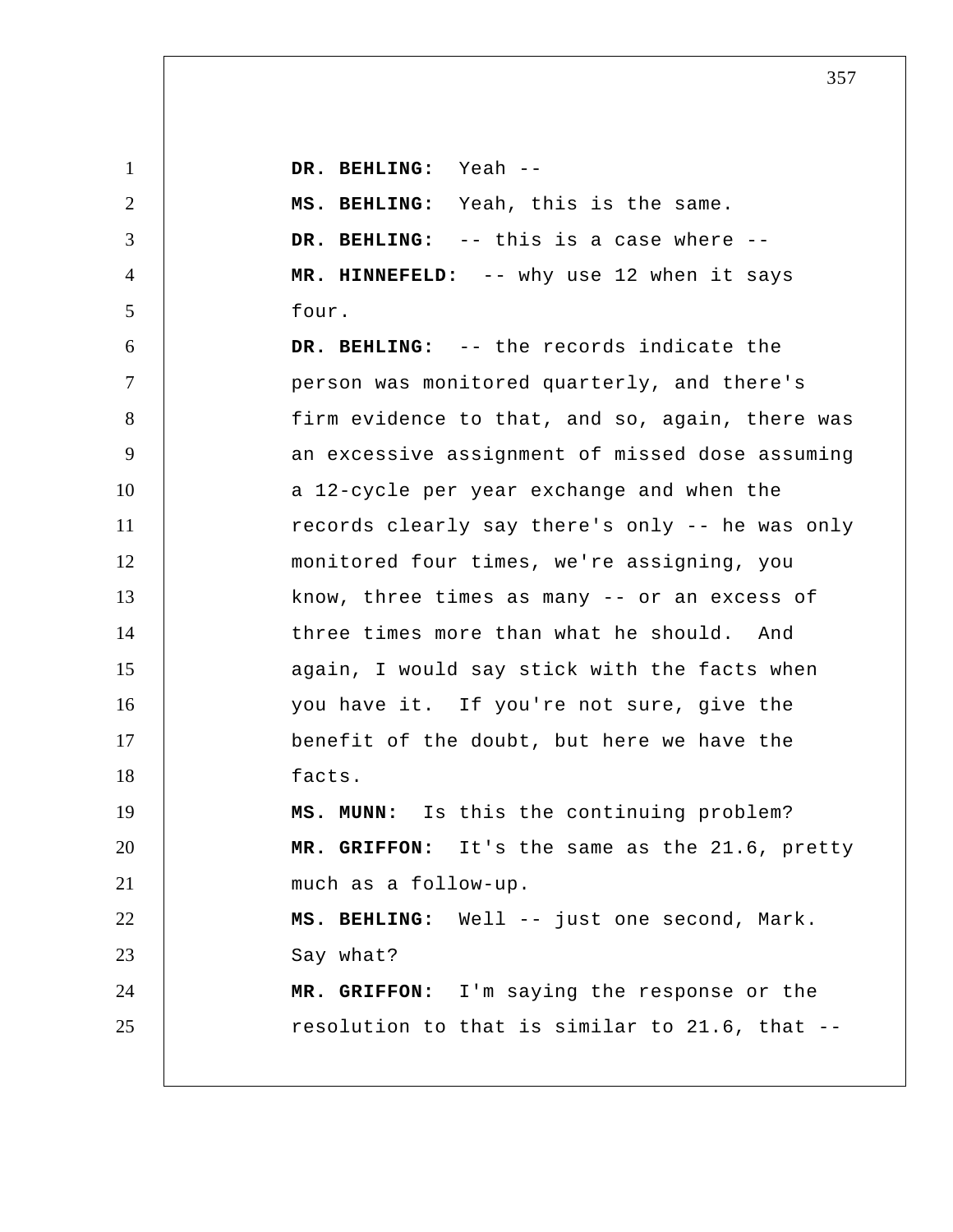1 2 3 4 5 6 7 8 9 10 11 12 13 14 15 16 17 18 19 20 21 22 23 24 25  **DR. BEHLING:** Yeah --  **MS. BEHLING:** Yeah, this is the same.  **DR. BEHLING:** -- this is a case where --  **MR. HINNEFELD:** -- why use 12 when it says four.  **DR. BEHLING:** -- the records indicate the person was monitored quarterly, and there's firm evidence to that, and so, again, there was an excessive assignment of missed dose assuming a 12-cycle per year exchange and when the records clearly say there's only -- he was only monitored four times, we're assigning, you know, three times as many -- or an excess of three times more than what he should. And again, I would say stick with the facts when you have it. If you're not sure, give the benefit of the doubt, but here we have the facts.  **MS. MUNN:** Is this the continuing problem?  **MR. GRIFFON:** It's the same as the 21.6, pretty much as a follow-up.  **MS. BEHLING:** Well -- just one second, Mark. Say what?  **MR. GRIFFON:** I'm saying the response or the resolution to that is similar to 21.6, that --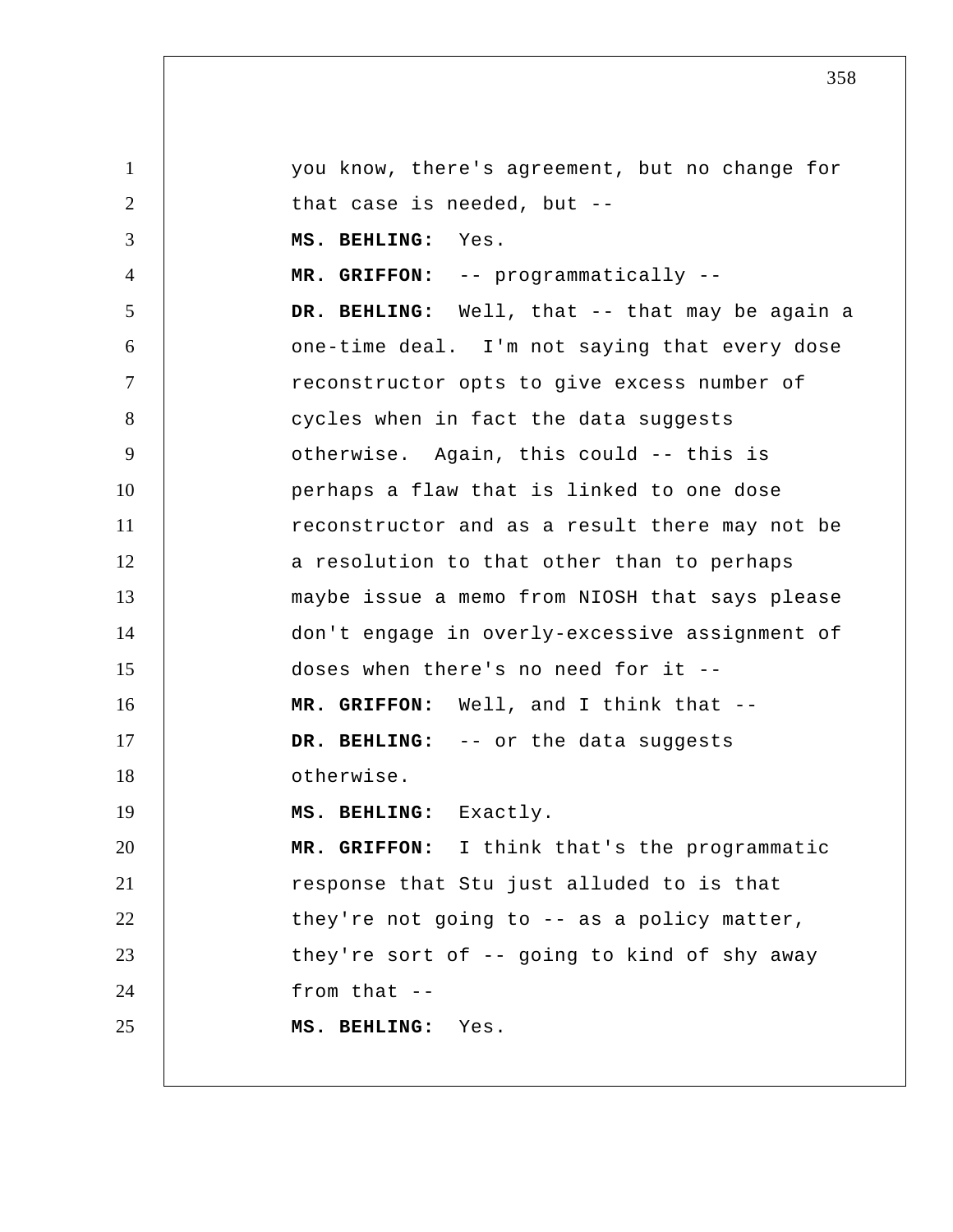1 2 3 4 5 6 7 8 9 10 11 12 13 14 15 16 17 18 19 20 21 22 23 24 25 you know, there's agreement, but no change for that case is needed, but --  **MS. BEHLING:** Yes.  **MR. GRIFFON:** -- programmatically --  **DR. BEHLING:** Well, that -- that may be again a one-time deal. I'm not saying that every dose reconstructor opts to give excess number of cycles when in fact the data suggests otherwise. Again, this could -- this is perhaps a flaw that is linked to one dose reconstructor and as a result there may not be a resolution to that other than to perhaps maybe issue a memo from NIOSH that says please don't engage in overly-excessive assignment of doses when there's no need for it --  **MR. GRIFFON:** Well, and I think that -- **DR. BEHLING:** -- or the data suggests otherwise.  **MS. BEHLING:** Exactly.  **MR. GRIFFON:** I think that's the programmatic response that Stu just alluded to is that they're not going to -- as a policy matter, they're sort of -- going to kind of shy away from that -- **MS. BEHLING:** Yes.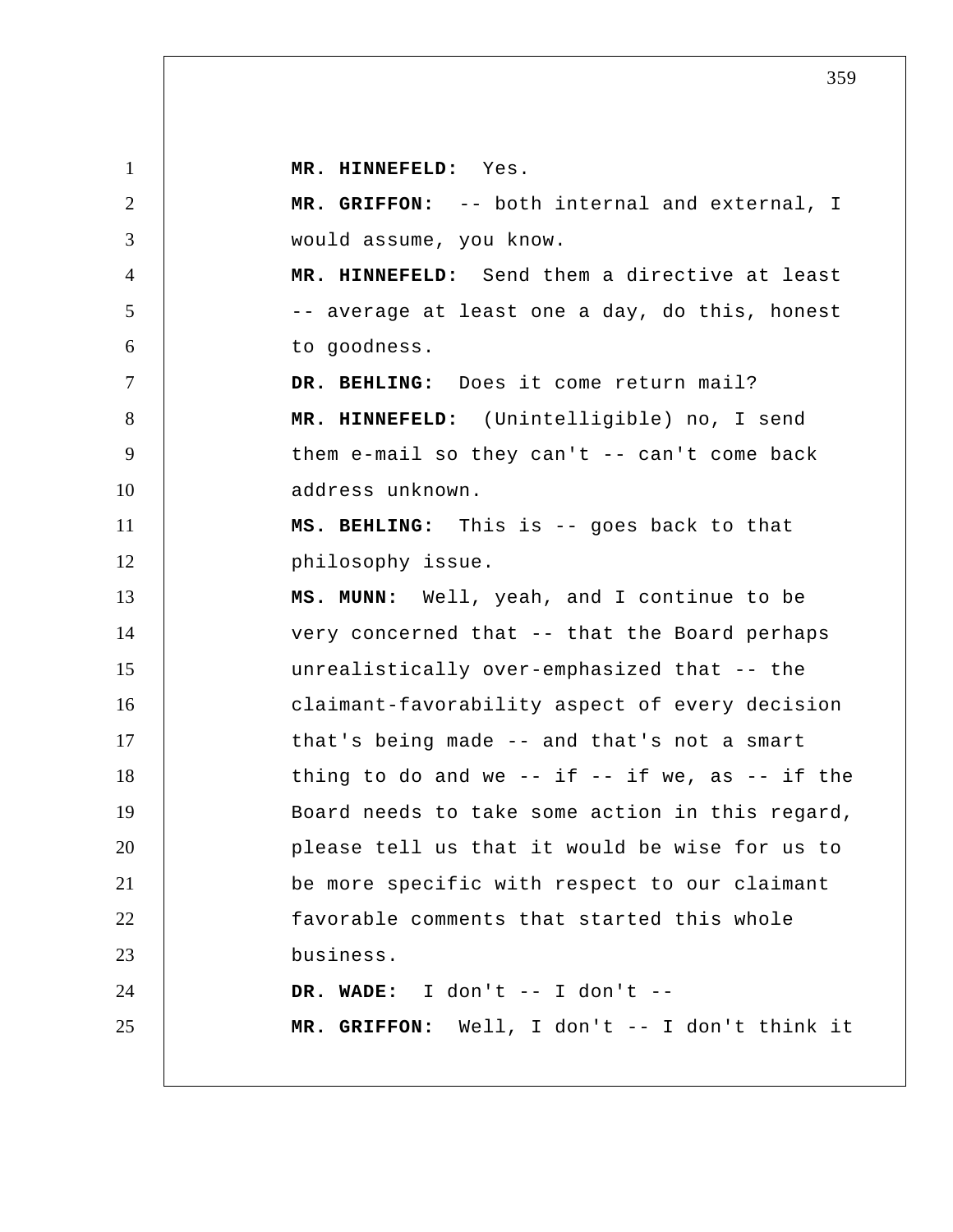1 2 3 4 5 6 7 8 9 10 11 12 13 14 15 16 17 18 19 20 21 22 23 24 25  **MR. HINNEFELD:** Yes.  **MR. GRIFFON:** -- both internal and external, I would assume, you know.  **MR. HINNEFELD:** Send them a directive at least -- average at least one a day, do this, honest to goodness.  **DR. BEHLING:** Does it come return mail?  **MR. HINNEFELD:** (Unintelligible) no, I send them e-mail so they can't  $-$  can't come back address unknown.  **MS. BEHLING:** This is -- goes back to that philosophy issue.  **MS. MUNN:** Well, yeah, and I continue to be very concerned that -- that the Board perhaps unrealistically over-emphasized that -- the claimant-favorability aspect of every decision that's being made -- and that's not a smart thing to do and we  $--$  if  $--$  if we, as  $--$  if the Board needs to take some action in this regard, please tell us that it would be wise for us to be more specific with respect to our claimant favorable comments that started this whole business.  **DR. WADE:** I don't -- I don't -- **MR. GRIFFON:** Well, I don't -- I don't think it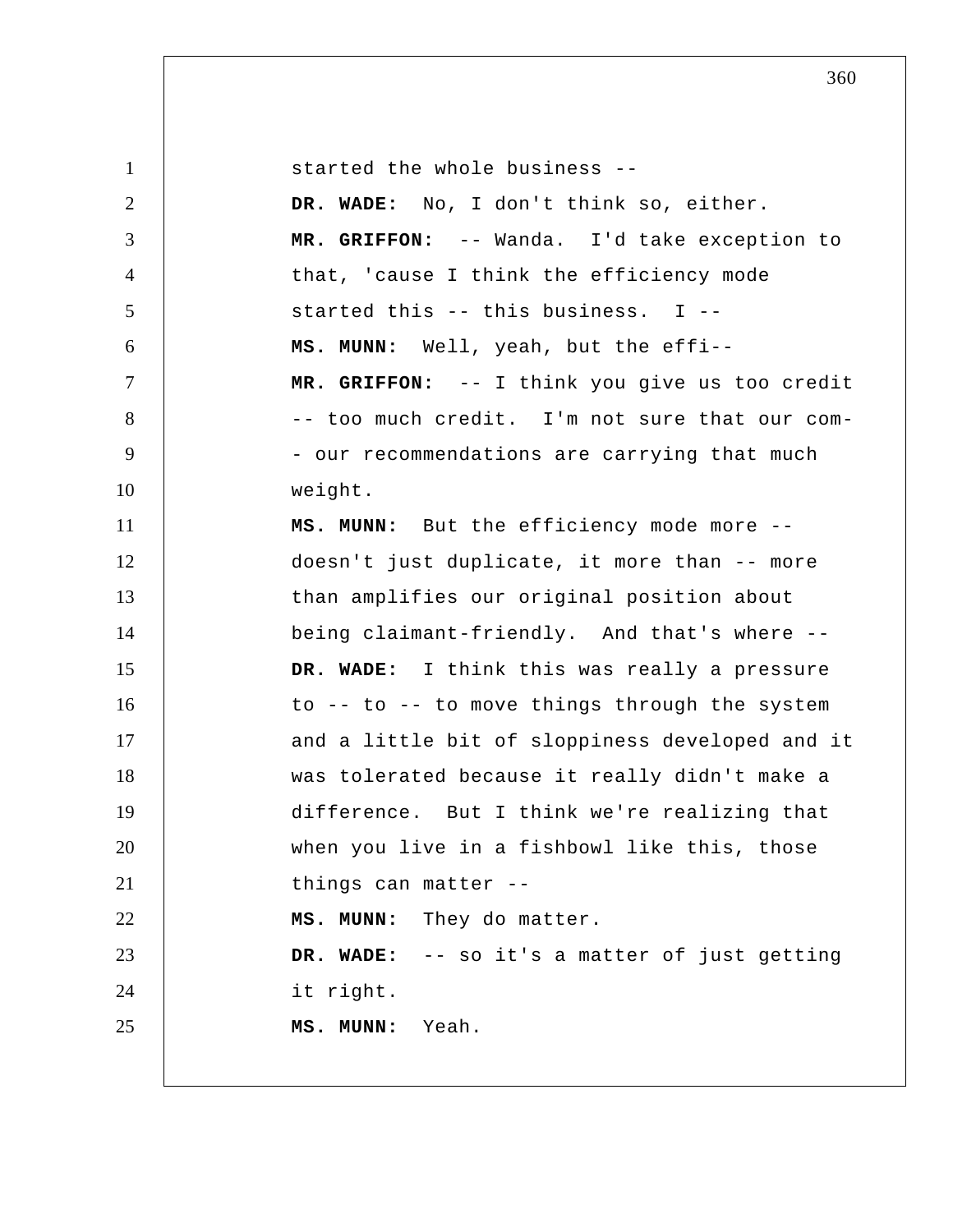| $\mathbf{1}$   | started the whole business --                   |
|----------------|-------------------------------------------------|
| $\overline{2}$ | DR. WADE: No, I don't think so, either.         |
| 3              | MR. GRIFFON: -- Wanda. I'd take exception to    |
| $\overline{4}$ | that, 'cause I think the efficiency mode        |
| 5              | started this -- this business. I --             |
| 6              | MS. MUNN: Well, yeah, but the effi--            |
| $\overline{7}$ | MR. GRIFFON: -- I think you give us too credit  |
| 8              | -- too much credit. I'm not sure that our com-  |
| 9              | - our recommendations are carrying that much    |
| 10             | weight.                                         |
| 11             | MS. MUNN: But the efficiency mode more --       |
| 12             | doesn't just duplicate, it more than -- more    |
| 13             | than amplifies our original position about      |
| 14             | being claimant-friendly. And that's where --    |
| 15             | DR. WADE: I think this was really a pressure    |
| 16             | to -- to -- to move things through the system   |
| 17             | and a little bit of sloppiness developed and it |
| 18             | was tolerated because it really didn't make a   |
| 19             | difference. But I think we're realizing that    |
| 20             | when you live in a fishbowl like this, those    |
| 21             | things can matter --                            |
| 22             | MS. MUNN: They do matter.                       |
| 23             | DR. WADE: -- so it's a matter of just getting   |
| 24             | it right.                                       |
| 25             | MS. MUNN: Yeah.                                 |
|                |                                                 |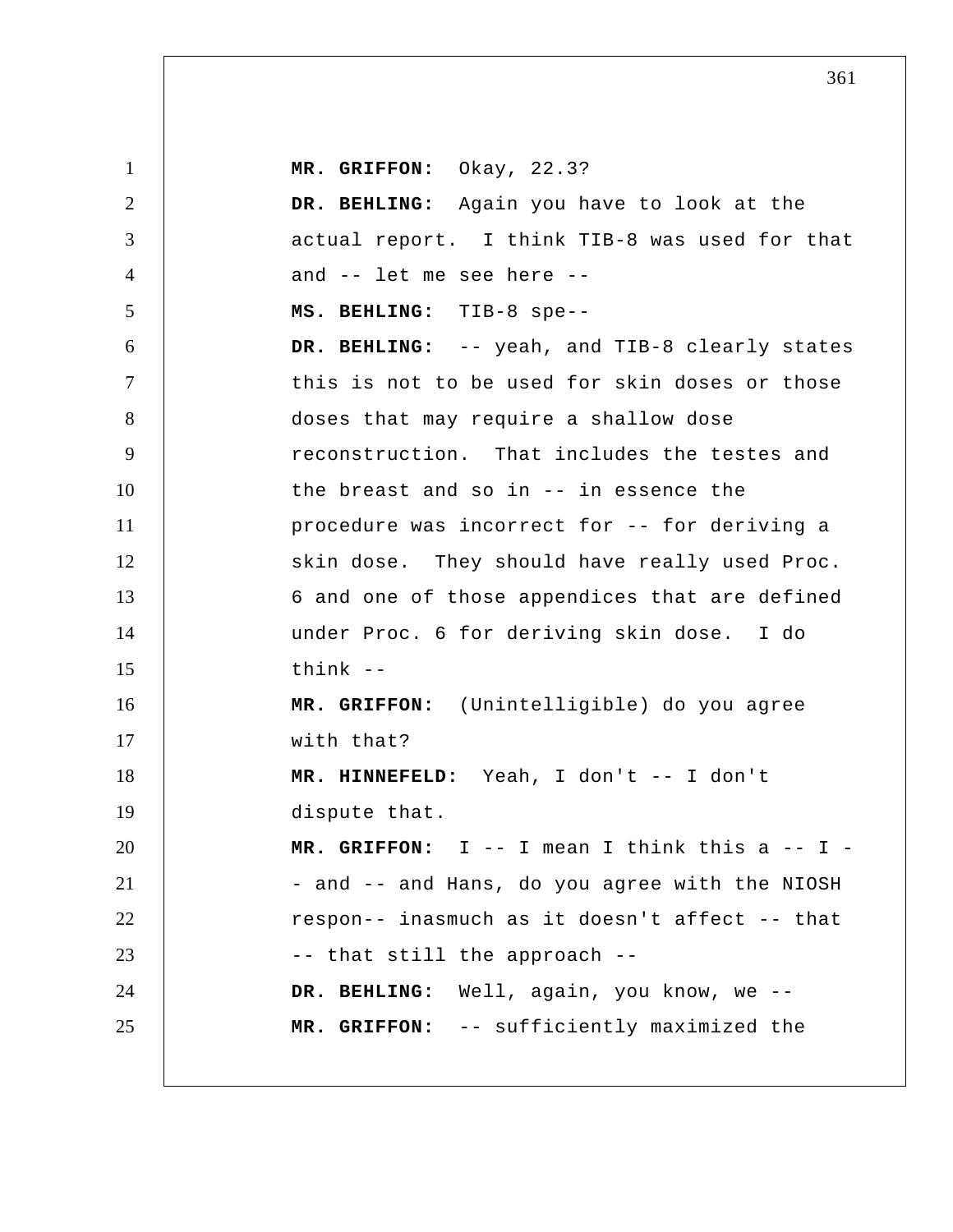1 2 3 4 5 6 7 8 9 10 11 12 13 14 15 16 17 18 19 20 21 22 23 24 25  **MR. GRIFFON:** Okay, 22.3?  **DR. BEHLING:** Again you have to look at the actual report. I think TIB-8 was used for that and -- let me see here -- **MS. BEHLING:** TIB-8 spe-- **DR. BEHLING:** -- yeah, and TIB-8 clearly states this is not to be used for skin doses or those doses that may require a shallow dose reconstruction. That includes the testes and the breast and so in -- in essence the procedure was incorrect for -- for deriving a skin dose. They should have really used Proc. 6 and one of those appendices that are defined under Proc. 6 for deriving skin dose. I do think -- **MR. GRIFFON:** (Unintelligible) do you agree with that?  **MR. HINNEFELD:** Yeah, I don't -- I don't dispute that.  **MR. GRIFFON:** I -- I mean I think this a -- I - and -- and Hans, do you agree with the NIOSH respon-- inasmuch as it doesn't affect -- that -- that still the approach --  **DR. BEHLING:** Well, again, you know, we --  **MR. GRIFFON:** -- sufficiently maximized the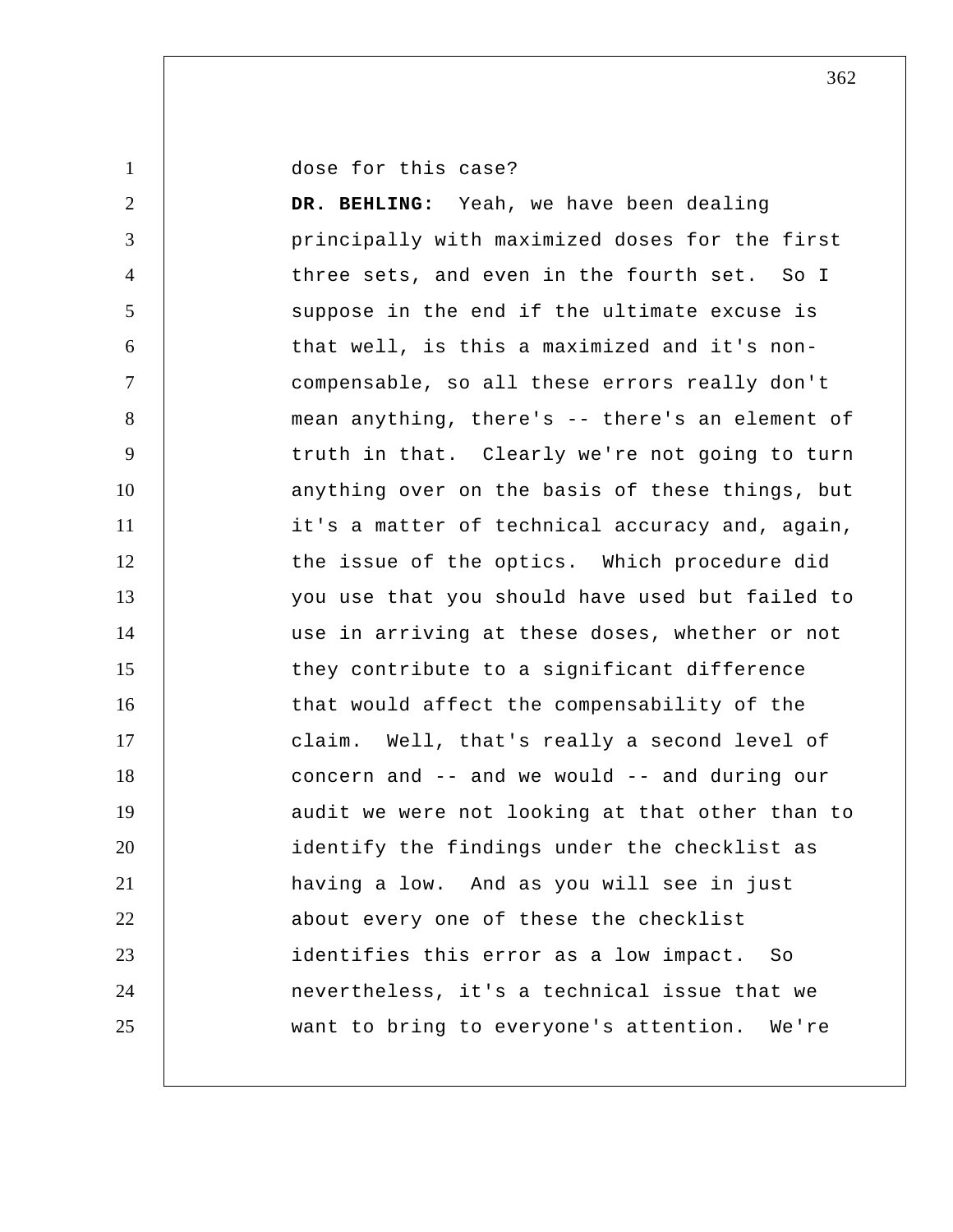dose for this case?

1

2 3 4 5 6 7 8 9 10 11 12 13 14 15 16 17 18 19 20 21 22 23 24 25  **DR. BEHLING:** Yeah, we have been dealing principally with maximized doses for the first three sets, and even in the fourth set. So I suppose in the end if the ultimate excuse is that well, is this a maximized and it's noncompensable, so all these errors really don't mean anything, there's -- there's an element of truth in that. Clearly we're not going to turn anything over on the basis of these things, but it's a matter of technical accuracy and, again, the issue of the optics. Which procedure did you use that you should have used but failed to use in arriving at these doses, whether or not they contribute to a significant difference that would affect the compensability of the claim. Well, that's really a second level of concern and -- and we would -- and during our audit we were not looking at that other than to identify the findings under the checklist as having a low. And as you will see in just about every one of these the checklist identifies this error as a low impact. So nevertheless, it's a technical issue that we want to bring to everyone's attention. We're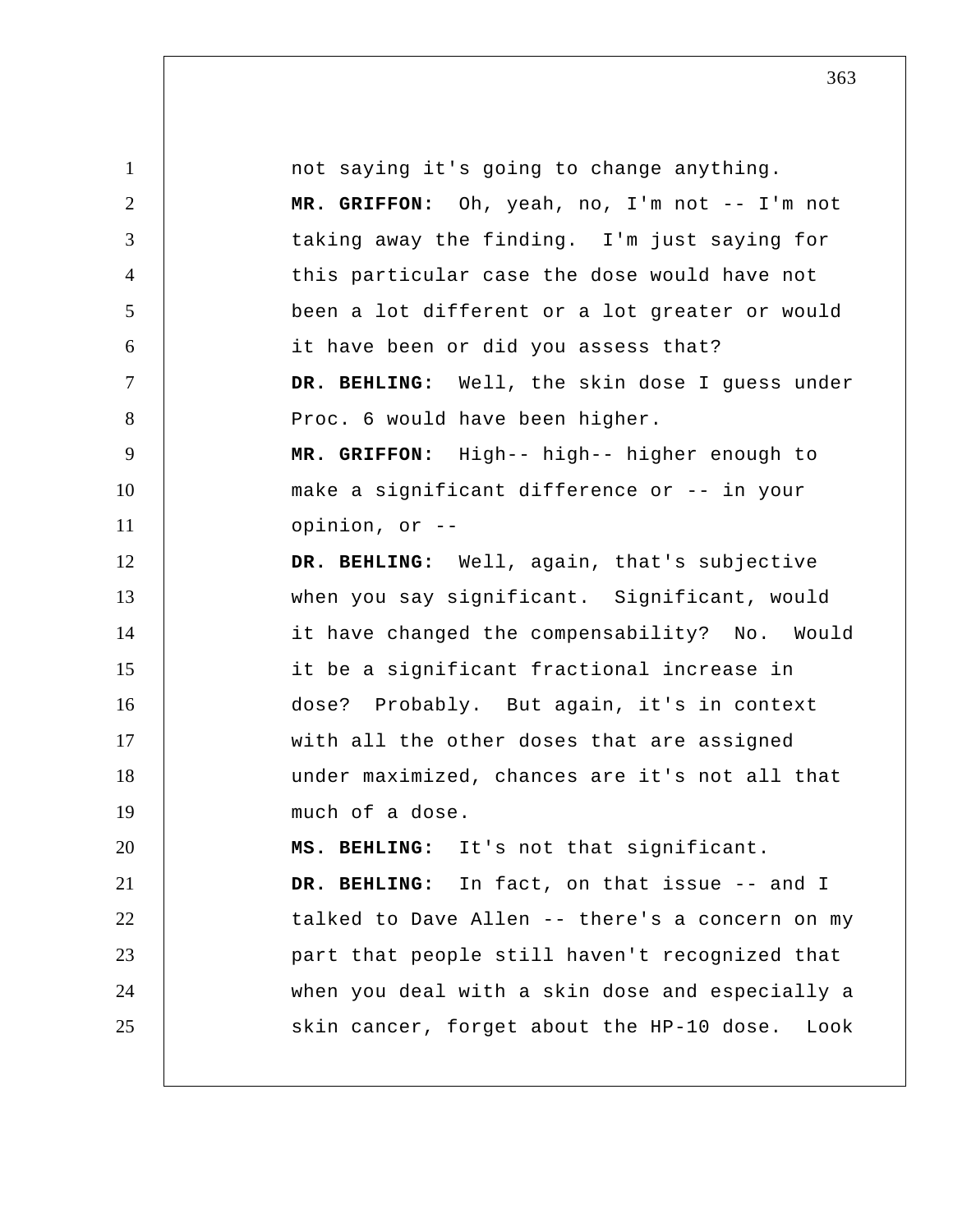| $\mathbf{1}$   | not saying it's going to change anything.         |
|----------------|---------------------------------------------------|
| $\overline{2}$ | MR. GRIFFON: Oh, yeah, no, I'm not -- I'm not     |
| 3              | taking away the finding. I'm just saying for      |
| $\overline{4}$ | this particular case the dose would have not      |
| 5              | been a lot different or a lot greater or would    |
| 6              | it have been or did you assess that?              |
| 7              | DR. BEHLING: Well, the skin dose I guess under    |
| 8              | Proc. 6 would have been higher.                   |
| 9              | MR. GRIFFON: High-- high-- higher enough to       |
| 10             | make a significant difference or -- in your       |
| 11             | opinion, or --                                    |
| 12             | DR. BEHLING: Well, again, that's subjective       |
| 13             | when you say significant. Significant, would      |
| 14             | it have changed the compensability? No. Would     |
| 15             | it be a significant fractional increase in        |
| 16             | dose? Probably. But again, it's in context        |
| 17             | with all the other doses that are assigned        |
| 18             | under maximized, chances are it's not all that    |
| 19             | much of a dose.                                   |
| 20             | MS. BEHLING: It's not that significant.           |
| 21             | DR. BEHLING: In fact, on that issue -- and I      |
| 22             | talked to Dave Allen -- there's a concern on my   |
| 23             | part that people still haven't recognized that    |
| 24             | when you deal with a skin dose and especially a   |
| 25             | skin cancer, forget about the HP-10 dose.<br>Look |
|                |                                                   |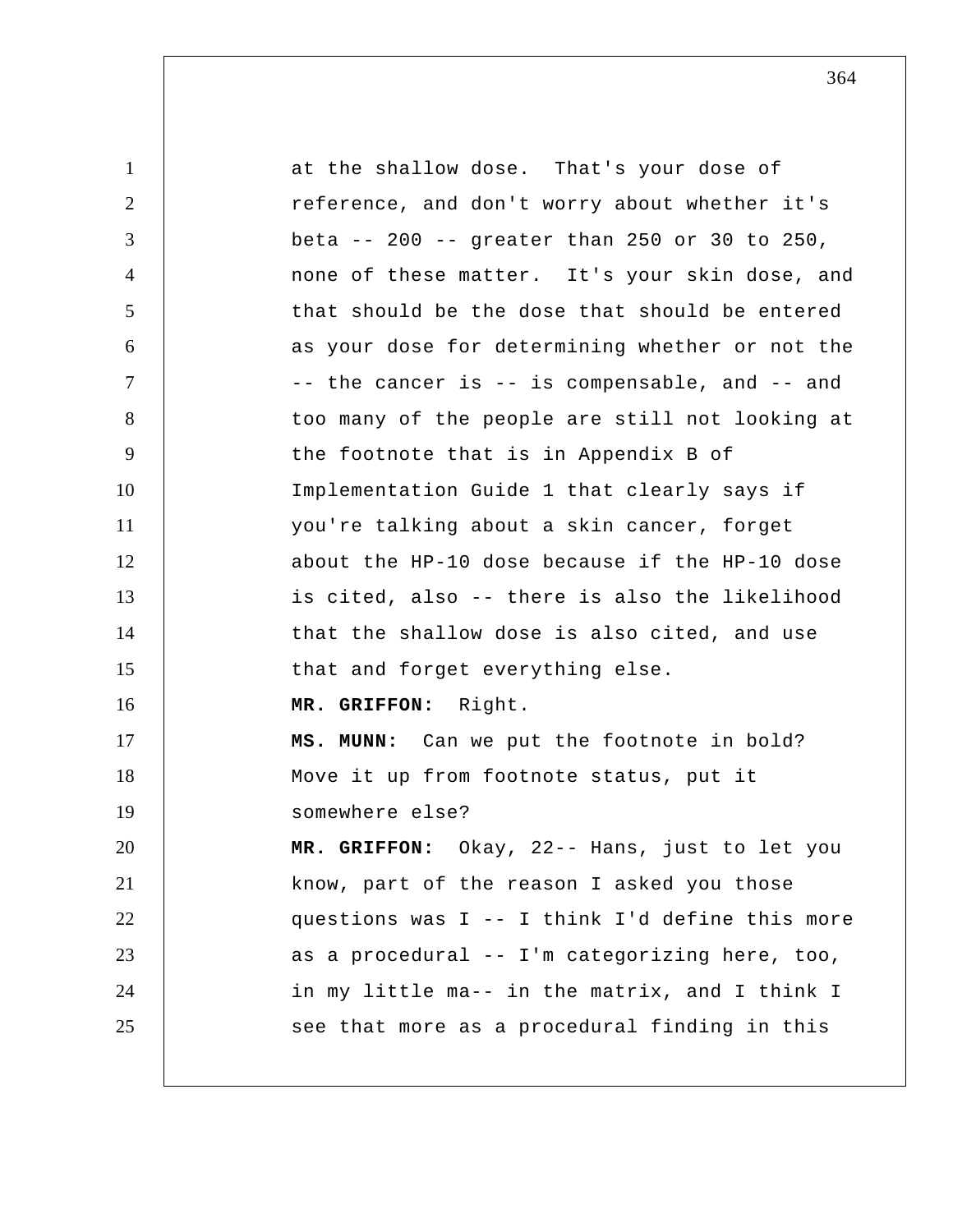| $\mathbf{1}$   | at the shallow dose. That's your dose of        |
|----------------|-------------------------------------------------|
| $\overline{2}$ | reference, and don't worry about whether it's   |
| 3              | beta -- 200 -- greater than 250 or 30 to 250,   |
| $\overline{4}$ | none of these matter. It's your skin dose, and  |
| 5              | that should be the dose that should be entered  |
| 6              | as your dose for determining whether or not the |
| $\tau$         | -- the cancer is -- is compensable, and -- and  |
| 8              | too many of the people are still not looking at |
| 9              | the footnote that is in Appendix B of           |
| 10             | Implementation Guide 1 that clearly says if     |
| 11             | you're talking about a skin cancer, forget      |
| 12             | about the HP-10 dose because if the HP-10 dose  |
| 13             | is cited, also -- there is also the likelihood  |
| 14             | that the shallow dose is also cited, and use    |
| 15             | that and forget everything else.                |
| 16             | MR. GRIFFON: Right.                             |
| 17             | MS. MUNN: Can we put the footnote in bold?      |
| 18             | Move it up from footnote status, put it         |
| 19             | somewhere else?                                 |
| 20             | MR. GRIFFON: Okay, 22-- Hans, just to let you   |
| 21             | know, part of the reason I asked you those      |
| 22             | questions was I -- I think I'd define this more |
| 23             | as a procedural -- I'm categorizing here, too,  |
| 24             | in my little ma-- in the matrix, and I think I  |
| 25             | see that more as a procedural finding in this   |
|                |                                                 |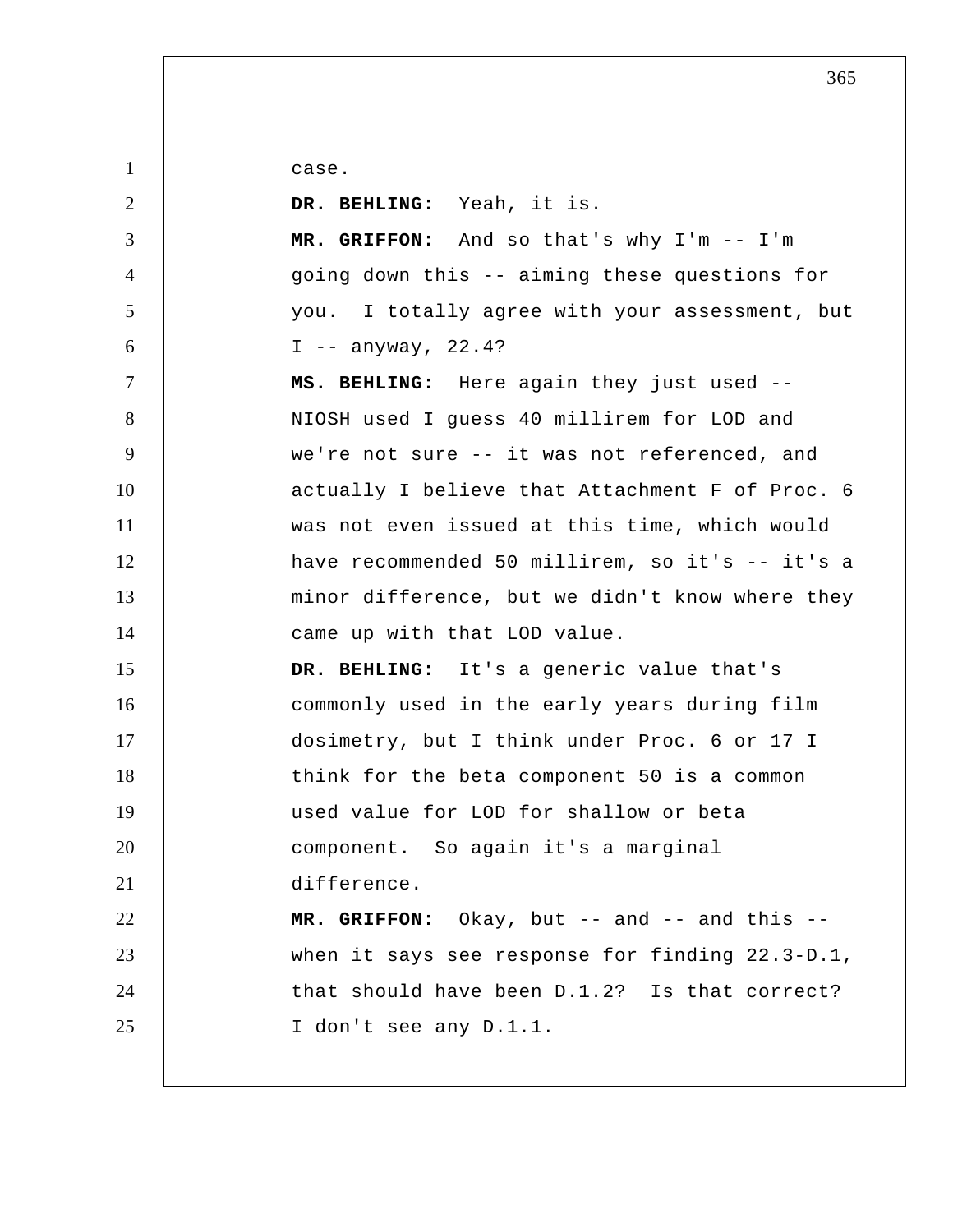case.

| $\overline{2}$ | DR. BEHLING: Yeah, it is.                       |
|----------------|-------------------------------------------------|
| 3              | MR. GRIFFON: And so that's why I'm -- I'm       |
| $\overline{4}$ | going down this -- aiming these questions for   |
| 5              | you. I totally agree with your assessment, but  |
| 6              | $I$ -- anyway, 22.4?                            |
| $\tau$         | MS. BEHLING: Here again they just used --       |
| 8              | NIOSH used I guess 40 millirem for LOD and      |
| 9              | we're not sure -- it was not referenced, and    |
| 10             | actually I believe that Attachment F of Proc. 6 |
| 11             | was not even issued at this time, which would   |
| 12             | have recommended 50 millirem, so it's -- it's a |
| 13             | minor difference, but we didn't know where they |
| 14             | came up with that LOD value.                    |
| 15             | DR. BEHLING: It's a generic value that's        |
| 16             | commonly used in the early years during film    |
| 17             | dosimetry, but I think under Proc. 6 or 17 I    |
| 18             | think for the beta component 50 is a common     |
| 19             | used value for LOD for shallow or beta          |
| 20             | component. So again it's a marginal             |
| 21             | difference.                                     |
| 22             | MR. GRIFFON: Okay, but $-$ and $-$ and this $-$ |
| 23             | when it says see response for finding 22.3-D.1, |
| 24             | that should have been D.1.2? Is that correct?   |
| 25             | I don't see any D.1.1.                          |
|                |                                                 |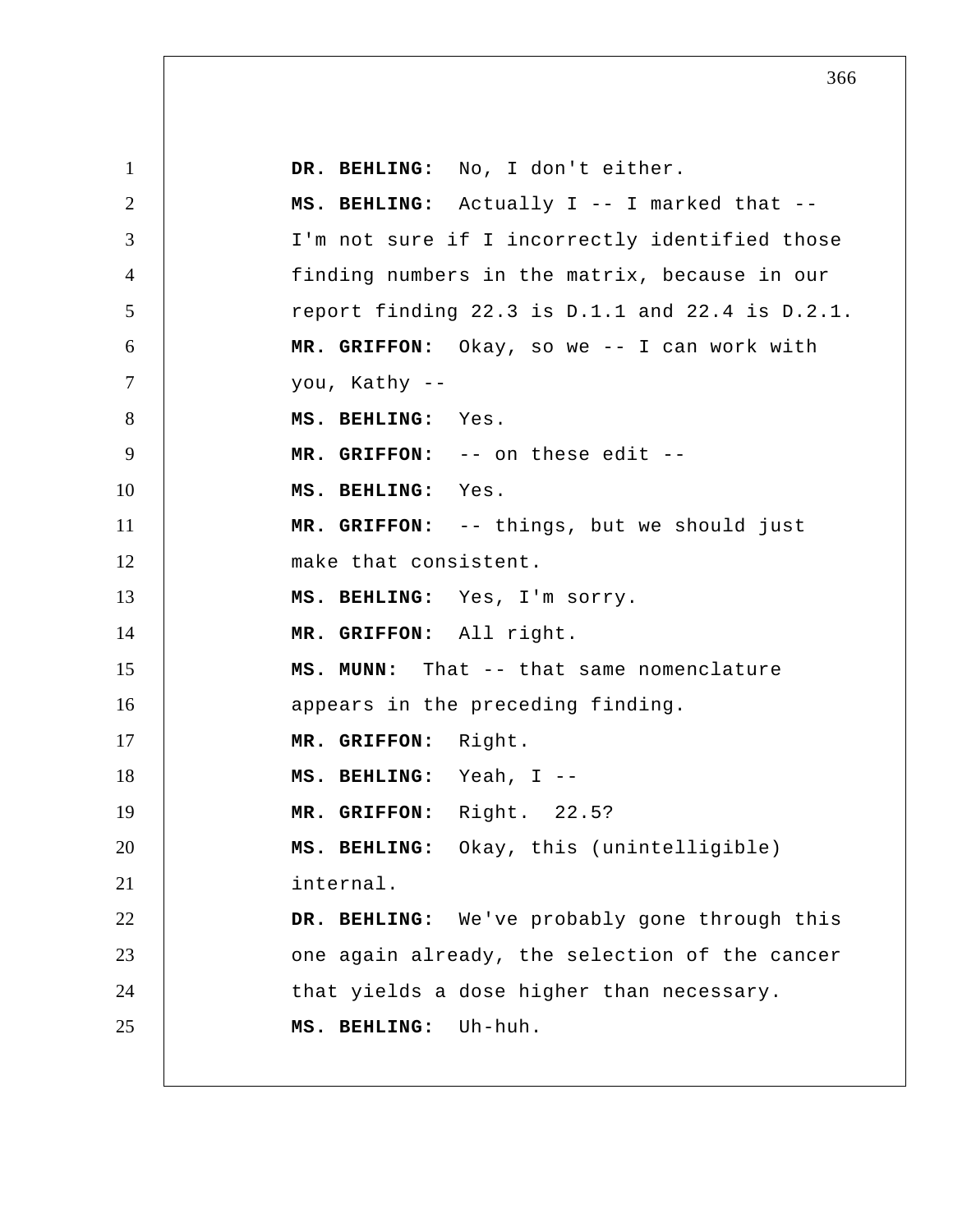1 2 3 4 5 6 7 8 9 10 11 12 13 14 15 16 17 18 19 20 21 22 23 24 25  **DR. BEHLING:** No, I don't either.  **MS. BEHLING:** Actually I -- I marked that -- I'm not sure if I incorrectly identified those finding numbers in the matrix, because in our report finding 22.3 is D.1.1 and 22.4 is D.2.1.  **MR. GRIFFON:** Okay, so we -- I can work with you, Kathy --  **MS. BEHLING:** Yes.  **MR. GRIFFON:** -- on these edit -- **MS. BEHLING:** Yes.  **MR. GRIFFON:** -- things, but we should just make that consistent.  **MS. BEHLING:** Yes, I'm sorry.  **MR. GRIFFON:** All right.  **MS. MUNN:** That -- that same nomenclature appears in the preceding finding.  **MR. GRIFFON:** Right.  **MS. BEHLING:** Yeah, I -- **MR. GRIFFON:** Right. 22.5?  **MS. BEHLING:** Okay, this (unintelligible) internal.  **DR. BEHLING:** We've probably gone through this one again already, the selection of the cancer that yields a dose higher than necessary.  **MS. BEHLING:** Uh-huh.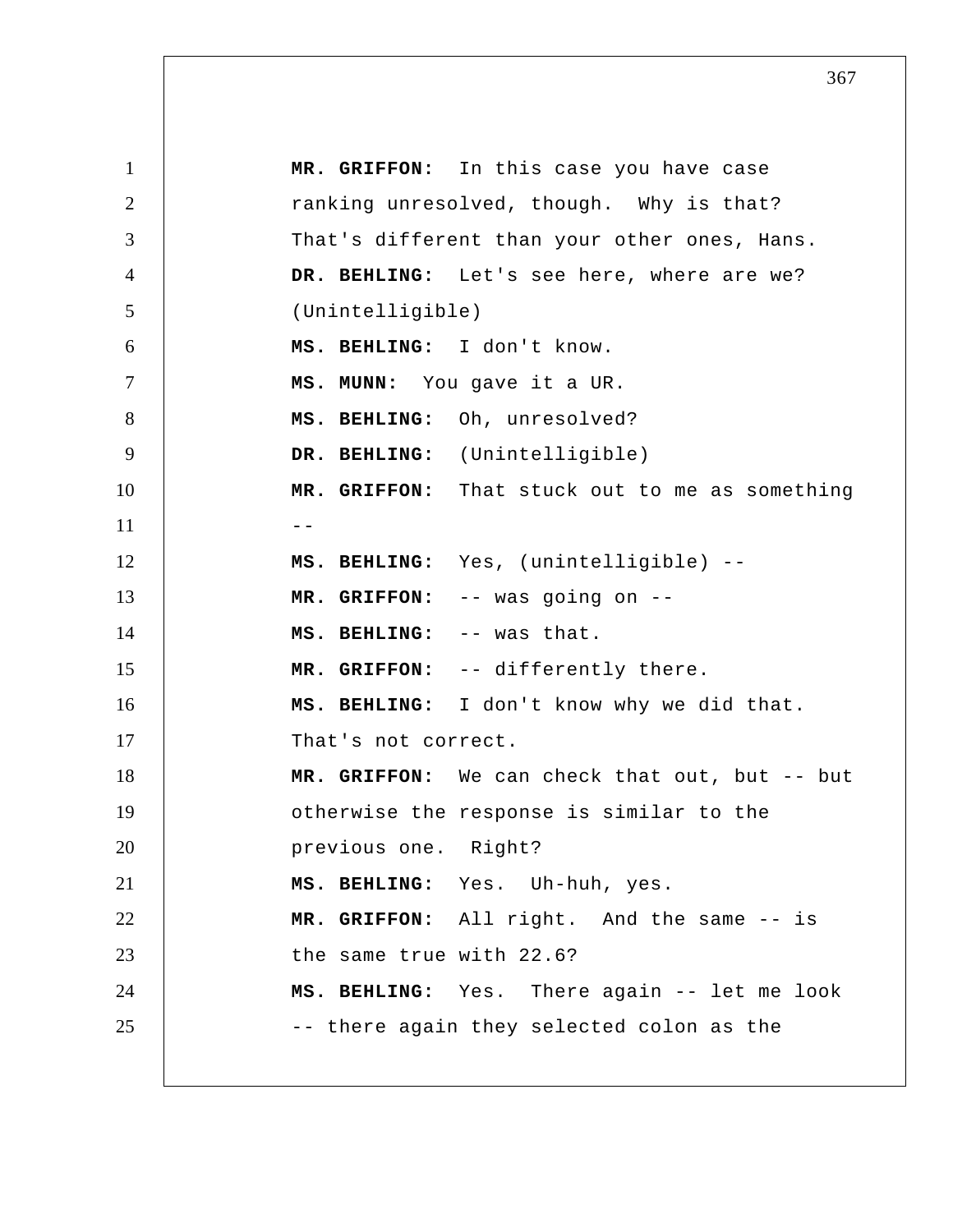1 2 3 4 5 6 7 8 9 10 11 12 13 14 15 16 17 18 19 20 21 22 23 24 25  **MR. GRIFFON:** In this case you have case ranking unresolved, though. Why is that? That's different than your other ones, Hans.  **DR. BEHLING:** Let's see here, where are we? (Unintelligible)  **MS. BEHLING:** I don't know.  **MS. MUNN:** You gave it a UR.  **MS. BEHLING:** Oh, unresolved?  **DR. BEHLING:** (Unintelligible)  **MR. GRIFFON:** That stuck out to me as something --  **MS. BEHLING:** Yes, (unintelligible) --  **MR. GRIFFON:** -- was going on --  **MS. BEHLING:** -- was that.  **MR. GRIFFON:** -- differently there.  **MS. BEHLING:** I don't know why we did that. That's not correct.  **MR. GRIFFON:** We can check that out, but -- but otherwise the response is similar to the previous one. Right?  **MS. BEHLING:** Yes. Uh-huh, yes.  **MR. GRIFFON:** All right. And the same -- is the same true with 22.6?  **MS. BEHLING:** Yes. There again -- let me look -- there again they selected colon as the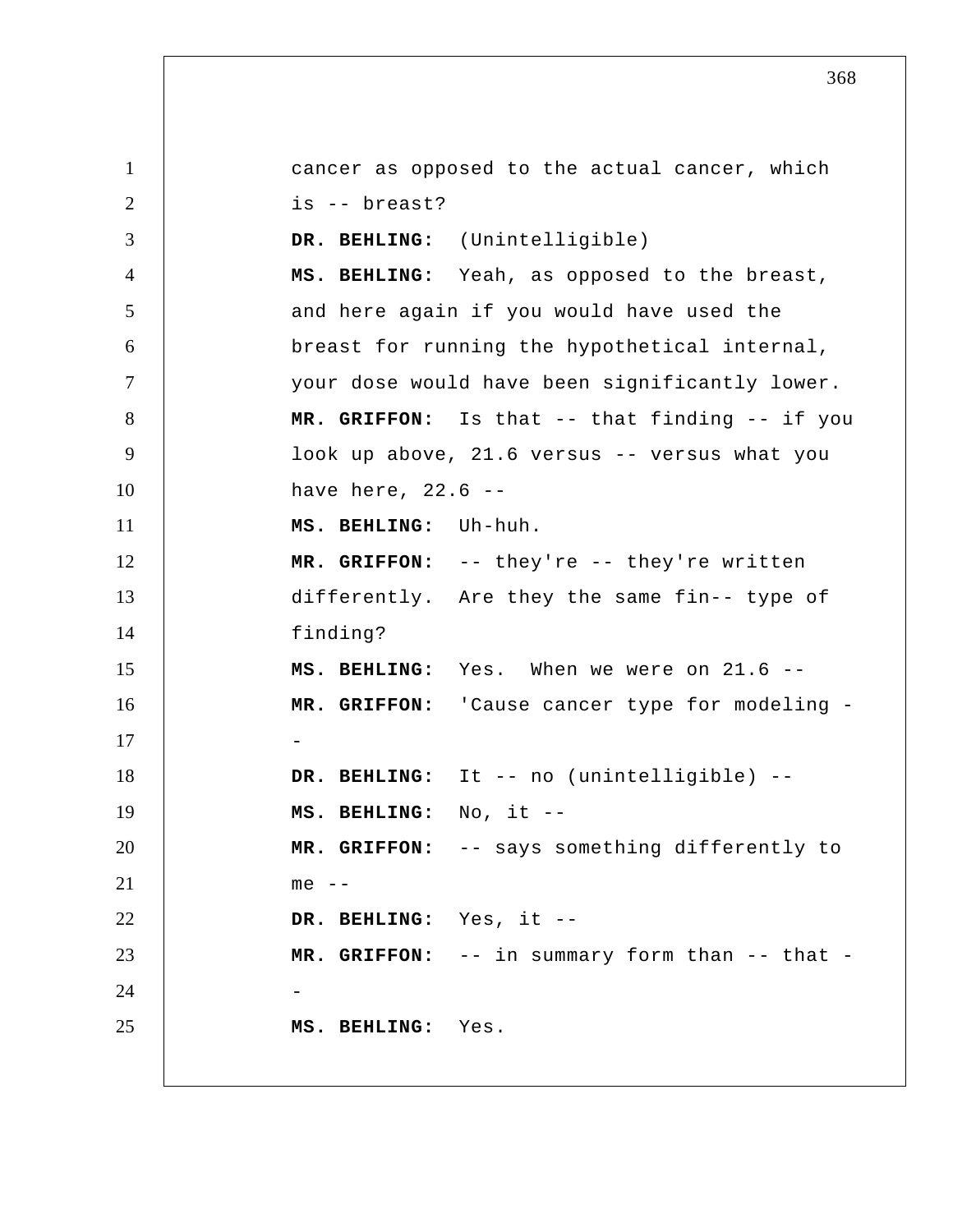1 2 3 4 5 6 7 8 9 10 11 12 13 14 15 16 17 18 19 20 21 22 23 24 25 cancer as opposed to the actual cancer, which is -- breast?  **DR. BEHLING:** (Unintelligible)  **MS. BEHLING:** Yeah, as opposed to the breast, and here again if you would have used the breast for running the hypothetical internal, your dose would have been significantly lower.  **MR. GRIFFON:** Is that -- that finding -- if you look up above, 21.6 versus -- versus what you have here, 22.6 --  **MS. BEHLING:** Uh-huh.  **MR. GRIFFON:** -- they're -- they're written differently. Are they the same fin-- type of finding?  **MS. BEHLING:** Yes. When we were on 21.6 --  **MR. GRIFFON:** 'Cause cancer type for modeling - **DR. BEHLING:** It -- no (unintelligible) -- **MS. BEHLING:** No, it --  **MR. GRIFFON:** -- says something differently to me --  **DR. BEHLING:** Yes, it -- **MR. GRIFFON:** -- in summary form than -- that - **MS. BEHLING:** Yes.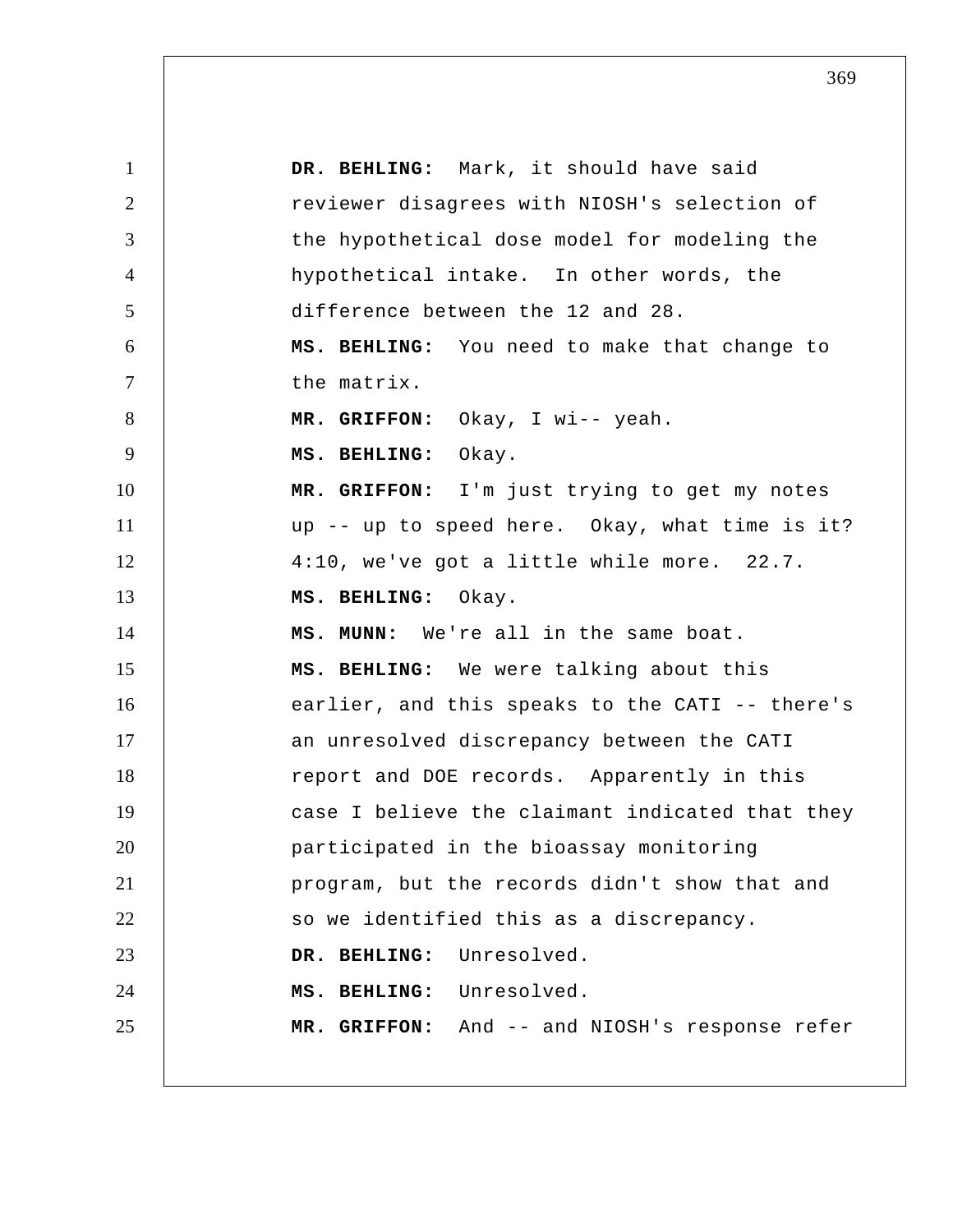| $\mathbf{1}$   | DR. BEHLING: Mark, it should have said          |
|----------------|-------------------------------------------------|
| $\overline{2}$ | reviewer disagrees with NIOSH's selection of    |
| 3              | the hypothetical dose model for modeling the    |
| $\overline{4}$ | hypothetical intake. In other words, the        |
| 5              | difference between the 12 and 28.               |
| 6              | MS. BEHLING: You need to make that change to    |
| $\tau$         | the matrix.                                     |
| 8              | MR. GRIFFON: Okay, I wi-- yeah.                 |
| 9              | MS. BEHLING: Okay.                              |
| 10             | MR. GRIFFON: I'm just trying to get my notes    |
| 11             | up -- up to speed here. Okay, what time is it?  |
| 12             | 4:10, we've got a little while more. 22.7.      |
| 13             | MS. BEHLING: Okay.                              |
| 14             | MS. MUNN: We're all in the same boat.           |
| 15             | MS. BEHLING: We were talking about this         |
| 16             | earlier, and this speaks to the CATI -- there's |
| 17             | an unresolved discrepancy between the CATI      |
| 18             | report and DOE records. Apparently in this      |
| 19             | case I believe the claimant indicated that they |
| 20             | participated in the bioassay monitoring         |
| 21             | program, but the records didn't show that and   |
| 22             | so we identified this as a discrepancy.         |
| 23             | DR. BEHLING: Unresolved.                        |
| 24             | MS. BEHLING: Unresolved.                        |
| 25             | MR. GRIFFON: And -- and NIOSH's response refer  |
|                |                                                 |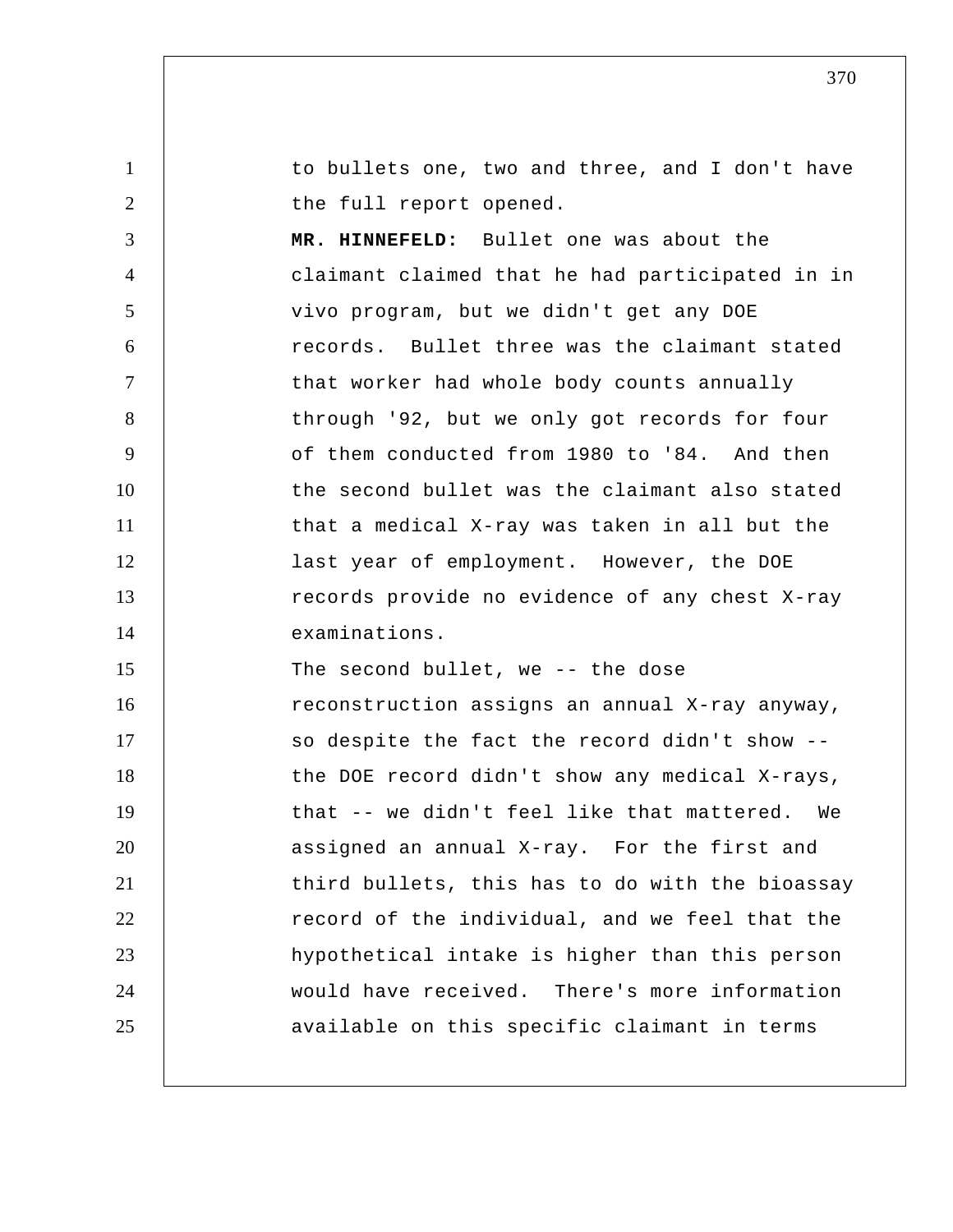1 2 3 4 5 6 7 8 9 10 11 12 13 14 15 16 17 18 19 20 21 22 23 24 25 to bullets one, two and three, and I don't have the full report opened.  **MR. HINNEFELD:** Bullet one was about the claimant claimed that he had participated in in vivo program, but we didn't get any DOE records. Bullet three was the claimant stated that worker had whole body counts annually through '92, but we only got records for four of them conducted from 1980 to '84. And then the second bullet was the claimant also stated that a medical X-ray was taken in all but the last year of employment. However, the DOE records provide no evidence of any chest X-ray examinations. The second bullet, we -- the dose reconstruction assigns an annual X-ray anyway, so despite the fact the record didn't show - the DOE record didn't show any medical X-rays, that -- we didn't feel like that mattered. We assigned an annual X-ray. For the first and third bullets, this has to do with the bioassay record of the individual, and we feel that the hypothetical intake is higher than this person would have received. There's more information available on this specific claimant in terms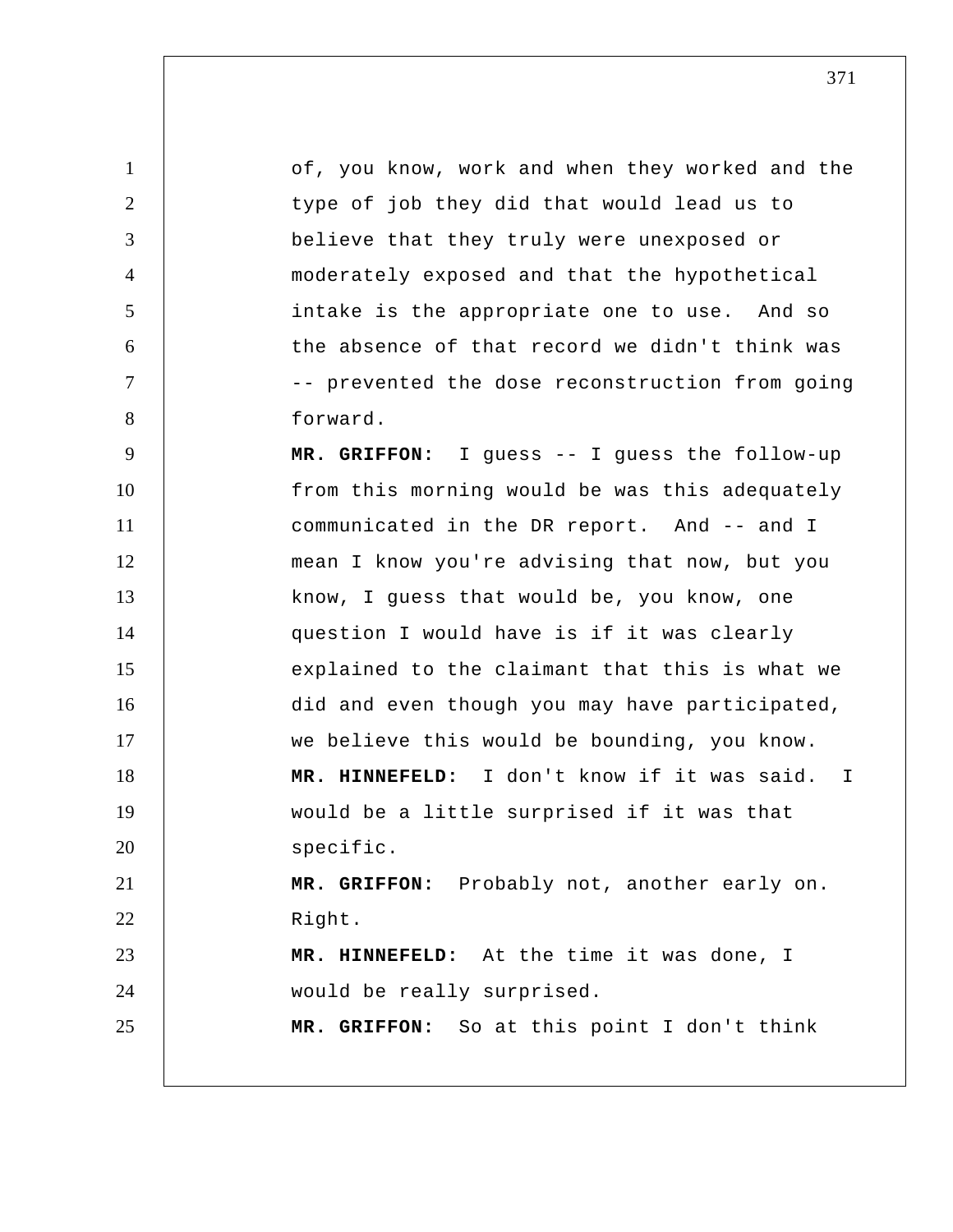1 2 3 4 5 6 7 8 9 10 11 12 13 14 15 16 17 18 19 20 21 22 23 24 25 of, you know, work and when they worked and the type of job they did that would lead us to believe that they truly were unexposed or moderately exposed and that the hypothetical intake is the appropriate one to use. And so the absence of that record we didn't think was -- prevented the dose reconstruction from going forward.  **MR. GRIFFON:** I guess -- I guess the follow-up from this morning would be was this adequately communicated in the DR report. And -- and I mean I know you're advising that now, but you know, I guess that would be, you know, one question I would have is if it was clearly explained to the claimant that this is what we did and even though you may have participated, we believe this would be bounding, you know.  **MR. HINNEFELD:** I don't know if it was said. I would be a little surprised if it was that specific.  **MR. GRIFFON:** Probably not, another early on. Right.  **MR. HINNEFELD:** At the time it was done, I would be really surprised.  **MR. GRIFFON:** So at this point I don't think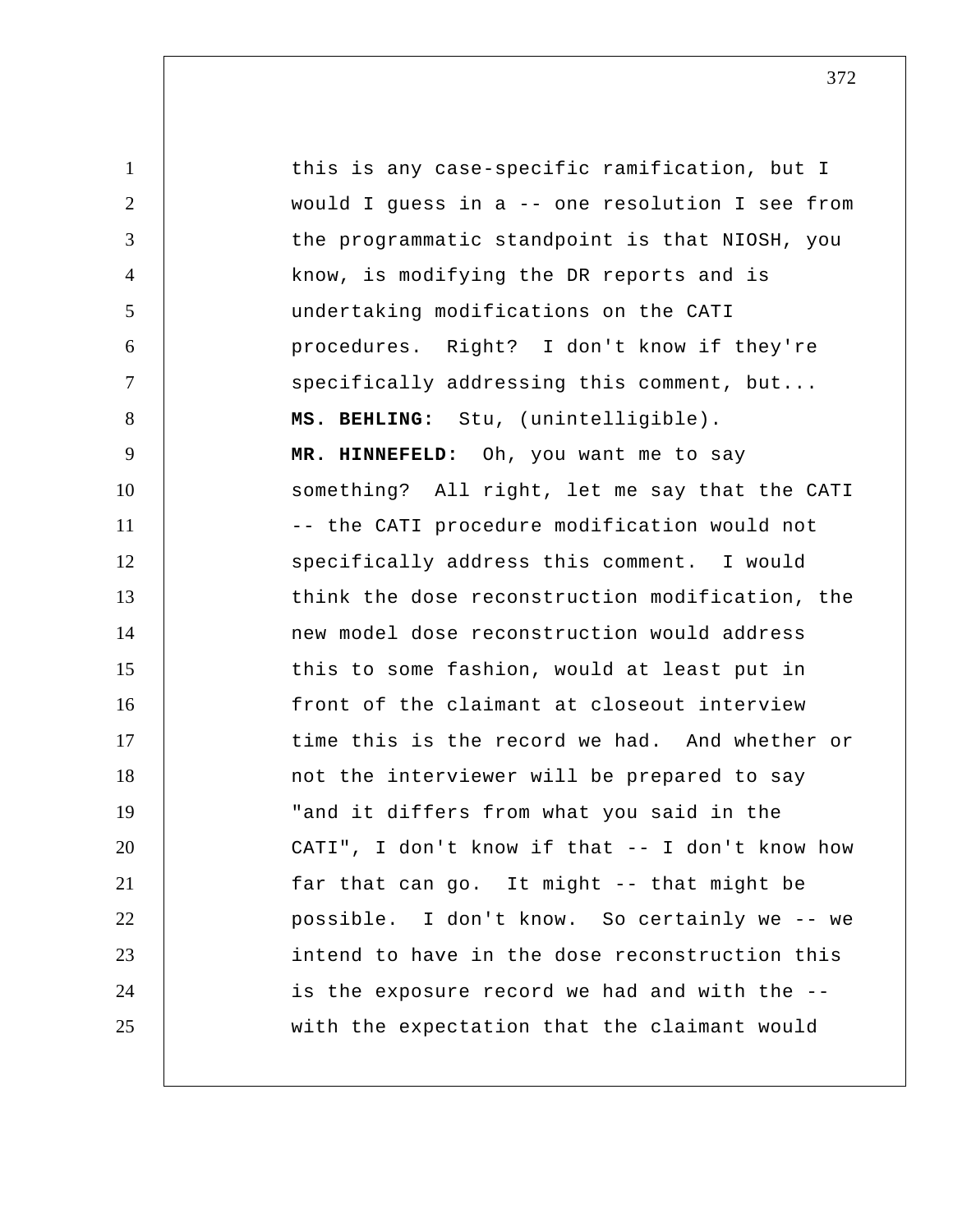1 2 3 4 5 6 7 8 9 10 11 12 13 14 15 16 17 18 19 20 21 22 23 24 25 this is any case-specific ramification, but I would I guess in a -- one resolution I see from the programmatic standpoint is that NIOSH, you know, is modifying the DR reports and is undertaking modifications on the CATI procedures. Right? I don't know if they're specifically addressing this comment, but...  **MS. BEHLING:** Stu, (unintelligible).  **MR. HINNEFELD:** Oh, you want me to say something? All right, let me say that the CATI -- the CATI procedure modification would not specifically address this comment. I would think the dose reconstruction modification, the new model dose reconstruction would address this to some fashion, would at least put in front of the claimant at closeout interview time this is the record we had. And whether or not the interviewer will be prepared to say "and it differs from what you said in the CATI", I don't know if that -- I don't know how far that can go. It might -- that might be possible. I don't know. So certainly we -- we intend to have in the dose reconstruction this is the exposure record we had and with the - with the expectation that the claimant would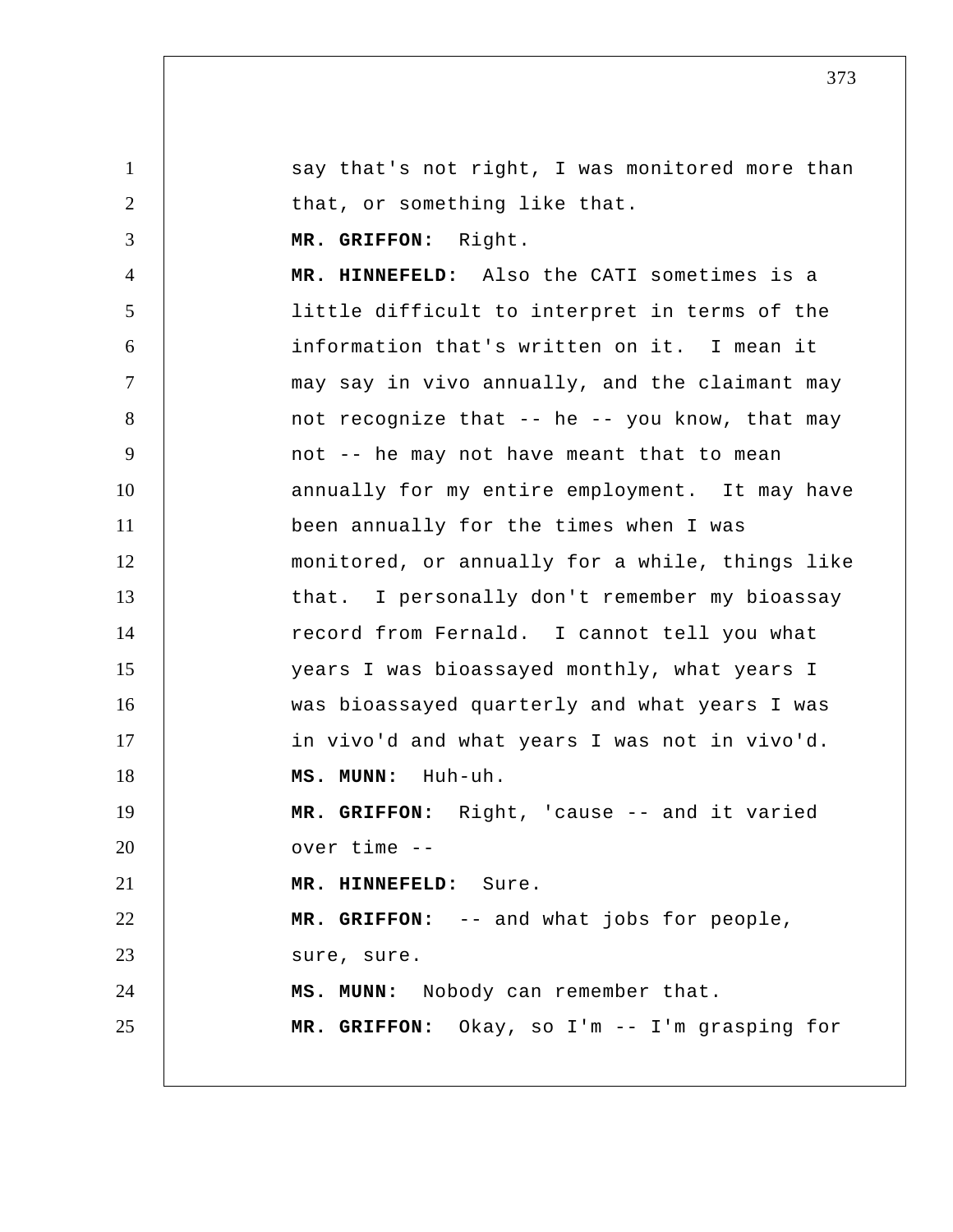1 2 3 4 5 6 7 8 9 10 11 12 13 14 15 16 17 18 19 20 21 22 23 24 25 say that's not right, I was monitored more than that, or something like that.  **MR. GRIFFON:** Right.  **MR. HINNEFELD:** Also the CATI sometimes is a little difficult to interpret in terms of the information that's written on it. I mean it may say in vivo annually, and the claimant may not recognize that -- he -- you know, that may not -- he may not have meant that to mean annually for my entire employment. It may have been annually for the times when I was monitored, or annually for a while, things like that. I personally don't remember my bioassay record from Fernald. I cannot tell you what years I was bioassayed monthly, what years I was bioassayed quarterly and what years I was in vivo'd and what years I was not in vivo'd.  **MS. MUNN:** Huh-uh.  **MR. GRIFFON:** Right, 'cause -- and it varied over time --  **MR. HINNEFELD:** Sure.  **MR. GRIFFON:** -- and what jobs for people, sure, sure.  **MS. MUNN:** Nobody can remember that.  **MR. GRIFFON:** Okay, so I'm -- I'm grasping for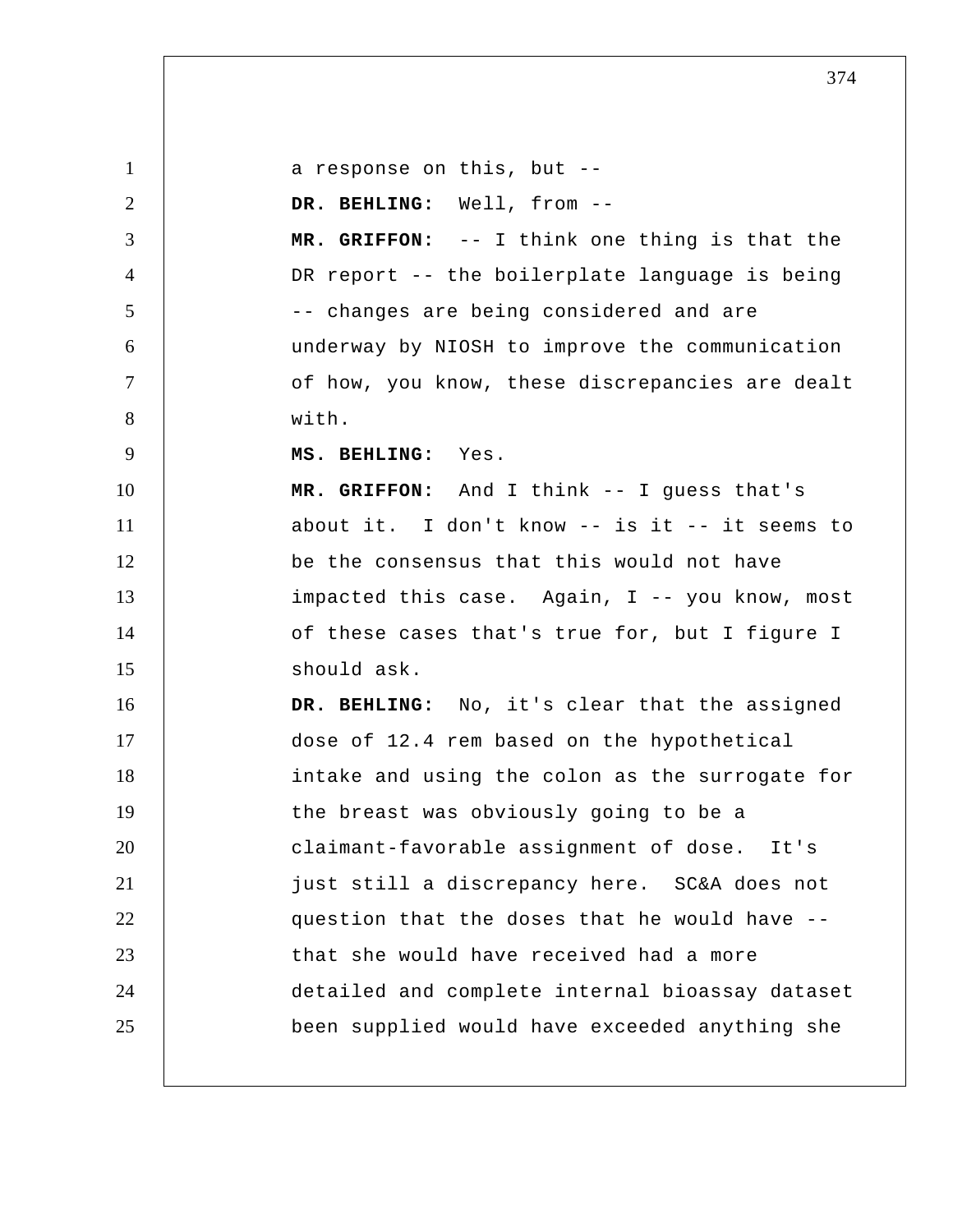1 2 3 4 5 6 7 8 9 10 11 12 13 14 15 16 17 18 19 20 21 22 23 24 25 a response on this, but -- DR. BEHLING: Well, from -- **MR. GRIFFON:** -- I think one thing is that the DR report -- the boilerplate language is being -- changes are being considered and are underway by NIOSH to improve the communication of how, you know, these discrepancies are dealt with.  **MS. BEHLING:** Yes.  **MR. GRIFFON:** And I think -- I guess that's about it. I don't know -- is it -- it seems to be the consensus that this would not have impacted this case. Again, I -- you know, most of these cases that's true for, but I figure I should ask.  **DR. BEHLING:** No, it's clear that the assigned dose of 12.4 rem based on the hypothetical intake and using the colon as the surrogate for the breast was obviously going to be a claimant-favorable assignment of dose. It's just still a discrepancy here. SC&A does not question that the doses that he would have - that she would have received had a more detailed and complete internal bioassay dataset been supplied would have exceeded anything she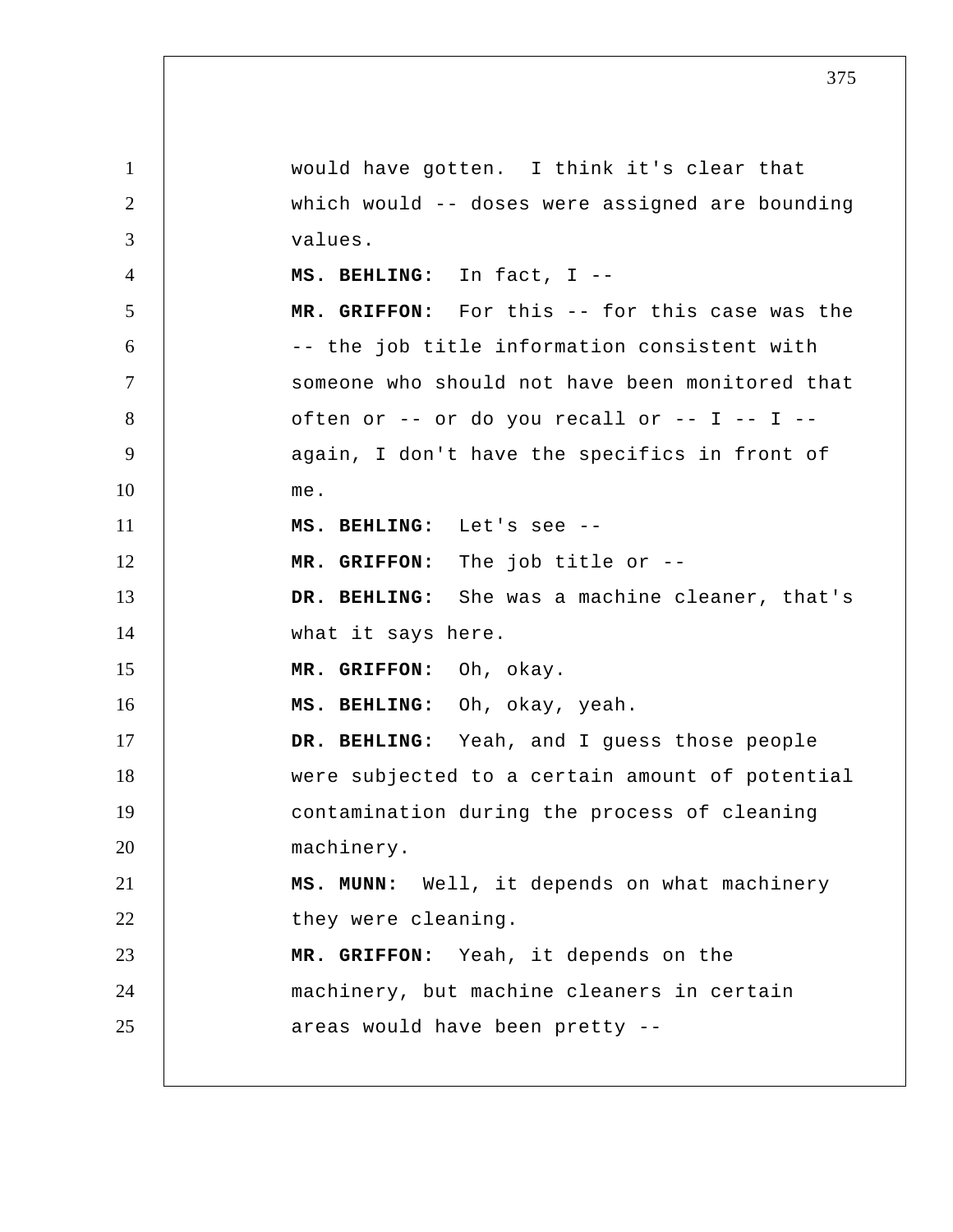1 2 3 4 5 6 7 8 9 10 11 12 13 14 15 16 17 18 19 20 21 22 23 24 25 would have gotten. I think it's clear that which would -- doses were assigned are bounding values.  **MS. BEHLING:** In fact, I --  **MR. GRIFFON:** For this -- for this case was the -- the job title information consistent with someone who should not have been monitored that often or  $--$  or do you recall or  $--$  I  $--$  I  $-$ again, I don't have the specifics in front of me.  **MS. BEHLING:** Let's see -- **MR. GRIFFON:** The job title or -- **DR. BEHLING:** She was a machine cleaner, that's what it says here.  **MR. GRIFFON:** Oh, okay.  **MS. BEHLING:** Oh, okay, yeah.  **DR. BEHLING:** Yeah, and I guess those people were subjected to a certain amount of potential contamination during the process of cleaning machinery.  **MS. MUNN:** Well, it depends on what machinery they were cleaning.  **MR. GRIFFON:** Yeah, it depends on the machinery, but machine cleaners in certain areas would have been pretty --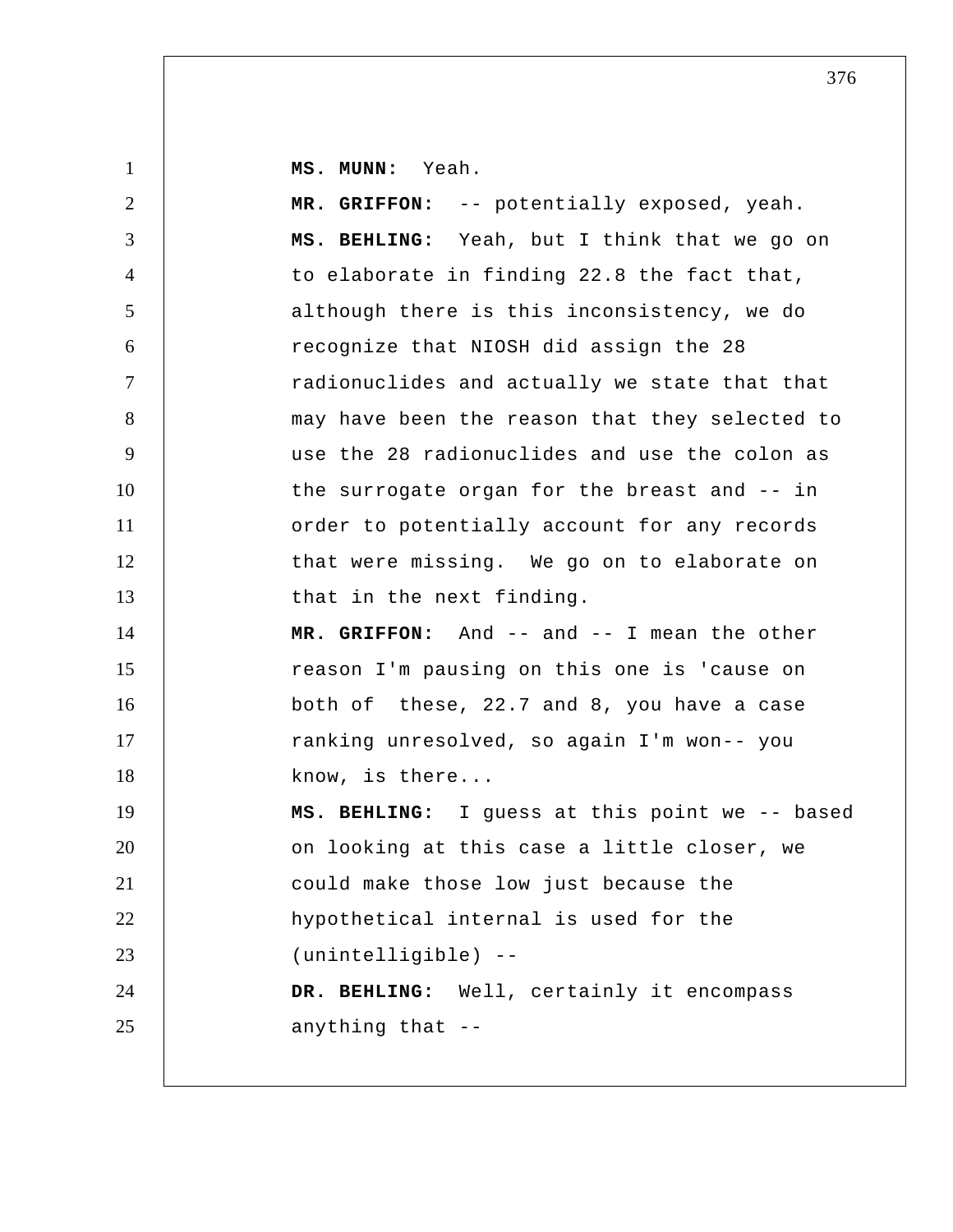**MS. MUNN:** Yeah.

1

| $\overline{2}$ | MR. GRIFFON: -- potentially exposed, yeah.     |
|----------------|------------------------------------------------|
| 3              | MS. BEHLING: Yeah, but I think that we go on   |
| $\overline{4}$ | to elaborate in finding 22.8 the fact that,    |
| 5              | although there is this inconsistency, we do    |
| 6              | recognize that NIOSH did assign the 28         |
| $\tau$         | radionuclides and actually we state that that  |
| 8              | may have been the reason that they selected to |
| 9              | use the 28 radionuclides and use the colon as  |
| 10             | the surrogate organ for the breast and -- in   |
| 11             | order to potentially account for any records   |
| 12             | that were missing. We go on to elaborate on    |
| 13             | that in the next finding.                      |
| 14             | MR. GRIFFON: And -- and -- I mean the other    |
| 15             | reason I'm pausing on this one is 'cause on    |
| 16             | both of these, 22.7 and 8, you have a case     |
| 17             | ranking unresolved, so again I'm won-- you     |
| 18             | know, is there                                 |
| 19             | MS. BEHLING: I guess at this point we -- based |
| 20             | on looking at this case a little closer, we    |
| 21             | could make those low just because the          |
| 22             | hypothetical internal is used for the          |
| 23             | (unintelligible) --                            |
| 24             | DR. BEHLING: Well, certainly it encompass      |
| 25             | anything that --                               |
|                |                                                |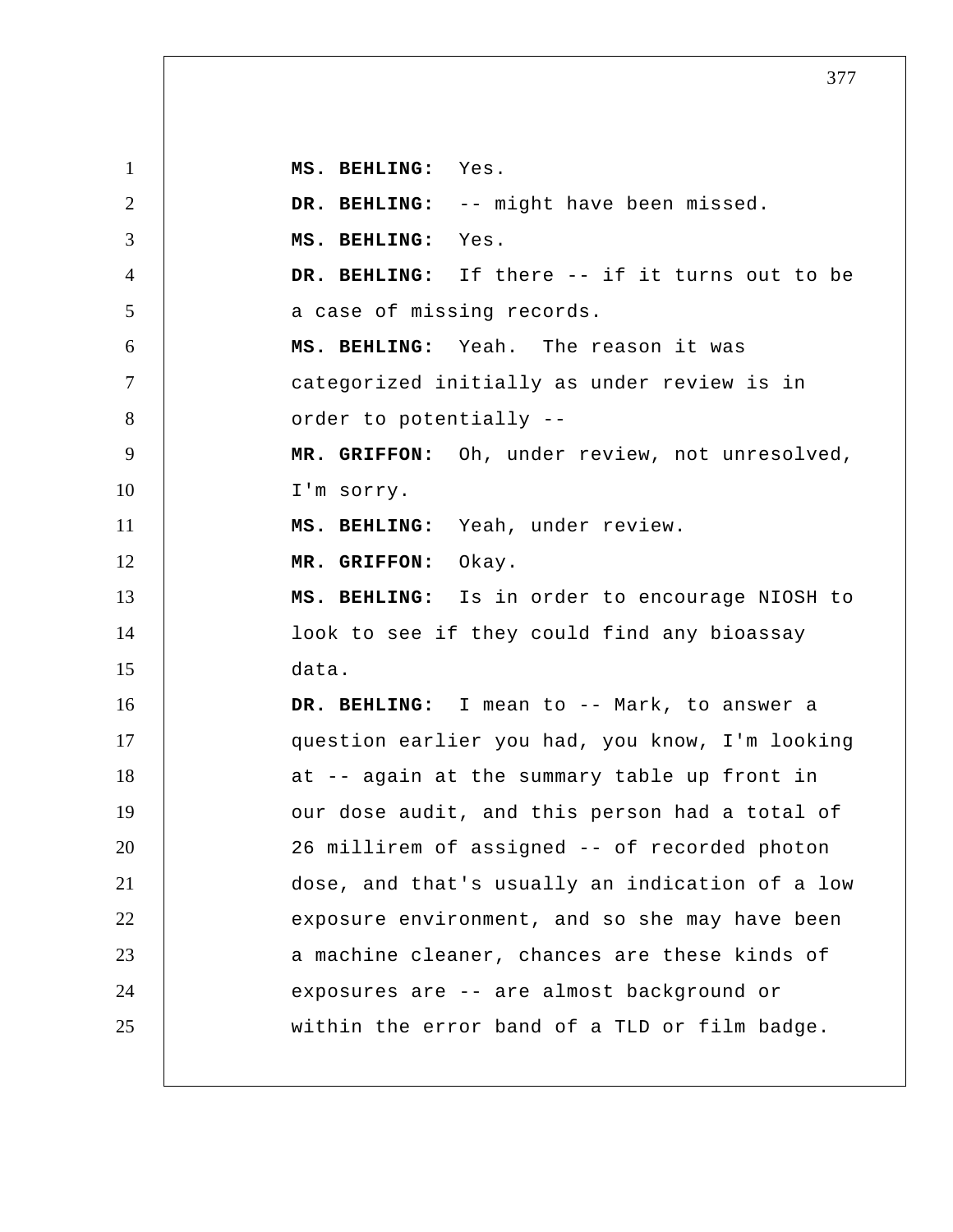1 2 3 4 5 6 7 8 9 10 11 12 13 14 15 16 17 18 19 20 21 22 23 24 25  **MS. BEHLING:** Yes.  **DR. BEHLING:** -- might have been missed.  **MS. BEHLING:** Yes.  **DR. BEHLING:** If there -- if it turns out to be a case of missing records.  **MS. BEHLING:** Yeah. The reason it was categorized initially as under review is in order to potentially -- **MR. GRIFFON:** Oh, under review, not unresolved, I'm sorry.  **MS. BEHLING:** Yeah, under review.  **MR. GRIFFON:** Okay.  **MS. BEHLING:** Is in order to encourage NIOSH to look to see if they could find any bioassay data.  **DR. BEHLING:** I mean to -- Mark, to answer a question earlier you had, you know, I'm looking at -- again at the summary table up front in our dose audit, and this person had a total of 26 millirem of assigned -- of recorded photon dose, and that's usually an indication of a low exposure environment, and so she may have been a machine cleaner, chances are these kinds of exposures are -- are almost background or within the error band of a TLD or film badge.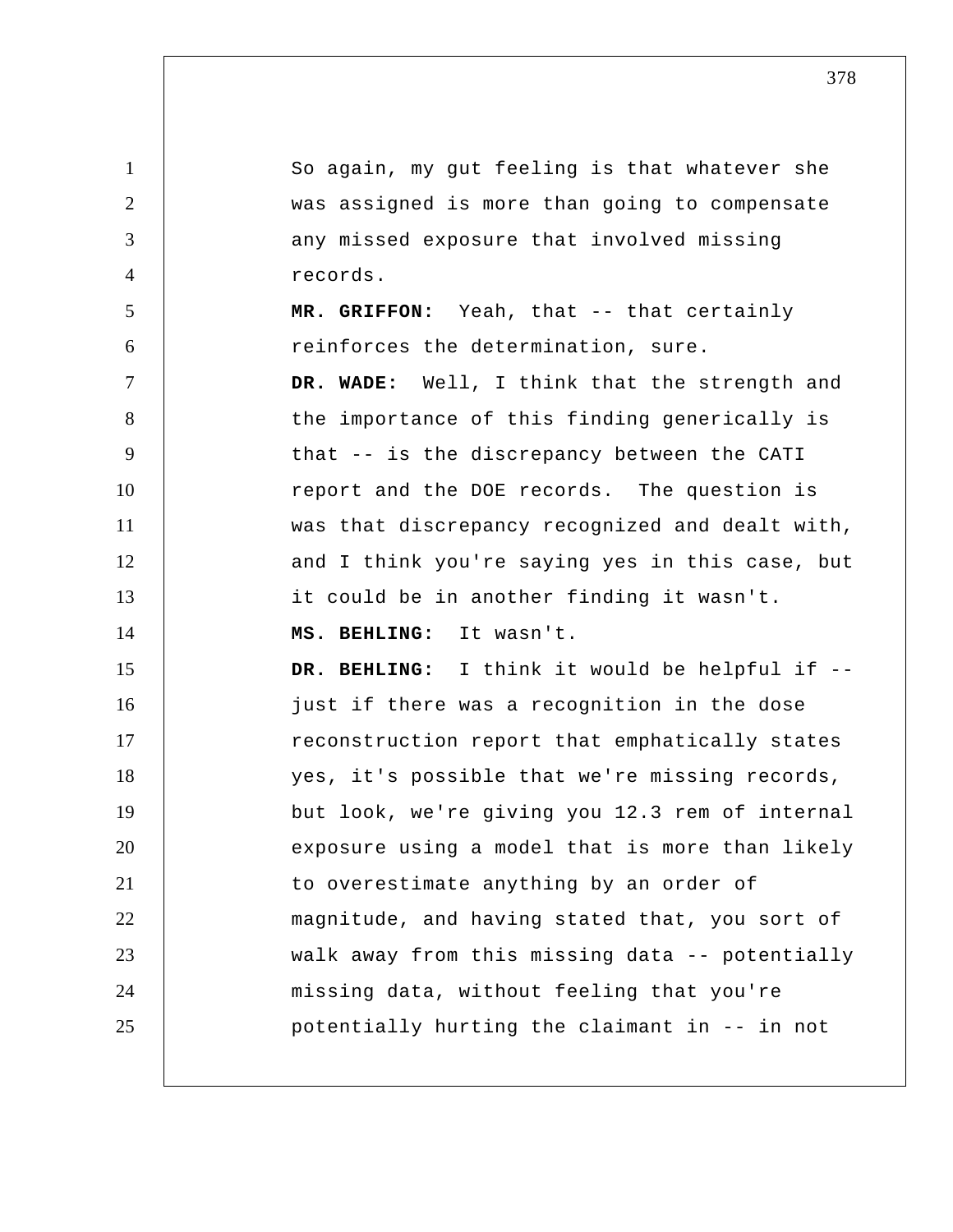1 2 3 4 5 6 7 8 9 10 11 12 13 14 15 16 17 18 19 20 21 22 23 24 25 So again, my gut feeling is that whatever she was assigned is more than going to compensate any missed exposure that involved missing records.  **MR. GRIFFON:** Yeah, that -- that certainly reinforces the determination, sure.  **DR. WADE:** Well, I think that the strength and the importance of this finding generically is that -- is the discrepancy between the CATI report and the DOE records. The question is was that discrepancy recognized and dealt with, and I think you're saying yes in this case, but it could be in another finding it wasn't.  **MS. BEHLING:** It wasn't.  **DR. BEHLING:** I think it would be helpful if - just if there was a recognition in the dose reconstruction report that emphatically states yes, it's possible that we're missing records, but look, we're giving you 12.3 rem of internal exposure using a model that is more than likely to overestimate anything by an order of magnitude, and having stated that, you sort of walk away from this missing data -- potentially missing data, without feeling that you're potentially hurting the claimant in -- in not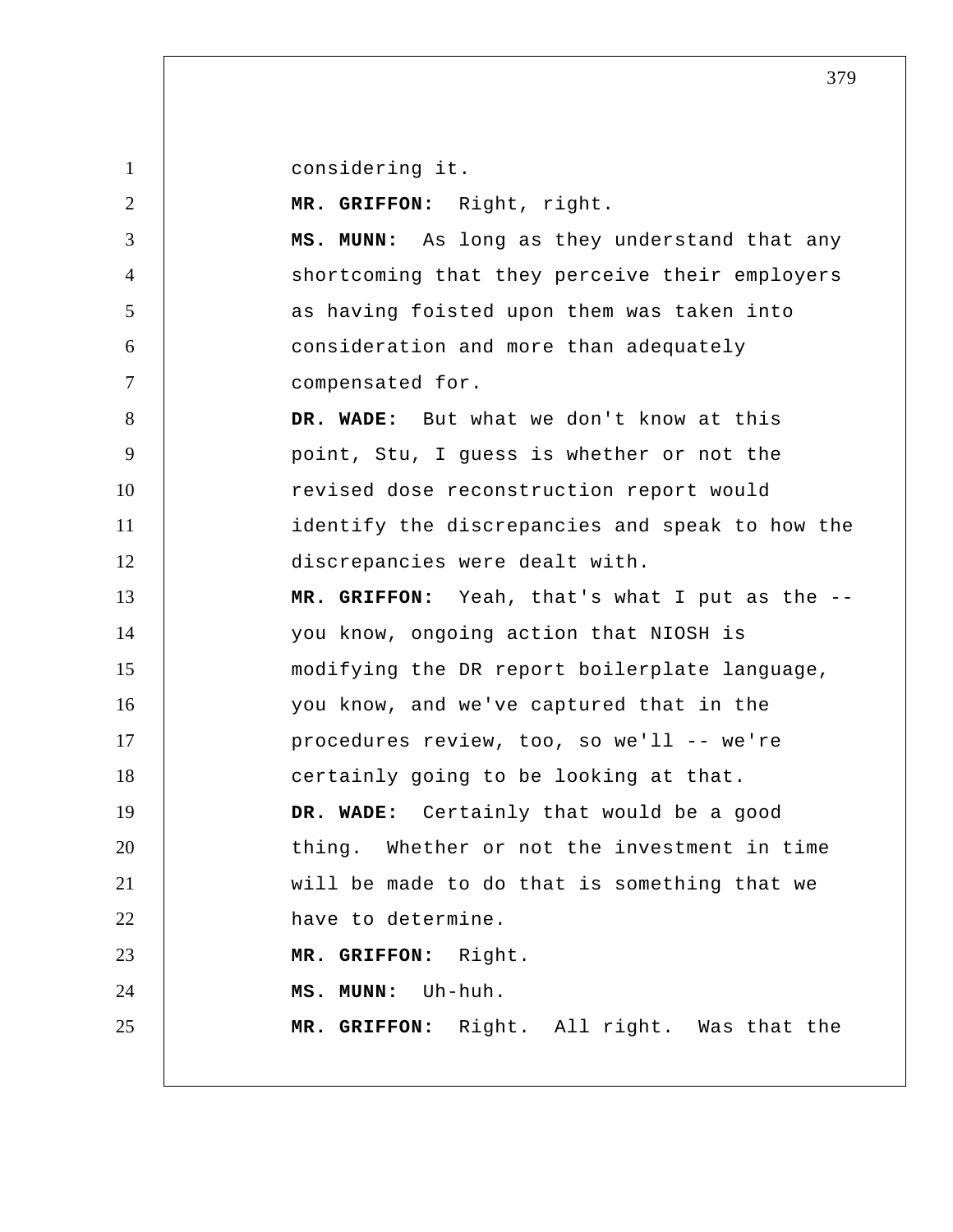1

considering it.

2 3 4 5 6 7 8 9 10 11 12 13 14 15 16 17 18 19 20 21 22 23 24 25  **MR. GRIFFON:** Right, right.  **MS. MUNN:** As long as they understand that any shortcoming that they perceive their employers as having foisted upon them was taken into consideration and more than adequately compensated for.  **DR. WADE:** But what we don't know at this point, Stu, I guess is whether or not the revised dose reconstruction report would identify the discrepancies and speak to how the discrepancies were dealt with.  **MR. GRIFFON:** Yeah, that's what I put as the - you know, ongoing action that NIOSH is modifying the DR report boilerplate language, you know, and we've captured that in the procedures review, too, so we'll -- we're certainly going to be looking at that.  **DR. WADE:** Certainly that would be a good thing. Whether or not the investment in time will be made to do that is something that we have to determine.  **MR. GRIFFON:** Right.  **MS. MUNN:** Uh-huh.  **MR. GRIFFON:** Right. All right. Was that the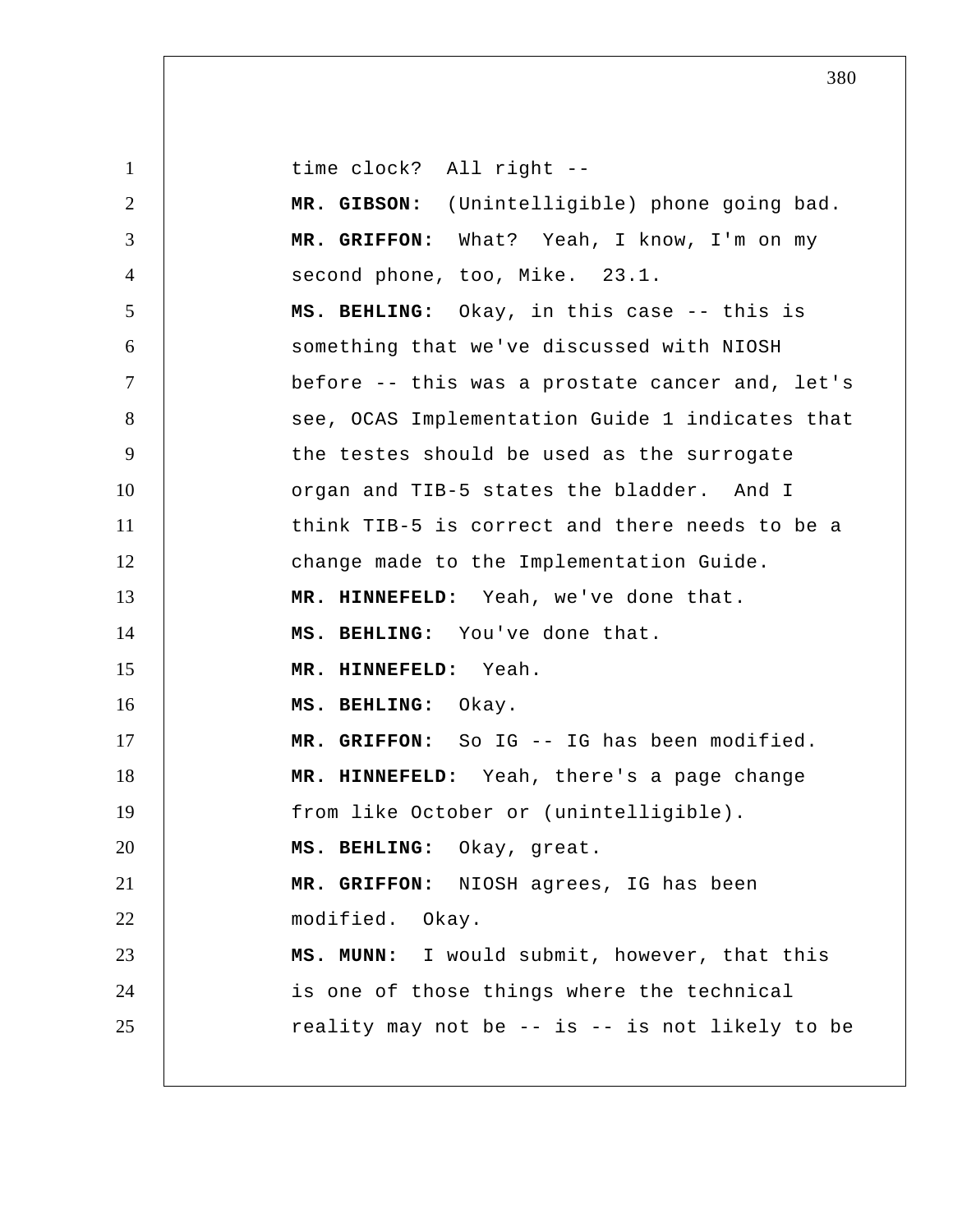1 2 3 4 5 6 7 8 9 10 11 12 13 14 15 16 17 18 19 20 21 22 23 24 25 time clock? All right -- **MR. GIBSON:** (Unintelligible) phone going bad.  **MR. GRIFFON:** What? Yeah, I know, I'm on my second phone, too, Mike. 23.1.  **MS. BEHLING:** Okay, in this case -- this is something that we've discussed with NIOSH before -- this was a prostate cancer and, let's see, OCAS Implementation Guide 1 indicates that the testes should be used as the surrogate organ and TIB-5 states the bladder. And I think TIB-5 is correct and there needs to be a change made to the Implementation Guide.  **MR. HINNEFELD:** Yeah, we've done that.  **MS. BEHLING:** You've done that.  **MR. HINNEFELD:** Yeah.  **MS. BEHLING:** Okay.  **MR. GRIFFON:** So IG -- IG has been modified.  **MR. HINNEFELD:** Yeah, there's a page change from like October or (unintelligible).  **MS. BEHLING:** Okay, great.  **MR. GRIFFON:** NIOSH agrees, IG has been modified. Okay.  **MS. MUNN:** I would submit, however, that this is one of those things where the technical reality may not be  $-$  is  $-$  is not likely to be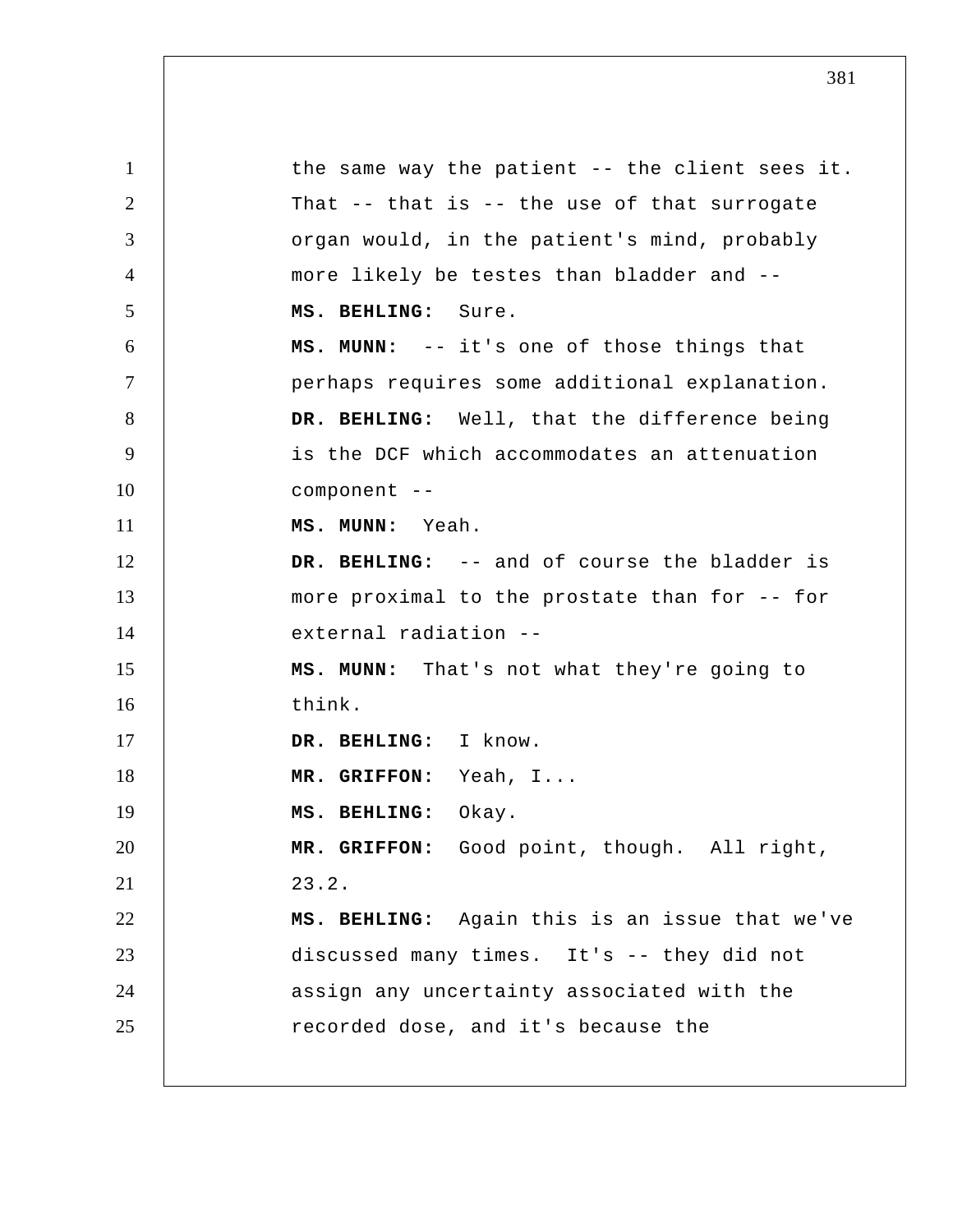1 2 3 4 5 6 7 8 9 10 11 12 13 14 15 16 17 18 19 20 21 22 23 24 25 the same way the patient -- the client sees it. That -- that is -- the use of that surrogate organ would, in the patient's mind, probably more likely be testes than bladder and --  **MS. BEHLING:** Sure.  **MS. MUNN:** -- it's one of those things that perhaps requires some additional explanation.  **DR. BEHLING:** Well, that the difference being is the DCF which accommodates an attenuation component --  **MS. MUNN:** Yeah.  **DR. BEHLING:** -- and of course the bladder is more proximal to the prostate than for -- for external radiation -- **MS. MUNN:** That's not what they're going to think.  **DR. BEHLING:** I know.  **MR. GRIFFON:** Yeah, I...  **MS. BEHLING:** Okay.  **MR. GRIFFON:** Good point, though. All right, 23.2.  **MS. BEHLING:** Again this is an issue that we've discussed many times. It's -- they did not assign any uncertainty associated with the recorded dose, and it's because the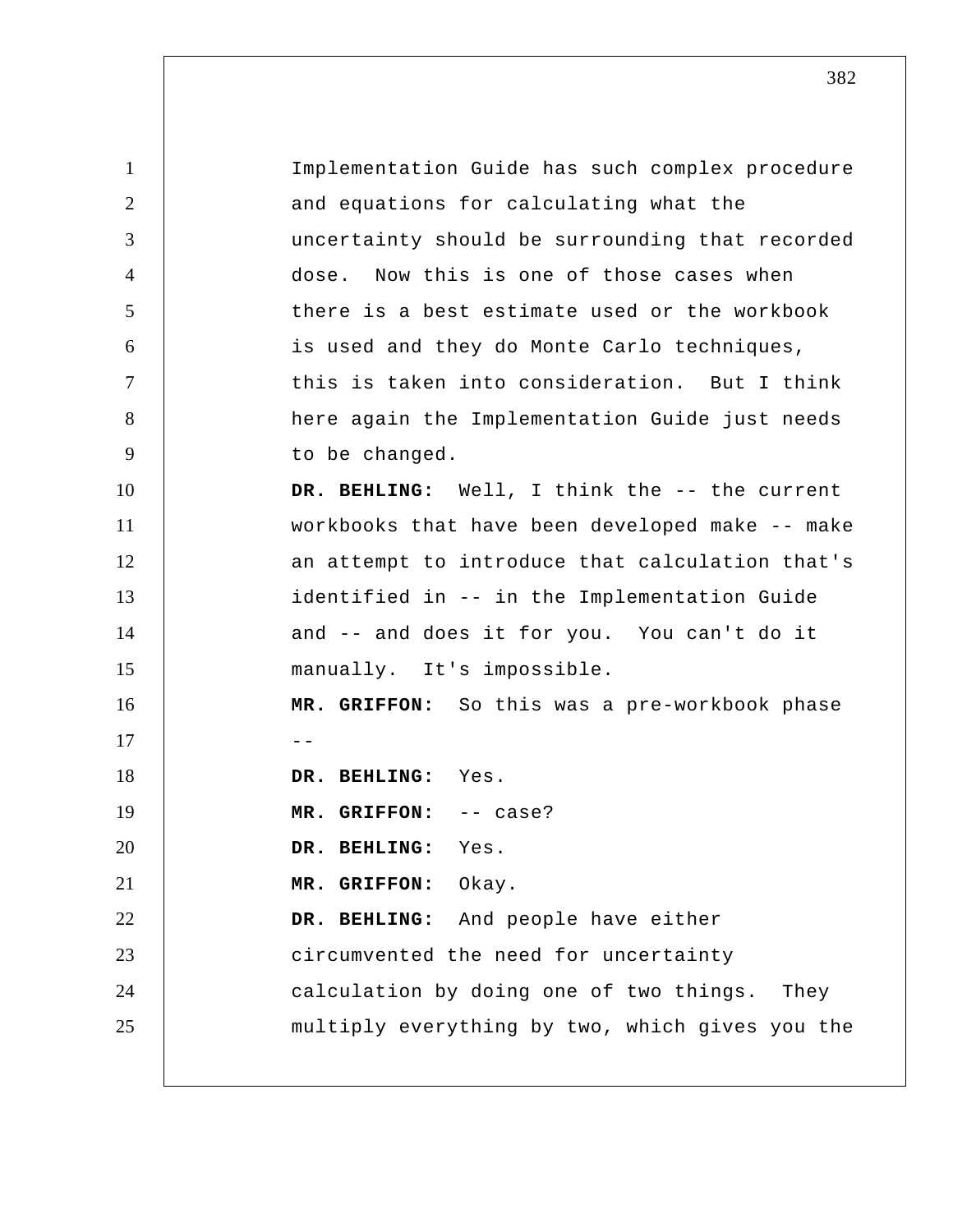1 2 3 4 5 6 7 8 9 10 11 12 13 14 15 16 17 18 19 20 21 22 23 24 25 Implementation Guide has such complex procedure and equations for calculating what the uncertainty should be surrounding that recorded dose. Now this is one of those cases when there is a best estimate used or the workbook is used and they do Monte Carlo techniques, this is taken into consideration. But I think here again the Implementation Guide just needs to be changed.  **DR. BEHLING:** Well, I think the -- the current workbooks that have been developed make -- make an attempt to introduce that calculation that's identified in -- in the Implementation Guide and -- and does it for you. You can't do it manually. It's impossible.  **MR. GRIFFON:** So this was a pre-workbook phase --  **DR. BEHLING:** Yes.  **MR. GRIFFON:** -- case?  **DR. BEHLING:** Yes.  **MR. GRIFFON:** Okay.  **DR. BEHLING:** And people have either circumvented the need for uncertainty calculation by doing one of two things. They multiply everything by two, which gives you the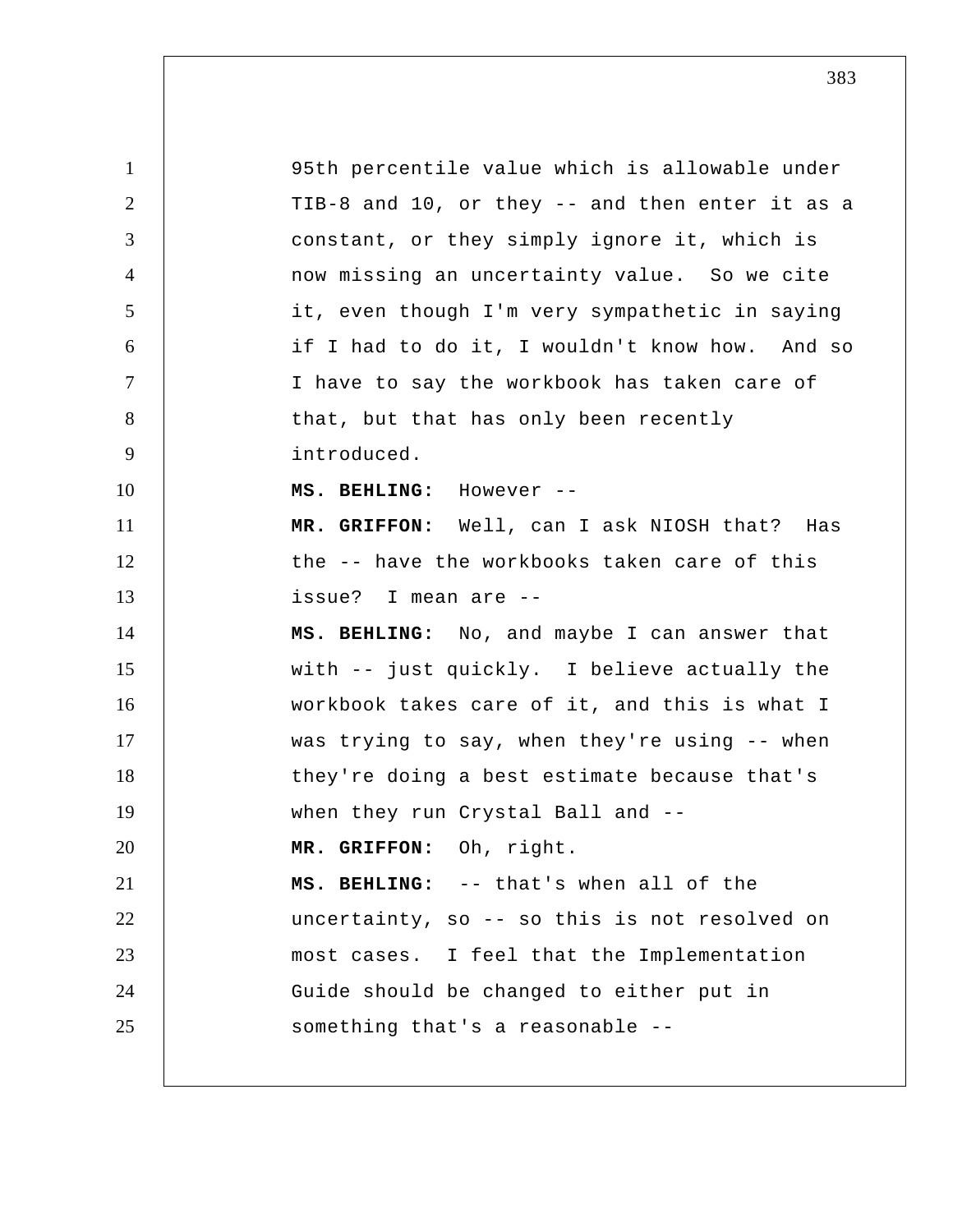1 2 3 4 5 6 7 8 9 10 11 12 13 14 15 16 17 18 19 20 21 22 23 24 25 95th percentile value which is allowable under TIB-8 and 10, or they -- and then enter it as a constant, or they simply ignore it, which is now missing an uncertainty value. So we cite it, even though I'm very sympathetic in saying if I had to do it, I wouldn't know how. And so I have to say the workbook has taken care of that, but that has only been recently introduced.  **MS. BEHLING:** However -- **MR. GRIFFON:** Well, can I ask NIOSH that? Has the -- have the workbooks taken care of this issue? I mean are --  **MS. BEHLING:** No, and maybe I can answer that with -- just quickly. I believe actually the workbook takes care of it, and this is what I was trying to say, when they're using -- when they're doing a best estimate because that's when they run Crystal Ball and --  **MR. GRIFFON:** Oh, right.  **MS. BEHLING:** -- that's when all of the uncertainty, so -- so this is not resolved on most cases. I feel that the Implementation Guide should be changed to either put in something that's a reasonable --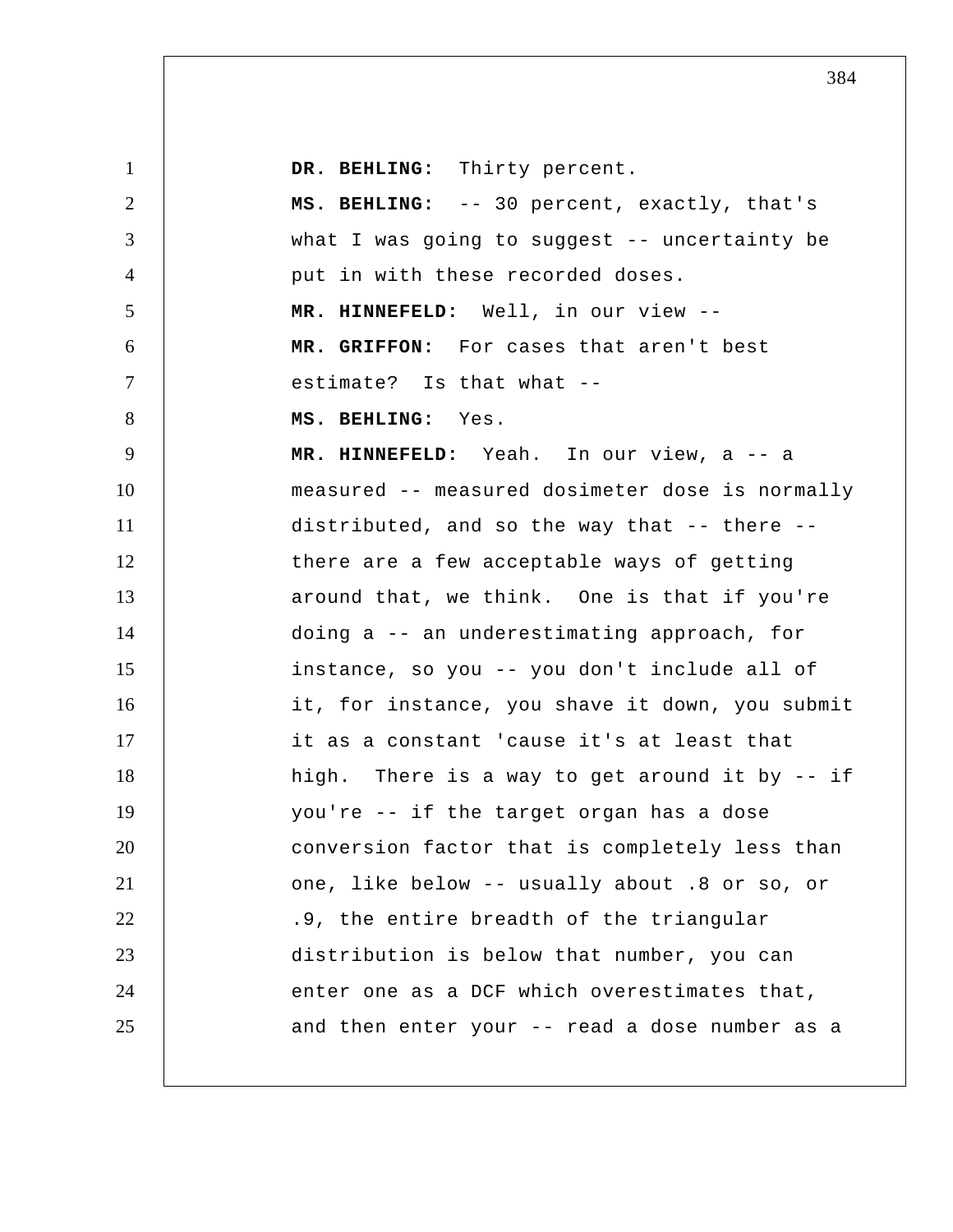| $\mathbf{1}$   | DR. BEHLING: Thirty percent.                    |
|----------------|-------------------------------------------------|
| 2              | MS. BEHLING: -- 30 percent, exactly, that's     |
| 3              | what I was going to suggest -- uncertainty be   |
| $\overline{4}$ | put in with these recorded doses.               |
| 5              | MR. HINNEFELD: Well, in our view --             |
| 6              | MR. GRIFFON: For cases that aren't best         |
| $\tau$         | estimate? Is that what --                       |
| 8              | MS. BEHLING: Yes.                               |
| 9              | MR. HINNEFELD: Yeah. In our view, a -- a        |
| 10             | measured -- measured dosimeter dose is normally |
| 11             | distributed, and so the way that -- there --    |
| 12             | there are a few acceptable ways of getting      |
| 13             | around that, we think. One is that if you're    |
| 14             | doing a -- an underestimating approach, for     |
| 15             | instance, so you -- you don't include all of    |
| 16             | it, for instance, you shave it down, you submit |
| 17             | it as a constant 'cause it's at least that      |
| 18             | high. There is a way to get around it by -- if  |
| 19             | you're -- if the target organ has a dose        |
| 20             | conversion factor that is completely less than  |
| 21             | one, like below -- usually about .8 or so, or   |
| 22             | .9, the entire breadth of the triangular        |
| 23             | distribution is below that number, you can      |
| 24             | enter one as a DCF which overestimates that,    |
| 25             | and then enter your -- read a dose number as a  |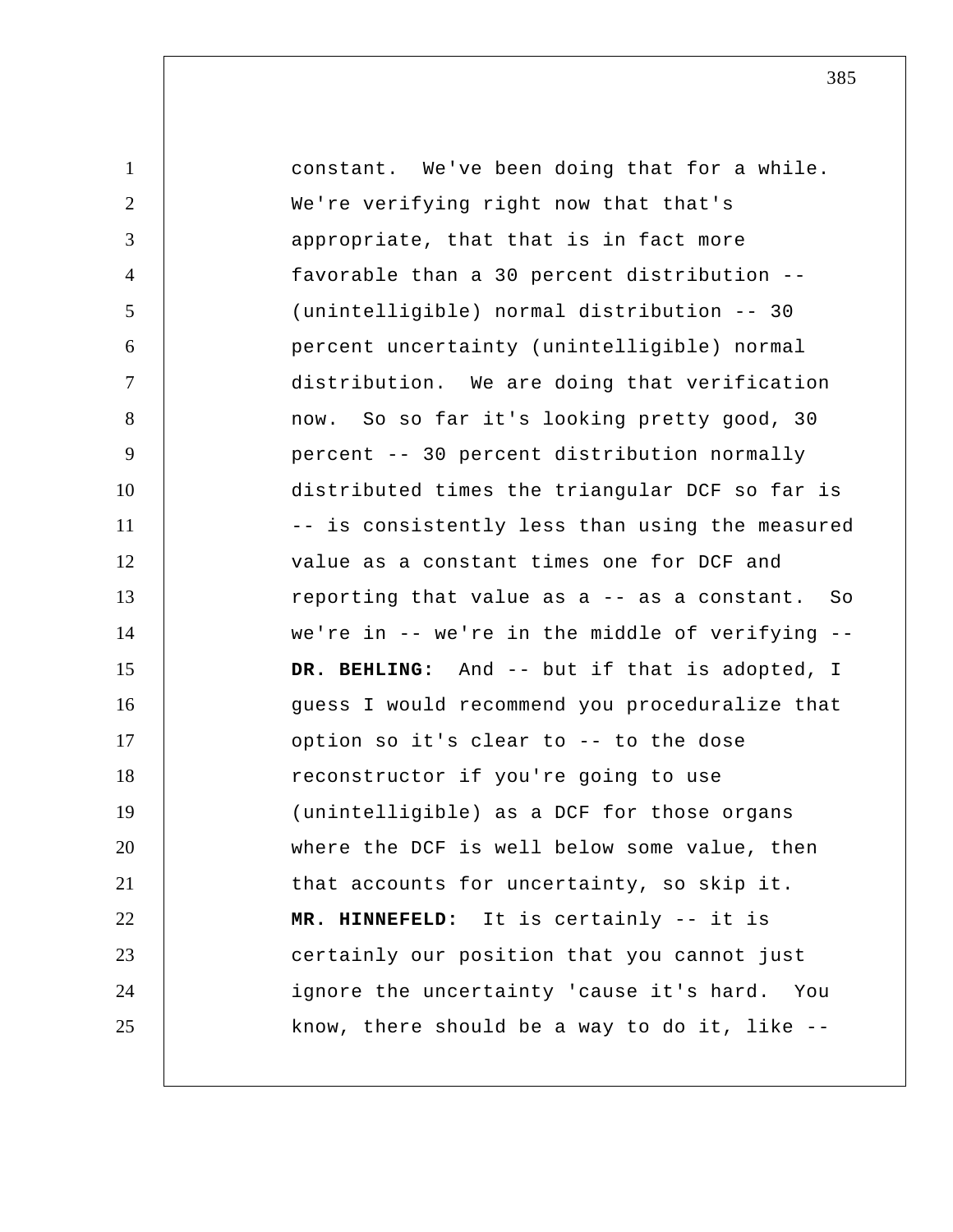1 2 3 4 5 6 7 8 9 10 11 12 13 14 15 16 17 18 19 20 21 22 23 24 25 constant. We've been doing that for a while. We're verifying right now that that's appropriate, that that is in fact more favorable than a 30 percent distribution -- (unintelligible) normal distribution -- 30 percent uncertainty (unintelligible) normal distribution. We are doing that verification now. So so far it's looking pretty good, 30 percent -- 30 percent distribution normally distributed times the triangular DCF so far is -- is consistently less than using the measured value as a constant times one for DCF and reporting that value as a -- as a constant. So we're in -- we're in the middle of verifying --  **DR. BEHLING:** And -- but if that is adopted, I guess I would recommend you proceduralize that option so it's clear to -- to the dose reconstructor if you're going to use (unintelligible) as a DCF for those organs where the DCF is well below some value, then that accounts for uncertainty, so skip it.  **MR. HINNEFELD:** It is certainly -- it is certainly our position that you cannot just ignore the uncertainty 'cause it's hard. You know, there should be a way to do it, like --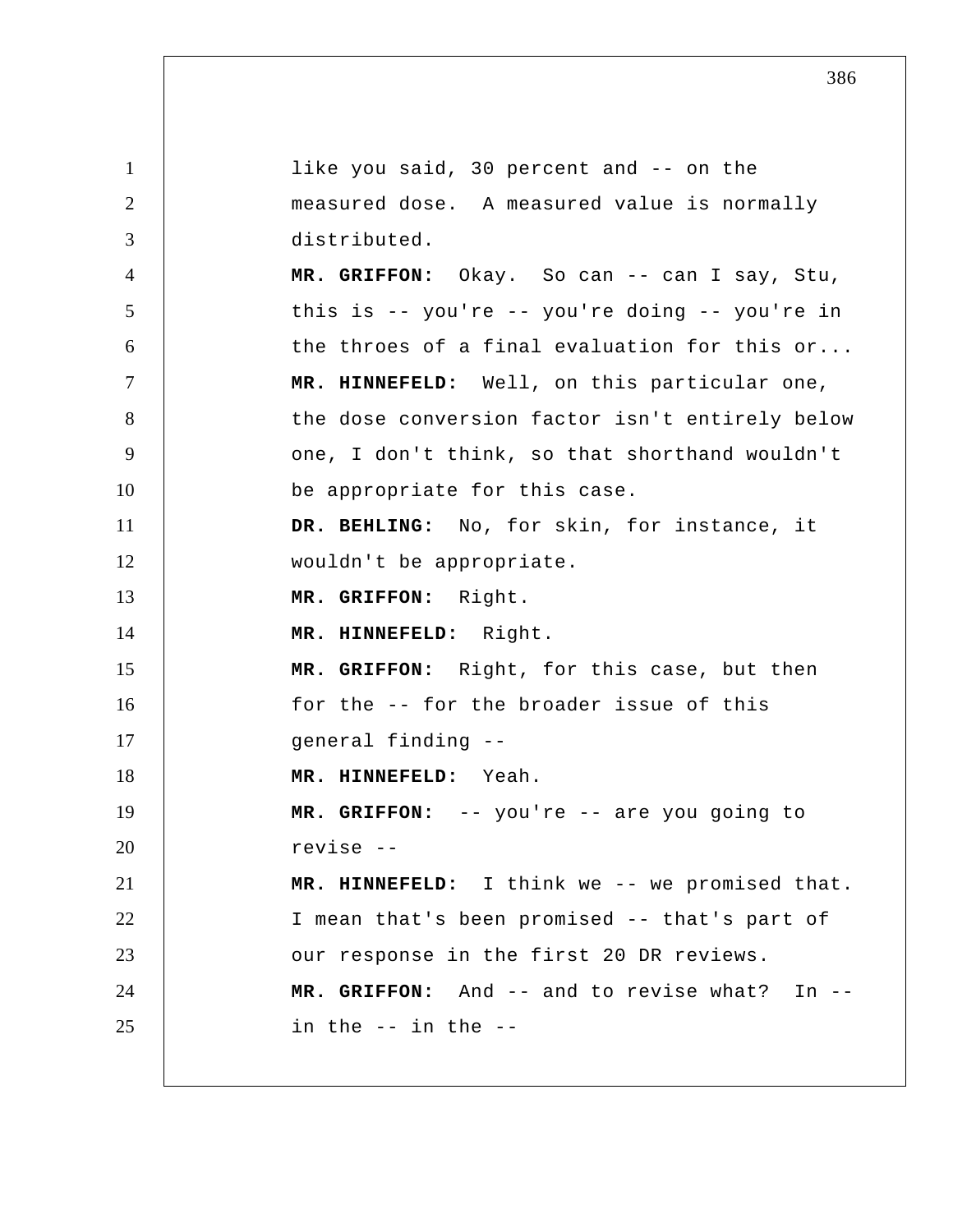1 2 3 4 5 6 7 8 9 10 11 12 13 14 15 16 17 18 19 20 21 22 23 24 25 like you said, 30 percent and -- on the measured dose. A measured value is normally distributed.  **MR. GRIFFON:** Okay. So can -- can I say, Stu, this is -- you're -- you're doing -- you're in the throes of a final evaluation for this or...  **MR. HINNEFELD:** Well, on this particular one, the dose conversion factor isn't entirely below one, I don't think, so that shorthand wouldn't be appropriate for this case.  **DR. BEHLING:** No, for skin, for instance, it wouldn't be appropriate.  **MR. GRIFFON:** Right.  **MR. HINNEFELD:** Right.  **MR. GRIFFON:** Right, for this case, but then for the -- for the broader issue of this general finding -- **MR. HINNEFELD:** Yeah.  **MR. GRIFFON:** -- you're -- are you going to revise -- **MR. HINNEFELD:** I think we -- we promised that. I mean that's been promised -- that's part of our response in the first 20 DR reviews.  **MR. GRIFFON:** And -- and to revise what? In -in the -- in the --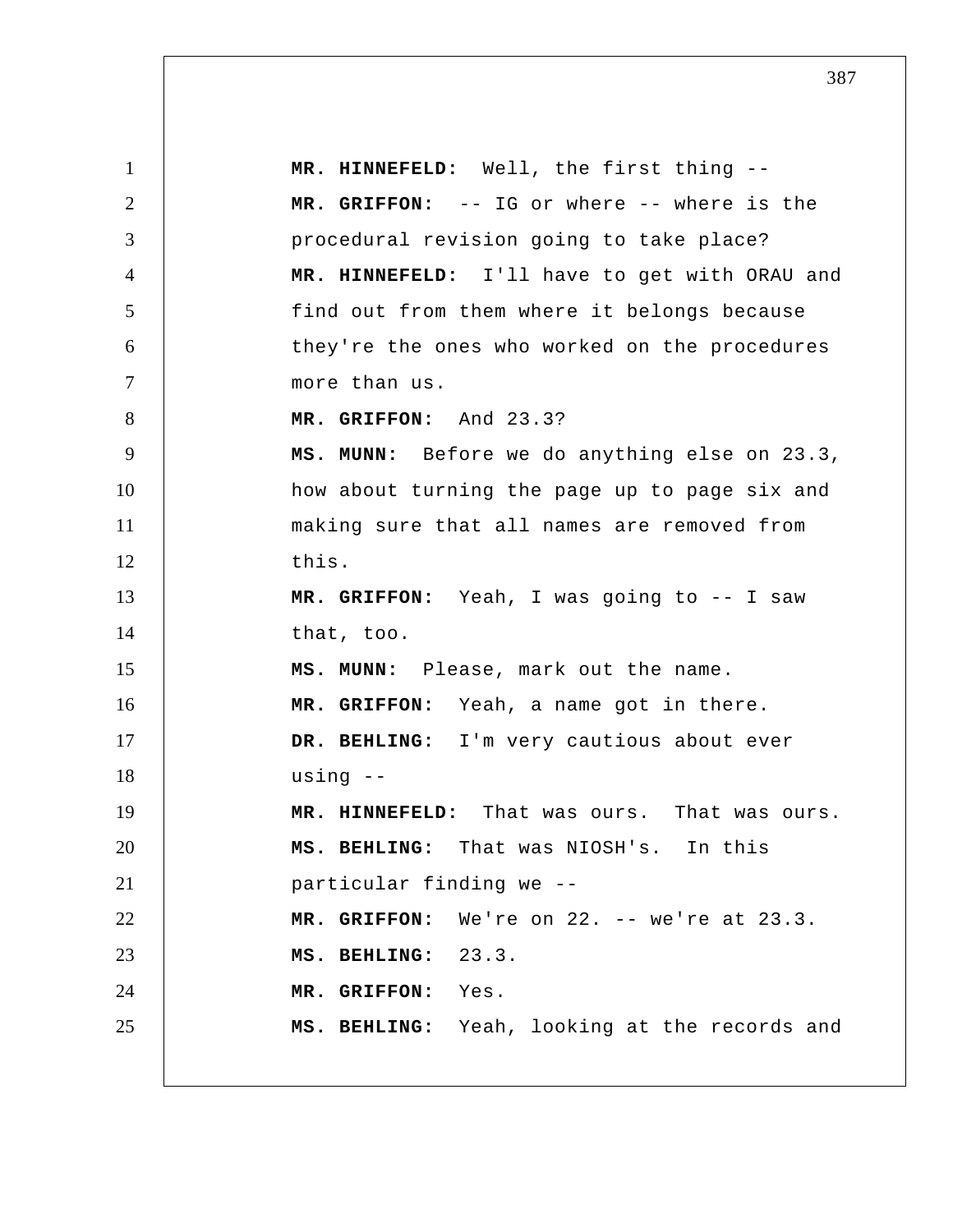1 2 3 4 5 6 7 8 9 10 11 12 13 14 15 16 17 18 19 20 21 22 23 24 25  **MR. HINNEFELD:** Well, the first thing --  **MR. GRIFFON:** -- IG or where -- where is the procedural revision going to take place?  **MR. HINNEFELD:** I'll have to get with ORAU and find out from them where it belongs because they're the ones who worked on the procedures more than us.  **MR. GRIFFON:** And 23.3?  **MS. MUNN:** Before we do anything else on 23.3, how about turning the page up to page six and making sure that all names are removed from this.  **MR. GRIFFON:** Yeah, I was going to -- I saw that, too.  **MS. MUNN:** Please, mark out the name.  **MR. GRIFFON:** Yeah, a name got in there.  **DR. BEHLING:** I'm very cautious about ever using --  **MR. HINNEFELD:** That was ours. That was ours.  **MS. BEHLING:** That was NIOSH's. In this particular finding we --  **MR. GRIFFON:** We're on 22. -- we're at 23.3.  **MS. BEHLING:** 23.3.  **MR. GRIFFON:** Yes.  **MS. BEHLING:** Yeah, looking at the records and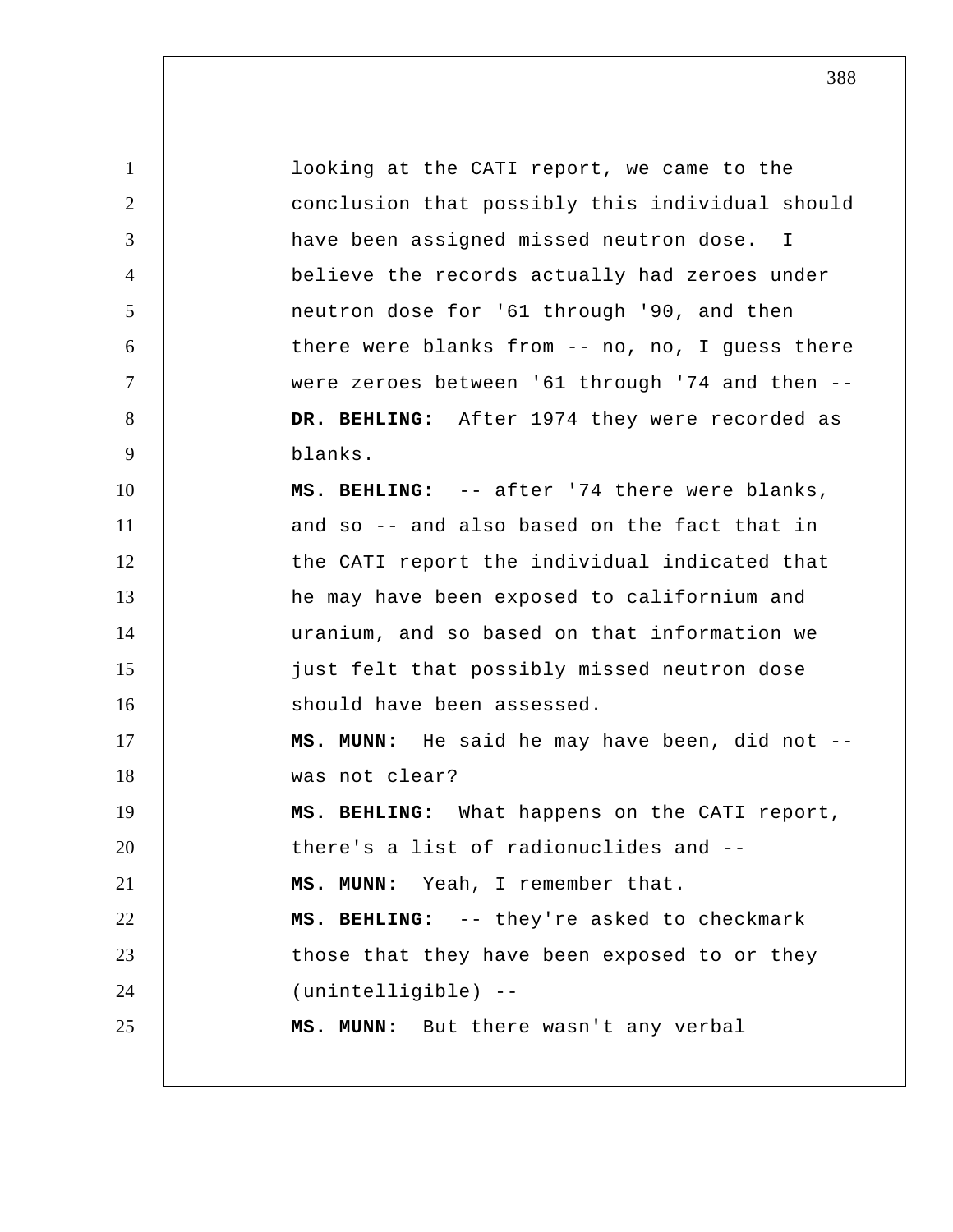1 2 3 4 5 6 7 8 9 10 11 12 13 14 15 16 17 18 19 20 21 22 23 24 25 looking at the CATI report, we came to the conclusion that possibly this individual should have been assigned missed neutron dose. I believe the records actually had zeroes under neutron dose for '61 through '90, and then there were blanks from -- no, no, I guess there were zeroes between '61 through '74 and then --  **DR. BEHLING:** After 1974 they were recorded as blanks.  **MS. BEHLING:** -- after '74 there were blanks, and so -- and also based on the fact that in the CATI report the individual indicated that he may have been exposed to californium and uranium, and so based on that information we just felt that possibly missed neutron dose should have been assessed.  **MS. MUNN:** He said he may have been, did not - was not clear?  **MS. BEHLING:** What happens on the CATI report, there's a list of radionuclides and --  **MS. MUNN:** Yeah, I remember that.  **MS. BEHLING:** -- they're asked to checkmark those that they have been exposed to or they (unintelligible) -- **MS. MUNN:** But there wasn't any verbal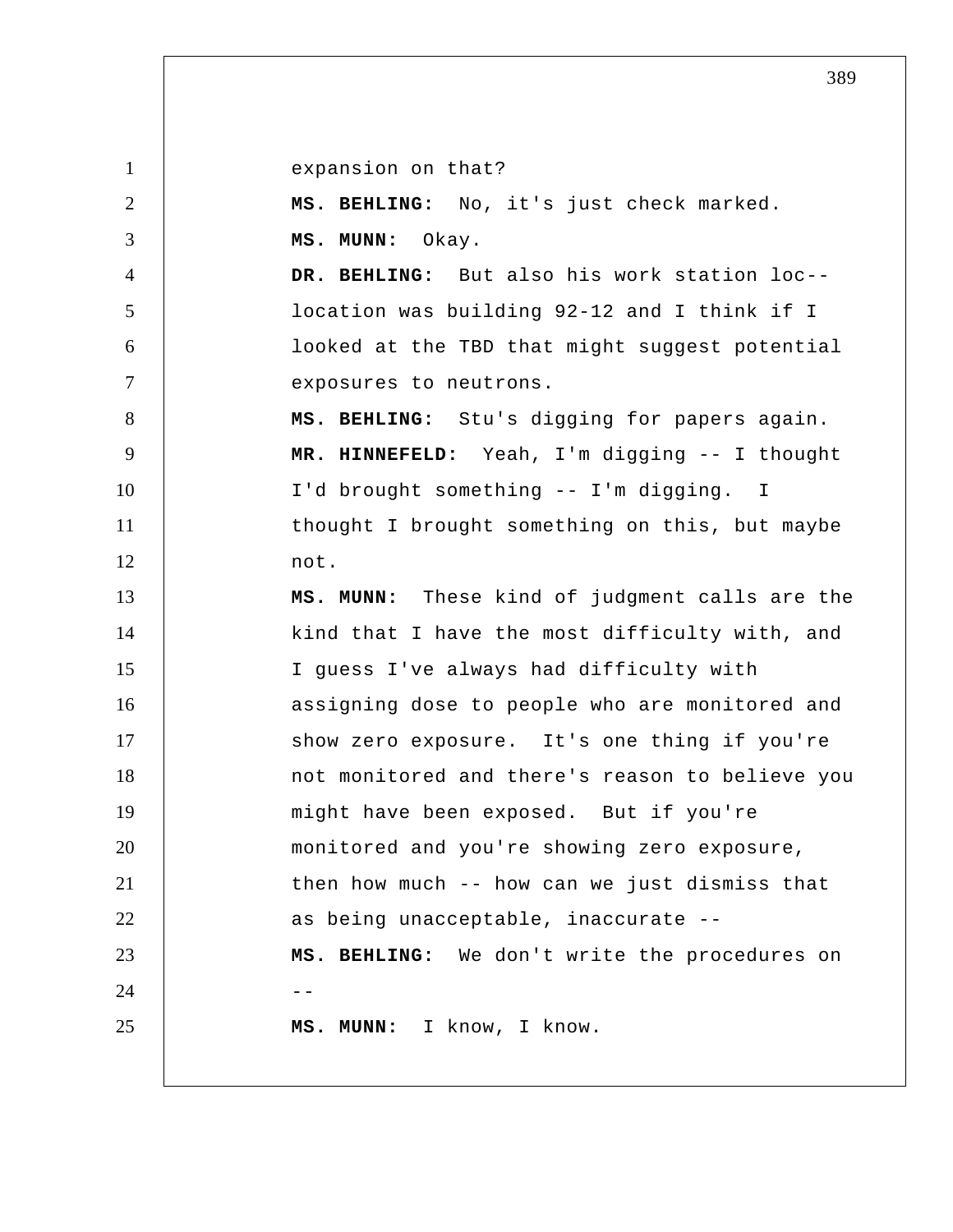1

expansion on that?

2 3 4 5 6 7 8 9 10 11 12 13 14 15 16 17 18 19 20 21 22 23  $24$  --25  **MS. BEHLING:** No, it's just check marked.  **MS. MUNN:** Okay.  **DR. BEHLING:** But also his work station loc- location was building 92-12 and I think if I looked at the TBD that might suggest potential exposures to neutrons.  **MS. BEHLING:** Stu's digging for papers again.  **MR. HINNEFELD:** Yeah, I'm digging -- I thought I'd brought something -- I'm digging. I thought I brought something on this, but maybe not.  **MS. MUNN:** These kind of judgment calls are the kind that I have the most difficulty with, and I guess I've always had difficulty with assigning dose to people who are monitored and show zero exposure. It's one thing if you're not monitored and there's reason to believe you might have been exposed. But if you're monitored and you're showing zero exposure, then how much -- how can we just dismiss that as being unacceptable, inaccurate --  **MS. BEHLING:** We don't write the procedures on  **MS. MUNN:** I know, I know.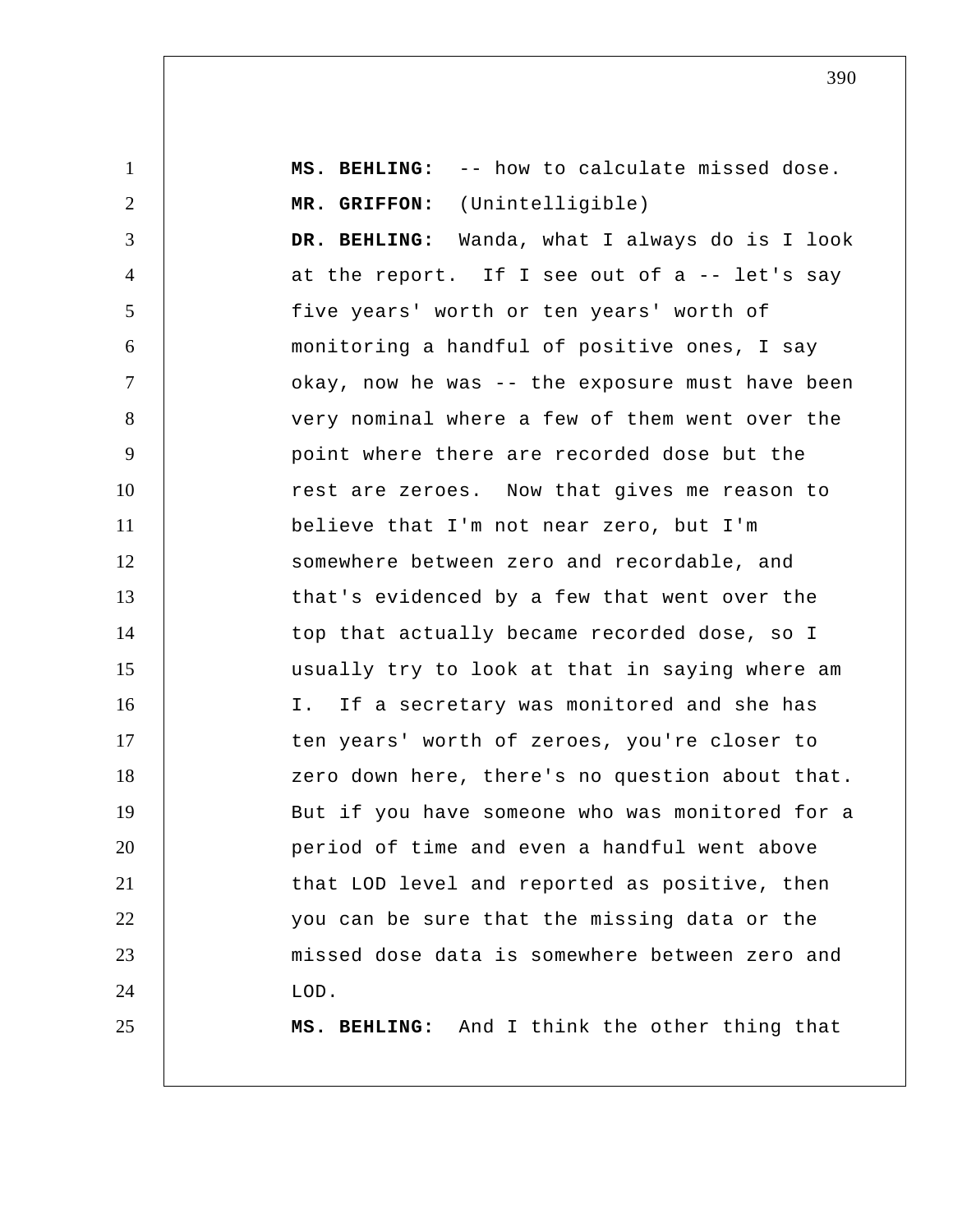1 2 3 4 5 6 7 8 9 10 11 12 13 14 15 16 17 18 19 20 21 22 23 24 25  **MS. BEHLING:** -- how to calculate missed dose.  **MR. GRIFFON:** (Unintelligible)  **DR. BEHLING:** Wanda, what I always do is I look at the report. If I see out of a -- let's say five years' worth or ten years' worth of monitoring a handful of positive ones, I say okay, now he was -- the exposure must have been very nominal where a few of them went over the point where there are recorded dose but the rest are zeroes. Now that gives me reason to believe that I'm not near zero, but I'm somewhere between zero and recordable, and that's evidenced by a few that went over the top that actually became recorded dose, so I usually try to look at that in saying where am I. If a secretary was monitored and she has ten years' worth of zeroes, you're closer to zero down here, there's no question about that. But if you have someone who was monitored for a period of time and even a handful went above that LOD level and reported as positive, then you can be sure that the missing data or the missed dose data is somewhere between zero and LOD.  **MS. BEHLING:** And I think the other thing that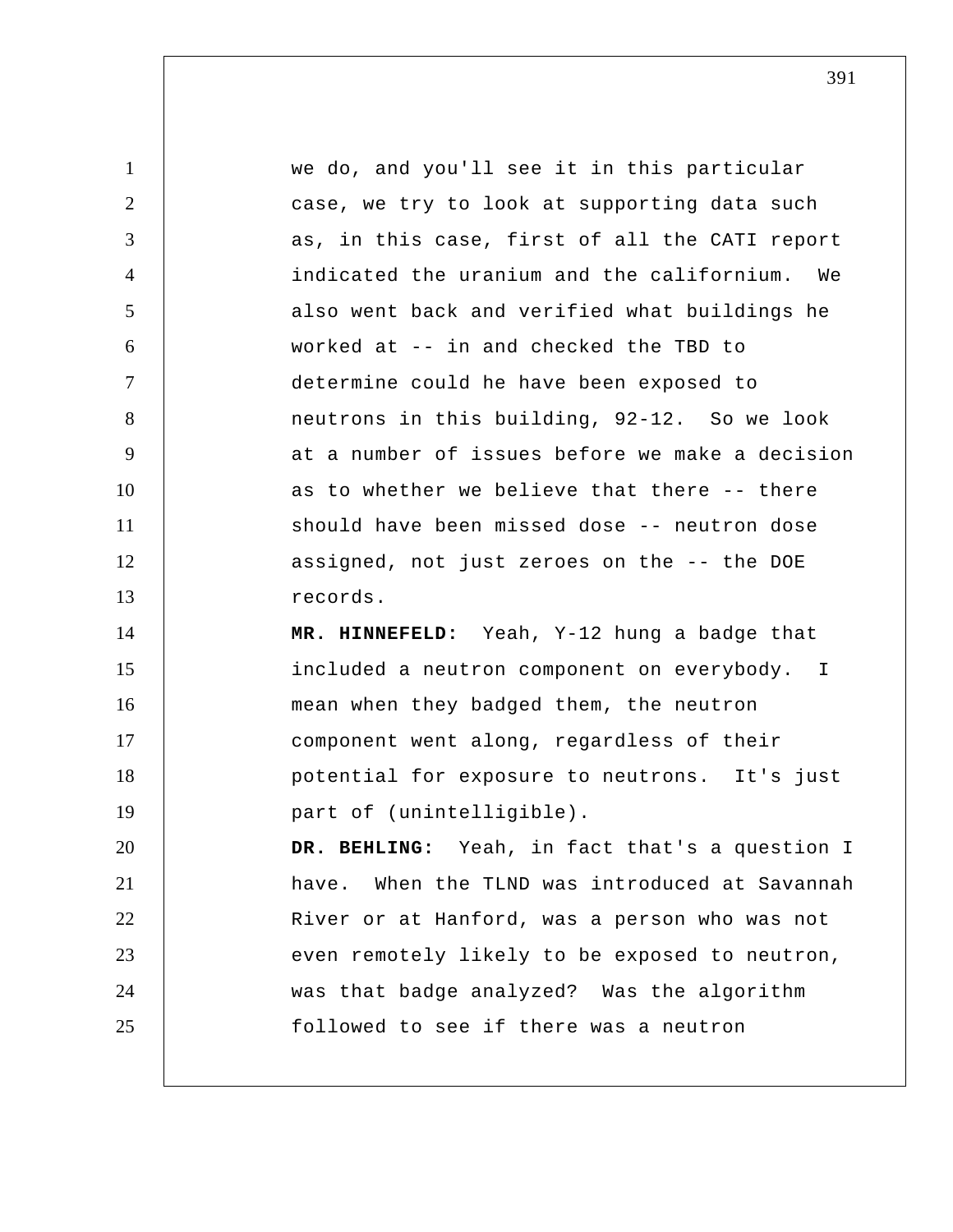| $\mathbf{1}$   | we do, and you'll see it in this particular       |
|----------------|---------------------------------------------------|
| $\overline{2}$ | case, we try to look at supporting data such      |
| 3              | as, in this case, first of all the CATI report    |
| $\overline{4}$ | indicated the uranium and the californium. We     |
| 5              | also went back and verified what buildings he     |
| 6              | worked at -- in and checked the TBD to            |
| $\tau$         | determine could he have been exposed to           |
| 8              | neutrons in this building, 92-12. So we look      |
| 9              | at a number of issues before we make a decision   |
| 10             | as to whether we believe that there -- there      |
| 11             | should have been missed dose -- neutron dose      |
| 12             | assigned, not just zeroes on the -- the DOE       |
| 13             | records.                                          |
| 14             | MR. HINNEFELD: Yeah, Y-12 hung a badge that       |
| 15             | included a neutron component on everybody. I      |
| 16             | mean when they badged them, the neutron           |
| 17             | component went along, regardless of their         |
| 18             | potential for exposure to neutrons. It's just     |
| 19             | part of (unintelligible).                         |
| 20             | DR. BEHLING: Yeah, in fact that's a question I    |
| 21             | When the TLND was introduced at Savannah<br>have. |
| 22             | River or at Hanford, was a person who was not     |
| 23             | even remotely likely to be exposed to neutron,    |
| 24             | was that badge analyzed? Was the algorithm        |
| 25             | followed to see if there was a neutron            |
|                |                                                   |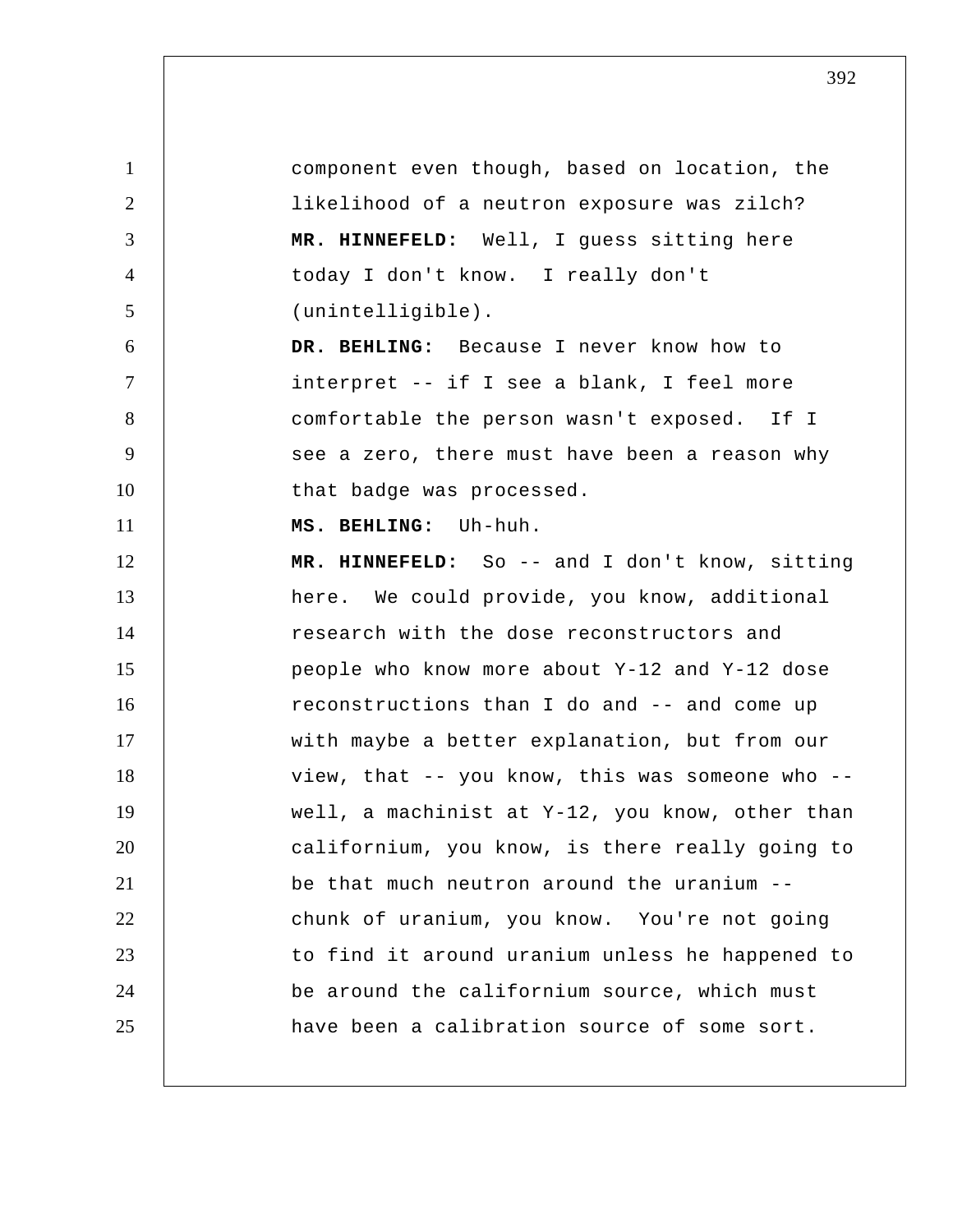1 2 3 4 5 6 7 8 9 10 11 12 13 14 15 16 17 18 19 20 21 22 23 24 25 component even though, based on location, the likelihood of a neutron exposure was zilch?  **MR. HINNEFELD:** Well, I guess sitting here today I don't know. I really don't (unintelligible).  **DR. BEHLING:** Because I never know how to interpret -- if I see a blank, I feel more comfortable the person wasn't exposed. If I see a zero, there must have been a reason why that badge was processed.  **MS. BEHLING:** Uh-huh.  **MR. HINNEFELD:** So -- and I don't know, sitting here. We could provide, you know, additional research with the dose reconstructors and people who know more about Y-12 and Y-12 dose reconstructions than I do and -- and come up with maybe a better explanation, but from our view, that -- you know, this was someone who - well, a machinist at Y-12, you know, other than californium, you know, is there really going to be that much neutron around the uranium - chunk of uranium, you know. You're not going to find it around uranium unless he happened to be around the californium source, which must have been a calibration source of some sort.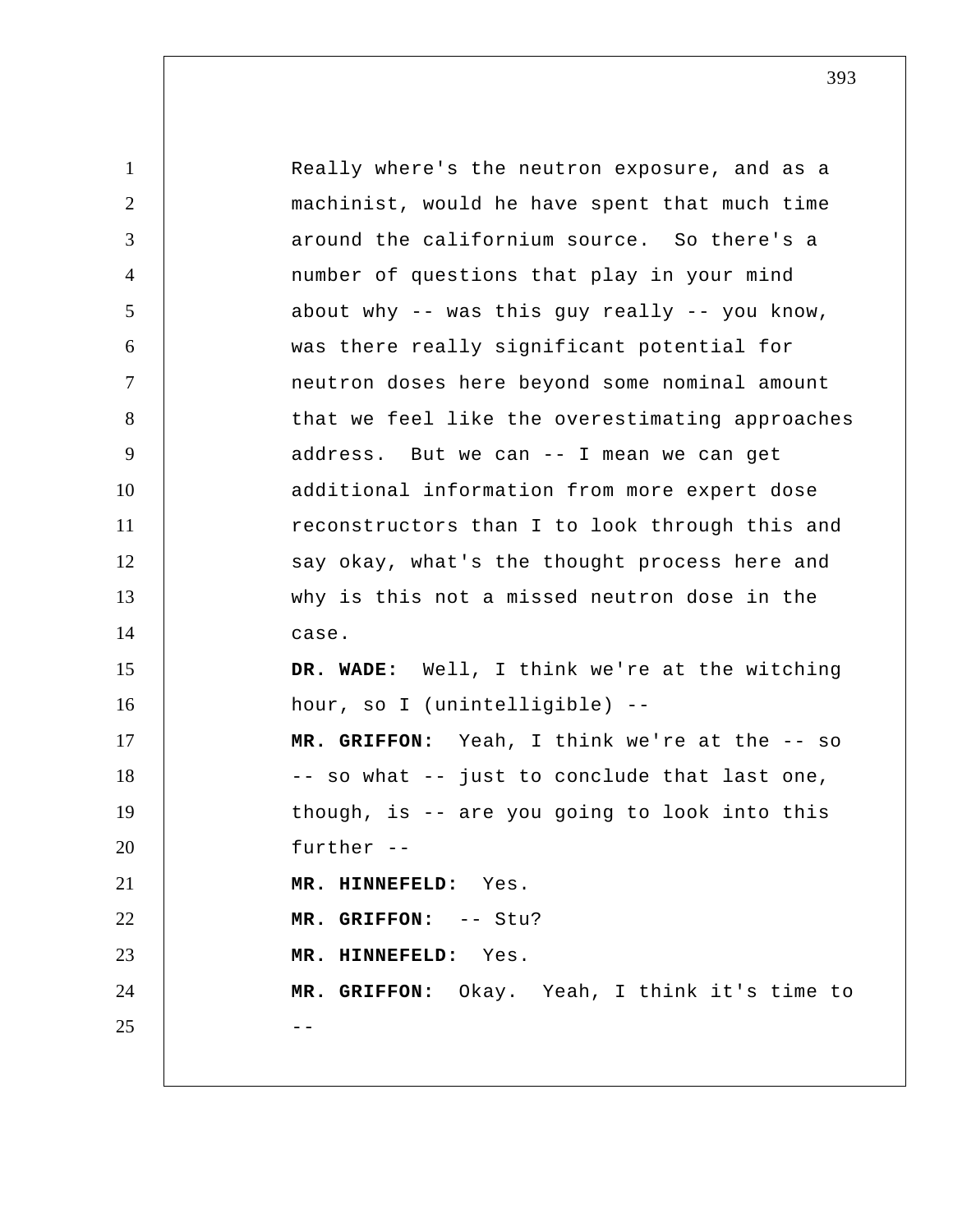1 2 3 4 5 6 7 8 9 10 11 12 13 14 15 16 17 18 19 20 21 22 23 24  $25$  --Really where's the neutron exposure, and as a machinist, would he have spent that much time around the californium source. So there's a number of questions that play in your mind about why -- was this guy really -- you know, was there really significant potential for neutron doses here beyond some nominal amount that we feel like the overestimating approaches address. But we can -- I mean we can get additional information from more expert dose reconstructors than I to look through this and say okay, what's the thought process here and why is this not a missed neutron dose in the case.  **DR. WADE:** Well, I think we're at the witching hour, so I (unintelligible) --  **MR. GRIFFON:** Yeah, I think we're at the -- so -- so what -- just to conclude that last one, though, is -- are you going to look into this further -- **MR. HINNEFELD:** Yes.  **MR. GRIFFON:** -- Stu?  **MR. HINNEFELD:** Yes.  **MR. GRIFFON:** Okay. Yeah, I think it's time to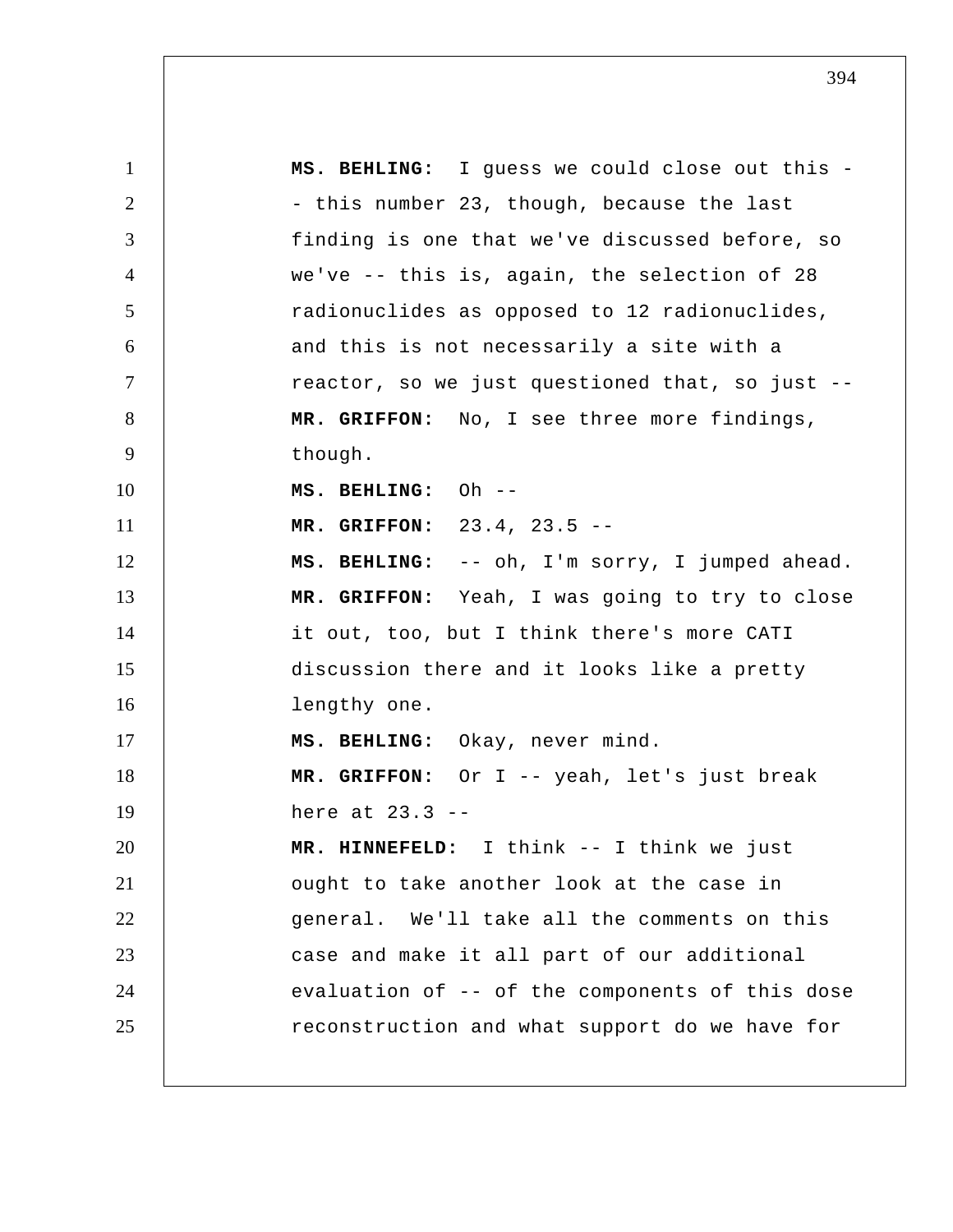1 2 3 4 5 6 7 8 9 10 11 12 13 14 15 16 17 18 19 20 21 22 23 24 25  **MS. BEHLING:** I guess we could close out this - this number 23, though, because the last finding is one that we've discussed before, so we've -- this is, again, the selection of 28 radionuclides as opposed to 12 radionuclides, and this is not necessarily a site with a reactor, so we just questioned that, so just --  **MR. GRIFFON:** No, I see three more findings, though.  **MS. BEHLING:** Oh --  **MR. GRIFFON:** 23.4, 23.5 --  **MS. BEHLING:** -- oh, I'm sorry, I jumped ahead.  **MR. GRIFFON:** Yeah, I was going to try to close it out, too, but I think there's more CATI discussion there and it looks like a pretty lengthy one.  **MS. BEHLING:** Okay, never mind.  **MR. GRIFFON:** Or I -- yeah, let's just break here at 23.3 -- **MR. HINNEFELD:** I think -- I think we just ought to take another look at the case in general. We'll take all the comments on this case and make it all part of our additional evaluation of -- of the components of this dose reconstruction and what support do we have for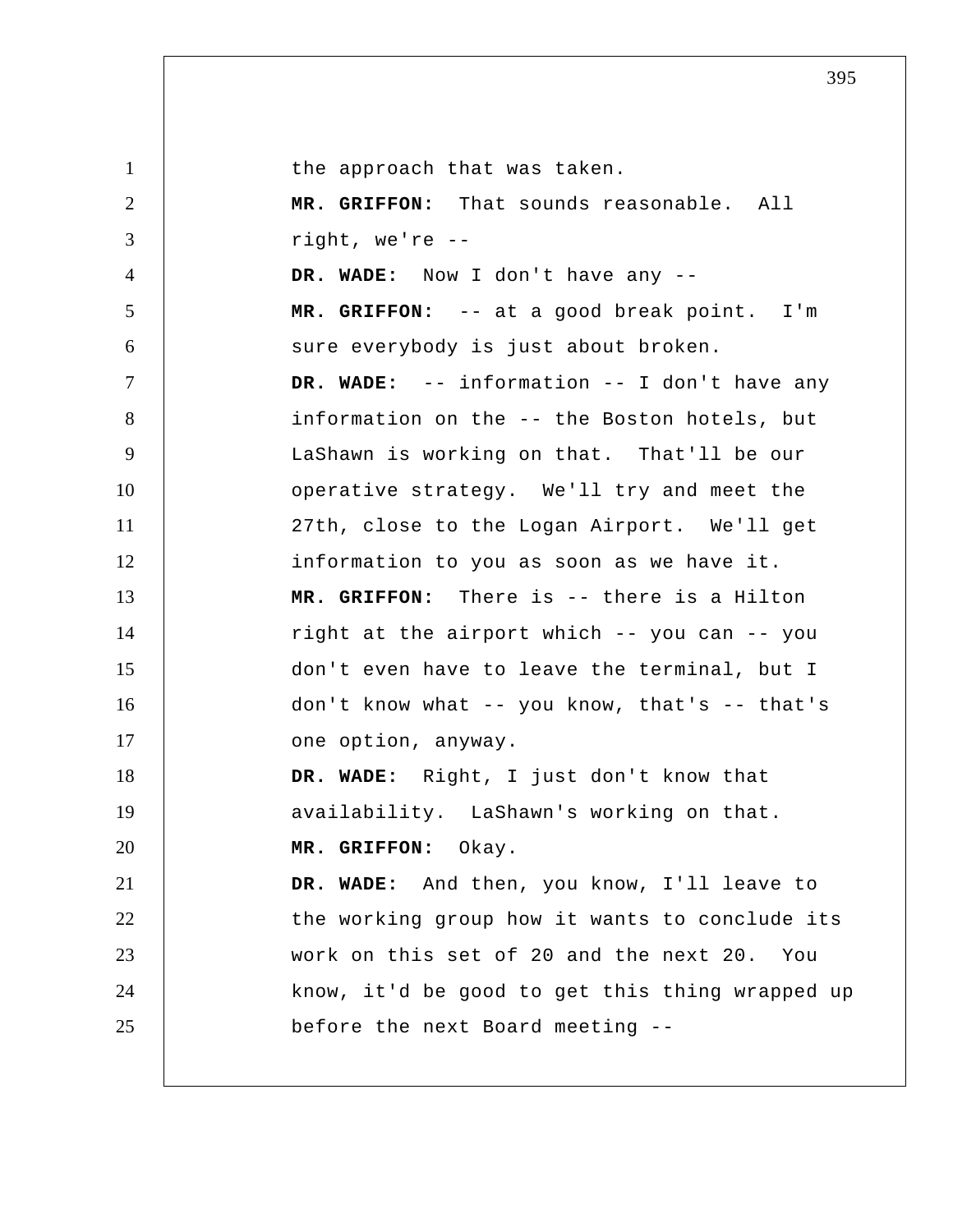1 2 3 4 5 6 7 8 9 10 11 12 13 14 15 16 17 18 19 20 21 22 23 24 25 the approach that was taken.  **MR. GRIFFON:** That sounds reasonable. All right, we're -- **DR. WADE:** Now I don't have any --  **MR. GRIFFON:** -- at a good break point. I'm sure everybody is just about broken.  **DR. WADE:** -- information -- I don't have any information on the -- the Boston hotels, but LaShawn is working on that. That'll be our operative strategy. We'll try and meet the 27th, close to the Logan Airport. We'll get information to you as soon as we have it.  **MR. GRIFFON:** There is -- there is a Hilton right at the airport which -- you can -- you don't even have to leave the terminal, but I don't know what -- you know, that's -- that's one option, anyway.  **DR. WADE:** Right, I just don't know that availability. LaShawn's working on that.  **MR. GRIFFON:** Okay.  **DR. WADE:** And then, you know, I'll leave to the working group how it wants to conclude its work on this set of 20 and the next 20. You know, it'd be good to get this thing wrapped up before the next Board meeting --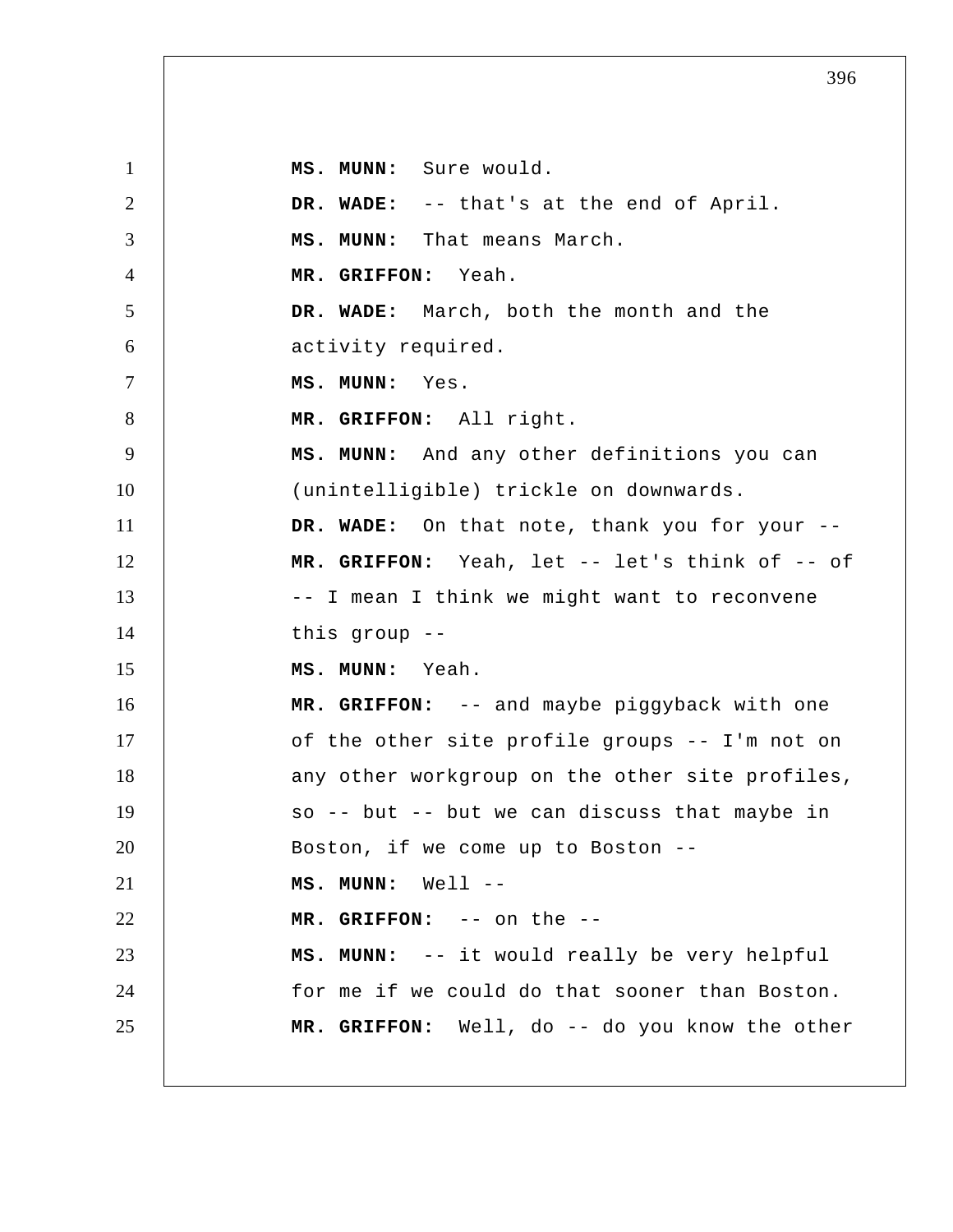1 2 3 4 5 6 7 8 9 10 11 12 13 14 15 16 17 18 19 20 21 22 23 24 25  **MS. MUNN:** Sure would.  **DR. WADE:** -- that's at the end of April.  **MS. MUNN:** That means March.  **MR. GRIFFON:** Yeah.  **DR. WADE:** March, both the month and the activity required.  **MS. MUNN:** Yes.  **MR. GRIFFON:** All right.  **MS. MUNN:** And any other definitions you can (unintelligible) trickle on downwards.  **DR. WADE:** On that note, thank you for your --  **MR. GRIFFON:** Yeah, let -- let's think of -- of -- I mean I think we might want to reconvene this group --  **MS. MUNN:** Yeah.  **MR. GRIFFON:** -- and maybe piggyback with one of the other site profile groups -- I'm not on any other workgroup on the other site profiles, so  $--$  but  $--$  but we can discuss that maybe in Boston, if we come up to Boston --  **MS. MUNN:** Well -- **MR. GRIFFON:** -- on the -- **MS. MUNN:** -- it would really be very helpful for me if we could do that sooner than Boston.  **MR. GRIFFON:** Well, do -- do you know the other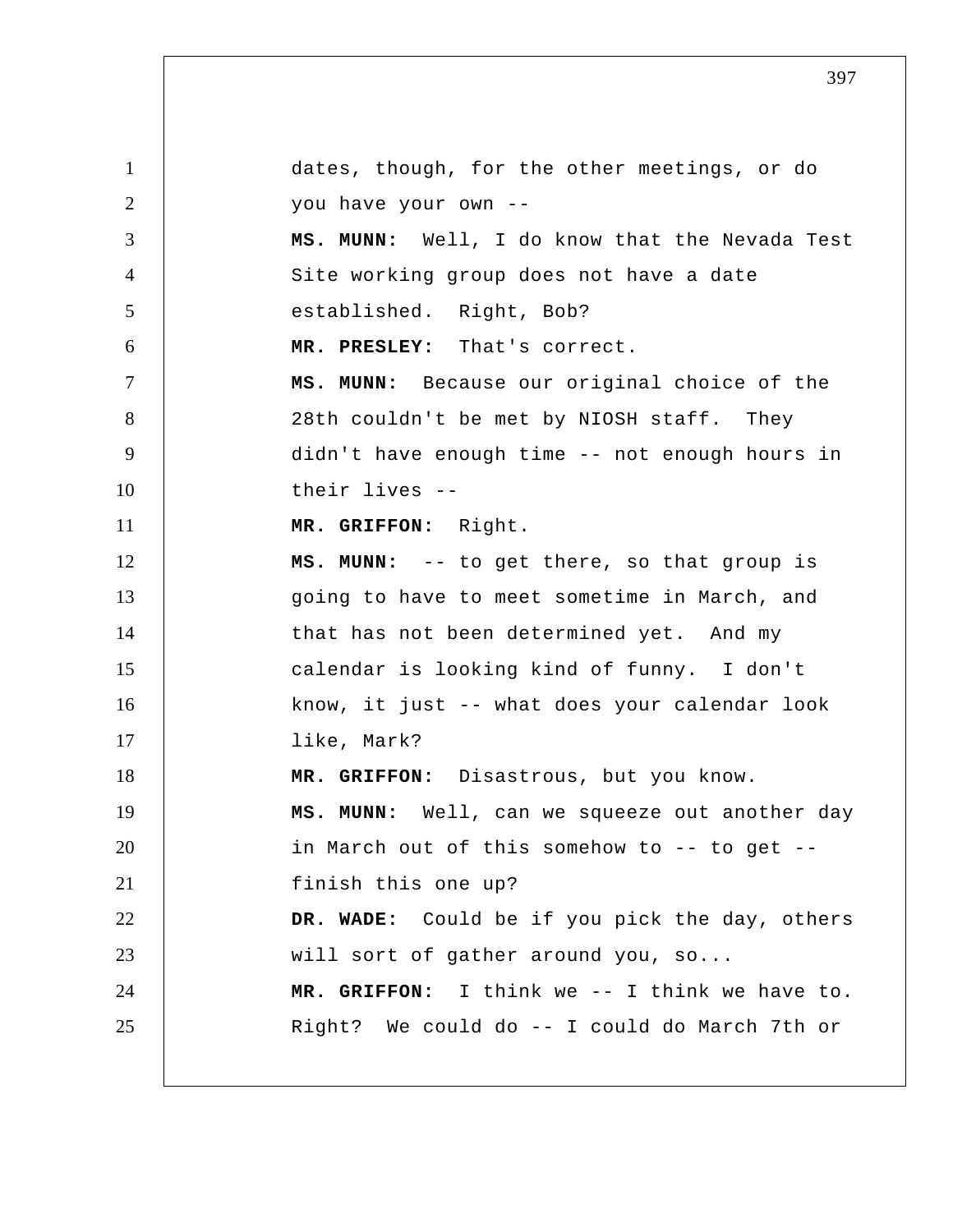1 2 3 4 5 6 7 8 9 10 11 12 13 14 15 16 17 18 19 20 21 22 23 24 25 dates, though, for the other meetings, or do you have your own -- **MS. MUNN:** Well, I do know that the Nevada Test Site working group does not have a date established. Right, Bob?  **MR. PRESLEY:** That's correct.  **MS. MUNN:** Because our original choice of the 28th couldn't be met by NIOSH staff. They didn't have enough time -- not enough hours in their lives -- **MR. GRIFFON:** Right.  **MS. MUNN:** -- to get there, so that group is going to have to meet sometime in March, and that has not been determined yet. And my calendar is looking kind of funny. I don't know, it just -- what does your calendar look like, Mark?  **MR. GRIFFON:** Disastrous, but you know.  **MS. MUNN:** Well, can we squeeze out another day in March out of this somehow to -- to get - finish this one up?  **DR. WADE:** Could be if you pick the day, others will sort of gather around you, so...  **MR. GRIFFON:** I think we -- I think we have to. Right? We could do -- I could do March 7th or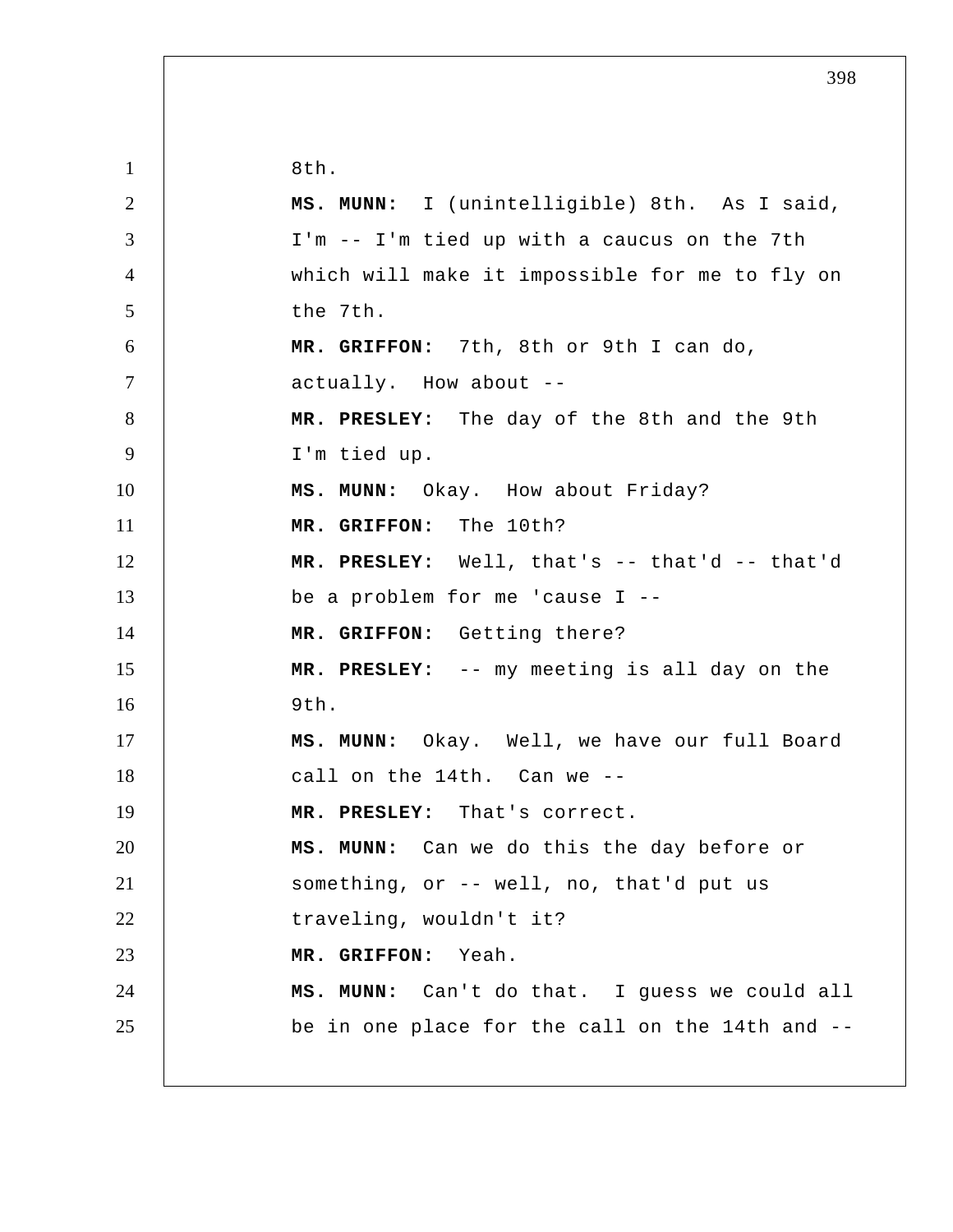1 2 3 4 5 6 7 8 9 10 11 12 13 14 15 16 17 18 19 20 21 22 23 24 25 8th.  **MS. MUNN:** I (unintelligible) 8th. As I said, I'm -- I'm tied up with a caucus on the 7th which will make it impossible for me to fly on the 7th.  **MR. GRIFFON:** 7th, 8th or 9th I can do, actually. How about --  **MR. PRESLEY:** The day of the 8th and the 9th I'm tied up.  **MS. MUNN:** Okay. How about Friday?  **MR. GRIFFON:** The 10th?  **MR. PRESLEY:** Well, that's -- that'd -- that'd be a problem for me 'cause I -- **MR. GRIFFON:** Getting there?  **MR. PRESLEY:** -- my meeting is all day on the  $9<sub>th</sub>$ .  **MS. MUNN:** Okay. Well, we have our full Board call on the 14th. Can we -- **MR. PRESLEY:** That's correct.  **MS. MUNN:** Can we do this the day before or something, or -- well, no, that'd put us traveling, wouldn't it?  **MR. GRIFFON:** Yeah.  **MS. MUNN:** Can't do that. I guess we could all be in one place for the call on the 14th and --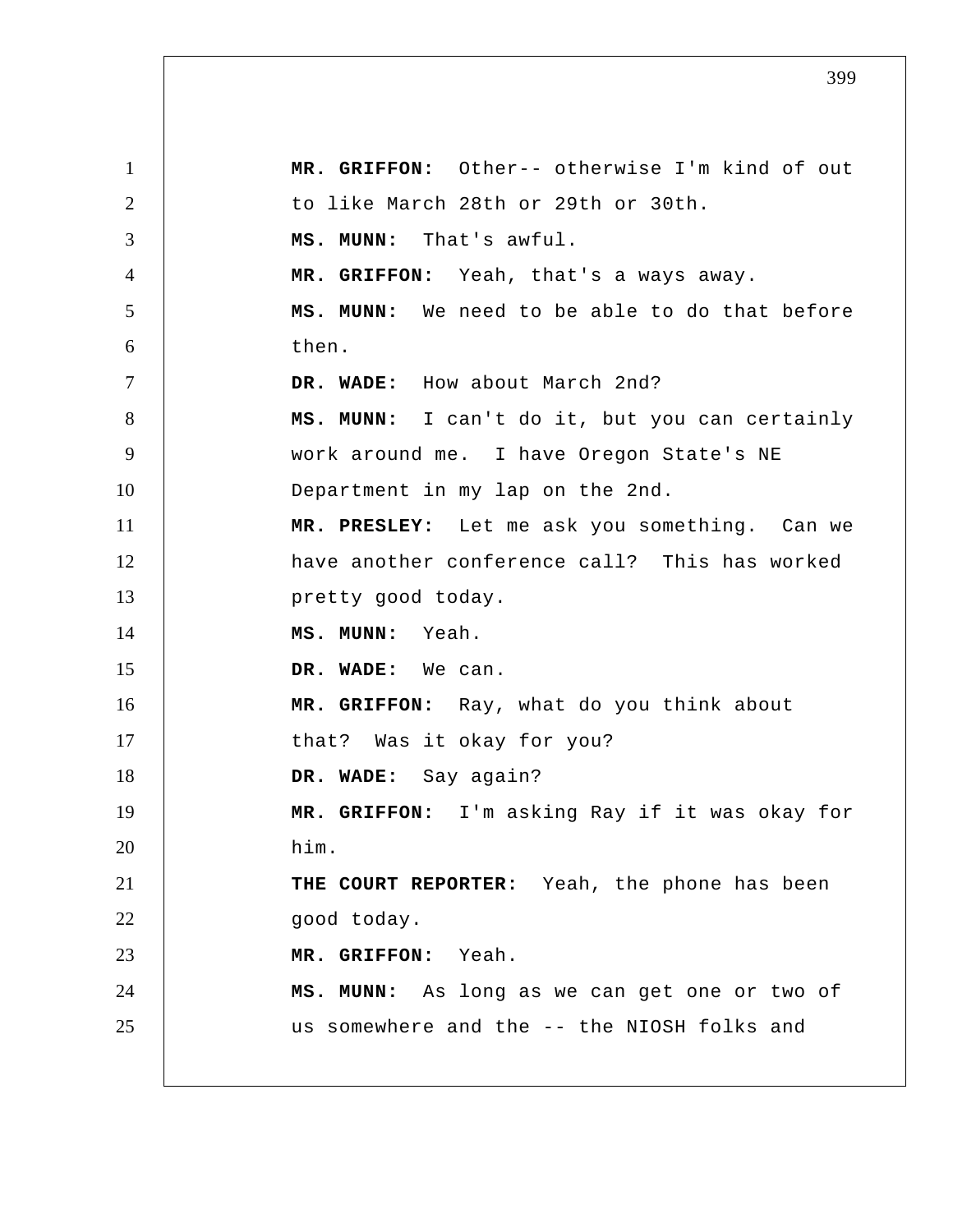1 2 3 4 5 6 7 8 9 10 11 12 13 14 15 16 17 18 19 20 21 22 23 24 25  **MR. GRIFFON:** Other-- otherwise I'm kind of out to like March 28th or 29th or 30th.  **MS. MUNN:** That's awful.  **MR. GRIFFON:** Yeah, that's a ways away.  **MS. MUNN:** We need to be able to do that before then.  **DR. WADE:** How about March 2nd?  **MS. MUNN:** I can't do it, but you can certainly work around me. I have Oregon State's NE Department in my lap on the 2nd.  **MR. PRESLEY:** Let me ask you something. Can we have another conference call? This has worked pretty good today.  **MS. MUNN:** Yeah.  **DR. WADE:** We can.  **MR. GRIFFON:** Ray, what do you think about that? Was it okay for you?  **DR. WADE:** Say again?  **MR. GRIFFON:** I'm asking Ray if it was okay for him. **THE COURT REPORTER:** Yeah, the phone has been good today.  **MR. GRIFFON:** Yeah.  **MS. MUNN:** As long as we can get one or two of us somewhere and the -- the NIOSH folks and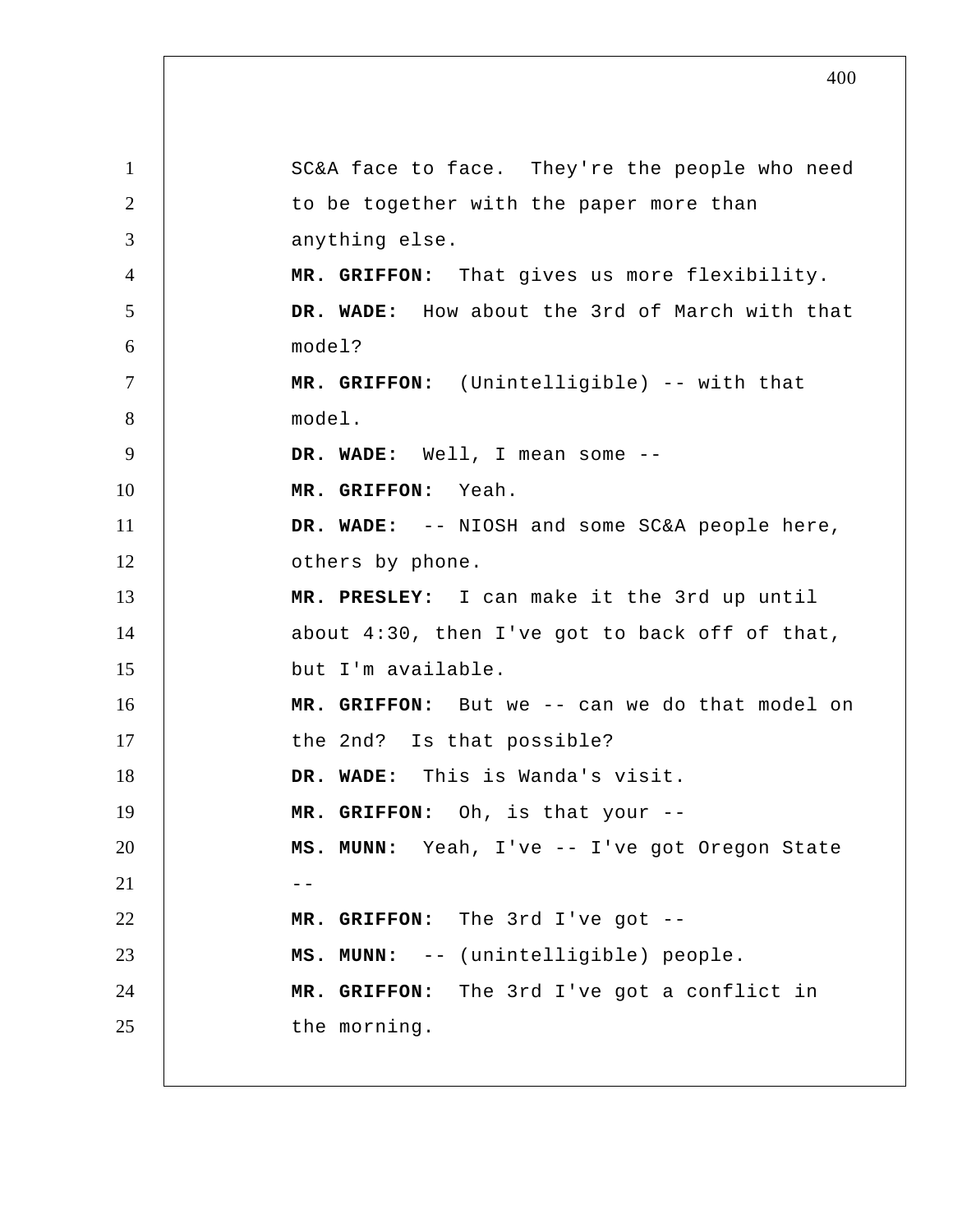1 2 3 4 5 6 7 8 9 10 11 12 13 14 15 16 17 18 19 20  $21$   $-$ 22 23 24 25 SC&A face to face. They're the people who need to be together with the paper more than anything else.  **MR. GRIFFON:** That gives us more flexibility.  **DR. WADE:** How about the 3rd of March with that model?  **MR. GRIFFON:** (Unintelligible) -- with that model.  **DR. WADE:** Well, I mean some -- **MR. GRIFFON:** Yeah.  **DR. WADE:** -- NIOSH and some SC&A people here, others by phone.  **MR. PRESLEY:** I can make it the 3rd up until about 4:30, then I've got to back off of that, but I'm available.  **MR. GRIFFON:** But we -- can we do that model on the 2nd? Is that possible?  **DR. WADE:** This is Wanda's visit.  **MR. GRIFFON:** Oh, is that your -- **MS. MUNN:** Yeah, I've -- I've got Oregon State  **MR. GRIFFON:** The 3rd I've got -- **MS. MUNN:** -- (unintelligible) people.  **MR. GRIFFON:** The 3rd I've got a conflict in the morning.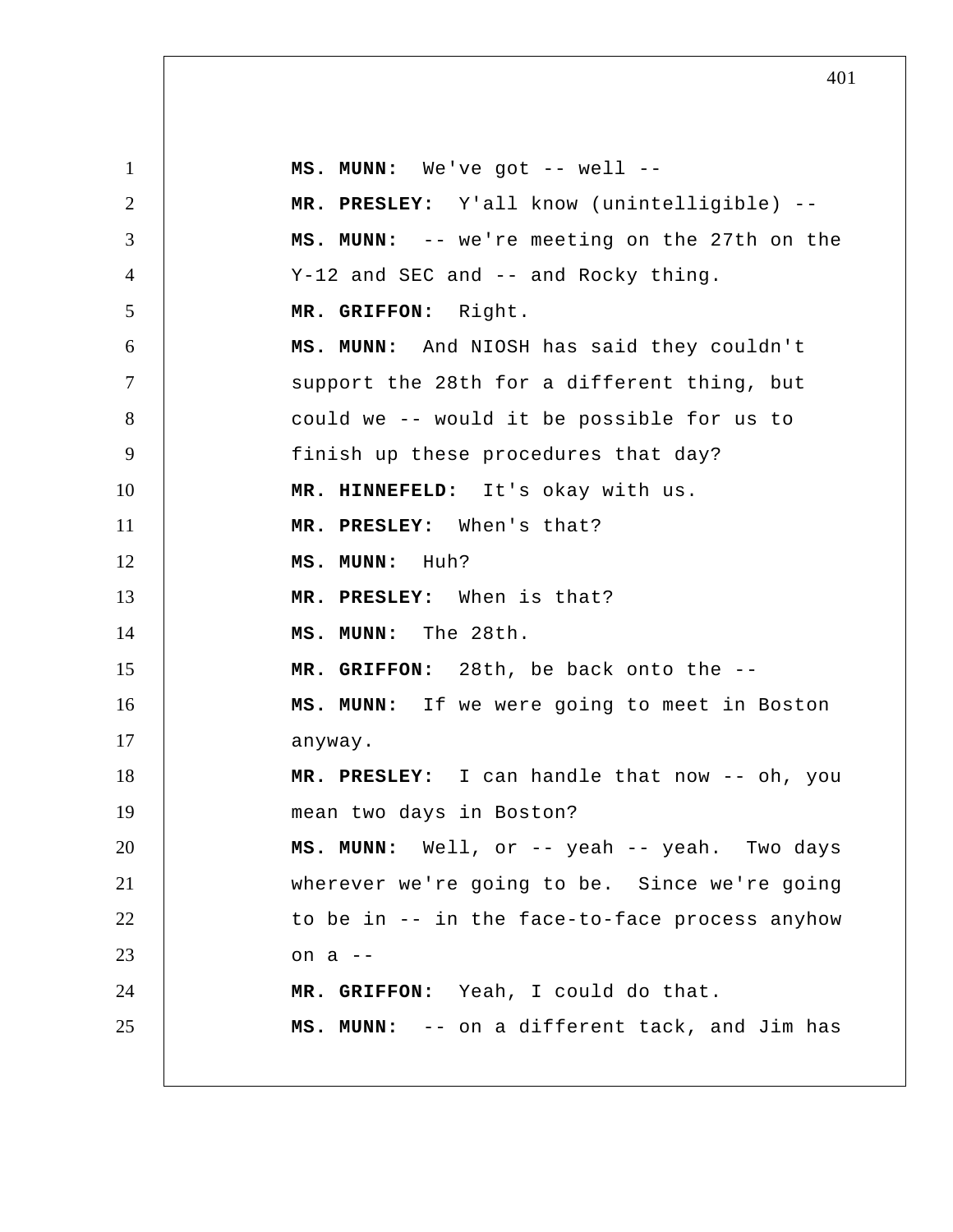1 2 3 4 5 6 7 8 9 10 11 12 13 14 15 16 17 18 19 20 21 22 23 24 25  **MS. MUNN:** We've got -- well -- **MR. PRESLEY:** Y'all know (unintelligible) --  **MS. MUNN:** -- we're meeting on the 27th on the Y-12 and SEC and -- and Rocky thing.  **MR. GRIFFON:** Right.  **MS. MUNN:** And NIOSH has said they couldn't support the 28th for a different thing, but could we -- would it be possible for us to finish up these procedures that day?  **MR. HINNEFELD:** It's okay with us.  **MR. PRESLEY:** When's that?  **MS. MUNN:** Huh?  **MR. PRESLEY:** When is that?  **MS. MUNN:** The 28th.  **MR. GRIFFON:** 28th, be back onto the -- **MS. MUNN:** If we were going to meet in Boston anyway.  **MR. PRESLEY:** I can handle that now -- oh, you mean two days in Boston?  **MS. MUNN:** Well, or -- yeah -- yeah. Two days wherever we're going to be. Since we're going to be in -- in the face-to-face process anyhow on a -- **MR. GRIFFON:** Yeah, I could do that.  **MS. MUNN:** -- on a different tack, and Jim has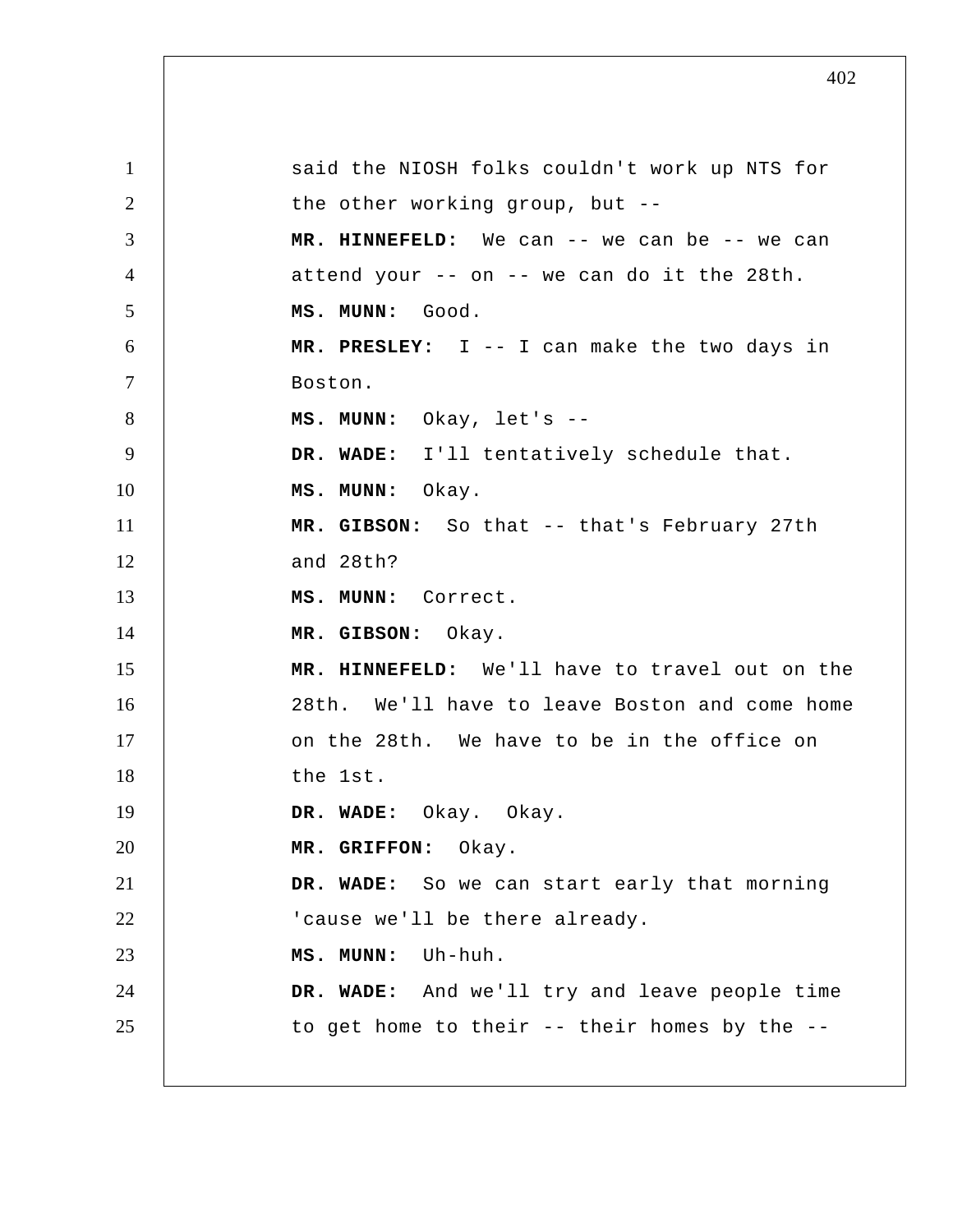1 2 3 4 5 6 7 8 9 10 11 12 13 14 15 16 17 18 19 20 21 22 23 24 25 said the NIOSH folks couldn't work up NTS for the other working group, but --  **MR. HINNEFELD:** We can -- we can be -- we can attend your -- on -- we can do it the 28th.  **MS. MUNN:** Good.  **MR. PRESLEY:** I -- I can make the two days in Boston.  **MS. MUNN:** Okay, let's --  **DR. WADE:** I'll tentatively schedule that.  **MS. MUNN:** Okay.  **MR. GIBSON:** So that -- that's February 27th and 28th?  **MS. MUNN:** Correct.  **MR. GIBSON:** Okay.  **MR. HINNEFELD:** We'll have to travel out on the 28th. We'll have to leave Boston and come home on the 28th. We have to be in the office on the 1st.  **DR. WADE:** Okay. Okay.  **MR. GRIFFON:** Okay.  **DR. WADE:** So we can start early that morning 'cause we'll be there already.  **MS. MUNN:** Uh-huh.  **DR. WADE:** And we'll try and leave people time to get home to their -- their homes by the --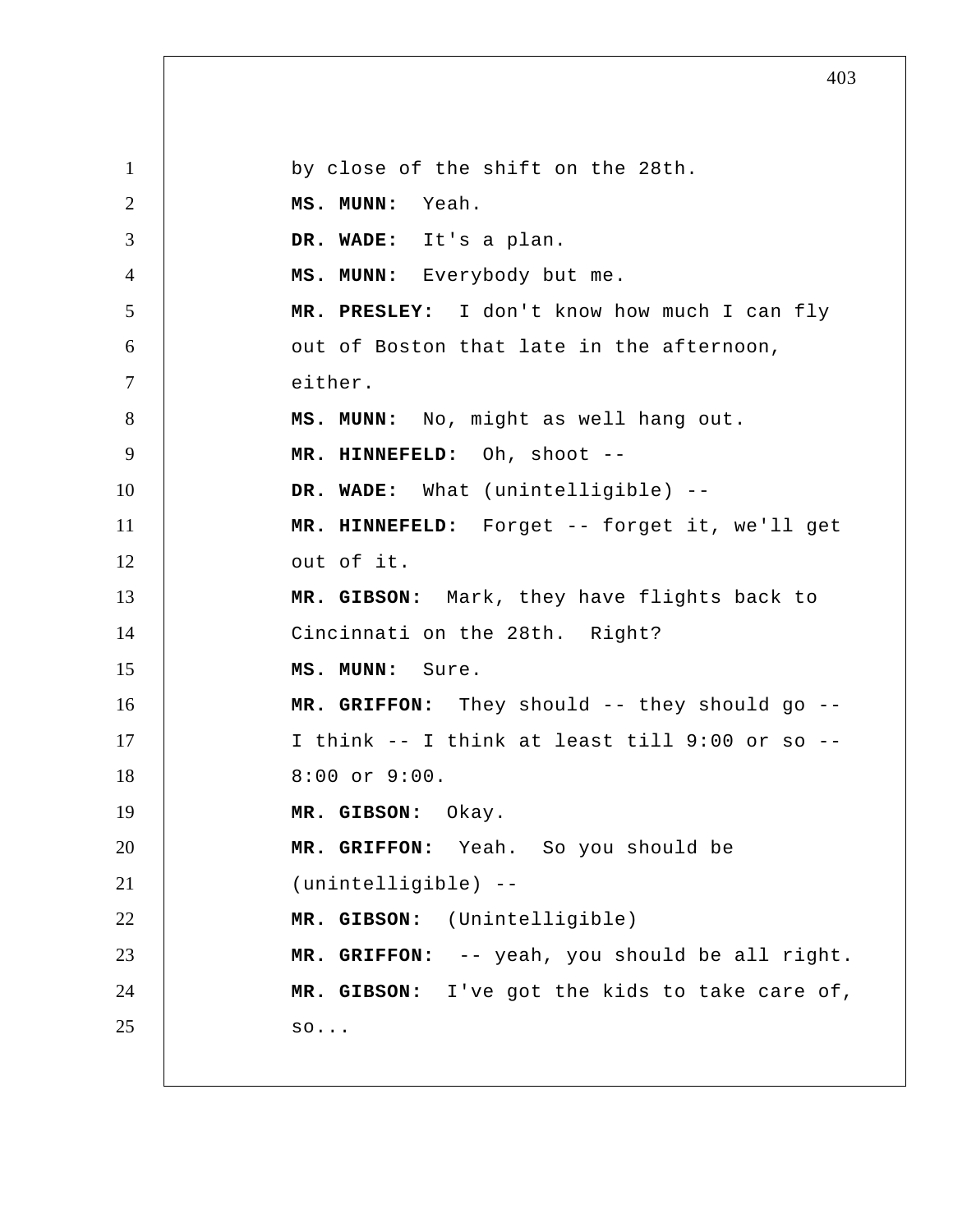1 2 3 4 5 6 7 8 9 10 11 12 13 14 15 16 17 18 19 20 21 22 23 24 25 by close of the shift on the 28th.  **MS. MUNN:** Yeah.  **DR. WADE:** It's a plan.  **MS. MUNN:** Everybody but me.  **MR. PRESLEY:** I don't know how much I can fly out of Boston that late in the afternoon, either.  **MS. MUNN:** No, might as well hang out.  **MR. HINNEFELD:** Oh, shoot -- **DR. WADE:** What (unintelligible) --  **MR. HINNEFELD:** Forget -- forget it, we'll get out of it.  **MR. GIBSON:** Mark, they have flights back to Cincinnati on the 28th. Right?  **MS. MUNN:** Sure.  **MR. GRIFFON:** They should -- they should go -- I think -- I think at least till 9:00 or so -- 8:00 or 9:00.  **MR. GIBSON:** Okay.  **MR. GRIFFON:** Yeah. So you should be (unintelligible) --  **MR. GIBSON:** (Unintelligible)  **MR. GRIFFON:** -- yeah, you should be all right.  **MR. GIBSON:** I've got the kids to take care of, so...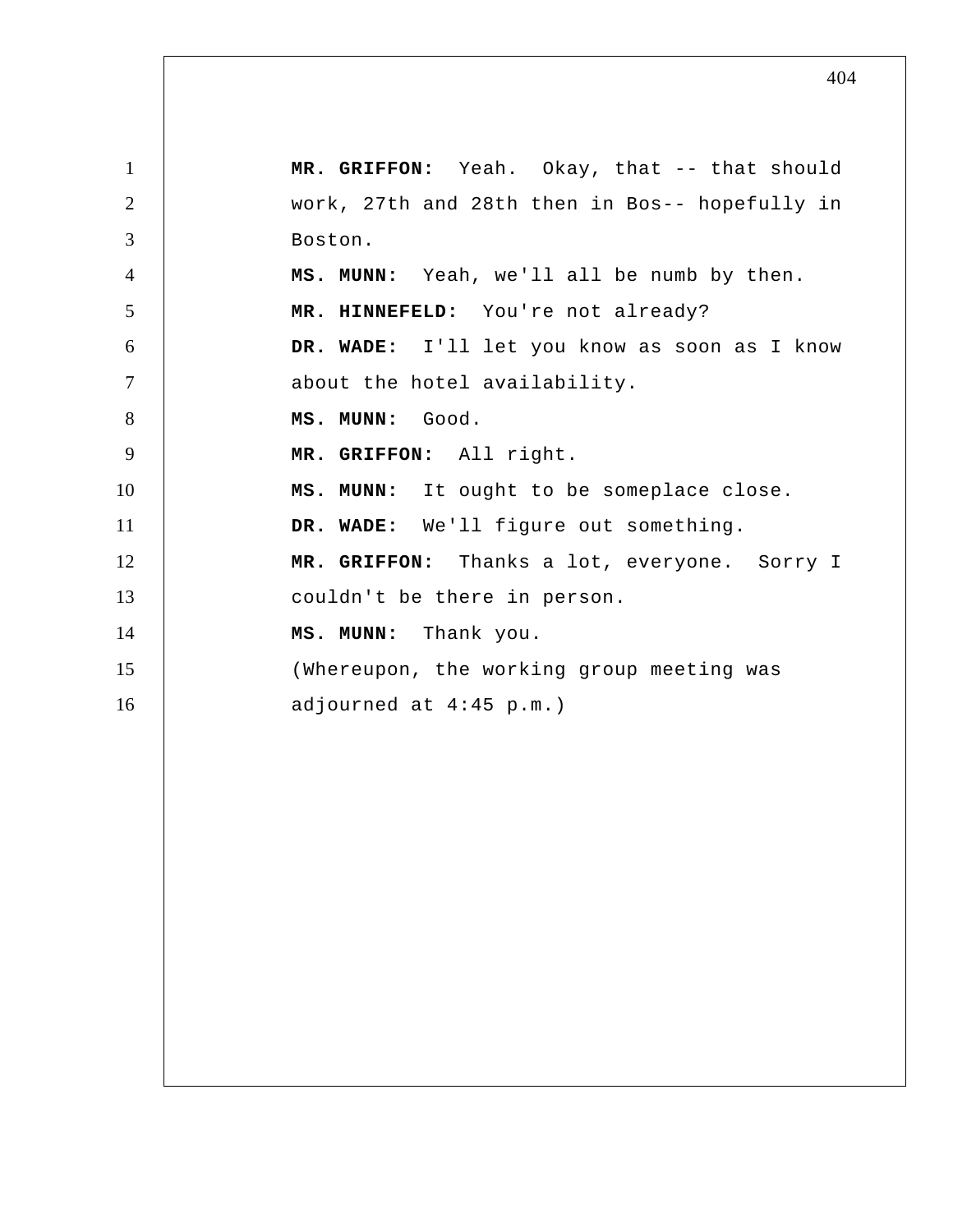1 2 3 4 5 6 7 8 9 10 11 12 13 14 15 16  **MR. GRIFFON:** Yeah. Okay, that -- that should work, 27th and 28th then in Bos-- hopefully in Boston.  **MS. MUNN:** Yeah, we'll all be numb by then.  **MR. HINNEFELD:** You're not already?  **DR. WADE:** I'll let you know as soon as I know about the hotel availability.  **MS. MUNN:** Good.  **MR. GRIFFON:** All right.  **MS. MUNN:** It ought to be someplace close.  **DR. WADE:** We'll figure out something.  **MR. GRIFFON:** Thanks a lot, everyone. Sorry I couldn't be there in person.  **MS. MUNN:** Thank you. (Whereupon, the working group meeting was adjourned at 4:45 p.m.)